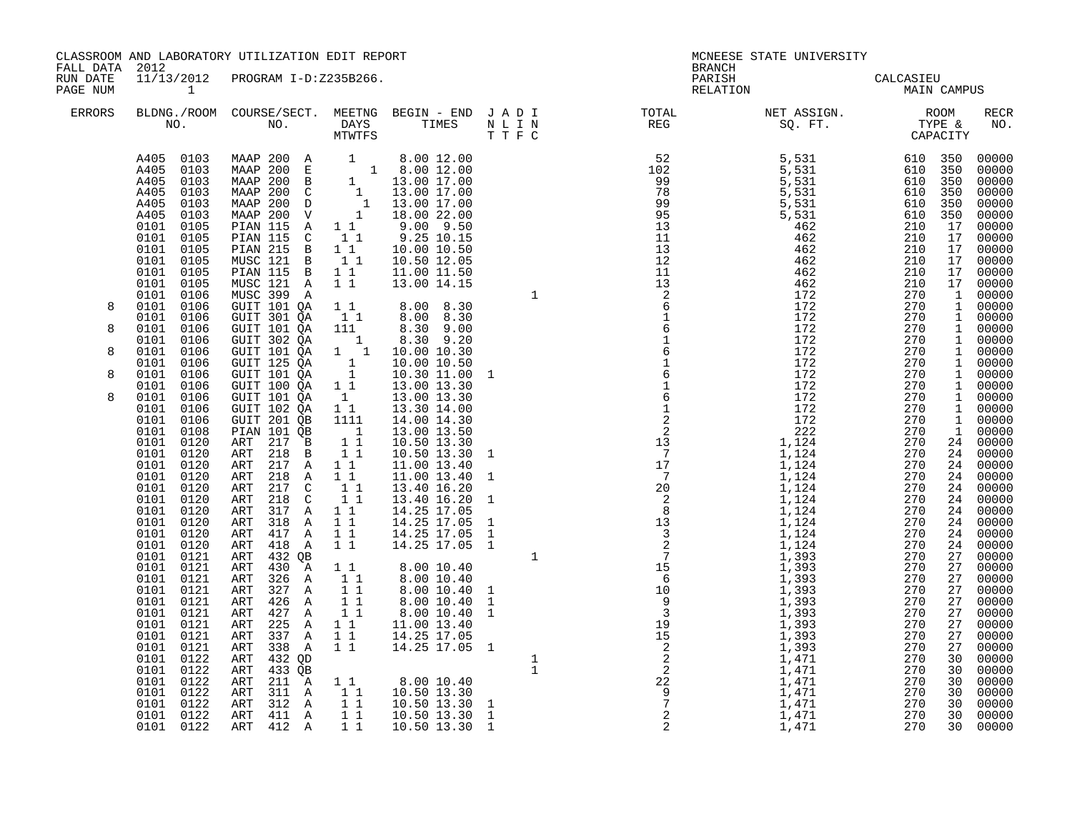|                                        |                                                                                                                                                                                                                                                                                                                                                                                                                                                                                                                                                                                                                                                                                                                                           | CLASSROOM AND LABORATORY UTILIZATION EDIT REPORT                                                                                                                                                                                                                                                                                                                                                                                                                                                                                                                                                                                                                                                                                                                                                                                                                                                                                                                                              |                                                                                                                                                                                                                                                                                                                                  |                                                                                                                                                                                                                                                                                                                                                                                                                                                                                                                                                                                                                                                  |                                                                                                                                                                                                                                                                                                                                                                                                                                         | MCNEESE STATE UNIVERSITY |  |                                                                                                                                                                                                                                                                                                                                                                                                                                                                                                                                                                                                                                                                                                                                                                                  |
|----------------------------------------|-------------------------------------------------------------------------------------------------------------------------------------------------------------------------------------------------------------------------------------------------------------------------------------------------------------------------------------------------------------------------------------------------------------------------------------------------------------------------------------------------------------------------------------------------------------------------------------------------------------------------------------------------------------------------------------------------------------------------------------------|-----------------------------------------------------------------------------------------------------------------------------------------------------------------------------------------------------------------------------------------------------------------------------------------------------------------------------------------------------------------------------------------------------------------------------------------------------------------------------------------------------------------------------------------------------------------------------------------------------------------------------------------------------------------------------------------------------------------------------------------------------------------------------------------------------------------------------------------------------------------------------------------------------------------------------------------------------------------------------------------------|----------------------------------------------------------------------------------------------------------------------------------------------------------------------------------------------------------------------------------------------------------------------------------------------------------------------------------|--------------------------------------------------------------------------------------------------------------------------------------------------------------------------------------------------------------------------------------------------------------------------------------------------------------------------------------------------------------------------------------------------------------------------------------------------------------------------------------------------------------------------------------------------------------------------------------------------------------------------------------------------|-----------------------------------------------------------------------------------------------------------------------------------------------------------------------------------------------------------------------------------------------------------------------------------------------------------------------------------------------------------------------------------------------------------------------------------------|--------------------------|--|----------------------------------------------------------------------------------------------------------------------------------------------------------------------------------------------------------------------------------------------------------------------------------------------------------------------------------------------------------------------------------------------------------------------------------------------------------------------------------------------------------------------------------------------------------------------------------------------------------------------------------------------------------------------------------------------------------------------------------------------------------------------------------|
| FALL DATA 2012<br>RUN DATE<br>PAGE NUM |                                                                                                                                                                                                                                                                                                                                                                                                                                                                                                                                                                                                                                                                                                                                           | 11/13/2012 PROGRAM I-D:Z235B266.                                                                                                                                                                                                                                                                                                                                                                                                                                                                                                                                                                                                                                                                                                                                                                                                                                                                                                                                                              |                                                                                                                                                                                                                                                                                                                                  |                                                                                                                                                                                                                                                                                                                                                                                                                                                                                                                                                                                                                                                  | <b>BRANCH</b><br>PARISH<br>RELATION                                                                                                                                                                                                                                                                                                                                                                                                     | CALCASIEU<br>MAIN CAMPUS |  |                                                                                                                                                                                                                                                                                                                                                                                                                                                                                                                                                                                                                                                                                                                                                                                  |
| ERRORS                                 |                                                                                                                                                                                                                                                                                                                                                                                                                                                                                                                                                                                                                                                                                                                                           |                                                                                                                                                                                                                                                                                                                                                                                                                                                                                                                                                                                                                                                                                                                                                                                                                                                                                                                                                                                               |                                                                                                                                                                                                                                                                                                                                  |                                                                                                                                                                                                                                                                                                                                                                                                                                                                                                                                                                                                                                                  | $\begin{tabular}{lllllllllllllllllllll} \textsc{BLONG.} & \textsc{ROUN.} & \textsc{ROUN.} & \textsc{NEST.} & \textsc{NEST.} & \textsc{NEST.} & \textsc{NEG.} & \textsc{NEST.} & \textsc{NEST.} & \textsc{NEST.} & \textsc{NEST.} & \textsc{NEST.} & \textsc{NEST.} & \textsc{NEST.} & \textsc{NEST.} & \textsc{NEST.} & \textsc{NEST.} & \textsc{NEST.} & \textsc{NEST.} & \textsc{NEST.} & \textsc{NEST.} & \textsc{NEST.} & \textsc{$ |                          |  | RECR<br>NO.                                                                                                                                                                                                                                                                                                                                                                                                                                                                                                                                                                                                                                                                                                                                                                      |
| 8<br>8<br>8<br>8                       | A405 0103<br>A405 0103<br>A405<br>0103<br>A405<br>0103<br>A405<br>0103<br>A405<br>0103<br>0101 0105<br>0101<br>0105<br>0101 0105<br>0101<br>0105<br>0101<br>0105<br>0101<br>0105<br>0101<br>0106<br>0101 0106<br>0101 0106<br>0101 0106<br>0101<br>0106<br>0101 0106<br>0101 0106<br>0101 0106<br>0101<br>0106<br>0101 0106<br>0101<br>0106<br>0101<br>0106<br>0101<br>0108<br>0101<br>0120<br>0101<br>0120<br>0101<br>0120<br>0101 0120<br>0101<br>0120<br>0101 0120<br>0101 0120<br>0101 0120<br>0101 0120<br>0101 0120<br>0101 0121<br>0101 0121<br>0101 0121<br>0101 0121<br>0101 0121<br>0101 0121<br>0101 0121<br>0101 0121<br>0101 0121<br>0101 0122<br>0101 0122<br>0101 0122<br>0101 0122<br>0101 0122<br>0101 0122<br>0101 0122 | MAAP 200 A 1 8.00 12.00<br>MAAP 200 E 1 8.00 12.00<br>MAAP 200 B 1 13.00 17.00<br>MAAP 200 C 1 13.00 17.00<br>MAAP 200 D 1 13.00 17.00<br>MAAP 200 D 1 13.00 17.00<br>MAAP 200 V 1 18.00 22.00<br>PIAN 115 A 1 1 9.00 9.50<br>PIAN 115 C 1 1 9.25 10.15<br>PIAN 115 C<br>PIAN 215 B 1 1<br>MUSC 121 B 1 1<br>PIAN 115 B 1 1<br>MUSC 121 A 1 1<br>MUSC 399 A<br>GUIT 101 QA<br><b>GUIT 301 QA<br/>GUIT 101 QA<br/>GUIT 302 QA</b><br>GUIT 101 QA<br>GUIT 125 QA<br>GUIT 101 QA<br>GUIT 100 QA<br>GUIT 101 QA<br>GUIT 102 QA<br>GUIT 201 QB<br>PIAN 101 QB<br>ART 217 B<br>ART 218 B<br>217 A<br>ART<br>218 A<br>ART<br>217 C<br>ART<br>218 C<br>ART<br>ART 317 A<br>318 A<br>ART<br>417 A<br>ART<br>418 A<br>ART<br>ART<br>432 QB<br>ART<br>430 A<br>326 A<br>ART<br>327 A<br>ART<br>426 A<br>ART<br>ART 427 A<br>225 A<br>ART<br>337 A<br>ART<br>ART<br>338 A<br>432 QD<br>ART<br>433 QB<br>ART<br>$211 \tilde{A}$<br>ART<br>ART 311 A 1 1<br>ART 312 A 1 1<br>ART 411 A 1 1<br>ART 412 A 1 1 | $\begin{smallmatrix} &1\\1&1\end{smallmatrix}$<br>1111<br>$\overline{\phantom{a}}$<br>$1\overline{1}$<br>11<br>$1\quad1$<br>$1\quad1$<br>$\begin{bmatrix} 1 \\ 1 \\ 1 \end{bmatrix}$<br>$1\quad1$<br>$1\quad1$<br>$1\quad1$<br>11<br>$1\quad1$<br>11<br>$\overline{1}$ $\overline{1}$<br>11<br>11<br>11<br>11<br>11<br>$1\quad1$ | 10.00 10.50<br>10.50 12.05<br>11.00 11.50<br>13.00 14.15<br>$\begin{array}{cccc} 1 & 1 & 8 & 00 & 8 & 30 \\ 1 & 1 & 8 & 00 & 8 & 30 \\ 111 & 8 & 30 & 9 & 00 \\ \end{array}$<br>13.00 13.30<br>13.30 14.00<br>14.00 14.30<br>13.00 13.50<br>10.50 13.30<br>10.50 13.30<br>11.00 13.40<br>11.00 13.40<br>13.40 16.20<br>13.40 16.20<br>14.25 17.05<br>14.25 17.05<br>14.25 17.05<br>14.25 17.05 1<br>8.00 10.40<br>8.00 10.40<br>8.00 10.40<br>$\begin{array}{rrrr} 8.00 & 10.40 & 1 \\ 8.00 & 10.40 & 1 \\ 11.00 & 13.40 & \end{array}$<br>14.25 17.05<br>14.25 17.05 1<br>8.0010.40<br>10.50 13.30<br>10.50 13.30<br>10.50 13.30<br>10.50 13.30 | $\begin{array}{cccccccccccc} 0.11 & 0.12 & 0.13 & 0.14 & 0.14 & 0.14 & 0.14 & 0.14 & 0.14 & 0.14 & 0.14 & 0.14 & 0.14 & 0.14 & 0.14 & 0.14 & 0.14 & 0.14 & 0.14 & 0.14 & 0.14 & 0.14 & 0.14 & 0.14 & 0.14 & 0.14 & 0.14 & 0.14 & 0.14 & 0.14 & 0.14 & 0.14 & 0.14 & 0.14 & 0.14 & $                                                                                                                                                     |                          |  | 00000<br>00000<br>00000<br>$00000$<br>00000<br>00000<br>00000<br>$\begin{bmatrix} 17 & 00000 \\ 17 & 00000 \\ 17 & 00000 \\ 17 & 00000 \end{bmatrix}$<br>$\begin{bmatrix} 17 & 00000 \\ 17 & 00000 \end{bmatrix}$<br>$\begin{bmatrix} 1 & 00000 \\ 1 & 00000 \end{bmatrix}$<br>1 00000<br>1 00000<br>$\begin{bmatrix} 1 & 00000 \\ 1 & 00000 \end{bmatrix}$<br>1 00000<br>$\begin{bmatrix} 1 & 00000 \\ 1 & 00000 \\ 1 & 00000 \end{bmatrix}$<br>1 00000<br>1 00000<br>1 00000<br>2400000<br>24 00000<br>24 00000<br>24 00000<br>$\begin{bmatrix} 24 & 00000 \\ 24 & 00000 \end{bmatrix}$<br>00000<br>$24$ 00000<br>$24$ 00000<br>$24$ 00000<br>$27$ 00000<br>27 00000<br>27 00000<br>27 00000<br>00000<br>00000<br>00000<br>$00000$<br>$00000$<br>00000<br>30 00000<br>30 00000 |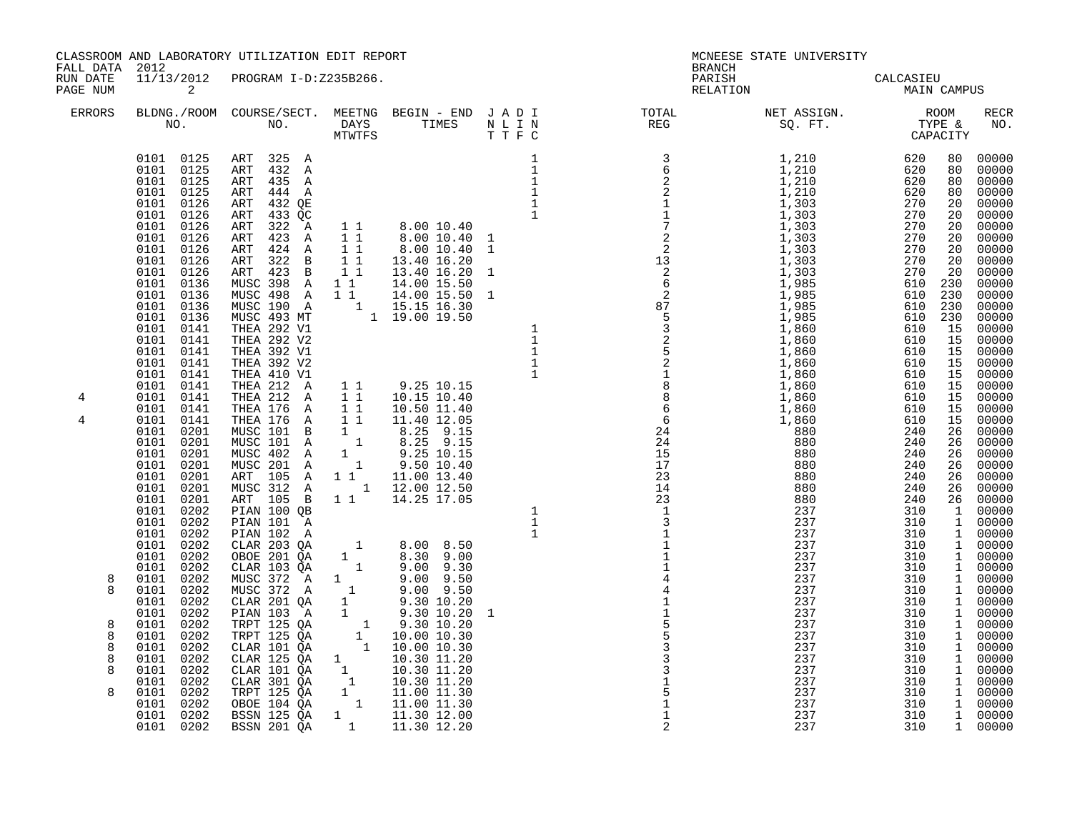| FALL DATA                                      | 2012                                                                                                                                                                                                                                                                                                                                                                                                                                                                                                                                                                                                                                                                                                                          | CLASSROOM AND LABORATORY UTILIZATION EDIT REPORT                                                                                                                                                                                                                                                                                                                                                                                                                                                                                                                                                                                                                                                                                                                                                                                                                                                                                          |                 |                                                                                                                                                                                                                                                                                                                                                                                                                                                                                                                                                                                                                                     |                                     | MCNEESE STATE UNIVERSITY                                                                                                               |                                        |                                                                                           |
|------------------------------------------------|-------------------------------------------------------------------------------------------------------------------------------------------------------------------------------------------------------------------------------------------------------------------------------------------------------------------------------------------------------------------------------------------------------------------------------------------------------------------------------------------------------------------------------------------------------------------------------------------------------------------------------------------------------------------------------------------------------------------------------|-------------------------------------------------------------------------------------------------------------------------------------------------------------------------------------------------------------------------------------------------------------------------------------------------------------------------------------------------------------------------------------------------------------------------------------------------------------------------------------------------------------------------------------------------------------------------------------------------------------------------------------------------------------------------------------------------------------------------------------------------------------------------------------------------------------------------------------------------------------------------------------------------------------------------------------------|-----------------|-------------------------------------------------------------------------------------------------------------------------------------------------------------------------------------------------------------------------------------------------------------------------------------------------------------------------------------------------------------------------------------------------------------------------------------------------------------------------------------------------------------------------------------------------------------------------------------------------------------------------------------|-------------------------------------|----------------------------------------------------------------------------------------------------------------------------------------|----------------------------------------|-------------------------------------------------------------------------------------------|
| RUN DATE<br>PAGE NUM                           | $\overline{\mathbf{a}}$                                                                                                                                                                                                                                                                                                                                                                                                                                                                                                                                                                                                                                                                                                       | 11/13/2012 PROGRAM I-D:Z235B266.                                                                                                                                                                                                                                                                                                                                                                                                                                                                                                                                                                                                                                                                                                                                                                                                                                                                                                          |                 |                                                                                                                                                                                                                                                                                                                                                                                                                                                                                                                                                                                                                                     | <b>BRANCH</b><br>PARISH<br>RELATION | CALCASIEU<br>MAIN CAMPUS                                                                                                               |                                        |                                                                                           |
| <b>ERRORS</b>                                  |                                                                                                                                                                                                                                                                                                                                                                                                                                                                                                                                                                                                                                                                                                                               |                                                                                                                                                                                                                                                                                                                                                                                                                                                                                                                                                                                                                                                                                                                                                                                                                                                                                                                                           |                 |                                                                                                                                                                                                                                                                                                                                                                                                                                                                                                                                                                                                                                     |                                     | A BLDNG./ROOM COURSE/SECT. MEETNG BEGIN - END JADI TOTAL TOTAL NET ASSIGN. NET ASSIGN. ROOM ROOM NO. DAYS TIMES NLIN REG SQ.FT. TYPE & |                                        | <b>RECR</b><br>NO.                                                                        |
| 4<br>4<br>8<br>8<br>8<br>8<br>8<br>8<br>8<br>8 | 0101 0125<br>0101 0125<br>0101 0125<br>0101 0126<br>0101 0126<br>0101 0126<br>0101 0126<br>0101 0126<br>0101 0126<br>0101 0126<br>$0101$ $0136$<br>0101<br>0136<br>0101<br>0136<br>0101 0136<br>0101 0141<br>0101 0141<br>0101 0141<br>0101 0141<br>0101 0141<br>0101 0141<br>0101<br>0141<br>0101 0141<br>0101 0141<br>0101 0201<br>0101 0201<br>0101 0201<br>0101 0201<br>0101 0201<br>0101<br>0201<br>0101<br>0201<br>0101<br>0202<br>0101<br>0202<br>0101<br>0202<br>0202<br>0101<br>0101 0202<br>0101 0202<br>0101 0202<br>0101 0202<br>0101 0202<br>0202<br>0101<br>0101<br>0202<br>0101 0202<br>0202<br>0101<br>0202<br>0101<br>0101<br>0202<br>0101<br>0202<br>0101<br>0202<br>0101<br>0202<br>0101 0202<br>0101 0202 | 0101 0125 ART 325 A<br>ART 432 A<br>ART 435 A<br>ART 444 A<br>ART 432 QE<br>ART 433 QC<br>ART 322 A<br>ART 423 A<br>ART 424 A 11<br>ART 322 B 11<br>ART 423 B<br>MUSC 398 A 11<br>MUSC 398 A 1 1 14.00 15.50 1<br>MUSC 498 A 1 1 14.00 15.50 1<br>MUSC 190 A 1 15.15 16.30<br>THEA 292 V1 1 19.00 19.50<br>THEA 292 V2<br>THEA 392 V2<br>THEA 392 V2<br>THEA 212 A 1 1 9.25 10.15<br>THEA 212 A 1 1 10.15 10.40<br>THEA 212 A 1 1<br>THEA 176 A 1 1<br>THEA 176 A 1 1<br>NUSC 101 B 1<br>MUSC 101 A 1<br>MUSC 402 A 1<br>MUSC 201 A 1<br>ART 105 A 1 1 11.00 13.40<br>MUSC 312 A<br>ART 105 B<br>PIAN 100 QB<br>PIAN 101 A<br>PIAN $102$ A<br>CLAR 203 QA<br>OBOE 201 QA<br>CLAR 103 QA<br>CLAR 103 QA 1 9.00 9.30<br>MUSC 372 A 1 9.00 9.50<br>CLAR 201 QA 1 9.30 10.20<br>PTAN 103 A 1 9.30 10.20<br>PTAN 103 A 1 9.30 10.20<br>PTAN 103 A 1 9.30 10.20<br>TRPT 125 QA 1 9.30 10.20<br>CLAR 101 QA 1 10.00 10.30<br>CLAR 125 QA 1 10.30 | 11<br>$1\quad1$ | $\begin{bmatrix} 1 & 1 & 8 & 0 & 0 & 1 & 0 & 4 & 0 \\ 1 & 1 & 0 & 0 & 0 & 1 & 0 & 0 & 0 \\ 0 & 0 & 0 & 0 & 1 & 0 & 0 & 0 & 0 \\ 0 & 0 & 0 & 0 & 0 & 0 & 0 & 0 & 0 \\ 0 & 0 & 0 & 0 & 0 & 0 & 0 & 0 & 0 \\ 0 & 0 & 0 & 0 & 0 & 0 & 0 & 0 & 0 \\ 0 & 0 & 0 & 0 & 0 & 0 & 0 & 0 & 0 \\ 0 & 0 & 0 & 0 & 0 & 0 & 0 & 0 & $<br>8.00 10.40 1<br>$8.00\;10.40$<br>13.40 16.20<br>13.40 16.20<br>14.00 15.50<br>10.50 11.40<br>11.40 12.05<br>$8.25$ $9.15$<br>$8.25$ $9.15$<br>$9.25$ 10.15<br>9.50 10.40<br>1 12.00 12.50<br>1 1 14.25 17.05<br>$\begin{array}{cccc} 1 & 8.00 & 8.50 \\ 1 & 8.30 & 9.00 \\ 1 & 9.00 & 9.30 \\ \end{array}$ | 311114411553331<br>2                | 237<br>237<br>237<br>237<br>237                                                                                                        | 310<br>310<br>310<br>$\frac{310}{310}$ | $\begin{bmatrix} 1 & 00000 \\ 1 & 00000 \\ 1 & 00000 \end{bmatrix}$<br>1 00000<br>1 00000 |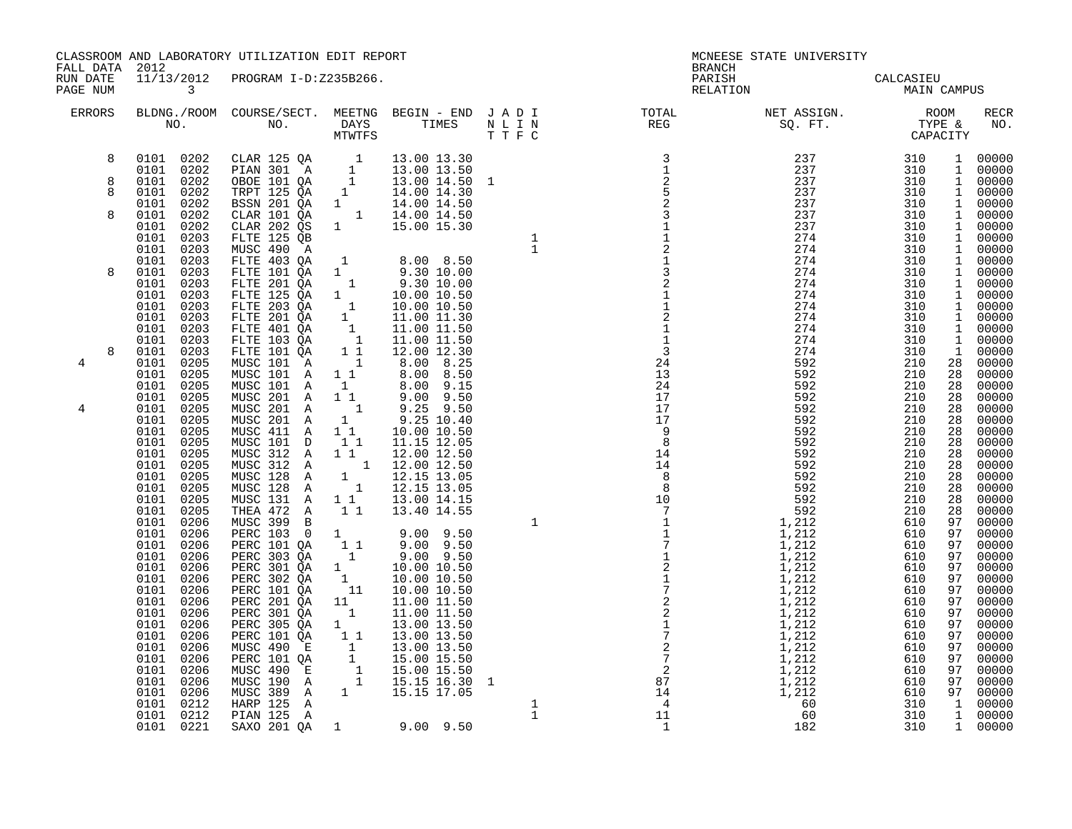| FALL DATA 2012       |                         |              | CLASSROOM AND LABORATORY UTILIZATION EDIT REPORT                                                                                                                                                                                                                                                          |                                                          |                                                                                                                                                                                                                                                                                                           |  | MCNEESE STATE UNIVERSITY<br><b>BRANCH</b>                                                                                                                                                                                                                                                                                                                                                                                                                                                                                                                                                                            |  |             |
|----------------------|-------------------------|--------------|-----------------------------------------------------------------------------------------------------------------------------------------------------------------------------------------------------------------------------------------------------------------------------------------------------------|----------------------------------------------------------|-----------------------------------------------------------------------------------------------------------------------------------------------------------------------------------------------------------------------------------------------------------------------------------------------------------|--|----------------------------------------------------------------------------------------------------------------------------------------------------------------------------------------------------------------------------------------------------------------------------------------------------------------------------------------------------------------------------------------------------------------------------------------------------------------------------------------------------------------------------------------------------------------------------------------------------------------------|--|-------------|
| RUN DATE<br>PAGE NUM | $\overline{\mathbf{3}}$ |              | 11/13/2012 PROGRAM I-D:Z235B266.                                                                                                                                                                                                                                                                          |                                                          |                                                                                                                                                                                                                                                                                                           |  | PARISH<br>CALCASIEU<br>MAIN CAMPUS<br>RELATION                                                                                                                                                                                                                                                                                                                                                                                                                                                                                                                                                                       |  |             |
| ERRORS               |                         |              |                                                                                                                                                                                                                                                                                                           |                                                          |                                                                                                                                                                                                                                                                                                           |  | BLDNG./ROOM COURSE/SECT. MEETNG BEGIN – END JADI TOTAL NET ASSIGN. NET ASSIGN. NO ROOM NO. DAYS TIMES NLIN REG<br>NO. NO. DAYS TIMES NLIN REG SQ.FT. TYPE &<br>MTWTFS TTFC<br>$\begin{smallmatrix} \text{TOTAL} & \text{RIST} & \text{ASDICAR} \\ \text{RBS} & \text{SD} & \text{STT} & \text{TSDICAR} \\ \text{RBS} & \text{STT} & \text{STBSE} & \text{SLO} \\ \text{CADRCTUT} & \text{CCDPACITAR} & \text{HOD} \\ \text{CADRCTUT} & \text{GADRCTUT} & \text{HOD} \\ \text{CADRCTUT} & \text{GADRCTUT} & \text{HOD} \\ \text{CADRCTUT} & \text{GADRCTUT} & \text{GADRCTUT} \\ \text{CADRCTUT} & \text{GADRCTUT} &$ |  | <b>RECR</b> |
| 8                    |                         |              | $\begin{tabular}{cccc} 0101 & 0202 & CLAR 125 QA & 1 & 13.00 13.30 \\ 0101 & 0202 & PLAN 301 A & 1 & 13.00 13.50 \\ 0101 & 0202 & OBOE 101 QA & 1 & 13.00 14.50 1 \\ 0101 & 0202 & TRPT 125 QA & 1 & 14.00 14.30 \\ 0101 & 0202 & BSSN 201 QA & 1 & 14.00 14.50 \\ 0101 & 0202 & CLAR 101 QA & 1 & 14.00$ |                                                          | $\begin{array}{cccccc} & 1 & 13.00 & 13.50 \\ & 1 & 13.00 & 14.50 & 1 \\ & 1 & 14.00 & 14.50 & 1 \\ & 1 & 14.00 & 14.50 & 1 \\ & 1 & 14.00 & 14.50 & 1 \\ & 1 & 14.00 & 14.50 & 1 \\ & 1 & 15.00 & 15.30 & 1 \\ & 1 & 1 & 15.00 & 15.30 & 1 \\ & 1 & 9.30 & 10.00 & 1 \\ & 1 & 9.30 & 10.00 & 1 \\ & 1 &$ |  |                                                                                                                                                                                                                                                                                                                                                                                                                                                                                                                                                                                                                      |  |             |
| 8                    |                         |              |                                                                                                                                                                                                                                                                                                           |                                                          |                                                                                                                                                                                                                                                                                                           |  |                                                                                                                                                                                                                                                                                                                                                                                                                                                                                                                                                                                                                      |  |             |
| 8                    |                         |              |                                                                                                                                                                                                                                                                                                           |                                                          |                                                                                                                                                                                                                                                                                                           |  |                                                                                                                                                                                                                                                                                                                                                                                                                                                                                                                                                                                                                      |  |             |
|                      |                         |              |                                                                                                                                                                                                                                                                                                           |                                                          |                                                                                                                                                                                                                                                                                                           |  |                                                                                                                                                                                                                                                                                                                                                                                                                                                                                                                                                                                                                      |  |             |
| 8                    |                         |              |                                                                                                                                                                                                                                                                                                           |                                                          |                                                                                                                                                                                                                                                                                                           |  |                                                                                                                                                                                                                                                                                                                                                                                                                                                                                                                                                                                                                      |  |             |
|                      | 0101 0203               |              | FLTE 125 QB                                                                                                                                                                                                                                                                                               |                                                          |                                                                                                                                                                                                                                                                                                           |  |                                                                                                                                                                                                                                                                                                                                                                                                                                                                                                                                                                                                                      |  |             |
|                      | 0101 0203               |              | MUSC 490 A                                                                                                                                                                                                                                                                                                |                                                          |                                                                                                                                                                                                                                                                                                           |  |                                                                                                                                                                                                                                                                                                                                                                                                                                                                                                                                                                                                                      |  |             |
|                      | 0101                    | 0203         |                                                                                                                                                                                                                                                                                                           |                                                          |                                                                                                                                                                                                                                                                                                           |  |                                                                                                                                                                                                                                                                                                                                                                                                                                                                                                                                                                                                                      |  |             |
| 8                    | 0101 0203<br>0101 0203  |              | FLTE 403 QA<br>FLTE 101 QA<br>FLTE 201 QA                                                                                                                                                                                                                                                                 |                                                          |                                                                                                                                                                                                                                                                                                           |  |                                                                                                                                                                                                                                                                                                                                                                                                                                                                                                                                                                                                                      |  |             |
|                      | 0101                    | 0203         |                                                                                                                                                                                                                                                                                                           |                                                          | $\begin{array}{rrrr} 1 & 9.30 & 10.00 & 1 \ 1 & 10.00 & 10.50 & 1 \ 1 & 10.00 & 10.50 & 1 \ 1 & 11.00 & 11.30 & 1 \ 11.00 & 11.50 & 1 \ 1 & 12.00 & 12.30 & 1 \ 1 & 8.00 & 8.25 & 1 \end{array}$                                                                                                          |  |                                                                                                                                                                                                                                                                                                                                                                                                                                                                                                                                                                                                                      |  |             |
|                      | 0101                    | 0203         | FLTE 125 QA<br>FLTE 203 QA                                                                                                                                                                                                                                                                                |                                                          |                                                                                                                                                                                                                                                                                                           |  |                                                                                                                                                                                                                                                                                                                                                                                                                                                                                                                                                                                                                      |  |             |
|                      | 0101                    | 0203         | FLTE 201 QA                                                                                                                                                                                                                                                                                               |                                                          |                                                                                                                                                                                                                                                                                                           |  |                                                                                                                                                                                                                                                                                                                                                                                                                                                                                                                                                                                                                      |  |             |
|                      | 0101<br>0101            | 0203<br>0203 | FLTE 401 QA<br>FLTE 103 QA                                                                                                                                                                                                                                                                                |                                                          |                                                                                                                                                                                                                                                                                                           |  |                                                                                                                                                                                                                                                                                                                                                                                                                                                                                                                                                                                                                      |  |             |
| 8                    | 0101                    | 0203         | FLTE 101 QA                                                                                                                                                                                                                                                                                               |                                                          |                                                                                                                                                                                                                                                                                                           |  |                                                                                                                                                                                                                                                                                                                                                                                                                                                                                                                                                                                                                      |  |             |
| 4                    | 0101                    | 0205         | MUSC 101 A                                                                                                                                                                                                                                                                                                |                                                          |                                                                                                                                                                                                                                                                                                           |  |                                                                                                                                                                                                                                                                                                                                                                                                                                                                                                                                                                                                                      |  |             |
|                      | 0101 0205               |              | MUSC 101 A                                                                                                                                                                                                                                                                                                |                                                          |                                                                                                                                                                                                                                                                                                           |  |                                                                                                                                                                                                                                                                                                                                                                                                                                                                                                                                                                                                                      |  |             |
|                      | 0101 0205<br>0101 0205  |              | MUSC 101 A 1<br>MUSC 201 A 1 1                                                                                                                                                                                                                                                                            |                                                          | $\begin{array}{@{}lllllllll@{}} & & & 0.00 & 0.25 \ 1 & & 8.00 & 9.55 \ 1 & & 9.00 & 9.15 \ 1 & & 9.00 & 9.50 \ 1 & & 9.25 & 9.50 \ 1 & & & 9.25 & 10.40 \end{array}$                                                                                                                                     |  |                                                                                                                                                                                                                                                                                                                                                                                                                                                                                                                                                                                                                      |  |             |
| 4                    | 0101 0205               |              | MUSC 201 A                                                                                                                                                                                                                                                                                                |                                                          |                                                                                                                                                                                                                                                                                                           |  |                                                                                                                                                                                                                                                                                                                                                                                                                                                                                                                                                                                                                      |  |             |
|                      | 0101 0205               |              | MUSC 201 A                                                                                                                                                                                                                                                                                                | $\begin{smallmatrix}&&1\\&&1\\&&1\\1&1\end{smallmatrix}$ |                                                                                                                                                                                                                                                                                                           |  |                                                                                                                                                                                                                                                                                                                                                                                                                                                                                                                                                                                                                      |  |             |
|                      | 0101                    | 0205         | MUSC 411 A<br>MUSC 101 D                                                                                                                                                                                                                                                                                  |                                                          | 10.00 10.50                                                                                                                                                                                                                                                                                               |  |                                                                                                                                                                                                                                                                                                                                                                                                                                                                                                                                                                                                                      |  |             |
|                      | 0101<br>0101            | 0205<br>0205 | MUSC 312 A                                                                                                                                                                                                                                                                                                | 11<br>$1\quad1$                                          | 11.15 12.05<br>12.00 12.50                                                                                                                                                                                                                                                                                |  |                                                                                                                                                                                                                                                                                                                                                                                                                                                                                                                                                                                                                      |  |             |
|                      | 0101                    | 0205         | MUSC 312 A                                                                                                                                                                                                                                                                                                |                                                          | $1$ 12.00 12.50<br>1 12.15 13.05                                                                                                                                                                                                                                                                          |  |                                                                                                                                                                                                                                                                                                                                                                                                                                                                                                                                                                                                                      |  |             |
|                      | 0101                    | 0205         | MUSC 128 A                                                                                                                                                                                                                                                                                                |                                                          |                                                                                                                                                                                                                                                                                                           |  |                                                                                                                                                                                                                                                                                                                                                                                                                                                                                                                                                                                                                      |  |             |
|                      | 0101<br>0101            | 0205         | MUSC 128 A<br>MUSC 131 A                                                                                                                                                                                                                                                                                  |                                                          | 1 12.15 13.05<br>1 1 13.00 14.15                                                                                                                                                                                                                                                                          |  |                                                                                                                                                                                                                                                                                                                                                                                                                                                                                                                                                                                                                      |  |             |
|                      | 0101                    | 0205<br>0205 | THEA 472 A                                                                                                                                                                                                                                                                                                |                                                          | 1 1 13.40 14.55                                                                                                                                                                                                                                                                                           |  |                                                                                                                                                                                                                                                                                                                                                                                                                                                                                                                                                                                                                      |  |             |
|                      | 0101 0206               |              | MUSC 399 B                                                                                                                                                                                                                                                                                                |                                                          |                                                                                                                                                                                                                                                                                                           |  |                                                                                                                                                                                                                                                                                                                                                                                                                                                                                                                                                                                                                      |  |             |
|                      | 0101                    | 0206         | PERC 103 0                                                                                                                                                                                                                                                                                                | $\mathbf{1}$                                             | $9.00$ $9.50$                                                                                                                                                                                                                                                                                             |  |                                                                                                                                                                                                                                                                                                                                                                                                                                                                                                                                                                                                                      |  |             |
|                      | 0101 0206<br>0101 0206  |              | PERC 101 QA<br>PERC 303 QA                                                                                                                                                                                                                                                                                |                                                          | $\begin{bmatrix} 1 & 1 & 9 & 00 & 9 & 50 \\ 1 & 9 & 00 & 9 & 50 \end{bmatrix}$                                                                                                                                                                                                                            |  |                                                                                                                                                                                                                                                                                                                                                                                                                                                                                                                                                                                                                      |  |             |
|                      | 0101 0206               |              | PERC 301 $\tilde{Q}A$                                                                                                                                                                                                                                                                                     |                                                          |                                                                                                                                                                                                                                                                                                           |  |                                                                                                                                                                                                                                                                                                                                                                                                                                                                                                                                                                                                                      |  |             |
|                      | 0101                    | 0206         | PERC 302 QA                                                                                                                                                                                                                                                                                               |                                                          | $\begin{array}{cccc} 1 & 10.00 & 10.50 \\ 1 & 10.00 & 10.50 \\ 11 & 10.00 & 10.50 \\ \end{array}$                                                                                                                                                                                                         |  |                                                                                                                                                                                                                                                                                                                                                                                                                                                                                                                                                                                                                      |  |             |
|                      | 0101                    | 0206         | PERC 101 QA                                                                                                                                                                                                                                                                                               |                                                          |                                                                                                                                                                                                                                                                                                           |  |                                                                                                                                                                                                                                                                                                                                                                                                                                                                                                                                                                                                                      |  |             |
|                      | 0101<br>0101            | 0206<br>0206 | PERC 201 QA                                                                                                                                                                                                                                                                                               | $\begin{bmatrix} 11 \\ 1 \end{bmatrix}$                  | 11.00 11.50<br>11.00 11.50                                                                                                                                                                                                                                                                                |  |                                                                                                                                                                                                                                                                                                                                                                                                                                                                                                                                                                                                                      |  |             |
|                      | 0101 0206               |              | PERC 301 QA<br>PERC 305 $\tilde{Q}A$                                                                                                                                                                                                                                                                      |                                                          | 13.00 13.50                                                                                                                                                                                                                                                                                               |  |                                                                                                                                                                                                                                                                                                                                                                                                                                                                                                                                                                                                                      |  |             |
|                      | 0101                    | 0206         | PERC 101 QA                                                                                                                                                                                                                                                                                               | $\begin{smallmatrix}1&&\\&1\\1&1\end{smallmatrix}$       | 13.00 13.50                                                                                                                                                                                                                                                                                               |  |                                                                                                                                                                                                                                                                                                                                                                                                                                                                                                                                                                                                                      |  |             |
|                      | 0101                    | 0206         | MUSC 490 E                                                                                                                                                                                                                                                                                                |                                                          | $\begin{array}{rrrr} 1 & 13.00 & 13.50 \ 1 & 15.00 & 15.50 \ 1 & 15.00 & 15.50 \ 1 & 15.15 & 16.30 \ 1 & 15.15 & 16.30 \end{array}$                                                                                                                                                                       |  |                                                                                                                                                                                                                                                                                                                                                                                                                                                                                                                                                                                                                      |  |             |
|                      | 0101                    | 0206         | PERC 101 QA<br>MUSC 490 E                                                                                                                                                                                                                                                                                 |                                                          |                                                                                                                                                                                                                                                                                                           |  |                                                                                                                                                                                                                                                                                                                                                                                                                                                                                                                                                                                                                      |  |             |
|                      | 0101 0206<br>0101       | 0206         | MUSC 190 A                                                                                                                                                                                                                                                                                                |                                                          |                                                                                                                                                                                                                                                                                                           |  |                                                                                                                                                                                                                                                                                                                                                                                                                                                                                                                                                                                                                      |  |             |
|                      | 0101                    | 0206         |                                                                                                                                                                                                                                                                                                           |                                                          | 1   15.15   17.05                                                                                                                                                                                                                                                                                         |  |                                                                                                                                                                                                                                                                                                                                                                                                                                                                                                                                                                                                                      |  |             |
|                      | 0101                    | 0212         | MUSC 389 A<br>HARP 125 A                                                                                                                                                                                                                                                                                  |                                                          |                                                                                                                                                                                                                                                                                                           |  |                                                                                                                                                                                                                                                                                                                                                                                                                                                                                                                                                                                                                      |  |             |
|                      | 0101 0212               |              | HARP 125 A<br>PIAN 125 A<br>SAXO 201 QA 1 9.00 9.50                                                                                                                                                                                                                                                       |                                                          |                                                                                                                                                                                                                                                                                                           |  |                                                                                                                                                                                                                                                                                                                                                                                                                                                                                                                                                                                                                      |  |             |
|                      | 0101 0221               |              |                                                                                                                                                                                                                                                                                                           |                                                          |                                                                                                                                                                                                                                                                                                           |  |                                                                                                                                                                                                                                                                                                                                                                                                                                                                                                                                                                                                                      |  |             |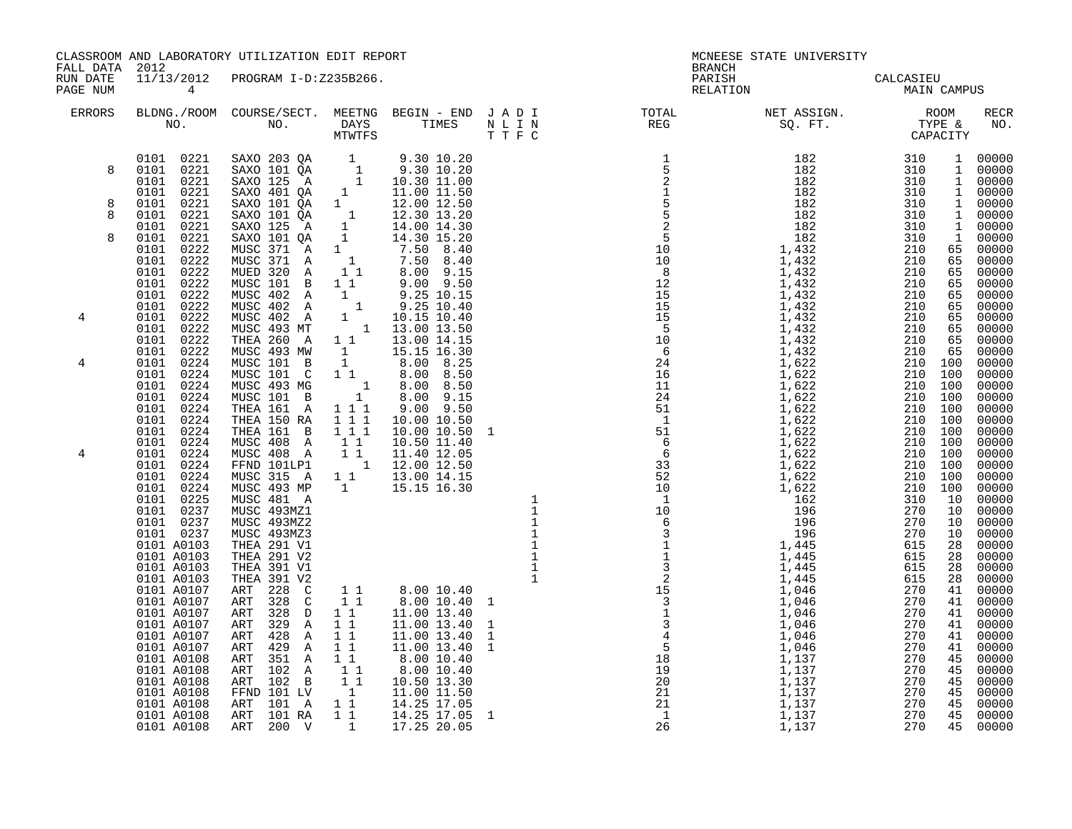| FALL DATA 2012       |                                                                     | CLASSROOM AND LABORATORY UTILIZATION EDIT REPORT                                                                                                                                                                                                                                                             |                                                                   |                                                                                                                             | <b>BRANCH</b>      | MCNEESE STATE UNIVERSITY                                                                                                                                                                                                                                                                                                                                                                                                             |  |                    |
|----------------------|---------------------------------------------------------------------|--------------------------------------------------------------------------------------------------------------------------------------------------------------------------------------------------------------------------------------------------------------------------------------------------------------|-------------------------------------------------------------------|-----------------------------------------------------------------------------------------------------------------------------|--------------------|--------------------------------------------------------------------------------------------------------------------------------------------------------------------------------------------------------------------------------------------------------------------------------------------------------------------------------------------------------------------------------------------------------------------------------------|--|--------------------|
| RUN DATE<br>PAGE NUM | $\overline{4}$                                                      | 11/13/2012 PROGRAM I-D:Z235B266.                                                                                                                                                                                                                                                                             |                                                                   |                                                                                                                             | PARISH<br>RELATION | CALCASIEU<br>MAIN CAMPUS                                                                                                                                                                                                                                                                                                                                                                                                             |  |                    |
| ERRORS               |                                                                     |                                                                                                                                                                                                                                                                                                              |                                                                   |                                                                                                                             |                    | BLDNG./ROOM COURSE/SECT. MEETNG BEGIN – END JADI TOTAL NET ASSIGN. NET ASSIGN. NO. ROOM COURSE REG REG REG REG REG SQ. FT. TYPE &                                                                                                                                                                                                                                                                                                    |  | <b>RECR</b><br>NO. |
| 8                    |                                                                     | $\begin{array}{cccccc} 0101 & 0221 & \text{SAXO} & 203 & \text{QA} & 1 & 9.30 & 10.20 \\ 0101 & 0221 & \text{SAXO} & 101 & \text{QA} & 1 & 9.30 & 10.20 \\ 0101 & 0221 & \text{SAXO} & 125 & \text{A} & 1 & 10.30 & 11.00 \\ 0101 & 0221 & \text{SAXO} & 401 & \text{QA} & 1 & 11.00 & 11.50 \\ \end{array}$ |                                                                   |                                                                                                                             |                    | $\begin{smallmatrix} \textbf{N} & \textbf{R} & \textbf{R} & \textbf{R} & \textbf{R} & \textbf{R} & \textbf{R} & \textbf{R} & \textbf{R} & \textbf{R} & \textbf{R} & \textbf{R} & \textbf{R} & \textbf{R} & \textbf{R} & \textbf{R} & \textbf{R} & \textbf{R} & \textbf{R} & \textbf{R} & \textbf{R} & \textbf{R} & \textbf{R} & \textbf{R} & \textbf{R} & \textbf{R} & \textbf{R} & \textbf{R} & \textbf{R} & \textbf{R} & \textbf{$ |  |                    |
| 8<br>8<br>8          | 0101 0221<br>0101 0221<br>0101 0221<br>0101 0221                    | SAXO 101 $\tilde{Q}A$ 1<br>SAXO 101 QA<br>SAXO 125 A<br>SAXO 101 QA                                                                                                                                                                                                                                          | $\mathbf{1}$                                                      | 12.00 12.50<br>$\begin{array}{cccc} 1 & 12.30 & 13.20 \\ 1 & 12.30 & 13.20 \\ 1 & 14.00 & 14.30 \end{array}$<br>14.30 15.20 |                    |                                                                                                                                                                                                                                                                                                                                                                                                                                      |  |                    |
|                      | 0101<br>0222<br>0101<br>0222<br>0101 0222<br>0101<br>0222           | MUSC 371 A<br>MUSC 371 A<br>MUED 320 A<br>MUSC 101 B                                                                                                                                                                                                                                                         | 1<br>$\begin{smallmatrix} &1\\&1\1\end{smallmatrix}$<br>$1\quad1$ | $7.50$ 8.40<br>$7.50$ 8.40<br>$6.00$ $9.15$<br>$9.00$ $9.50$                                                                |                    |                                                                                                                                                                                                                                                                                                                                                                                                                                      |  |                    |
| 4                    | 0101 0222<br>0101 0222<br>0101 0222<br>0101 0222<br>0101 0222       | MUSC 402 A<br>MUSC 402 A 1<br>MUSC 402 A 1<br>MUSC 402 A 1 10.15 10.40<br>MUSC 493 MT 1 13.00 13.50<br>THEA 260 A                                                                                                                                                                                            | $1\quad1$                                                         | 9.25 10.15<br>$9.25$ 10.40<br>13.00 14.15                                                                                   |                    |                                                                                                                                                                                                                                                                                                                                                                                                                                      |  |                    |
| 4                    | 0101 0222<br>0101 0224<br>0101 0224<br>0101<br>0224<br>0101<br>0224 | MUSC 493 MW 1 15.15 16.30<br>MUSC 101 B 1 8.00 8.25<br>MUSC 101 C 11 8.00 8.50<br>MUSC 493 MG<br>MUSC 101 B                                                                                                                                                                                                  |                                                                   | $\begin{array}{cccc} 1 & 0.00 & 0.00 \\ 1 & 8.00 & 8.50 \\ 1 & 8.00 & 9.15 \end{array}$                                     |                    |                                                                                                                                                                                                                                                                                                                                                                                                                                      |  |                    |
|                      | 0101<br>0224<br>0101 0224<br>0101<br>0224<br>0101 0224              | THEA 161 A 1 1 1<br>THEA 150 RA<br>THEA 161 B 111<br>MUSC 408 A 11                                                                                                                                                                                                                                           | 1 1 1                                                             | $9.00$ $9.50$<br>10.00 10.50<br>10.00 10.50 1<br>10.50 11.40                                                                |                    |                                                                                                                                                                                                                                                                                                                                                                                                                                      |  |                    |
| 4                    | 0101 0224<br>0101 0224<br>0101 0224<br>0101 0224                    | MUSC 408 A 1 1<br>FFND 101LP1 1 12.00 12.50<br>MUSC 315 A 1 1 13.00 14.15<br>MUSC 493 MP 1 15.15 16.30                                                                                                                                                                                                       |                                                                   | 11.40 12.05                                                                                                                 |                    |                                                                                                                                                                                                                                                                                                                                                                                                                                      |  |                    |
|                      | 0101 0225<br>0101 0237<br>0101 0237<br>0101 0237<br>0101 A0103      | MUSC 481 A<br>MUSC 493MZ1<br>MUSC 493MZ2<br>MUSC 493MZ3<br>THEA 291 V1                                                                                                                                                                                                                                       |                                                                   |                                                                                                                             |                    |                                                                                                                                                                                                                                                                                                                                                                                                                                      |  |                    |
|                      | 0101 A0103<br>0101 A0103<br>0101 A0103<br>0101 A0107                | THEA 291 V2<br>THEA 391 V1<br>THEA 391 V2<br>ART 228 C                                                                                                                                                                                                                                                       | $1\quad1$                                                         | 8.00 10.40                                                                                                                  |                    |                                                                                                                                                                                                                                                                                                                                                                                                                                      |  |                    |
|                      | 0101 A0107<br>0101 A0107<br>0101 A0107<br>0101 A0107                | ART 328 C<br>ART 328 D<br>ART 329 A<br>ART 428 A 11                                                                                                                                                                                                                                                          | 11<br>$1\quad1$<br>11                                             | 8.00 10.40 1<br>11.00 13.40<br>11.00 13.40<br>11.00 13.40                                                                   |                    |                                                                                                                                                                                                                                                                                                                                                                                                                                      |  |                    |
|                      | 0101 A0107<br>0101 A0108<br>0101 A0108<br>0101 A0108                | ART 429 A 11<br>ART 351 A 1 1<br>ART 102 A 1 1<br>ART 102 B 1 1<br>FFND 101 LV 1                                                                                                                                                                                                                             |                                                                   | 11.00 13.40<br>8.00 10.40<br>8.00 10.40<br>10.50 13.30                                                                      |                    |                                                                                                                                                                                                                                                                                                                                                                                                                                      |  |                    |
|                      | 0101 A0108<br>0101 A0108<br>0101 A0108<br>0101 A0108                | ART 101 A 1 1<br>ART 101 RA 1 1<br>ART 200 V                                                                                                                                                                                                                                                                 |                                                                   | 11.00 11.50<br>14.25 17.05<br>14.25 17.05 1<br>1 17.25 20.05                                                                |                    |                                                                                                                                                                                                                                                                                                                                                                                                                                      |  |                    |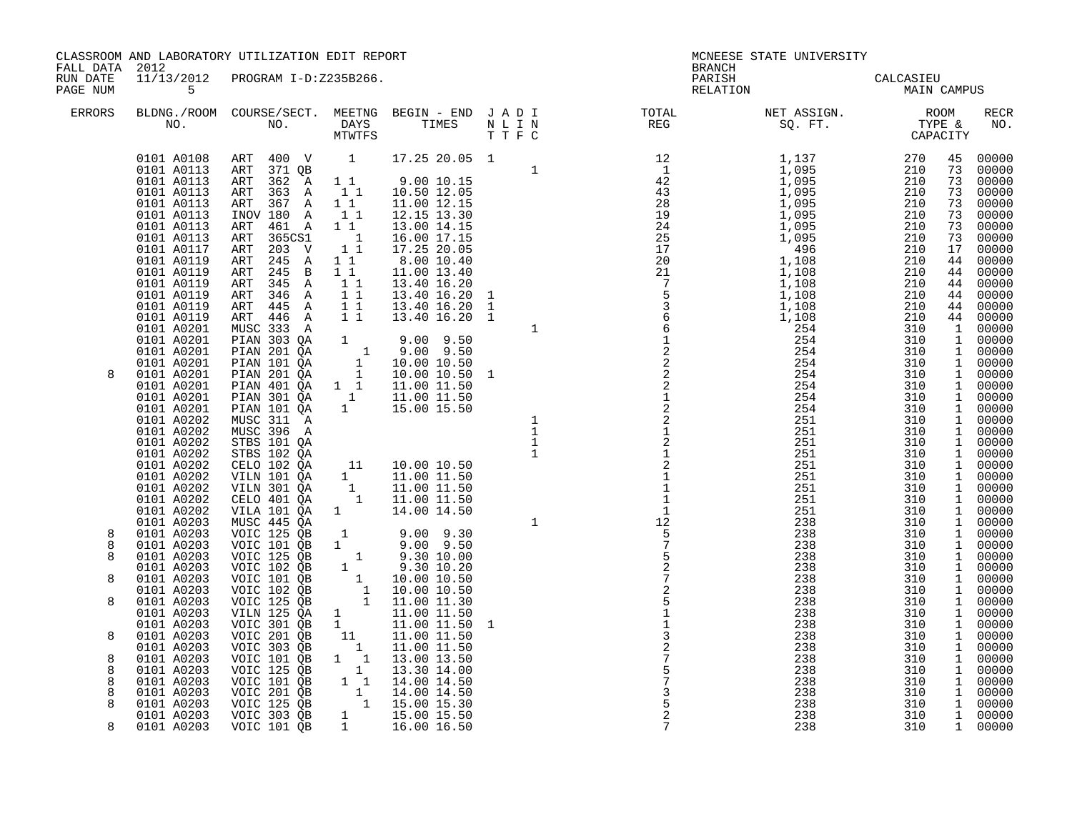|  | CLASSROOM AND LABORATORY UTILIZATION EDIT REPORT |  |
|--|--------------------------------------------------|--|
|  |                                                  |  |

FALL DATA 2012 BRANCH

RUN DATE 11/13/2012 PROGRAM I-D:Z235B266.<br>PAGENUM 15 PAGENUM 15

| <b>ERRORS</b>    | NO.                                                                                                                                                                                                                          | BLDNG./ROOM COURSE/SECT.<br>NO.                                                                                                                                                                                                                                         | MEETNG<br>DAYS<br>MTWTFS                                                                                                                                    | BEGIN - END<br>TIMES                                                                                                                                                                                           | JADI<br>NLIN<br>TTFC                                  | TOTAL<br>REG                                                                                                                                                        | NET ASSIGN.<br>SQ. FT.                                                                                                                   | ROOM<br>TYPE &<br>CAPACITY                                                                                                                                               | <b>RECR</b><br>NO.                                                                                                                                                              |
|------------------|------------------------------------------------------------------------------------------------------------------------------------------------------------------------------------------------------------------------------|-------------------------------------------------------------------------------------------------------------------------------------------------------------------------------------------------------------------------------------------------------------------------|-------------------------------------------------------------------------------------------------------------------------------------------------------------|----------------------------------------------------------------------------------------------------------------------------------------------------------------------------------------------------------------|-------------------------------------------------------|---------------------------------------------------------------------------------------------------------------------------------------------------------------------|------------------------------------------------------------------------------------------------------------------------------------------|--------------------------------------------------------------------------------------------------------------------------------------------------------------------------|---------------------------------------------------------------------------------------------------------------------------------------------------------------------------------|
|                  | 0101 A0108<br>0101 A0113<br>0101 A0113<br>0101 A0113<br>0101 A0113<br>0101 A0113<br>0101 A0113<br>0101 A0113<br>0101 A0117<br>0101 A0119<br>0101 A0119<br>0101 A0119<br>0101 A0119<br>0101 A0119<br>0101 A0119<br>0101 A0201 | 400 V<br>ART<br>371 QB<br>ART<br>362 A<br>ART<br>ART<br>363 A<br>367 A<br>ART<br>INOV 180 A<br>461 A<br>ART<br>365CS1<br>ART<br>203 V<br>ART<br>ART<br>245 A<br>245<br>ART<br>$\mathbf B$<br>345 A<br>ART<br>ART<br>346 A<br>ART<br>445 A<br>ART<br>446 A<br>MUSC 333 A | 1<br>11<br>11<br>$1\quad1$<br>11<br>$1\quad1$<br>$\overline{\phantom{0}}$<br>1 1<br>$1\,1$<br>$1\quad1$<br>$1\quad1$<br>$1\quad1$<br>$1\quad1$<br>$1\quad1$ | 17.25 20.05 1<br>9.00 10.15<br>10.50 12.05<br>11.00 12.15<br>12.15 13.30<br>13.00 14.15<br>16.00 17.15<br>17.25 20.05<br>8.00 10.40<br>11.00 13.40<br>13.40 16.20<br>13.40 16.20<br>13.40 16.20<br>13.40 16.20 | 1<br>1<br>$\mathbf{1}$<br>1<br>$\mathbf 1$            | $\begin{array}{c} 12 \\ 1 \\ 42 \\ 28 \\ 29 \\ 24 \\ 25 \\ 10 \\ \end{array}$<br>20<br>21<br>$\overline{7}$<br>$\begin{array}{c} 7 \\ 5 \\ 3 \\ 6 \\ 6 \end{array}$ | 1,137<br>1,095<br>1,095<br>1,095<br>1,095<br>1,095<br>1,095<br>1,095<br>496<br>1,108<br>1,108<br>1,108<br>1,108<br>1,108<br>1,108<br>254 | 270<br>45<br>210<br>73<br>210<br>73<br>210<br>73<br>210<br>73<br>210<br>73<br>73<br>210<br>210<br>73<br>210<br>17<br>210<br>44<br>210<br>210<br>210<br>210<br>210<br>310 | 00000<br>00000<br>00000<br>00000<br>00000<br>00000<br>00000<br>00000<br>00000<br>00000<br>44<br>00000<br>00000<br>44<br>00000<br>44<br>00000<br>44<br>44<br>00000<br>00000<br>1 |
| 8                | 0101 A0201<br>0101 A0201<br>0101 A0201<br>0101 A0201<br>0101 A0201<br>0101 A0201<br>0101 A0201<br>0101 A0202<br>0101 A0202<br>0101 A0202<br>0101 A0202<br>0101 A0202                                                         | PIAN 303 QA<br>PIAN 201 QA<br>PIAN 101 QA<br>PIAN 201 QA<br>PIAN 401 QA<br>PIAN 301 QA<br>PIAN 101 QA<br>MUSC 311 A<br>MUSC 396 A<br>STBS 101 QA<br>STBS 102 QA                                                                                                         | $\mathbf{1}$<br>$\overline{\mathbf{1}}$<br>1<br>$\frac{1}{1}$<br>$1\quad 1$<br>$\overline{1}$<br>1<br>11                                                    | $9.00$ $9.50$<br>$9.00$ $9.50$<br>10.00 10.50<br>10.00 10.50<br>11.00 11.50<br>11.00 11.50<br>15.00 15.50<br>10.00 10.50                                                                                       | 1<br>1<br>$\mathbf{1}$<br>$\mathbf 1$<br>$\mathbf{1}$ | $\mathbf{1}$<br>$\sqrt{2}$<br>$\frac{2}{2}$<br>2<br>$\mathbf{1}$<br>$\overline{c}$<br>$\overline{c}$<br>$\overline{\mathbf{c}}$<br>$\mathbf{1}$<br>$\overline{c}$   | 254<br>254<br>254<br>254<br>254<br>254<br>254<br>251<br>251<br>251<br>251<br>251                                                         | 310<br>310<br>310<br>310<br>310<br>310<br>310<br>310<br>310<br>310<br>310<br>310                                                                                         | 00000<br>1<br>$\mathbf 1$<br>00000<br>$\mathbf 1$<br>00000<br>1<br>00000<br>00000<br>1<br>00000<br>1<br>00000<br>1<br>1<br>00000<br>00000<br>1<br>00000<br>1<br>1<br>00000      |
| 8<br>8<br>8<br>8 | 0101 A0202<br>0101 A0202<br>0101 A0202<br>0101 A0202<br>0101 A0203<br>0101 A0203<br>0101 A0203<br>0101 A0203<br>0101 A0203<br>0101 A0203<br>0101 A0203                                                                       | CELO 102 QA<br>VILN 101 QA<br>VILN 301 QA<br>CELO 401 QA<br>VILA 101 QA<br>MUSC 445 QA<br>VOIC 125 QB<br>VOIC 101 QB<br>VOIC 125 QB<br>VOIC 102 QB<br>VOIC 101 QB<br>VOIC 102 QB                                                                                        | 1<br>$\mathbf{1}$<br>$\overline{\phantom{1}}$<br>1<br>$\mathbf{1}$<br>$1 \quad$<br>$\overline{1}$<br>1<br>$\mathbf{1}$                                      | 11.00 11.50<br>11.00 11.50<br>11.00 11.50<br>14.00 14.50<br>$9.00$ $9.30$<br>$9.00$ $9.50$<br>9.30 10.00<br>9.30 10.20<br>10.00 10.50<br>10.00 10.50                                                           | 1                                                     | 12<br>2<br>$\overline{2}$                                                                                                                                           | 251<br>251<br>251<br>251<br>238<br>238<br>238<br>238<br>238<br>238<br>238                                                                | 310<br>310<br>310<br>310<br>310<br>310<br>310<br>310<br>310<br>310<br>310                                                                                                | 1<br>00000<br>00000<br>1<br>00000<br>1<br>1<br>00000<br>1<br>00000<br>00000<br>1<br>00000<br>1<br>00000<br>1<br>$\mathbf 1$<br>00000<br>1<br>00000<br>00000<br>1<br>1<br>00000  |
| 8                | 0101 A0203<br>0101 A0203                                                                                                                                                                                                     | VOIC 125 QB<br>VILN 125 QA                                                                                                                                                                                                                                              | $\begin{array}{c} 1 \\ 1 \\ 1 \end{array}$<br>$\mathbf{1}$<br>$\mathbf{1}$                                                                                  | 11.00 11.30<br>11.00 11.50                                                                                                                                                                                     |                                                       | 5                                                                                                                                                                   | 238<br>238                                                                                                                               | 310<br>310<br>310                                                                                                                                                        | $\mathbf 1$<br>00000<br>1<br>00000                                                                                                                                              |
| 8<br>8<br>8<br>8 | 0101 A0203<br>0101 A0203<br>0101 A0203<br>0101 A0203<br>0101 A0203<br>0101 A0203                                                                                                                                             | VOIC 301 QB<br>VOIC 201 QB<br>VOIC 303 QB<br>VOIC 101 QB<br>VOIC 125 QB<br>VOIC 101 QB                                                                                                                                                                                  | 1<br>11<br>$\overline{\phantom{0}}$<br>$1 \quad 1$<br>$\overline{1}$<br>$1\quad1$                                                                           | 11.00 11.50<br>11.00 11.50<br>11.00 11.50<br>13.00 13.50<br>13.30 14.00<br>14.00 14.50                                                                                                                         | 1                                                     | 3                                                                                                                                                                   | 238<br>238<br>238<br>238<br>238<br>238                                                                                                   | 310<br>310<br>310<br>310<br>310                                                                                                                                          | $\mathbf 1$<br>00000<br>00000<br>1<br>$\mathbf 1$<br>00000<br>$\mathbf 1$<br>00000<br>00000<br>1<br>1<br>00000                                                                  |
| 8<br>8           | 0101 A0203<br>0101 A0203                                                                                                                                                                                                     | VOIC 201 QB<br>VOIC 125 OB                                                                                                                                                                                                                                              | $\mathbf{1}$<br>1                                                                                                                                           | 14.00 14.50<br>15.00 15.30                                                                                                                                                                                     |                                                       | 3<br>5                                                                                                                                                              | 238<br>238                                                                                                                               | 310<br>310                                                                                                                                                               | 1<br>00000<br>$\mathbf{1}$<br>00000                                                                                                                                             |

# MCNEESE STATE UNIVERSITY

| PAGE NUM      | 5                                                                                                                                                                                  |                                                                                                                                                                                                              |                                                                                                                                                             |                                                                                                                                                                                 |                                                             |                                                                                                                                | RELATION                                                                                                            | MAIN CAMPUS                                                                             |                                                                                              |                                                                                                                   |
|---------------|------------------------------------------------------------------------------------------------------------------------------------------------------------------------------------|--------------------------------------------------------------------------------------------------------------------------------------------------------------------------------------------------------------|-------------------------------------------------------------------------------------------------------------------------------------------------------------|---------------------------------------------------------------------------------------------------------------------------------------------------------------------------------|-------------------------------------------------------------|--------------------------------------------------------------------------------------------------------------------------------|---------------------------------------------------------------------------------------------------------------------|-----------------------------------------------------------------------------------------|----------------------------------------------------------------------------------------------|-------------------------------------------------------------------------------------------------------------------|
| <b>ERRORS</b> | BLDNG./ROOM<br>NO.                                                                                                                                                                 | COURSE/SECT.<br>NO.                                                                                                                                                                                          | DAYS<br>MTWTFS                                                                                                                                              | MEETNG BEGIN - END<br>TIMES                                                                                                                                                     | TTFC                                                        | J A D I TOTAL REG<br>TOTAL                                                                                                     | NET ASSIGN.<br>SQ. FT.                                                                                              | ROOM<br>TYPE &<br>CAPACIT<br>CAPACITY                                                   |                                                                                              | <b>RECR</b><br>NO.                                                                                                |
|               | 0101 A0108<br>0101 A0113<br>0101 A0113<br>0101 A0113<br>0101 A0113<br>0101 A0113<br>0101 A0113<br>0101 A0113<br>0101 A0117<br>0101 A0119<br>0101 A0119<br>0101 A0119<br>0101 A0119 | 400 V<br>ART<br>371 QB<br>ART<br>362 A<br>ART<br>ART<br>363 A<br>367 A<br>ART<br>INOV 180 A<br>461 A<br>ART<br>365CS1<br>ART<br>203 V<br>ART<br>245 A<br>ART<br>245 B<br>ART<br>345 A<br>ART<br>346 A<br>ART | $\overline{\mathbf{1}}$<br>$1\quad1$<br>11<br>$1\quad1$<br>11<br>11<br>$\overline{\phantom{0}}$ 1<br>$1\quad1$<br>$1\quad1$<br>11<br>$1\quad1$<br>$1\quad1$ | 17.25 20.05 1<br>9.0010.15<br>10.50 12.05<br>11.00 12.15<br>12.15 13.30<br>13.00 14.15<br>16.00 17.15<br>17.25 20.05<br>8.00 10.40<br>11.00 13.40<br>13.40 16.20<br>13.40 16.20 | $\mathbf{1}$<br>-1                                          | $\begin{array}{r} 12 \\ 1 \\ 42 \\ 28 \\ 19 \\ 24 \\ 25 \\ 17 \\ 20 \\ 21 \\ 7 \\ 5 \\ 3 \\ 6 \\ 6 \\ 6 \\ 1 \\ 2 \end{array}$ | $1,137$<br>$1,095$<br>1,095<br>1,095<br>1,095<br>1,095<br>1,095<br>1,095<br>496<br>1,108<br>1,108<br>1,108<br>1,108 | 270<br>210<br>210<br>210<br>210<br>210<br>210<br>210<br>210<br>210<br>210<br>210<br>210 | 45<br>73<br>73<br>73<br>73<br>73<br>73<br>73<br>17<br>44<br>44<br>44<br>44                   | 00000<br>00000<br>00000<br>00000<br>00000<br>00000<br>00000<br>00000<br>00000<br>00000<br>00000<br>00000<br>00000 |
| 8             | 0101 A0119<br>0101 A0119<br>0101 A0201<br>0101 A0201<br>0101 A0201<br>0101 A0201                                                                                                   | 445 A<br>ART<br>ART 446 A<br>MUSC 333 A<br>PIAN 303 QA<br>PIAN 201 QA<br>PIAN 101 QA<br>PIAN 201 QA                                                                                                          | 11<br>$1\quad1$<br>$1 \quad$<br>$\begin{bmatrix} & & 1 \\ & & 1 \\ & & 1 \end{bmatrix}$                                                                     | 13.40 16.20<br>13.40 16.20 1<br>$9.00$ $9.50$<br>$9.00$ $9.50$<br>10.00 10.50                                                                                                   | 1<br>$\mathbf 1$                                            | $\sqrt{2}$                                                                                                                     | 1,108<br>1,108<br>254<br>254<br>254<br>254                                                                          | 210<br>210<br>310<br>310<br>310<br>310                                                  | 44<br>44<br>1<br>$\mathbf{1}$<br>$\mathbf{1}$<br>1<br>$\mathbf{1}$                           | 00000<br>00000<br>00000<br>00000<br>00000<br>00000                                                                |
|               | 0101 A0201<br>0101 A0201<br>0101 A0201<br>0101 A0201<br>0101 A0202<br>0101 A0202<br>0101 A0202<br>0101 A0202                                                                       | PIAN 401 QA<br>PIAN 301 QA<br>PIAN 101 QA<br>MUSC 311 A<br>MUSC 396 A<br>STBS 101 QA<br>STBS 102 QA                                                                                                          | $1\quad1$<br>$\overline{1}$<br>1                                                                                                                            | 10.00 10.50 1<br>11.00 11.50<br>11.00 11.50<br>15.00 15.50                                                                                                                      | $\mathbf{1}$<br>$\mathbf{1}$<br>$\mathbf{1}$<br>$\mathbf 1$ | $\begin{array}{c}\n2 \\ 2 \\ 2 \\ 2\n\end{array}$<br>$\mathbf 1$<br>$\overline{c}$<br>$1\,$                                    | 254<br>254<br>254<br>254<br>251<br>251<br>251<br>251                                                                | 310<br>310<br>310<br>310<br>310<br>310<br>310<br>310                                    | 1<br>1<br>$\mathbf{1}$<br>$\mathbf{1}$<br>$\mathbf{1}$<br>$\mathbf{1}$<br>$\mathbf{1}$       | 00000<br>00000<br>00000<br>00000<br>00000<br>00000<br>00000<br>00000                                              |
|               | 0101 A0202<br>0101 A0202<br>0101 A0202<br>0101 A0202<br>0101 A0202<br>0101 A0203                                                                                                   | CELO 102 QA<br>VILN 101 QA<br>VILN 301 QA<br>CELO 401 QA<br>VILA 101 QA<br>MUSC 445 QA                                                                                                                       | 11<br>1<br>$\overline{1}$<br>$\overline{\phantom{a}}$<br>$1 \quad \blacksquare$                                                                             | 10.00 10.50<br>11.00 11.50<br>11.00 11.50<br>11.00 11.50<br>14.00 14.50                                                                                                         | $\mathbf{1}$                                                | $\overline{c}$<br>$\mathbf{1}$<br>$\mathbf 1$<br>$1\,$<br>$\mathbf{1}$<br>12                                                   | 251<br>251<br>251<br>251<br>251<br>238                                                                              | 310<br>310<br>310<br>310<br>310<br>310                                                  | $\mathbf{1}$<br>$\mathbf{1}$<br>$\mathbf{1}$<br>$\mathbf{1}$<br>$\mathbf{1}$<br>$\mathbf{1}$ | 00000<br>00000<br>00000<br>00000<br>00000<br>00000                                                                |
| 8             | 0101 A0203                                                                                                                                                                         | VOIC 125 QB                                                                                                                                                                                                  | 1                                                                                                                                                           | $9.00$ $9.30$                                                                                                                                                                   |                                                             | $\sqrt{5}$                                                                                                                     | 238                                                                                                                 | 310                                                                                     | $\mathbf{1}$                                                                                 | 00000                                                                                                             |
| 8<br>8        | 0101 A0203<br>0101 A0203<br>0101 A0203                                                                                                                                             | VOIC 101 QB<br>VOIC 125 QB<br>VOIC 102 QB                                                                                                                                                                    | $1 \quad \blacksquare$<br>$\overline{\phantom{0}}$ 1<br>1                                                                                                   | $9.00$ $9.50$<br>9.30 10.00<br>9.30 10.20                                                                                                                                       |                                                             | $\overline{7}$<br>5<br>$\overline{a}$                                                                                          | 238<br>238<br>238                                                                                                   | 310<br>310<br>310                                                                       | $\mathbf{1}$<br>$\mathbf{1}$<br>1                                                            | 00000<br>00000<br>00000                                                                                           |
| 8             | 0101 A0203                                                                                                                                                                         | VOIC 101 QB                                                                                                                                                                                                  | $\begin{smallmatrix}1&&\\&1\\1&&\\&1\end{smallmatrix}$                                                                                                      | 10.00 10.50                                                                                                                                                                     |                                                             | $\sqrt{ }$<br>$\overline{a}$                                                                                                   | 238<br>238                                                                                                          | 310<br>310                                                                              | $\mathbf{1}$<br>$\mathbf{1}$                                                                 | 00000<br>00000                                                                                                    |
| 8             | 0101 A0203<br>0101 A0203                                                                                                                                                           | VOIC 102 QB<br>VOIC 125 QB                                                                                                                                                                                   |                                                                                                                                                             | 10.00 10.50<br>11.00 11.30                                                                                                                                                      |                                                             | 5                                                                                                                              | 238                                                                                                                 | 310                                                                                     | $\mathbf{1}$                                                                                 | 00000                                                                                                             |
|               | 0101 A0203                                                                                                                                                                         | VILN 125 QA                                                                                                                                                                                                  | $\mathbf{1}$                                                                                                                                                | 11.00 11.50                                                                                                                                                                     |                                                             | $\mathbf 1$                                                                                                                    | 238                                                                                                                 | 310                                                                                     | $\mathbf{1}$                                                                                 | 00000                                                                                                             |
|               | 0101 A0203                                                                                                                                                                         | VOIC 301 QB                                                                                                                                                                                                  | 1                                                                                                                                                           | 11.00 11.50                                                                                                                                                                     | -1                                                          | $\mathbf 1$                                                                                                                    | 238                                                                                                                 | 310                                                                                     | $\mathbf{1}$                                                                                 | 00000                                                                                                             |
| 8             | 0101 A0203                                                                                                                                                                         | VOIC 201 QB                                                                                                                                                                                                  | 11                                                                                                                                                          | 11.00 11.50                                                                                                                                                                     |                                                             | $\mathbf{3}$                                                                                                                   | 238                                                                                                                 | 310                                                                                     | $\mathbf{1}$                                                                                 | 00000                                                                                                             |
|               | 0101 A0203                                                                                                                                                                         | VOIC 303 QB                                                                                                                                                                                                  | $\overline{1}$                                                                                                                                              | 11.00 11.50                                                                                                                                                                     |                                                             | $\frac{2}{7}$                                                                                                                  | 238                                                                                                                 | 310                                                                                     | $\mathbf{1}$                                                                                 | 00000                                                                                                             |
| 8<br>8        | 0101 A0203<br>0101 A0203                                                                                                                                                           | VOIC 101 QB<br>VOIC 125 QB                                                                                                                                                                                   | $1 \quad 1$<br>$\overline{1}$                                                                                                                               | 13.00 13.50<br>13.30 14.00                                                                                                                                                      |                                                             |                                                                                                                                | 238<br>238                                                                                                          | 310<br>310                                                                              | $\mathbf{1}$<br>$\mathbf{1}$                                                                 | 00000<br>00000                                                                                                    |
| 8             | 0101 A0203                                                                                                                                                                         | VOIC 101 QB                                                                                                                                                                                                  | $1\quad1$                                                                                                                                                   | 14.00 14.50                                                                                                                                                                     |                                                             | $\frac{5}{7}$                                                                                                                  | 238                                                                                                                 | 310                                                                                     | $\mathbf{1}$                                                                                 | 00000                                                                                                             |
| 8             | 0101 A0203                                                                                                                                                                         | VOIC 201 QB                                                                                                                                                                                                  |                                                                                                                                                             | 14.00 14.50                                                                                                                                                                     |                                                             | 3                                                                                                                              | 238                                                                                                                 | 310                                                                                     | 1                                                                                            | 00000                                                                                                             |
| 8             | 0101 A0203                                                                                                                                                                         | VOIC 125 QB                                                                                                                                                                                                  | $\begin{smallmatrix}1\cr-1\end{smallmatrix}$                                                                                                                | 15.00 15.30                                                                                                                                                                     |                                                             | $\frac{5}{2}$                                                                                                                  | 238                                                                                                                 | 310                                                                                     | $\mathbf{1}$                                                                                 | 00000                                                                                                             |
|               | 0101 A0203                                                                                                                                                                         | VOIC 303 QB                                                                                                                                                                                                  | $1 \quad \blacksquare$                                                                                                                                      | 15.00 15.50                                                                                                                                                                     |                                                             |                                                                                                                                | 238                                                                                                                 | 310                                                                                     | $\mathbf{1}$                                                                                 | 00000                                                                                                             |
| 8             | 0101 A0203                                                                                                                                                                         | VOIC 101 QB                                                                                                                                                                                                  | 1                                                                                                                                                           | 16.00 16.50                                                                                                                                                                     |                                                             | 7                                                                                                                              | 238                                                                                                                 | 310                                                                                     |                                                                                              | 1 00000                                                                                                           |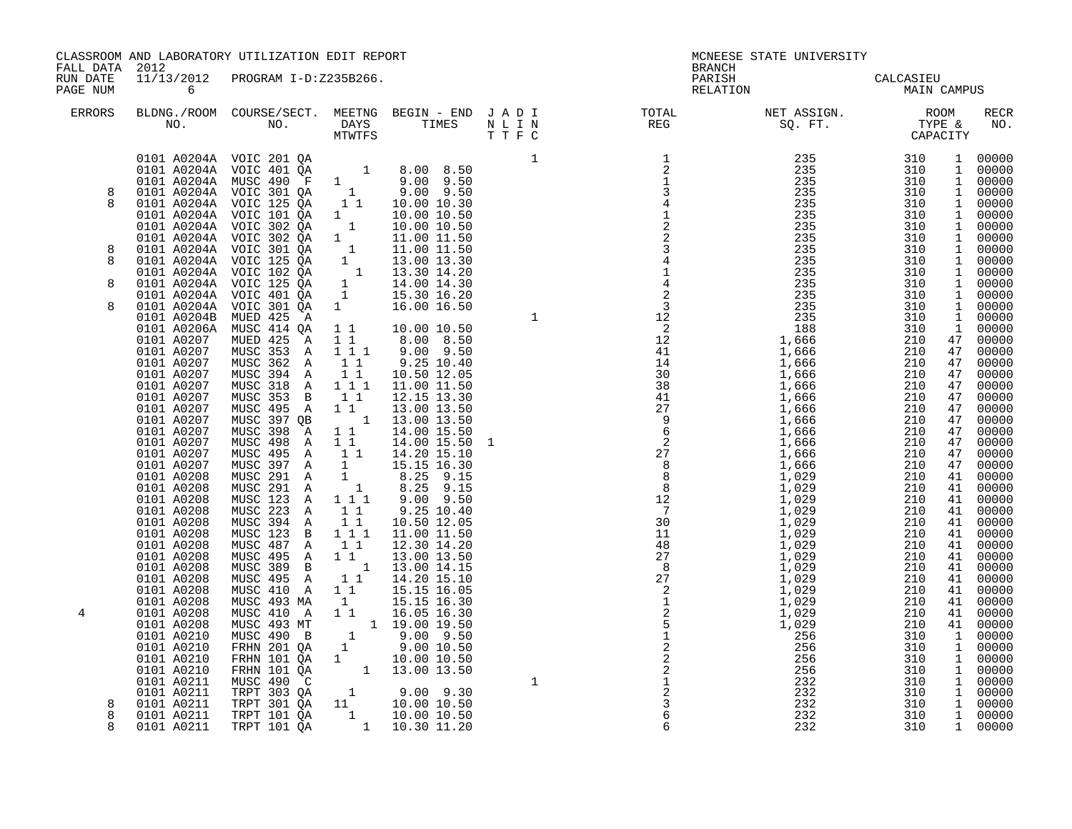| PAGE NUM                   | $\overline{6}$                                                                                                                                                                                                                                                                                                                                                                                                                                                                                                                                                 | 11/13/2012 PROGRAM I-D:Z235B266.                                                                                                                                                                                                                                                                                                                                                                                                                                                                                                                                                              |                                                                                                                                                                                                                                                                                                                                                                                                  | CLASSROOM AND LABORATORY UTILIZATION EDIT REPORT                                                                                                                                                                                                                                                                                                                                                                                                                                                                                                                                          |        | <b>BRANCH</b><br>PARISH<br>RELATION                                                                                                                                                             | MCNEESE STATE UNIVERSITY<br>CALCASIEU<br>CALCASIEU<br>MAIN CAMPUS                                                                                                                                                    |                                                                                                                                                                      |                                                                          |                                                                                                                                                                                                                                                                                                                                                                                                                                                                                                                                                                      |
|----------------------------|----------------------------------------------------------------------------------------------------------------------------------------------------------------------------------------------------------------------------------------------------------------------------------------------------------------------------------------------------------------------------------------------------------------------------------------------------------------------------------------------------------------------------------------------------------------|-----------------------------------------------------------------------------------------------------------------------------------------------------------------------------------------------------------------------------------------------------------------------------------------------------------------------------------------------------------------------------------------------------------------------------------------------------------------------------------------------------------------------------------------------------------------------------------------------|--------------------------------------------------------------------------------------------------------------------------------------------------------------------------------------------------------------------------------------------------------------------------------------------------------------------------------------------------------------------------------------------------|-------------------------------------------------------------------------------------------------------------------------------------------------------------------------------------------------------------------------------------------------------------------------------------------------------------------------------------------------------------------------------------------------------------------------------------------------------------------------------------------------------------------------------------------------------------------------------------------|--------|-------------------------------------------------------------------------------------------------------------------------------------------------------------------------------------------------|----------------------------------------------------------------------------------------------------------------------------------------------------------------------------------------------------------------------|----------------------------------------------------------------------------------------------------------------------------------------------------------------------|--------------------------------------------------------------------------|----------------------------------------------------------------------------------------------------------------------------------------------------------------------------------------------------------------------------------------------------------------------------------------------------------------------------------------------------------------------------------------------------------------------------------------------------------------------------------------------------------------------------------------------------------------------|
| ERRORS                     |                                                                                                                                                                                                                                                                                                                                                                                                                                                                                                                                                                |                                                                                                                                                                                                                                                                                                                                                                                                                                                                                                                                                                                               |                                                                                                                                                                                                                                                                                                                                                                                                  |                                                                                                                                                                                                                                                                                                                                                                                                                                                                                                                                                                                           |        |                                                                                                                                                                                                 | BLDNG./ROOM COURSE/SECT. MEETNG BEGIN – END JADI TOTAL MET ASSIGN. MET ASSIGN. ROOM ROOM NO. DAYS TIMES NLIN REG REG SQ.FT. TYPE &                                                                                   |                                                                                                                                                                      |                                                                          | RECR<br>NO.                                                                                                                                                                                                                                                                                                                                                                                                                                                                                                                                                          |
| 8<br>8<br>8<br>8<br>8<br>8 | 0101 A0204A<br>0101 A0204A<br>0101 A0204A<br>0101 A0204A<br>0101 A0204A<br>0101 A0204A<br>0101 A0204A<br>0101 A0204A<br>0101 A0204A<br>0101 A0204A<br>0101 A0204A<br>0101 A0204A<br>0101 A0204B<br>0101 A0206A<br>0101 A0207<br>0101 A0207<br>0101 A0207<br>0101 A0207<br>0101 A0207<br>0101 A0207<br>0101 A0207<br>0101 A0207<br>0101 A0207<br>0101 A0207<br>0101 A0207<br>0101 A0207<br>0101 A0208<br>0101 A0208<br>0101 A0208<br>0101 A0208<br>0101 A0208<br>0101 A0208<br>0101 A0208<br>0101 A0208<br>0101 A0208<br>0101 A0208<br>0101 A0208<br>0101 A0208 | 0101 A0204A VOIC 201 QA<br>0101 A0204A VOIC 401 QA<br>VOIC 125 QA<br>VOIC 101 QA<br>VOIC 302 QA<br>VOIC 302 QA<br>VOIC 301 QA<br>VOIC 125 QA<br>VOIC 102 QA<br>VOIC 125 QA<br>VOIC 401 QA<br>VOIC 301 QA<br>MUED 425 A<br>MUSC 414 QA<br>MUED 425 A<br>MUSC 353 A<br>MUSC 362 A<br>MUSC 394 A<br>MUSC 318 A<br>MUSC 353 B<br>MUSC 495 A<br>MUSC 397 QB<br>MUSC 398 A<br>MUSC 498 A<br>MUSC 495 A<br>MUSC 397 A<br>MUSC 291 A<br>MUSC 291 A<br>MUSC 123 A<br>MUSC 223 A<br>MUSC 394 A<br>MUSC 123 B 1 1 1<br>MUSC 487 A<br>MUSC 495 A<br>MUSC 389 B<br>MUSC 495 A<br>MUSC 410 A<br>MUSC 493 MA | 11<br>$\begin{smallmatrix}1&&\\&1\end{smallmatrix}$<br>$\begin{smallmatrix} 1\\1\\1 \end{smallmatrix}$<br>$\begin{array}{cc} & 1 \\ & 1 \end{array}$<br>$\mathbf{1}$<br>1 1 1<br>$1\quad1$<br>11<br>111<br>11<br>$1\quad1$<br>$\overline{1}$<br>$1\quad1$<br>11<br>11<br>$\frac{1}{1}$<br>$\overline{1}$<br>111<br>$1\quad1$<br>$1\quad1$<br>11<br>1 1<br>$\overline{1}$<br>11<br>$1\quad1$<br>1 | 10.00 10.30<br>10.00 10.50<br>10.00 10.50<br>11.00 11.50<br>11.00 11.50<br>13.00 13.30<br>13.30 14.20<br>$\begin{bmatrix} 1 & 14.00 & 14.30 \\ 1 & 15.30 & 16.20 \end{bmatrix}$<br>16.00 16.50<br>1 1 10.00 10.50<br>1 1 8.00 8.50<br>$9.00$ $9.50$<br>9.25 10.40<br>10.50 12.05<br>11.00 11.50<br>12.15 13.30<br>13.00 13.50<br>13.00 13.50<br>14.00 15.50<br>14.00 15.50<br>14.20 15.10<br>15.15 16.30<br>8.25 9.15<br>8.25 9.15<br>$9.00$ $9.50$<br>9.25 10.40<br>10.50 12.05<br>11.00 11.50<br>12.30 14.20<br>13.00 13.50<br>13.00 14.15<br>14.20 15.10<br>15.15 16.05<br>15.15 16.30 | 1<br>1 | 1<br>$\overline{2}$<br>$\frac{1}{3}$<br>$\frac{1}{3}$<br>$\frac{4}{2}$<br>$\frac{1}{2}$<br>$\frac{2}{3}$<br>$\frac{3}{4}$<br>$\frac{4}{1}$<br>$\frac{1}{4}$<br>$\overline{a}$<br>$\overline{3}$ | 1,666<br>1,666<br>1,666<br>1,666<br>1,666<br>1,666<br>1,666<br>1,666<br>1,666<br>1,666<br>1,666<br>1,666<br>1,029<br>1,029<br>1,029<br>1,029<br>1,029<br>1,029<br>1,029<br>1,029<br>1,029<br>1,029<br>1,029<br>1,029 | 210<br>210<br>210<br>210<br>210<br>210<br>210<br>210<br>210<br>210<br>210<br>210<br>210<br>210<br>210<br>210<br>210<br>210<br>210<br>210<br>210<br>210<br>210<br>210 | $\mathbf{1}$<br>47<br>47<br>47<br>47<br>47<br>47<br>47<br>41<br>41<br>41 | 1 00000<br>1 00000<br>1 00000<br>1 00000<br>1 00000<br>1 00000<br>1 00000<br>1 00000<br>1 00000<br>1 00000<br>1 00000<br>1 00000<br>1 00000<br>1 00000<br>00000<br>$\frac{1}{47}$ 00000<br>47 00000<br>00000<br>00000<br>$\begin{array}{c} 47 & 00000 \\ 47 & 00000 \\ 47 & 00000 \end{array}$<br>00000<br>00000<br>00000<br>00000<br>00000<br>47 00000<br>41 00000<br>00000<br>00000<br>41 00000<br>$\begin{matrix} 41 & 00000 \\ 41 & 00000 \end{matrix}$<br>00000<br>41 00000<br>41 00000<br>$\begin{bmatrix} 41 & 00000 \\ 41 & 00000 \end{bmatrix}$<br>41 00000 |
| 4<br>8<br>8<br>8           | 0101 A0208<br>0101 A0208<br>0101 A0210<br>0101 A0210<br>0101 A0210<br>0101 A0210<br>0101 A0211<br>0101 A0211<br>0101 A0211<br>0101 A0211<br>0101 A0211                                                                                                                                                                                                                                                                                                                                                                                                         | MUSC 410 A<br>MUSC 493 MT<br>MUSC 490 B<br>FRHN 201 QA<br>FRHN 101 QA<br>FRHN 101 QA<br>MUSC 490 C<br>TRPT 303 QA<br>TRPT 301 QA<br>TRPT 101 QA<br>TRPT 101 QA                                                                                                                                                                                                                                                                                                                                                                                                                                | 11<br>$\mathbf{1}$                                                                                                                                                                                                                                                                                                                                                                               | 16.05 16.30<br>$\begin{array}{rrrr} & 1 & 19.00 & 19.50 \ 1 & & 9.00 & 9.50 \ 1 & & 9.00 & 10.50 \end{array}$<br>1 10.00 10.50<br>$1$ 13.00 13.50<br>$\begin{array}{cccc} 1 & 9.00 & 9.30 \\ 11 & 10.00 & 10.50 \\ 1 & 10.00 & 10.50 \end{array}$<br>1 10.30 11.20                                                                                                                                                                                                                                                                                                                        | 1      | $\begin{array}{c}\n2 \\ 2 \\ 1 \\ 2 \\ 3\n\end{array}$<br>$\sqrt{6}$<br>6                                                                                                                       | 1,029<br>1,029<br>256<br>256<br>256<br>256<br>232<br>232<br>232<br>232<br>232                                                                                                                                        | 210<br>210<br>310<br>310<br>310<br>310<br>310<br>310<br>310<br>310<br>310                                                                                            |                                                                          | 41 00000<br>41 00000<br>1 00000<br>1 00000<br>1 00000<br>$\begin{bmatrix} 1 & 00000 \\ 1 & 00000 \end{bmatrix}$<br>1 00000<br>1 00000<br>1 00000<br>1 00000                                                                                                                                                                                                                                                                                                                                                                                                          |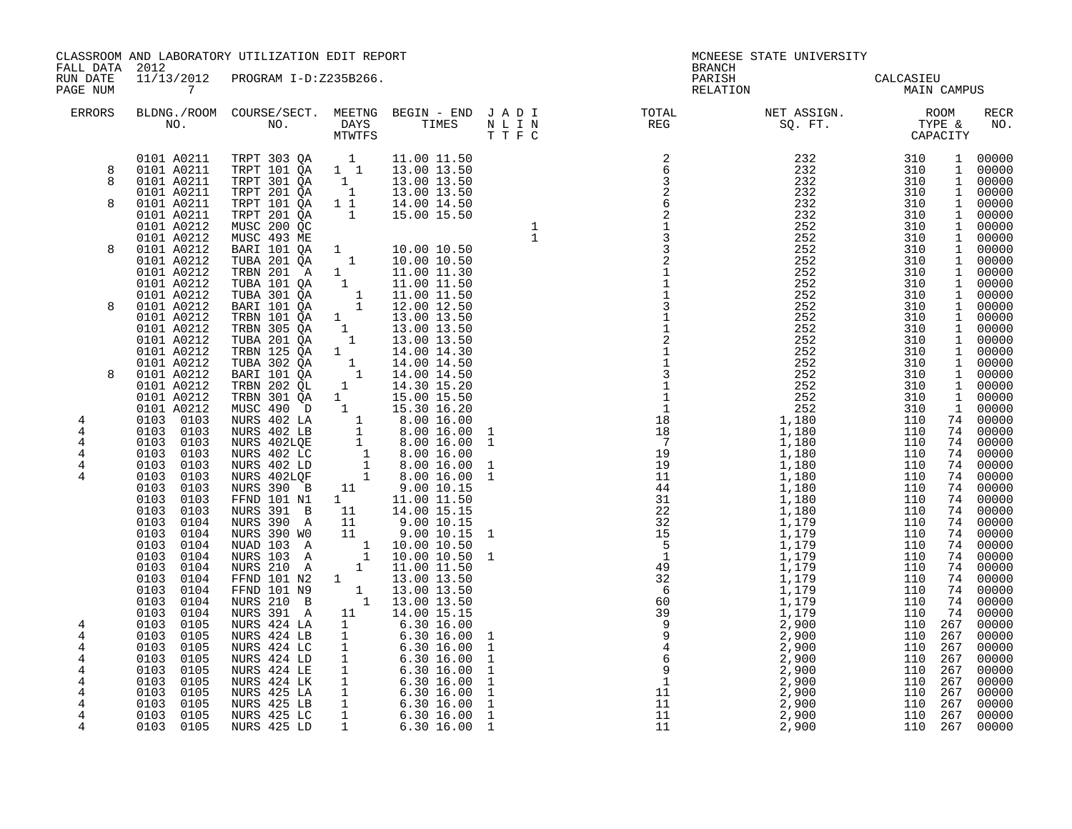| FALL DATA<br>RUN DATE<br>PAGE NUM | 2012<br>$\overline{7}$                                                                       | CLASSROOM AND LABORATORY UTILIZATION EDIT REPORT<br>11/13/2012 PROGRAM I-D:Z235B266.                                                                                                                                                                                                             |                                                                       |                                                                                                                                                           |                                                                              | <b>BRANCH</b><br>PARISH<br>RELATION | MCNEESE STATE UNIVERSITY                                                                                                                                                                                                                                                                                                                      | CALCASIEU<br><b>MAIN CAMPUS</b>                         |    |                                                                                         |
|-----------------------------------|----------------------------------------------------------------------------------------------|--------------------------------------------------------------------------------------------------------------------------------------------------------------------------------------------------------------------------------------------------------------------------------------------------|-----------------------------------------------------------------------|-----------------------------------------------------------------------------------------------------------------------------------------------------------|------------------------------------------------------------------------------|-------------------------------------|-----------------------------------------------------------------------------------------------------------------------------------------------------------------------------------------------------------------------------------------------------------------------------------------------------------------------------------------------|---------------------------------------------------------|----|-----------------------------------------------------------------------------------------|
| <b>ERRORS</b>                     |                                                                                              |                                                                                                                                                                                                                                                                                                  |                                                                       |                                                                                                                                                           |                                                                              |                                     | BLDNG./ROOM COURSE/SECT. MEETNG BEGIN - END JADI TOTAL NET ASSIGN.     ROOM ROOM COURSE/SECT. MEETNG BEGIN - END JADI TOTAL TOTAL NET ASSIGN.     ROOM ROOM NO.     DAYS     TIMES     N L I N                                                                                                                                                |                                                         |    | RECR<br>NO.                                                                             |
| 8<br>8                            | 0101 A0211<br>0101 A0211<br>0101 A0211                                                       | 0101 A0211 TRPT 303 QA<br>TRPT 101 QA 1 1<br>TRPT 301 QA<br>TRPT 201 QA                                                                                                                                                                                                                          | $\overline{1}$<br>$\begin{bmatrix} 1 \\ 1 \end{bmatrix}$              | 11.00 11.50<br>13.00 13.50<br>13.00 13.50<br>13.00 13.50                                                                                                  |                                                                              |                                     |                                                                                                                                                                                                                                                                                                                                               | $\begin{array}{c} 310 \\ 310 \\ 310 \end{array}$<br>310 |    | 1 00000<br>1 00000<br>1 00000<br>1 00000                                                |
| 8                                 | 0101 A0211<br>0101 A0211<br>0101 A0212<br>0101 A0212                                         | TRPT 101 QA<br>TRPT 201 QA<br>MUSC 200 QC<br>MUSC 493 ME                                                                                                                                                                                                                                         | $1\overline{1}$                                                       | 14.00 14.50                                                                                                                                               | $\begin{array}{c} 1 \\ 1 \end{array}$                                        |                                     |                                                                                                                                                                                                                                                                                                                                               | 310<br>310<br>310<br>310                                |    | 1 00000<br>1 00000<br>1 00000<br>1 00000                                                |
| 8                                 | 0101 A0212<br>0101 A0212<br>0101 A0212<br>0101 A0212                                         | BARI 101 QA<br>TUBA 201 QA<br>TRBN 201 A<br>TUBA 101 QA                                                                                                                                                                                                                                          |                                                                       |                                                                                                                                                           |                                                                              |                                     |                                                                                                                                                                                                                                                                                                                                               | 310<br>310<br>310<br>310                                |    | 1 00000<br>1 00000<br>1 00000<br>1 00000                                                |
| 8                                 | 0101 A0212<br>0101 A0212<br>0101 A0212<br>0101 A0212<br>0101 A0212                           | TUBA 301 QA<br>BARI 101 QA<br>TRBN 101 QA<br>TRBN 305 QA<br>TUBA 201 QA                                                                                                                                                                                                                          |                                                                       | $\begin{array}{cccc} 1 & 11.00 & 11.50 \ 1 & 11.00 & 11.50 \ 1 & 12.00 & 12.50 \ 1 & 13.00 & 13.50 \ 1 & 13.00 & 13.50 \ 1 & 13.00 & 13.50 \ \end{array}$ |                                                                              |                                     |                                                                                                                                                                                                                                                                                                                                               | 310<br>310<br>310<br>310<br>310                         |    | 1 00000<br>1 00000<br>1 00000<br>$\begin{bmatrix} 1 & 00000 \\ 1 & 00000 \end{bmatrix}$ |
| 8                                 | 0101 A0212<br>0101 A0212<br>0101 A0212<br>0101 A0212<br>0101 A0212                           | TRBN 125 QA<br>TUBA 302 QA<br>BARI 101 QA<br>TRBN 202 QL                                                                                                                                                                                                                                         | $1$ <sup>-</sup><br>$\begin{smallmatrix}1\cr-1\end{smallmatrix}$<br>1 | 14.00 14.30<br>14.00 14.50<br>14.00 14.50<br>14.30 15.20                                                                                                  |                                                                              |                                     |                                                                                                                                                                                                                                                                                                                                               | 310<br>310<br>310<br>310<br>310                         |    | 1 00000<br>1 00000<br>1 00000<br>$\begin{bmatrix} 1 & 00000 \\ 1 & 00000 \end{bmatrix}$ |
| 4<br>4<br>4                       | 0101 A0212<br>0103 0103<br>0103 0103<br>0103 0103                                            | TREN 202 QL 1 14.30 15.20<br>TREN 301 QA 1 15.00 15.50<br>MUSC 490 D 1 15.30 16.20<br>NURS 402 LA 1 8.00 16.00<br>NURS 402 LB 1 8.00 16.00<br>NURS 402 LC 1 8.00 16.00<br>NURS 402 LC 1 8.00 16.00<br>NURS 402 LD 1 8.00 16.00<br>NURS 402 LD                                                    |                                                                       |                                                                                                                                                           | 1<br>$\mathbf{1}$                                                            | $\overline{1}$                      | 252<br>1,180                                                                                                                                                                                                                                                                                                                                  | 310<br>110<br>110<br>110                                |    | 1 00000<br>74 00000<br>74 00000<br>74 00000                                             |
| 4<br>4<br>4                       | 0103 0103<br>0103 0103<br>0103<br>0103<br>0103<br>0103<br>0103<br>0103                       | <b>NURS 390 B</b><br>FFND 101 N1                                                                                                                                                                                                                                                                 |                                                                       | $\begin{array}{cccc} 11 & & 9.00 & 10.15 \\ 1 & & 11.00 & 11.50 \end{array}$                                                                              | $\mathbf{1}$<br>$\mathbf{1}$                                                 |                                     |                                                                                                                                                                                                                                                                                                                                               | 110<br>110<br>110<br>110<br>110                         |    | 74 00000<br>74 00000<br>74 00000<br>$74$ 00000<br>$74$ 00000                            |
|                                   | 0103<br>0103<br>0103<br>0104<br>0103<br>0104<br>0103<br>0104<br>0103<br>0104<br>0103<br>0104 | NURS 391 B<br>NURS 390 A<br>NURS 390 WO<br>NUAD 103 A<br>NURS 103 A<br>NURS 210 A                                                                                                                                                                                                                | 11                                                                    | 11 14.00 15.15<br>11 9.00 10.15<br>9.00 10.15<br>$\begin{array}{rrrr} 1 & 10.00 & 10.50 \ 1 & 10.00 & 10.50 \ 1 & 11.00 & 11.50 \end{array}$              | 1<br>$\mathbf 1$                                                             |                                     | 252<br>1,180<br>1,180<br>1,180<br>1,180<br>1,180<br>1,180<br>1,180<br>1,180<br>1,180<br>1,179<br>1,179<br>1,179<br>1,179<br>1,179<br>1,179<br>1,179<br>1,179<br>2,900<br>2,900<br>2,900<br>2,900<br>2,900<br>2,900<br>2,900<br>2,900<br>2,900<br>2,900<br>2,900<br>2,900<br>2,900<br>2,900<br>2,900<br>2,900<br>2,900<br>2,900<br>2,900<br>2, | 110<br>110<br>110<br>110<br>110<br>110                  | 74 | 74 00000<br>74 00000<br>74 00000<br>74 00000<br>00000<br>74 00000                       |
| 4<br>4                            | 0103<br>0104<br>0103<br>0104<br>0103<br>0104<br>0103<br>0104<br>0103<br>0105<br>0103<br>0105 | FFND 101 N2<br>FFND 101 N9<br>NURS 210 B<br>NURS 391 A<br>NURS 424 LA                                                                                                                                                                                                                            | $\mathbf{1}$                                                          | $\begin{array}{rrrr} 1 & 13.00 & 13.50 \ 1 & 13.00 & 13.50 \ 1 & 13.00 & 13.50 \end{array}$<br>11  14.00  15.15<br>6.30 16.00<br>$6.30\;16.00$            | $\mathbf 1$                                                                  |                                     |                                                                                                                                                                                                                                                                                                                                               | 110<br>110<br>110<br>110<br>110 267<br>110 267          | 74 | $74$ 00000<br>$74$ 00000<br>00000<br>74 00000<br>267 00000                              |
| 4<br>4<br>4<br>4                  | 0103<br>0105<br>0103<br>0105<br>0103<br>0105<br>0103<br>0105<br>0103<br>0105                 | NURS 424 LB 1<br>NURS 424 LC 1<br>NURS 424 LB<br>NURS 424 LC<br>NURS 424 LD<br>1 6.30 16.00<br>NURS 424 LE<br>1 6.30 16.00<br>NURS 424 LE<br>1 6.30 16.00<br>NURS 425 LA<br>1 6.30 16.00<br>NURS 425 LA<br>1 6.30 16.00<br>NURS 425 LA<br>1 6.30 16.00<br>NURS 425 LA<br>1 6.30 16.00<br>NURS 42 |                                                                       |                                                                                                                                                           | $\mathbf{1}$<br>$\mathbf{1}$<br>$\mathbf{1}$<br>$\mathbf{1}$<br>$\mathbf{1}$ |                                     | 2,900<br>$2,900$<br>$2,900$<br>$2,900$<br>$2,900$<br>$2,900$<br>$2,900$<br>$2,900$                                                                                                                                                                                                                                                            | 110 267<br>110 267<br>110 267<br>110 267<br>110 267     |    | $00000$<br>00000<br>00000<br>00000<br>00000<br>00000                                    |
| 4<br>4<br>4                       | 0103<br>0105<br>0103 0105<br>0103 0105                                                       |                                                                                                                                                                                                                                                                                                  |                                                                       |                                                                                                                                                           | $\mathbf{1}$<br>$\mathbf{1}$<br>$\mathbf{1}$                                 |                                     |                                                                                                                                                                                                                                                                                                                                               | 110 267<br>110 267<br>110 267                           |    | 00000<br>00000<br>00000                                                                 |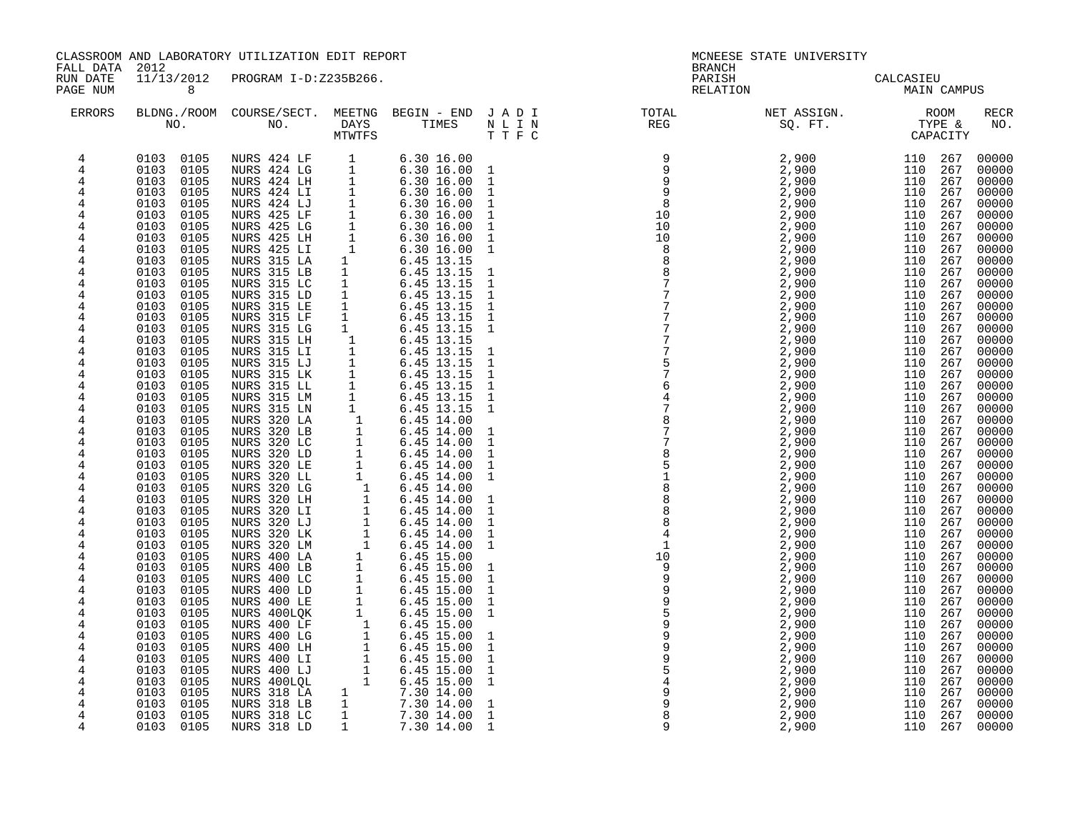| FALL DATA            | 2012                         | CLASSROOM AND LABORATORY UTILIZATION EDIT REPORT |                     |                                                                                                                                                                                                                                                                                                 |                              | <b>BRANCH</b>                                                                                                            | MCNEESE STATE UNIVERSITY                                                                                                                                                                                                                                                                                        |                                 |            |                    |
|----------------------|------------------------------|--------------------------------------------------|---------------------|-------------------------------------------------------------------------------------------------------------------------------------------------------------------------------------------------------------------------------------------------------------------------------------------------|------------------------------|--------------------------------------------------------------------------------------------------------------------------|-----------------------------------------------------------------------------------------------------------------------------------------------------------------------------------------------------------------------------------------------------------------------------------------------------------------|---------------------------------|------------|--------------------|
| RUN DATE<br>PAGE NUM | 11/13/2012<br>8              | PROGRAM I-D:Z235B266.                            |                     |                                                                                                                                                                                                                                                                                                 |                              | PARISH<br>RELATION                                                                                                       |                                                                                                                                                                                                                                                                                                                 | CALCASIEU<br><b>MAIN CAMPUS</b> |            |                    |
| <b>ERRORS</b>        |                              |                                                  |                     |                                                                                                                                                                                                                                                                                                 |                              | BLDNG./ROOM COURSE/SECT. MEETNG BEGIN – END JADI TOTAL TOTAL NET ASSIGN. ROOM ROOM NO. DAYS TIMES NLIN REG SQ.FT. TYPE & |                                                                                                                                                                                                                                                                                                                 |                                 |            | <b>RECR</b><br>NO. |
| 4                    | 0103 0105                    |                                                  |                     | $6.30\ 16.00$                                                                                                                                                                                                                                                                                   |                              |                                                                                                                          | $2,900$<br>$2,900$<br>$2,900$<br>$2,900$<br>$2,900$<br>$2,900$<br>$2,900$<br>$2,900$<br>$2,900$<br>$2,900$<br>$2,900$<br>$2,900$<br>$2,900$<br>$2,900$<br>$2,900$<br>$2,900$<br>$2,900$<br>$2,900$<br>$2,900$<br>$2,900$<br>$2,900$<br>$2,900$<br>$2,900$<br>$2,900$<br>$2,900$<br>$2,900$<br>$2,900$<br>$2,90$ | 110 267                         |            | 00000              |
| 4                    | 0103<br>0105                 |                                                  |                     | 6.30 16.00                                                                                                                                                                                                                                                                                      | $\mathbf{1}$                 |                                                                                                                          |                                                                                                                                                                                                                                                                                                                 | 110 267                         |            | 00000              |
| 4                    | 0103<br>0105<br>0103         |                                                  |                     | 6.30 16.00                                                                                                                                                                                                                                                                                      | $\mathbf{1}$                 |                                                                                                                          |                                                                                                                                                                                                                                                                                                                 | 110 267<br>110 267              |            | 00000              |
| 4<br>4               | 0105<br>0103<br>0105         |                                                  |                     | 6.3016.00<br>$6.30\ 16.00$                                                                                                                                                                                                                                                                      | $\mathbf{1}$<br>$\mathbf{1}$ |                                                                                                                          |                                                                                                                                                                                                                                                                                                                 | 110 267                         |            | 00000<br>00000     |
| 4                    | 0103<br>0105                 |                                                  |                     |                                                                                                                                                                                                                                                                                                 | $\mathbf{1}$                 |                                                                                                                          |                                                                                                                                                                                                                                                                                                                 | 110 267                         |            | 00000              |
| 4                    | 0103<br>0105                 |                                                  |                     | 6.30 16.00<br>6.30 16.00                                                                                                                                                                                                                                                                        | $\mathbf{1}$                 |                                                                                                                          |                                                                                                                                                                                                                                                                                                                 | 110 267                         |            | 00000              |
| 4                    | 0103<br>0105                 |                                                  |                     | $6.30\;16.00$                                                                                                                                                                                                                                                                                   | $\mathbf{1}$                 |                                                                                                                          |                                                                                                                                                                                                                                                                                                                 | 110                             | 267        | 00000              |
| 4                    | 0103<br>0105                 |                                                  |                     | 6.30 16.00                                                                                                                                                                                                                                                                                      | $\mathbf{1}$                 |                                                                                                                          |                                                                                                                                                                                                                                                                                                                 | 110 267                         |            | 00000              |
| $\overline{4}$       | 0103<br>0105                 | NURS 315 LA                                      | $\mathbf{1}$        | 6.45 13.15                                                                                                                                                                                                                                                                                      |                              |                                                                                                                          |                                                                                                                                                                                                                                                                                                                 | 110 267                         |            | 00000              |
| 4<br>4               | 0103<br>0105<br>0103<br>0105 | NURS 315 LB<br>NURS 315 LC                       | $\overline{1}$<br>1 | 6.45 13.15<br>6.45 13.15                                                                                                                                                                                                                                                                        | $\mathbf 1$<br>$\mathbf{1}$  |                                                                                                                          |                                                                                                                                                                                                                                                                                                                 | 110 267<br>110                  | 267        | 00000<br>00000     |
| 4                    | 0103<br>0105                 | NURS 315 LD                                      | $\mathbf{1}$        | 6.45 13.15                                                                                                                                                                                                                                                                                      | $\mathbf{1}$                 |                                                                                                                          |                                                                                                                                                                                                                                                                                                                 | 110 267                         |            | 00000              |
| 4                    | 0103<br>0105                 | NURS 315 LE                                      | 1                   | 6.45 13.15                                                                                                                                                                                                                                                                                      | $\mathbf{1}$                 |                                                                                                                          |                                                                                                                                                                                                                                                                                                                 | 110 267                         |            | 00000              |
| 4                    | 0103<br>0105                 | NURS 315 LF                                      | $\mathbf{1}$        | 6.45 13.15<br>6.45 13.15                                                                                                                                                                                                                                                                        | $\mathbf{1}$                 |                                                                                                                          |                                                                                                                                                                                                                                                                                                                 | 110 267                         |            | 00000              |
| 4                    | 0103<br>0105                 | NURS 315 LG                                      | $\overline{1}$      |                                                                                                                                                                                                                                                                                                 | $\mathbf{1}$                 |                                                                                                                          |                                                                                                                                                                                                                                                                                                                 | 110                             | 267        | 00000              |
| 4                    | 0103<br>0105                 | NURS 315 LH                                      |                     |                                                                                                                                                                                                                                                                                                 |                              |                                                                                                                          |                                                                                                                                                                                                                                                                                                                 | 110 267                         |            | 00000<br>00000     |
| 4<br>4               | 0103<br>0105<br>0103<br>0105 | NURS 315 LI<br>NURS 315 LJ                       |                     |                                                                                                                                                                                                                                                                                                 | $\mathbf{1}$<br>$\mathbf{1}$ |                                                                                                                          |                                                                                                                                                                                                                                                                                                                 | 110<br>110 267                  | 267        | 00000              |
| 4                    | 0103<br>0105                 | NURS 315 LK                                      |                     |                                                                                                                                                                                                                                                                                                 | $\mathbf{1}$                 |                                                                                                                          |                                                                                                                                                                                                                                                                                                                 | 110                             | 267        | 00000              |
| 4                    | 0103<br>0105                 | NURS 315 LL                                      |                     |                                                                                                                                                                                                                                                                                                 | $\mathbf{1}$                 |                                                                                                                          |                                                                                                                                                                                                                                                                                                                 | 110 267                         |            | 00000              |
| 4                    | 0103<br>0105                 | NURS 315 LM                                      |                     |                                                                                                                                                                                                                                                                                                 | $\mathbf{1}$                 |                                                                                                                          |                                                                                                                                                                                                                                                                                                                 | 110 267                         |            | 00000              |
| 4                    | 0103<br>0105                 | NURS 315 LN                                      |                     |                                                                                                                                                                                                                                                                                                 | $\mathbf 1$                  |                                                                                                                          |                                                                                                                                                                                                                                                                                                                 | 110 267                         |            | 00000              |
| 4                    | 0103<br>0105                 | NURS 320 LA                                      |                     |                                                                                                                                                                                                                                                                                                 |                              |                                                                                                                          |                                                                                                                                                                                                                                                                                                                 | 110 267<br>110                  |            | 00000              |
| 4<br>4               | 0103<br>0105<br>0103<br>0105 | NURS 320 LB<br>NURS 320 LC                       |                     |                                                                                                                                                                                                                                                                                                 | 1<br>$\mathbf{1}$            |                                                                                                                          |                                                                                                                                                                                                                                                                                                                 | 110 267                         | 267        | 00000<br>00000     |
| 4                    | 0103<br>0105                 | NURS 320 LD                                      |                     |                                                                                                                                                                                                                                                                                                 | $\mathbf{1}$                 |                                                                                                                          |                                                                                                                                                                                                                                                                                                                 | 110 267                         |            | 00000              |
| 4                    | 0103<br>0105                 | NURS 320 LE                                      |                     |                                                                                                                                                                                                                                                                                                 | $\mathbf{1}$                 |                                                                                                                          |                                                                                                                                                                                                                                                                                                                 | 110                             | 267        | 00000              |
| $\overline{4}$       | 0103<br>0105                 | NURS 320 LL                                      |                     |                                                                                                                                                                                                                                                                                                 | $\mathbf{1}$                 |                                                                                                                          |                                                                                                                                                                                                                                                                                                                 | 110                             | 267        | 00000              |
| 4                    | 0103<br>0105                 | NURS 320 LG                                      |                     |                                                                                                                                                                                                                                                                                                 |                              |                                                                                                                          |                                                                                                                                                                                                                                                                                                                 | 110 267                         |            | 00000              |
| $\overline{4}$<br>4  | 0103<br>0105<br>0103<br>0105 | NURS 320 LH<br>NURS 320 LI                       |                     |                                                                                                                                                                                                                                                                                                 | 1<br>$\mathbf{1}$            |                                                                                                                          |                                                                                                                                                                                                                                                                                                                 | 110 267<br>110 267              |            | 00000<br>00000     |
| 4                    | 0103<br>0105                 | NURS 320 LJ                                      |                     |                                                                                                                                                                                                                                                                                                 | $\mathbf{1}$                 |                                                                                                                          |                                                                                                                                                                                                                                                                                                                 | 110                             | 267        | 00000              |
| 4                    | 0103<br>0105                 | NURS 320 LK                                      |                     |                                                                                                                                                                                                                                                                                                 | $\mathbf{1}$                 |                                                                                                                          |                                                                                                                                                                                                                                                                                                                 | 110 267                         |            | 00000              |
| 4                    | 0103<br>0105                 | NURS 320 LM                                      |                     |                                                                                                                                                                                                                                                                                                 | $\mathbf{1}$                 |                                                                                                                          |                                                                                                                                                                                                                                                                                                                 | 110 267                         |            | 00000              |
| 4                    | 0103<br>0105                 | NURS 400 LA                                      |                     |                                                                                                                                                                                                                                                                                                 |                              |                                                                                                                          |                                                                                                                                                                                                                                                                                                                 | 110 267                         |            | 00000              |
| 4                    | 0103<br>0105                 | NURS 400 LB                                      |                     |                                                                                                                                                                                                                                                                                                 | $\mathbf 1$                  |                                                                                                                          |                                                                                                                                                                                                                                                                                                                 | 110                             | 267        | 00000              |
| 4<br>4               | 0103<br>0105<br>0103<br>0105 | NURS 400 LC<br>NURS 400 LD                       |                     |                                                                                                                                                                                                                                                                                                 | $\mathbf{1}$<br>$\mathbf{1}$ |                                                                                                                          |                                                                                                                                                                                                                                                                                                                 | 110 267<br>110 267              |            | 00000<br>00000     |
| 4                    | 0103<br>0105                 | NURS 400 LE                                      |                     |                                                                                                                                                                                                                                                                                                 | $\mathbf{1}$                 |                                                                                                                          |                                                                                                                                                                                                                                                                                                                 | 110 267                         |            | 00000              |
| 4                    | 0103<br>0105                 | NURS 400LQK                                      |                     |                                                                                                                                                                                                                                                                                                 | $\mathbf{1}$                 |                                                                                                                          |                                                                                                                                                                                                                                                                                                                 | 110                             | 267        | 00000              |
| 4                    | 0103<br>0105                 | NURS 400 LF                                      |                     |                                                                                                                                                                                                                                                                                                 |                              |                                                                                                                          |                                                                                                                                                                                                                                                                                                                 | 110                             | 267        | 00000              |
| 4                    | 0103<br>0105                 | NURS 400 LG                                      |                     |                                                                                                                                                                                                                                                                                                 | 1                            |                                                                                                                          |                                                                                                                                                                                                                                                                                                                 | 110                             | 267        | 00000              |
| $\overline{4}$       | 0103<br>0105                 | NURS 400 LH                                      |                     | $\begin{array}{cccc} 1 & 6.45 & 13.15 \\ 1 & 6.45 & 13.15 \\ 1 & 6.45 & 13.15 \\ 1 & 6.45 & 13.15 \\ 1 & 6.45 & 13.15 \\ 1 & 6.45 & 13.15 \\ 1 & 6.45 & 13.15 \\ 1 & 6.45 & 13.15 \\ 1 & 6.45 & 13.15 \\ 1 & 6.45 & 13.15 \\ 1 & 6.45 & 14.00 \\ 1 & 6.45 & 14.00 \\ 1 & 6.45 & 14.00 \\ 1 & 6$ | $\mathbf 1$                  |                                                                                                                          |                                                                                                                                                                                                                                                                                                                 | 110 267                         |            | 00000              |
| 4<br>4               | 0103<br>0105<br>0103<br>0105 | NURS 400 LI<br>NURS 400 LJ                       |                     |                                                                                                                                                                                                                                                                                                 | $\mathbf 1$<br>$\mathbf{1}$  |                                                                                                                          |                                                                                                                                                                                                                                                                                                                 | 110<br>110                      | 267<br>267 | 00000<br>00000     |
| 4                    | 0103<br>0105                 | NURS 400LQL                                      |                     |                                                                                                                                                                                                                                                                                                 | $\mathbf{1}$                 |                                                                                                                          |                                                                                                                                                                                                                                                                                                                 | 110 267                         |            | 00000              |
| 4                    | 0103<br>0105                 | NURS 318 LA                                      |                     |                                                                                                                                                                                                                                                                                                 |                              |                                                                                                                          |                                                                                                                                                                                                                                                                                                                 | 110 267                         |            | 00000              |
| 4                    | 0103<br>0105                 | NURS 318 LB                                      |                     |                                                                                                                                                                                                                                                                                                 | $\mathbf{1}$                 | $\begin{array}{c} 9 \\ 9 \\ 8 \\ 9 \end{array}$                                                                          |                                                                                                                                                                                                                                                                                                                 | 110 267                         |            | 00000              |
| 4                    | 0103<br>0105                 | NURS 318 LC                                      |                     |                                                                                                                                                                                                                                                                                                 | $\mathbf{1}$                 |                                                                                                                          | 2,900                                                                                                                                                                                                                                                                                                           | 110                             | 267        | 00000              |
| 4                    | 0103<br>0105                 | NURS 318 LD                                      |                     |                                                                                                                                                                                                                                                                                                 | $\mathbf{1}$                 | 9                                                                                                                        | 2,900                                                                                                                                                                                                                                                                                                           | 110                             | 267        | 00000              |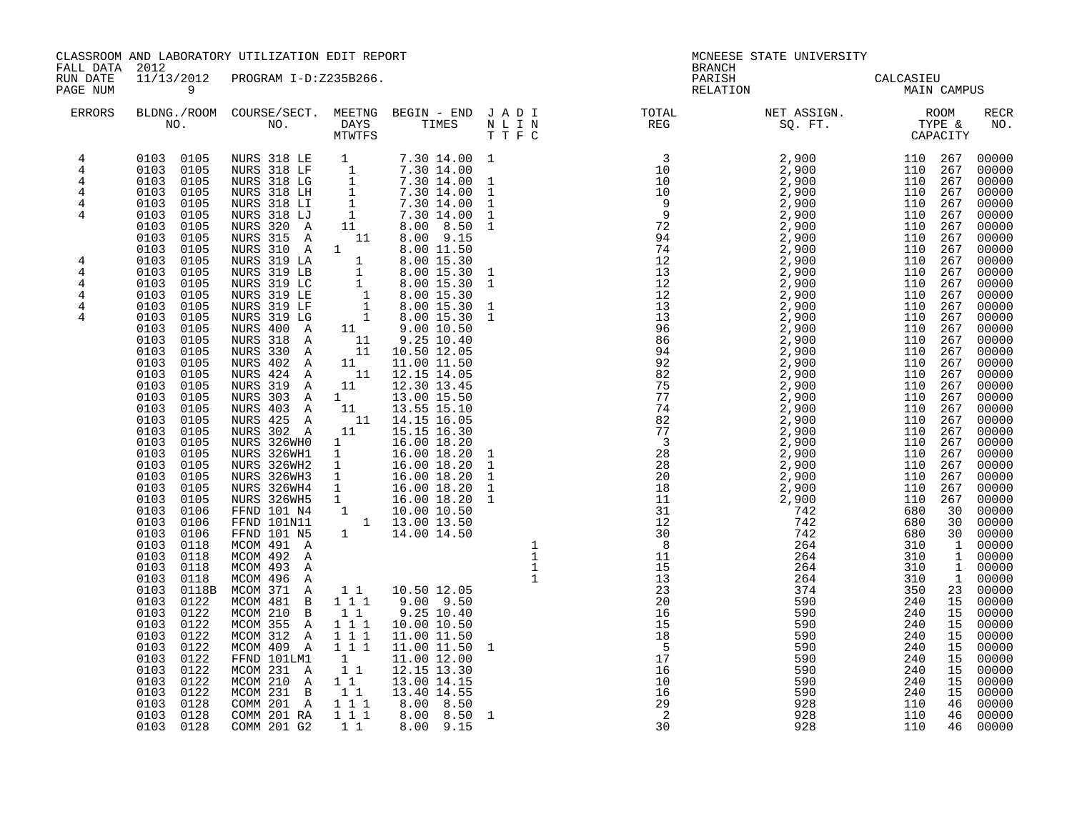| FALL DATA 2012                                                                                      |                                                                                                                                                                                                                                                                                                                                                                                                                                                                                                                                                                                                                                                                                                | CLASSROOM AND LABORATORY UTILIZATION EDIT REPORT                                                                                                                                                                                                                                                                                                                                                                                                                                                                                                                                                                                                                                                                                                                                                                                                                                                                                                                                                                                                                                                                                                                                                                       |                                                                                                                                                                                       |                                                                                                                                                                                                                                                                                                                                                                                                                                                       | <b>BRANCH</b>                                                                                                                                                                                                                                                                                                                                                                                                  | MCNEESE STATE UNIVERSITY |             |                                                                                                                                                                                                                                                                                                                                                                                                                                                                               |
|-----------------------------------------------------------------------------------------------------|------------------------------------------------------------------------------------------------------------------------------------------------------------------------------------------------------------------------------------------------------------------------------------------------------------------------------------------------------------------------------------------------------------------------------------------------------------------------------------------------------------------------------------------------------------------------------------------------------------------------------------------------------------------------------------------------|------------------------------------------------------------------------------------------------------------------------------------------------------------------------------------------------------------------------------------------------------------------------------------------------------------------------------------------------------------------------------------------------------------------------------------------------------------------------------------------------------------------------------------------------------------------------------------------------------------------------------------------------------------------------------------------------------------------------------------------------------------------------------------------------------------------------------------------------------------------------------------------------------------------------------------------------------------------------------------------------------------------------------------------------------------------------------------------------------------------------------------------------------------------------------------------------------------------------|---------------------------------------------------------------------------------------------------------------------------------------------------------------------------------------|-------------------------------------------------------------------------------------------------------------------------------------------------------------------------------------------------------------------------------------------------------------------------------------------------------------------------------------------------------------------------------------------------------------------------------------------------------|----------------------------------------------------------------------------------------------------------------------------------------------------------------------------------------------------------------------------------------------------------------------------------------------------------------------------------------------------------------------------------------------------------------|--------------------------|-------------|-------------------------------------------------------------------------------------------------------------------------------------------------------------------------------------------------------------------------------------------------------------------------------------------------------------------------------------------------------------------------------------------------------------------------------------------------------------------------------|
| RUN DATE<br>PAGE NUM                                                                                | 11/13/2012<br>$\overline{9}$                                                                                                                                                                                                                                                                                                                                                                                                                                                                                                                                                                                                                                                                   | PROGRAM I-D:Z235B266.                                                                                                                                                                                                                                                                                                                                                                                                                                                                                                                                                                                                                                                                                                                                                                                                                                                                                                                                                                                                                                                                                                                                                                                                  |                                                                                                                                                                                       |                                                                                                                                                                                                                                                                                                                                                                                                                                                       | PARISH<br>RELATION                                                                                                                                                                                                                                                                                                                                                                                             | CALCASIEU<br>MAIN C      | MAIN CAMPUS |                                                                                                                                                                                                                                                                                                                                                                                                                                                                               |
| ERRORS                                                                                              |                                                                                                                                                                                                                                                                                                                                                                                                                                                                                                                                                                                                                                                                                                |                                                                                                                                                                                                                                                                                                                                                                                                                                                                                                                                                                                                                                                                                                                                                                                                                                                                                                                                                                                                                                                                                                                                                                                                                        |                                                                                                                                                                                       |                                                                                                                                                                                                                                                                                                                                                                                                                                                       | $\begin{tabular}{lllllllllllllllllll} \textsc{BLONG.} \textsc{F1} & \textsc{R1} & \textsc{R2} & \textsc{R3} & \textsc{R4} & \textsc{R5} & \textsc{R5} & \textsc{R6} & \textsc{R6} & \textsc{R6} & \textsc{R6} & \textsc{R6} & \textsc{R6} & \textsc{R6} & \textsc{R6} & \textsc{R6} & \textsc{R6} & \textsc{R6} & \textsc{R6} & \textsc{R6} & \textsc{R6} & \textsc{R6} & \textsc{R6} & \textsc{R6} & \textsc$ |                          |             | RECR<br>NO.                                                                                                                                                                                                                                                                                                                                                                                                                                                                   |
| 4<br>$\,4$<br>4<br>4<br>4<br>4<br>4<br>$\overline{4}$<br>$\overline{4}$<br>$\overline{4}$<br>4<br>4 | 0103<br>0105<br>0103<br>0105<br>0103 0105<br>0103 0105<br>0103 0105<br>0103 0105<br>0103 0105<br>0103 0105<br>0103<br>0105<br>0103<br>0105<br>0103<br>0105<br>0103 0105<br>0103<br>0105<br>0103<br>0105<br>0103<br>0105<br>0103 0105<br>$0103$ $0105$<br>0103 0105<br>0103<br>0105<br>0103<br>0105<br>0103 0105<br>0103<br>0105<br>0103<br>0105<br>0103<br>0105<br>0103 0106<br>0103 0106<br>0103 0106<br>0103<br>0118<br>0103<br>0118<br>$0103$ $0118$<br>0103 0118<br>0103 0118B<br>0103 0122<br>0103 0122<br>0103 0122<br>0103 0122<br>0103<br>0122<br>$\begin{array}{cc} 0103 & 0122 \\ 0103 & 0122 \end{array}$<br>0103<br>0122<br>0103<br>0122<br>0103<br>0128<br>0103 0128<br>0103 0128 | $\begin{tabular}{cccc} 0103 & 0105 & NURS & 318 & LE & 1 & 7.30 & 14.00 & 1013 & 0105 & NURS & 318 & LF & 1 & 7.30 & 14.00 & 1013 & 0105 & NURS & 318 & LG & 1 & 7.30 & 14.00 & 1013 & 0105 & NURS & 318 & LI & 1 & 7.30 & 14.00 & 1013 & 0105 & NURS & 318 & LI & 1 & 7.30 & 14.00 & 1013 & 0105 & NURS & $<br>NURS 315 A<br>NURS 315 A 11 8.00 9.15<br>NURS 310 A 1 8.00 11.50<br>NURS 319 LB 1 8.00 15.30 1<br>NURS 319 LB 1 8.00 15.30 1<br>NURS 319 LE 1 8.00 15.30 1<br>NURS 319 LE 1 8.00 15.30 1<br>NURS 319 LE 1 8.00 15.30 1<br>NURS 319 LF 1 8.00 15.30 1<br>NURS<br>NURS 402 A<br>NURS 424 A<br>NURS 319 A<br>NURS 303 A<br>NURS 403 A<br>NURS 425 A<br>NURS 302 A<br>NURS 326WH0<br>NURS 326WH0 1 16.00 18.20 1<br>NURS 326WH1 1 16.00 18.20 1<br>NURS 326WH2 1 16.00 18.20 1<br>NURS 326WH3 1 16.00 18.20 1<br>NURS 326WH4 1 16.00 18.20 1<br>NURS 326WH5 1 16.00 18.20 1<br>NURS 326WH5 1 16.00 18.20 1<br>FFND 101 N4 1 10.00<br>MCOM 491 A<br>MCOM 492 A<br>MCOM 493 A<br>MCOM 496 A<br>MCOM 371 A<br>MCOM 481 B<br>MCOM 210 B 1 1<br>MCOM 355 A 111<br>MCOM 312 A<br>MCOM 409 A<br>FFND 101LM1<br>MCOM 231 A<br>MCOM 210 A<br>MCOM 231 B<br>COMM 201 A 1 1 1<br>COMM 201 RA 1 1 1<br>COMM 201 G2 1 1 | 11<br>$11^{-1}$<br>11<br>11<br>1<br>$1\overline{1}$<br>$\begin{array}{rrrr} & 1 & 1 & 1 \\ & 1 & 1 & 1 \end{array}$<br>$\begin{smallmatrix}1\1\1\end{smallmatrix}$<br>$1\quad1$<br>11 | 7.30 14.00 1<br>$7.30$ 14.00 1<br>$7.30$ 14.00 1<br>8.00 9.15<br>11.00 11.50<br>12.15 14.05<br>12.30 13.45<br>$\begin{matrix}11 & 13.00 & 15.50 \\ 11 & 13.55 & 15.10 \\ 11 & 14.15 & 16.05\end{matrix}$<br>11   15.15   16.30<br>16.00 18.20<br>1 1 10.50 12.05<br>$9.00$ $9.50$<br>$9.25$ 10.40<br>10.00 10.50<br>11.00 11.50<br>11.00 11.50 1<br>11.00 12.00<br>12.15 13.30<br>13.00 14.15<br>13.40 14.55<br>8.00 8.50<br>8.00 8.50 1<br>8.00 9.15 |                                                                                                                                                                                                                                                                                                                                                                                                                |                          |             | 00000<br>00000<br>00000<br>00000<br>00000<br>00000<br>00000<br>00000<br>00000<br>00000<br>00000<br>00000<br>00000<br>00000<br>00000<br>00000<br>00000<br>00000<br>00000<br>00000<br>00000<br>00000<br>00000<br>00000<br>00000<br>00000<br>00000<br>00000<br>00000<br>00000<br>00000<br>00000<br>00000<br>00000<br>00000<br>00000<br>00000<br>00000<br>00000<br>00000<br>00000<br>00000<br>00000<br>00000<br>00000<br>00000<br>00000<br>00000<br>00000<br>46 00000<br>46 00000 |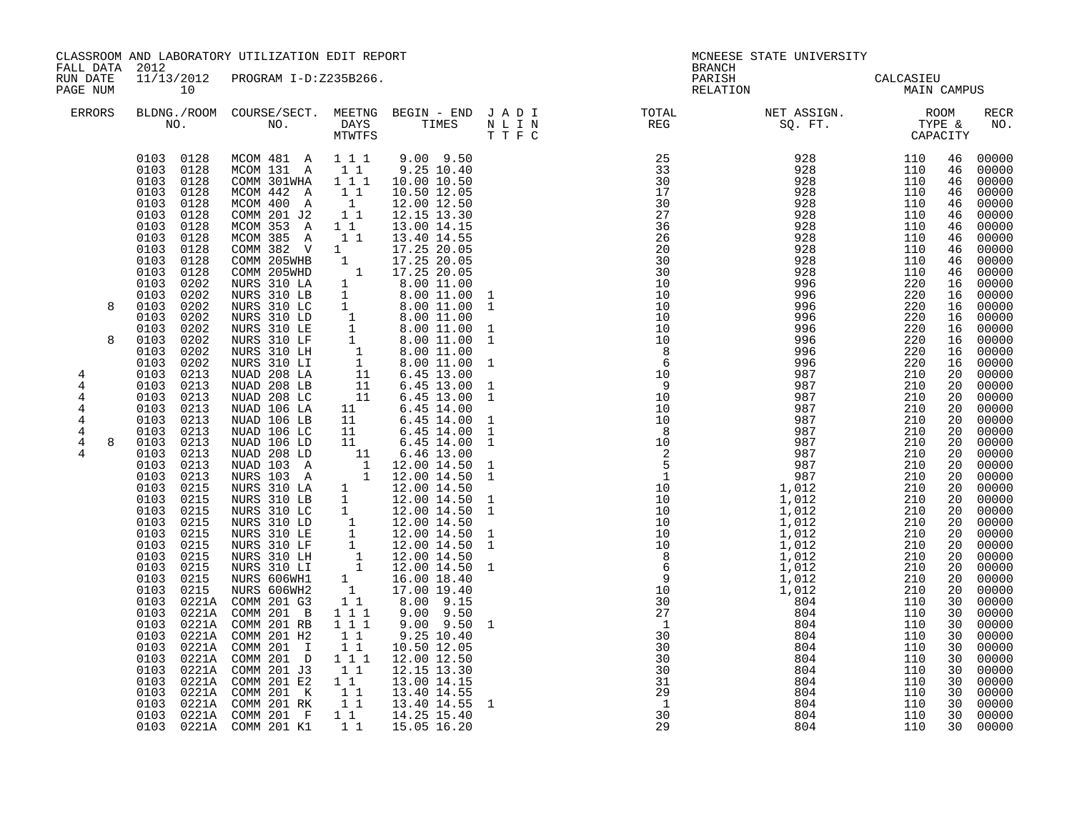| FALL DATA 2012                                                                |                                                                                                                                                                                                                                                                                                                                                                                                                                                                                                                                                                                                                | CLASSROOM AND LABORATORY UTILIZATION EDIT REPORT                                                                                                                                                                                                                                                                                                                                                                                                                                                                                                                                                                                                                                                                                                                                                                                                                                                                                                                                                                                                                                                                   |                                                                                                                                                                                                                                                                                                                                |                                                                                                                                                                                                                                                                                                                                                                                                          |                                                                                                                                                    | <b>BRANCH</b>                                                                                                                                                                                                                                                                                                                                                                                                                                                                                                                                     | MCNEESE STATE UNIVERSITY                                                                                                                                                                                                                                                             |                                                                                                              |                                                                                                                                                                                                                      |                                                                                                                                                                                                                                                                                                                                                                                                                                                                                                                                                               |
|-------------------------------------------------------------------------------|----------------------------------------------------------------------------------------------------------------------------------------------------------------------------------------------------------------------------------------------------------------------------------------------------------------------------------------------------------------------------------------------------------------------------------------------------------------------------------------------------------------------------------------------------------------------------------------------------------------|--------------------------------------------------------------------------------------------------------------------------------------------------------------------------------------------------------------------------------------------------------------------------------------------------------------------------------------------------------------------------------------------------------------------------------------------------------------------------------------------------------------------------------------------------------------------------------------------------------------------------------------------------------------------------------------------------------------------------------------------------------------------------------------------------------------------------------------------------------------------------------------------------------------------------------------------------------------------------------------------------------------------------------------------------------------------------------------------------------------------|--------------------------------------------------------------------------------------------------------------------------------------------------------------------------------------------------------------------------------------------------------------------------------------------------------------------------------|----------------------------------------------------------------------------------------------------------------------------------------------------------------------------------------------------------------------------------------------------------------------------------------------------------------------------------------------------------------------------------------------------------|----------------------------------------------------------------------------------------------------------------------------------------------------|---------------------------------------------------------------------------------------------------------------------------------------------------------------------------------------------------------------------------------------------------------------------------------------------------------------------------------------------------------------------------------------------------------------------------------------------------------------------------------------------------------------------------------------------------|--------------------------------------------------------------------------------------------------------------------------------------------------------------------------------------------------------------------------------------------------------------------------------------|--------------------------------------------------------------------------------------------------------------|----------------------------------------------------------------------------------------------------------------------------------------------------------------------------------------------------------------------|---------------------------------------------------------------------------------------------------------------------------------------------------------------------------------------------------------------------------------------------------------------------------------------------------------------------------------------------------------------------------------------------------------------------------------------------------------------------------------------------------------------------------------------------------------------|
| RUN DATE<br>PAGE NUM                                                          | 11/13/2012<br>10                                                                                                                                                                                                                                                                                                                                                                                                                                                                                                                                                                                               | PROGRAM I-D:Z235B266.                                                                                                                                                                                                                                                                                                                                                                                                                                                                                                                                                                                                                                                                                                                                                                                                                                                                                                                                                                                                                                                                                              |                                                                                                                                                                                                                                                                                                                                |                                                                                                                                                                                                                                                                                                                                                                                                          |                                                                                                                                                    | PARISH<br>RELATION                                                                                                                                                                                                                                                                                                                                                                                                                                                                                                                                |                                                                                                                                                                                                                                                                                      | CALCASIEU<br><b>MAIN CAMPUS</b>                                                                              |                                                                                                                                                                                                                      |                                                                                                                                                                                                                                                                                                                                                                                                                                                                                                                                                               |
| <b>ERRORS</b>                                                                 |                                                                                                                                                                                                                                                                                                                                                                                                                                                                                                                                                                                                                |                                                                                                                                                                                                                                                                                                                                                                                                                                                                                                                                                                                                                                                                                                                                                                                                                                                                                                                                                                                                                                                                                                                    |                                                                                                                                                                                                                                                                                                                                |                                                                                                                                                                                                                                                                                                                                                                                                          |                                                                                                                                                    | $\begin{tabular}{lllllllllllllllllllll} \textsc{BLDNG.} \textsc{ROOM} & \textsc{CUIRSE/SECT.} & \textsc{METING} & \textsc{BEGIN} & - & \textsc{END} & \textsc{J} & \textsc{A} & \textsc{D} & \textsc{I} & & & \textsc{TOTIL} & & & \textsc{NET} & \textsc{ASIGN.} & & & \textsc{ROOM} \\ \textsc{NO.} & \textsc{NO.} & \textsc{DAYS} & \textsc{TIMES} & \textsc{N} & \textsc{L} & \textsc{I} & \textsc{N} & & \textsc{EFG} & & & \textsc{SQ$                                                                                                      |                                                                                                                                                                                                                                                                                      |                                                                                                              |                                                                                                                                                                                                                      | RECR<br>NO.                                                                                                                                                                                                                                                                                                                                                                                                                                                                                                                                                   |
| 8<br>8<br>4<br>$\overline{4}$<br>4<br>4<br>4<br>$\overline{4}$<br>4<br>8<br>4 | 0103 0128<br>0103 0128<br>0103 0128<br>0103 0128<br>0103 0128<br>0103 0128<br>0103<br>0128<br>0103<br>0128<br>$0103$ $0128$<br>0103 0128<br>0103<br>0128<br>0103<br>0202<br>0103<br>0202<br>0103<br>0202<br>0103 0202<br>0103<br>0202<br>0103<br>0202<br>0103<br>0202<br>0103<br>0202<br>0103<br>0213<br>0213<br>0103<br>0103 0213<br>0103 0213<br>0103 0213<br>0103 0213<br>0103 0213<br>0103 0213<br>0103 0213<br>0103 0213<br>0103<br>0215<br>0215<br>0103<br>0103 0215<br>0103<br>0215<br>0103<br>0215<br>0103<br>0215<br>0103 0215<br>0103 0215<br>0103 0215<br>0103 0215<br>0103<br>0103<br>0103<br>0103 | MCOM 481 A 111<br>MCOM 131 A<br>COMM 301WHA<br>MCOM 442 A<br>MCOM 400 A<br>COMM 201 J2<br>MCOM 353 A<br>MCOM 385 A<br>$\begin{tabular}{lcccc} MCOM & 385 & A & 1 & 1 & 13.40 & 14.55 \\ COMM & 382 & V & 1 & 17.25 & 20.05 \\ COMM & 205WHB & 1 & 17.25 & 20.05 \\ COMM & 205WHB & 1 & 17.25 & 20.05 \\ NURS & 310 & LA & 1 & 8.00 & 11.00 \\ NURS & 310 & LB & 1 & 8.00 & 11.00 & 1 \\ NURS & 310 & LC & 1 & 8.00 & 11.00 & 1 \\ NURS & 310 & LC & 1$<br>NUAD 106 LA<br>NUAD 106 LB<br>NUAD 106 LC<br>NUAD 106 LD<br>NUAD 106 LD 11 6.45 14.00<br>NUAD 208 LD 11 6.46 13.00<br>NUAD 103 A 1 12.00 14.50<br>NURS 103 A 1 12.00 14.50<br>NURS 310 LA 1 12.00 14.50<br>NURS 310 LB 1 12.00 14.50<br>NURS 310 LB 1 12.00 14.50<br>NURS 310 LE 1 12.00 14.50<br>NURS 310<br>0103 0221A COMM 201 G3<br>0103 0221A COMM 201 B<br>0221A COMM 201 RB<br>0221A COMM 201 H2<br>0221A COMM 201 I<br>0103 0221A COMM 201 D<br>0103 0221A COMM 201 J3<br>0221A COMM 201 E2<br>0103 0221A COMM 201 K 11 13.40 14.55<br>0103 0221A COMM 201 RK 1 1 13.40 14.55<br>0103 0221A COMM 201 F 1 1 14.25 15.40<br>0103 0221A COMM 201 K1 | $\begin{smallmatrix}1&1\\1&1&1\end{smallmatrix}$<br>$\begin{bmatrix} 1 \\ 1 \end{bmatrix}$<br>11<br>$1^{\overline{1}}$<br>11<br>$1\quad1$<br>$\begin{smallmatrix}1&1&1\\1&1&1\end{smallmatrix}$<br>$\begin{array}{rr} 1 & 1 \\ 1 & 1 \end{array}$<br>1 1 1<br>$\begin{bmatrix} 1 \\ 1 \end{bmatrix}$<br>$1\quad1$<br>$1\quad1$ | $9.00$ $9.50$<br>$9.25$ $10.40$<br>10.00 10.50<br>10.50 12.05<br>12.00 12.50<br>12.15 13.30<br>13.00 14.15<br>13.40 14.55<br>$\begin{array}{cccc} 11 & 6.45 & 14.00 \\ 11 & 6.45 & 14.00 \\ 11 & 6.45 & 14.00 \\ 11 & 6.45 & 14.00 \end{array}$<br>11 6.45 14.00<br>8.00 9.15<br>$9.00$ $9.50$<br>$9.00$ $9.50$<br>9.25 10.40<br>10.50 12.05<br>12.00 12.50<br>12.15 13.30<br>13.00 14.15<br>15.05 16.20 | 1<br>$\mathbf{1}$<br>$\mathbf{1}$<br>1<br><sup>1</sup><br>$\mathbf{1}$<br>1<br>$\mathbf{1}$<br>$\mathbf{1}$<br>1<br>$\overline{1}$<br>$\mathbf{1}$ | 25<br>33<br>30<br>17<br>30<br>27<br>36<br>26<br>20<br>30<br>30<br>10<br>10<br>10<br>10<br>10<br>10<br>$\overline{\phantom{0}}$ 8<br>6<br>10<br>- 9<br>$\begin{array}{cccc} 10 & 987 \\ 9 & 987 \\ 10 & 987 \\ 10 & 987 \\ 10 & 987 \\ 2 & 987 \\ 2 & 987 \\ 2 & 987 \\ 2 & 987 \\ 10 & 1,012 \\ 10 & 1,012 \\ 10 & 1,012 \\ 10 & 1,012 \\ 10 & 1,012 \\ 10 & 1,012 \\ 10 & 1,012 \\ 10 & 1,012 \\ 2 & 6 & 1,012 \\ 2 & 6 & 1,012 \\ 3 & 1,012 \\ 4 & 1,012 \\ 5 &$<br>30<br>30<br>30<br>$\overline{30}$<br>31<br>29<br>$\overline{1}$<br>30<br>29 | 928 110<br>928 110<br>928 110<br>928 110<br>928 110<br>928 110<br>928 110<br>928 110<br>928 110<br>928 110<br>928 110<br>928 110<br>928 110<br>928 110<br>996<br>996<br>996<br>996<br>996<br>996<br>996<br>987<br>987<br>804<br>804<br>804<br>804<br>804<br>804<br>804<br>804<br>804 | 220<br>220<br>220<br>220<br>220<br>220<br>220<br>110<br>110<br>110<br>110<br>110<br>110<br>110<br>110<br>110 | 46<br>46<br>46<br>46<br>46<br>46<br>46<br>46<br>46<br>46<br>16<br>16<br>16<br>16<br>20<br>20<br>20<br>20<br>20<br>20<br>20<br>20<br>20<br>20<br>20<br>20<br>30<br>30<br>30<br>30<br>30<br>30<br>30<br>30<br>30<br>30 | 00000<br>00000<br>00000<br>00000<br>00000<br>00000<br>00000<br>46 00000<br>46 00000<br>00000<br>00000<br>16 00000<br>16 00000<br>00000<br>16 00000<br>16 00000<br>00000<br>00000<br>00000<br>00000<br>$\frac{20}{20}$ 00000<br>20 00000<br>00000<br>00000<br>00000<br>00000<br>$00000$<br>00000<br>$\frac{20}{20}$ 00000<br>20 00000<br>20 00000<br>20 00000<br>$\frac{20}{20}$ 00000<br>20 00000<br>00000<br>00000<br>$00000$<br>00000<br>00000<br>$00000$<br>00000<br>$00000$<br>00000<br>00000<br>30 00000<br>00000<br>30 00000<br>00000<br>00000<br>00000 |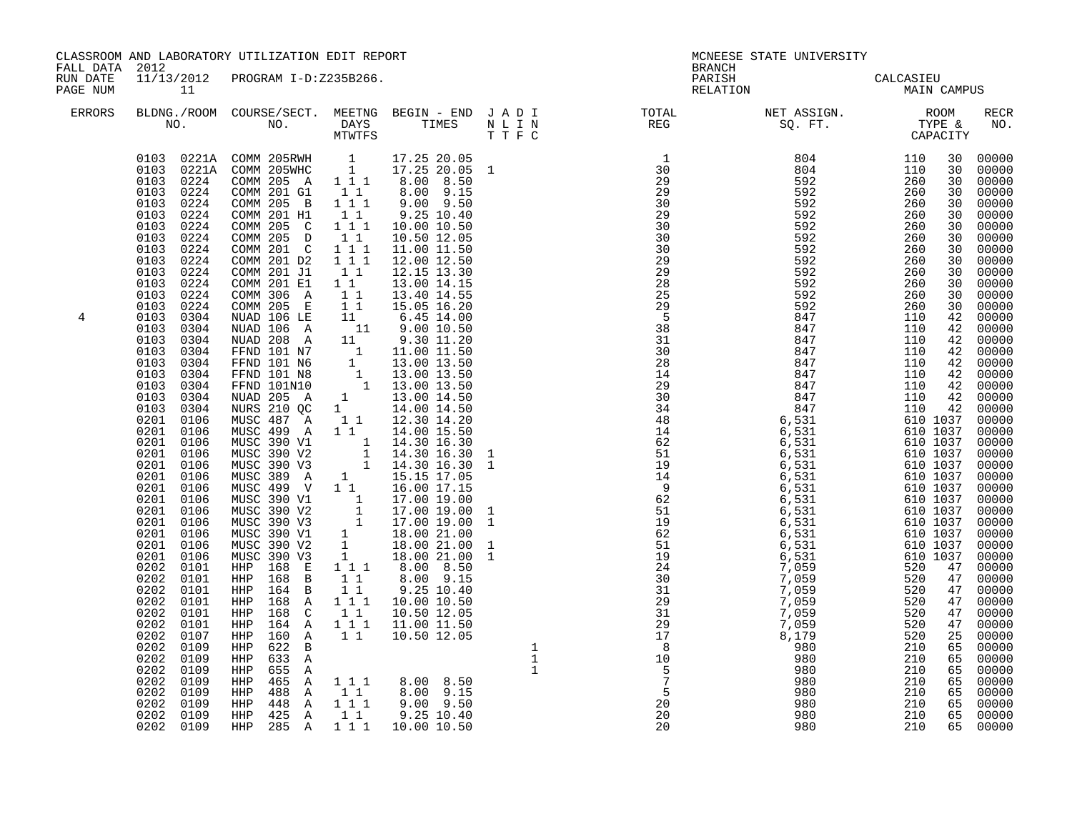| FALL DATA 2012       |                                                                                                                                                                                                                                                                                                                                                                                                                                                                                                                                                                                                                                                                                                                                                                                            | CLASSROOM AND LABORATORY UTILIZATION EDIT REPORT                                                                                                                                                                                                                                                                                                                                                                                                                                                                               |                                                                                                                                                                                                                                                                                                                                                                                                                                                                                                                                                                                                                                                                                                                                                                                                                                                                                                                                                                                                                                                                                                                                                                                                                                                                                                                                 | <b>BRANCH</b>                                                                                        | MCNEESE STATE UNIVERSITY                                                                                                                                                                                                                           |                                                                                                                                       |                                                                                                                                                                                                                 |
|----------------------|--------------------------------------------------------------------------------------------------------------------------------------------------------------------------------------------------------------------------------------------------------------------------------------------------------------------------------------------------------------------------------------------------------------------------------------------------------------------------------------------------------------------------------------------------------------------------------------------------------------------------------------------------------------------------------------------------------------------------------------------------------------------------------------------|--------------------------------------------------------------------------------------------------------------------------------------------------------------------------------------------------------------------------------------------------------------------------------------------------------------------------------------------------------------------------------------------------------------------------------------------------------------------------------------------------------------------------------|---------------------------------------------------------------------------------------------------------------------------------------------------------------------------------------------------------------------------------------------------------------------------------------------------------------------------------------------------------------------------------------------------------------------------------------------------------------------------------------------------------------------------------------------------------------------------------------------------------------------------------------------------------------------------------------------------------------------------------------------------------------------------------------------------------------------------------------------------------------------------------------------------------------------------------------------------------------------------------------------------------------------------------------------------------------------------------------------------------------------------------------------------------------------------------------------------------------------------------------------------------------------------------------------------------------------------------|------------------------------------------------------------------------------------------------------|----------------------------------------------------------------------------------------------------------------------------------------------------------------------------------------------------------------------------------------------------|---------------------------------------------------------------------------------------------------------------------------------------|-----------------------------------------------------------------------------------------------------------------------------------------------------------------------------------------------------------------|
| RUN DATE<br>PAGE NUM | 11                                                                                                                                                                                                                                                                                                                                                                                                                                                                                                                                                                                                                                                                                                                                                                                         | 11/13/2012 PROGRAM I-D:Z235B266.                                                                                                                                                                                                                                                                                                                                                                                                                                                                                               |                                                                                                                                                                                                                                                                                                                                                                                                                                                                                                                                                                                                                                                                                                                                                                                                                                                                                                                                                                                                                                                                                                                                                                                                                                                                                                                                 | PARISH<br>RELATION                                                                                   | CALCASIEU<br>MAIN CAMPUS                                                                                                                                                                                                                           | CALCASIEU                                                                                                                             |                                                                                                                                                                                                                 |
| <b>ERRORS</b>        |                                                                                                                                                                                                                                                                                                                                                                                                                                                                                                                                                                                                                                                                                                                                                                                            |                                                                                                                                                                                                                                                                                                                                                                                                                                                                                                                                |                                                                                                                                                                                                                                                                                                                                                                                                                                                                                                                                                                                                                                                                                                                                                                                                                                                                                                                                                                                                                                                                                                                                                                                                                                                                                                                                 |                                                                                                      |                                                                                                                                                                                                                                                    |                                                                                                                                       | <b>RECR</b><br>NO.                                                                                                                                                                                              |
| 4                    | 0103 0224<br>0103<br>0224<br>0103<br>0224<br>0103<br>0224<br>0103<br>0224<br>0103<br>0224<br>0103<br>0224<br>0103<br>0224<br>0103<br>0224<br>0103 0224<br>0103<br>0224<br>0103<br>0224<br>0103<br>0304<br>0103<br>0304<br>0103<br>0304<br>0103<br>0304<br>0103<br>0304<br>0103<br>0304<br>0103<br>0304<br>0103<br>0304<br>0103<br>0304<br>0201<br>0106<br>0201 0106<br>0201<br>0106<br>0201 0106<br>0201<br>0106<br>0201<br>0106<br>0201<br>0106<br>0201<br>0106<br>0201<br>0106<br>0201<br>0106<br>0201<br>0106<br>0201<br>0106<br>0201<br>0106<br>0202<br>0101<br>0202<br>0101<br>0202<br>0101<br>0202<br>0101<br>0202<br>0101<br>0202<br>0101<br>0202<br>0107<br>0202<br>0109<br>0202<br>0109<br>0202<br>0109<br>0202<br>0109<br>0202<br>0109<br>0202<br>0109<br>0202 0109<br>0202 0109 | COMM 201 G1<br>COMM 205 B 111<br>COMM 201 H1<br>COMM 205 C<br>COMM 205 D<br>COMM 201 C<br>COMM 201 D2<br>COMM 201 J1<br>COMM 201 E1<br>COMM 306 A<br>COMM 205 E 1 1<br>MUSC 487 A<br>MUSC 499 A<br>MUSC 390 V1<br>MUSC 390 V2<br>MUSC 390 V3<br>MUSC 389 A<br>MUSC 499 V<br>HHP 168 E<br>168 B<br>HHP<br>164 B<br>HHP<br>HHP<br>168 A<br>168 C<br>HHP<br>164 A<br>HHP<br>160 A<br>HHP<br>622 B<br>HHP<br>633 A<br>HHP<br>HHP<br>655 A<br>465 A<br>HHP<br>HHP<br>488 A<br>$448$ A $1^11$<br>HHP<br>425 A<br>HHP<br>285 A<br>HHP | 0103 0221A COMM 205RWH 1 17.25 20.05<br>0103 0221A COMM 205WHC 1 17.25 20.05 1<br>COMM 205 A 1 1 1 8.00 8.50<br>$8.00$ $9.15$<br>11<br>$9.00$ $9.50$<br>$1\quad1$<br>$9.25$ 10.40<br>$1 1 1$<br>10.00 10.50<br>11<br>10.50 12.05<br>1 1 1<br>11.00 11.50<br>$1 1 1$<br>12.00 12.50<br>11<br>12.15 13.30<br>$1\quad1$<br>13.00 14.15<br>11<br>13.40 14.55<br>15.05 16.20<br>COMM 205 E 11 15.05 16.20<br>NUAD 106 LE 11 6.45 14.00<br>NUAD 208 A 11 9.30 11.20<br>FFND 101 N7 1 11.00 11.50<br>FFND 101 N6 1 13.00 13.50<br>FFND 101 N8 1 13.00 13.50<br>FFND 101 N8 1 13.00 13.50<br>NUAD 205 A 1 13.00 14.50<br>NUAD 205<br>1 1 12.30 14.20<br>$1\quad1$<br>14.00 15.50<br>$1$ 1 4.30 16.30<br>1 14.30 16.30<br>1 14.30 16.30<br>$\begin{array}{rrrr} & 1 & 15.15 & 17.05 \\ 1 & 15.15 & 17.05 \\ \end{array}$<br>NUSC 390 V1 1 17.00 19.00<br>MUSC 390 V2 1 17.00 19.00<br>MUSC 390 V2 1 17.00 19.00<br>MUSC 390 V3 1 17.00 19.00<br>MUSC 390 V1 1 18.00 21.00<br>MUSC 390 V2 1 18.00 21.00<br>MUSC 390 V2 1 18.00 21.00<br>MUSC 390 V3 1 18.00 21.00<br>$1 1 1$<br>8.00 8.50<br>8.00 9.15<br>$1\quad1$<br>11<br>9.25 10.40<br>$1 1 1$<br>10.00 10.50<br>10.50 12.05<br>$1\quad1$<br>1 1 1 1 11.00 11.50<br>$1\quad1$<br>10.50 12.05<br>1 1 1 8.00 8.50<br>$1\quad1$<br>$1\quad1$<br>$9.25$ $10.40$<br>$1 1 1$<br>10.00 10.50 | $\frac{25}{30}$<br>30<br>30<br>30<br>29<br>29<br>28<br>25<br>$\frac{29}{5}$<br>38<br>$\overline{31}$ | $\begin{array}{cccc} 1 & 804 & 110 \\ 30 & 804 & 110 \\ 29 & 592 & 260 \\ 30 & 592 & 260 \\ 30 & 592 & 260 \\ 29 & 592 & 260 \\ 29 & 592 & 260 \\ \end{array}$<br>592<br>592<br>592<br>592<br>592<br>592<br>592<br>592<br>592<br>847<br>847<br>847 | 30<br>30<br>30<br>30<br>260<br>30<br>260<br>30<br>260<br>30<br>260<br>30<br>260<br>30<br>260<br>30<br>260<br>260<br>110<br>110<br>110 | 30 00000<br>30 00000<br>00000<br>00000<br>00000<br>00000<br>00000<br>00000<br>00000<br>00000<br>00000<br>00000<br>$\begin{bmatrix} 30 & 00000 \\ 30 & 00000 \\ 42 & 00000 \end{bmatrix}$<br>42 00000<br>4200000 |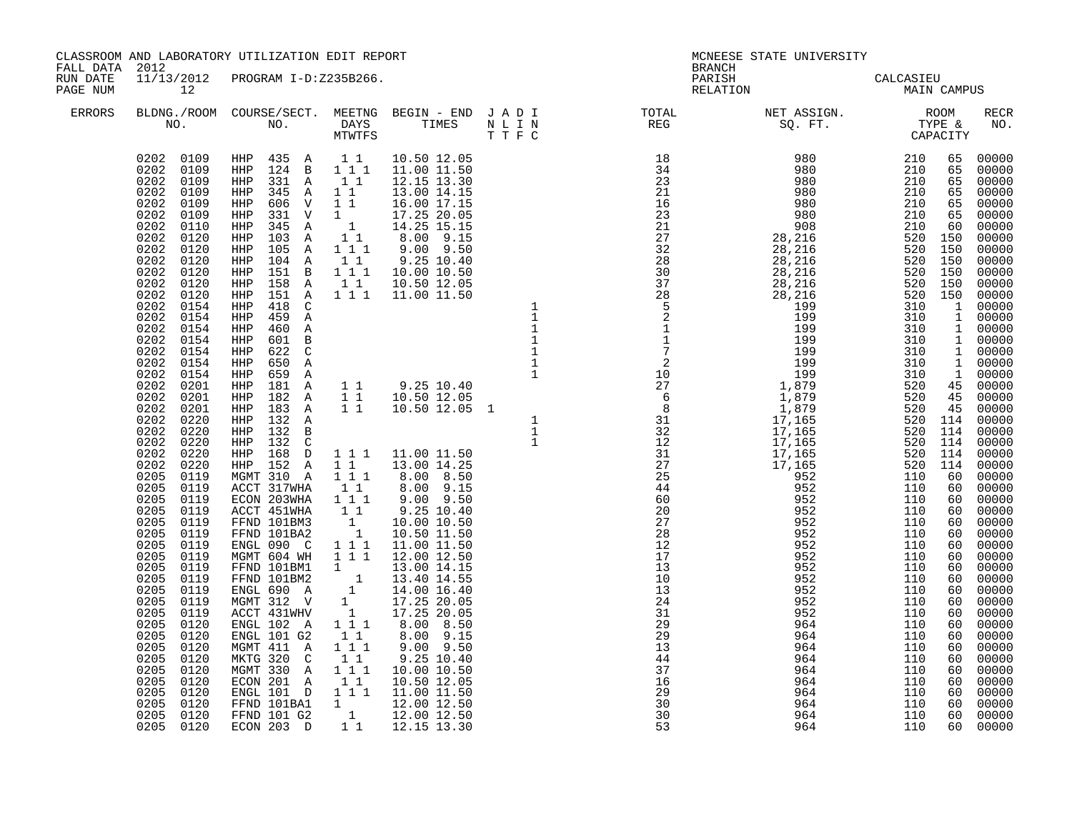| FALL DATA 2012       |                                                                                                                                                                                                                                                                                                                                                                                                                                                                                                                                                                                                                                                                                                                                                                                          | CLASSROOM AND LABORATORY UTILIZATION EDIT REPORT                                                                |  |                |                   |                   |                |                         |
|----------------------|------------------------------------------------------------------------------------------------------------------------------------------------------------------------------------------------------------------------------------------------------------------------------------------------------------------------------------------------------------------------------------------------------------------------------------------------------------------------------------------------------------------------------------------------------------------------------------------------------------------------------------------------------------------------------------------------------------------------------------------------------------------------------------------|-----------------------------------------------------------------------------------------------------------------|--|----------------|-------------------|-------------------|----------------|-------------------------|
| RUN DATE<br>PAGE NUM | 11/13/2012<br>12                                                                                                                                                                                                                                                                                                                                                                                                                                                                                                                                                                                                                                                                                                                                                                         |                                                                                                                 |  |                |                   |                   |                |                         |
| <b>ERRORS</b>        |                                                                                                                                                                                                                                                                                                                                                                                                                                                                                                                                                                                                                                                                                                                                                                                          |                                                                                                                 |  |                |                   |                   |                |                         |
|                      | 0202 0109<br>0202 0109<br>0202 0109<br>0202<br>0109<br>0202<br>0109<br>0202<br>0109<br>0202<br>0110<br>0202<br>0120<br>0202<br>0120<br>0202<br>0120<br>0202<br>0120<br>0202<br>0120<br>0202<br>0120<br>0202<br>0154<br>0202 0154<br>0202 0154<br>0202<br>0154<br>0202 0154<br>0202 0154<br>0202 0154<br>0202<br>0201<br>0202 0201<br>0202<br>0201<br>0202<br>0220<br>0202<br>0220<br>0202<br>0220<br>0202<br>0220<br>0202<br>0220<br>0205<br>0119<br>0205<br>0119<br>0205<br>0119<br>0205<br>0119<br>0205<br>0119<br>0205<br>0119<br>0205<br>0119<br>0205<br>0119<br>0205 0119<br>0205<br>0119<br>0205<br>0119<br>0205<br>0119<br>0205<br>0119<br>0205<br>0120<br>0205<br>0120<br>0205<br>0120<br>0205<br>0120<br>0205<br>0205<br>0205<br>0120<br>0205<br>0120<br>0205 0120<br>0205 0120 | ENGL 101 D 11 11.00 11.50<br>FFND 101BA1 1 12.00 12.50<br>FFND 101G2 1 12.00 12.50<br>ECON 203 D 11 12.15 13.30 |  | 30<br>30<br>53 | 964<br>964<br>964 | 110<br>110<br>110 | 60<br>60<br>60 | 00000<br>00000<br>00000 |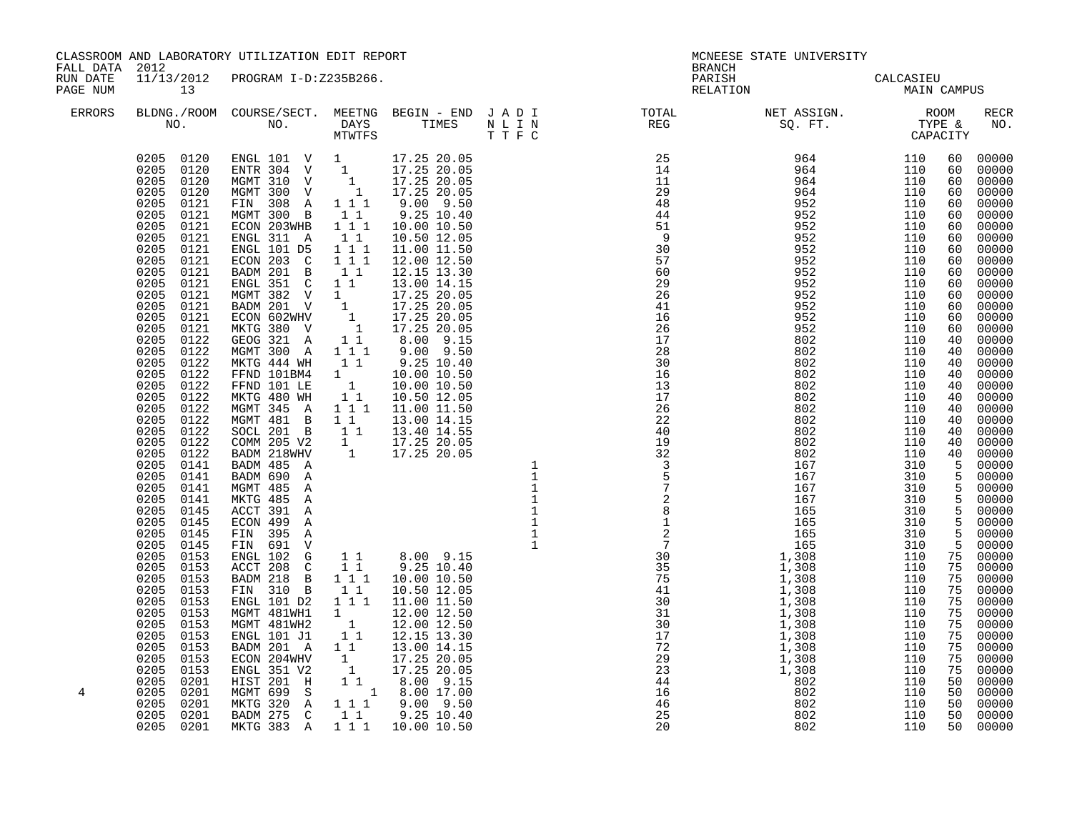| FALL DATA 2012       |                  | CLASSROOM AND LABORATORY UTILIZATION EDIT REPORT |  | <b>BRANCH</b>                                                                                                                                                                                                                                                                                                                                                                                                                              | MCNEESE STATE UNIVERSITY                                                                                                                                                                                                                                                                                                                                     |                                                                                                                                                                                                                                                                                                                                |                                                                                                                                                                                                                                                          |                                                                                                                                                                                                                                                                                                                                                                                                                                                                                                                                                            |
|----------------------|------------------|--------------------------------------------------|--|--------------------------------------------------------------------------------------------------------------------------------------------------------------------------------------------------------------------------------------------------------------------------------------------------------------------------------------------------------------------------------------------------------------------------------------------|--------------------------------------------------------------------------------------------------------------------------------------------------------------------------------------------------------------------------------------------------------------------------------------------------------------------------------------------------------------|--------------------------------------------------------------------------------------------------------------------------------------------------------------------------------------------------------------------------------------------------------------------------------------------------------------------------------|----------------------------------------------------------------------------------------------------------------------------------------------------------------------------------------------------------------------------------------------------------|------------------------------------------------------------------------------------------------------------------------------------------------------------------------------------------------------------------------------------------------------------------------------------------------------------------------------------------------------------------------------------------------------------------------------------------------------------------------------------------------------------------------------------------------------------|
| RUN DATE<br>PAGE NUM | 11/13/2012<br>13 | PROGRAM I-D:Z235B266.                            |  | PARISH<br>RELATION                                                                                                                                                                                                                                                                                                                                                                                                                         | CALCASIEU<br>MAIN CAMPUS                                                                                                                                                                                                                                                                                                                                     |                                                                                                                                                                                                                                                                                                                                |                                                                                                                                                                                                                                                          |                                                                                                                                                                                                                                                                                                                                                                                                                                                                                                                                                            |
| <b>ERRORS</b>        |                  |                                                  |  | $\begin{tabular}{lllllllllllllllllllll} \textsc{BLONG.} \textsc{F100M.} & \textsc{CUIRSE/SECT.} & \textsc{METING.} & \textsc{BEGIN - END.} & \textsc{J A D I} & \textsc{DTQTAL} & \textsc{NET ASSIGN.} & \textsc{ROOM} \\ \textsc{NO.} & \textsc{NO.} & \textsc{DAYS} & \textsc{TIMES} & \textsc{N L I N} & \textsc{REG} & \textsc{SQ. FT.} & \textsc{TTPE & \texttt{C} \\ \textsc{MTVFTS} & \textsc{DTT T F C} & \textsc{STG} & \textsc{$ |                                                                                                                                                                                                                                                                                                                                                              |                                                                                                                                                                                                                                                                                                                                |                                                                                                                                                                                                                                                          | <b>RECR</b><br>NO.                                                                                                                                                                                                                                                                                                                                                                                                                                                                                                                                         |
| 4                    |                  |                                                  |  | $\begin{small} \textbf{0.13}_{\text{1.5}} \textbf{0.14}_{\text{2.5}} \textbf{0.15}_{\text{2.5}} \textbf{0.15}_{\text{2.5}} \textbf{0.15}_{\text{2.5}} \textbf{0.15}_{\text{2.5}} \textbf{0.15}_{\text{2.5}} \textbf{0.15}_{\text{2.5}} \textbf{0.15}_{\text{2.5}} \textbf{0.15}_{\text{2.5}} \textbf{0.15}_{\text{2.5}} \textbf{0.15}_{\text{2.5}} \textbf{0.15}_{\text{2.5}} \textbf{0.1$                                                 | $\begin{array}{cccc} 25 & & & & 964 & & & 110 \\ 14 & & & & 964 & & & 110 \\ 11 & & & & 964 & & & 110 \\ 29 & & & & 964 & & & 110 \\ 48 & & & & 952 & & & 110 \\ 48 & & & & & 952 & & & 110 \\ 49 & & & & & & & 110 \\ 49 & & & & & & & & 110 \\ 49 & & & & & & & & 110 \\ 40 & & & & & & & & 110 \\ 40 & & & & & & & & 110 \\ 41 & & & & & & & & 110 \\ 42$ | 110<br>110<br>110<br>110<br>110<br>110<br>110<br>110<br>110<br>110<br>110<br>110<br>110<br>110<br>110<br>110<br>110<br>110<br>110<br>110<br>110<br>110<br>310<br>310<br>310<br>310<br>310<br>310<br>310<br>310<br>110<br>110<br>110<br>110<br>110<br>110<br>110<br>110<br>110<br>110<br>110<br>110<br>110<br>110<br>110<br>110 | 60<br>60<br>60<br>60<br>60<br>60<br>60<br>60<br>60<br>60<br>60<br>60<br>60<br>60<br>60<br>60<br>40<br>40<br>40<br>40<br>40<br>40<br>40<br>40<br>40<br>40<br>40<br>$5^{\circ}$<br>$5^{\circ}$<br>75<br>75<br>75<br>75<br>75<br>75<br>50<br>50<br>50<br>50 | 00000<br>00000<br>00000<br>00000<br>00000<br>00000<br>00000<br>00000<br>00000<br>00000<br>00000<br>00000<br>00000<br>00000<br>00000<br>00000<br>00000<br>00000<br>00000<br>00000<br>$00000$<br>00000<br>00000<br>00000<br>00000<br>$00000$<br>$00000$<br>00000<br>$\frac{5}{5}$ 00000<br>5 00000<br>5 00000<br>5 00000<br>$\frac{5}{5}$ 00000<br>5 00000<br>$\frac{5}{75}$ 00000<br>75 00000<br>75 00000<br>75 00000<br>75 00000<br>00000<br>00000<br>75 00000<br>00000<br>00000<br>00000<br>$00000$<br>$00000$<br>$00000$<br>$00000$<br>00000<br>50 00000 |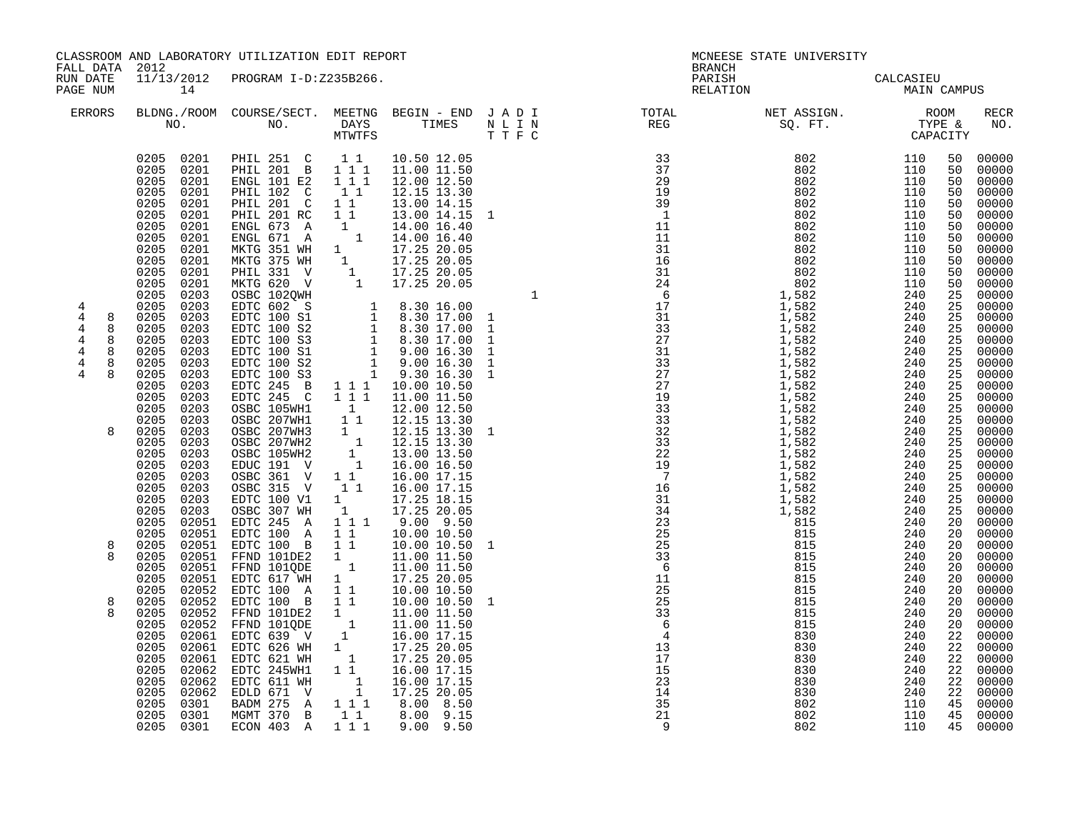|                                                                                                   |                                                                                                                                                                                                                                                                                                                                                                                                                                                                                                                                                                                                                                                                                                                                                                 | CLASSROOM AND LABORATORY UTILIZATION EDIT REPORT                                                                                                                                                                                                                                                                                                                                                                                                                                                                                                                                                                                                                                                                                                                                                                                                                                                                                                                                                                                                                                                                                                                                                                                                                          |                                                                |                                                                                                                                                                                                                                                                                                                                                       |                                                                                                                                                                                                                                                                                                                                                                                                                                                                                                                                                    | MCNEESE STATE UNIVERSITY                                    |                                                             |                      |                                                                                                                                  |
|---------------------------------------------------------------------------------------------------|-----------------------------------------------------------------------------------------------------------------------------------------------------------------------------------------------------------------------------------------------------------------------------------------------------------------------------------------------------------------------------------------------------------------------------------------------------------------------------------------------------------------------------------------------------------------------------------------------------------------------------------------------------------------------------------------------------------------------------------------------------------------|---------------------------------------------------------------------------------------------------------------------------------------------------------------------------------------------------------------------------------------------------------------------------------------------------------------------------------------------------------------------------------------------------------------------------------------------------------------------------------------------------------------------------------------------------------------------------------------------------------------------------------------------------------------------------------------------------------------------------------------------------------------------------------------------------------------------------------------------------------------------------------------------------------------------------------------------------------------------------------------------------------------------------------------------------------------------------------------------------------------------------------------------------------------------------------------------------------------------------------------------------------------------------|----------------------------------------------------------------|-------------------------------------------------------------------------------------------------------------------------------------------------------------------------------------------------------------------------------------------------------------------------------------------------------------------------------------------------------|----------------------------------------------------------------------------------------------------------------------------------------------------------------------------------------------------------------------------------------------------------------------------------------------------------------------------------------------------------------------------------------------------------------------------------------------------------------------------------------------------------------------------------------------------|-------------------------------------------------------------|-------------------------------------------------------------|----------------------|----------------------------------------------------------------------------------------------------------------------------------|
| FALL DATA 2012<br>RUN DATE<br>PAGE NUM                                                            | 14                                                                                                                                                                                                                                                                                                                                                                                                                                                                                                                                                                                                                                                                                                                                                              | 11/13/2012 PROGRAM I-D:Z235B266.                                                                                                                                                                                                                                                                                                                                                                                                                                                                                                                                                                                                                                                                                                                                                                                                                                                                                                                                                                                                                                                                                                                                                                                                                                          |                                                                |                                                                                                                                                                                                                                                                                                                                                       | <b>BRANCH</b><br>PARISH<br>RELATION                                                                                                                                                                                                                                                                                                                                                                                                                                                                                                                | CALCASIEU<br>MAIN CAMPUS                                    |                                                             |                      |                                                                                                                                  |
| ERRORS                                                                                            |                                                                                                                                                                                                                                                                                                                                                                                                                                                                                                                                                                                                                                                                                                                                                                 |                                                                                                                                                                                                                                                                                                                                                                                                                                                                                                                                                                                                                                                                                                                                                                                                                                                                                                                                                                                                                                                                                                                                                                                                                                                                           |                                                                | T T F C                                                                                                                                                                                                                                                                                                                                               | $\begin{tabular}{lllllllllllllllllllll} \textsc{BLONG.} \textsc{F1} & \textsc{R1} & \textsc{R2} & \textsc{R3} & \textsc{R4} & \textsc{R5} & \textsc{R5} & \textsc{R6} & \textsc{R6} & \textsc{R6} & \textsc{R6} & \textsc{R6} & \textsc{R6} & \textsc{R6} & \textsc{R6} & \textsc{R6} & \textsc{R6} & \textsc{R6} & \textsc{R6} & \textsc{R6} & \textsc{R6} & \textsc{R6} & \textsc{R6} & \textsc{R6} & \text$                                                                                                                                     |                                                             |                                                             |                      | RECR<br>NO.                                                                                                                      |
| 4<br>$\overline{4}$<br>8<br>4<br>8<br>4<br>8<br>$\overline{4}$<br>8<br>4<br>8<br>8<br>4<br>8<br>8 | 0205 0201<br>0205 0201<br>0205<br>0201<br>0205<br>0201<br>0205<br>0201<br>0205<br>0201<br>0205<br>0201<br>0205<br>0201<br>0205<br>0201<br>0205<br>0201<br>0205<br>0201<br>0205<br>0201<br>0205<br>0203<br>0205<br>0203<br>0203<br>0205<br>0205<br>0203<br>0205<br>0203<br>0205<br>0203<br>0205<br>0203<br>0205<br>0203<br>0205<br>0203<br>0205<br>0203<br>0205<br>0203<br>0205<br>0203<br>0205<br>0203<br>0205<br>0203<br>0205<br>0203<br>0205<br>0203<br>0205<br>0203<br>0205<br>0203<br>0205<br>0203<br>0205<br>0203<br>0205<br>02051<br>0205<br>02051<br>0205<br>02051<br>0205<br>02051<br>02051<br>0205<br>0205<br>02051<br>0205<br>02052<br>0205<br>0205<br>02052<br>0205<br>02052<br>0205<br>02061<br>0205<br>02061<br>0205<br>02062<br>0205<br>0205 0301 | PHIL 251 C 11<br>PHIL 201 B 111<br>ENGL 101 E2<br>PHIL 102 C 1 1<br>PHIL 201 C 1 1<br>PHIL 201 RC 1 1<br>PHIL 201 RC 1 1 13.00 14.15 1<br>ENGL 673 A 1 14.00 16.40<br>ENGL 671 A 1 14.00 16.40<br>ENGL 671 A 1 17.25 20.05<br>MKTG 351 WH 1 17.25 20.05<br>MKTG 375 WH 1 17.25 20.05<br>PHIL 331 V 1 17.25 20.05<br>MKTG 620 V 1 17.25 20.05<br>OSBC 10<br>EDTC 245 B 1 1 1 10.00 10.50<br>EDTC 245 C<br>0SBC 105WH1 1 12.00 12.50<br>0SBC 207WH1 1 12.15 13.30<br>0SBC 207WH3 1 12.15 13.30<br>0SBC 207WH3 1 12.15 13.30<br>0SBC 207WH2 1 13.00 13.50<br>0SBC 105WH2 1 13.00 13.50<br>EDUC 191 V 1 1 16.00 16.50<br>OSBC 361 V 11<br>OSBC 315 V<br>EDTC 100 V1<br>OSBC 307 WH<br>EDTC 245 A<br>EDTC 100 A 1 1<br>EDTC 100 B 1 1 10.00 10.50<br>FFND 101DE2 1 11.00 11.50<br>FFND 101QDE 1 11.00 11.50<br>EDTC 617 WH 1<br>EDTC 100 A 1 1<br>02052 EDTC 100 B 1 1<br>FFND 101DE2 1 11.0010.50<br>FFND 101DE2 1 11.0011.50<br>FFND 101QDE 1 11.0011.50<br>EDTC 639 V 1 16.0017.15<br>EDTC 626 WH 1 17.25 20.05<br>EDTC 621 WH 1 17.25 20.05<br>EDTC 245WH 1 16.0017.15<br>02061 EDTC 621 WH<br>0205 02062 EDTC 611 WH 1 16.00 17.15<br>0205 02062 EDLD 671 V 1 17.25 20.05<br>0205 0301 BADM 275 A 1 1 1 8.00 8.50<br>0205 0301 MGMT 370 B 1 1 8.00 9.15<br>ECON 403 A 111 | $1 1 1$<br>$1\quad1$<br>$\begin{bmatrix} 1 \\ 1 \end{bmatrix}$ | 10.50 12.05<br>11.00 11.50<br>12.00 12.50<br>12.15 13.30<br>13.00 14.15<br>13.00 14.15 1<br>1 1 1 11.00 11.50<br>12.15 13.30 1<br>16.00 17.15<br>16.00 17.15<br>17.25 18.15<br>$\begin{array}{cccc} 1 & 17.25 & 20.05 \\ 1 & 1 & 9.00 & 9.50 \end{array}$<br>10.00 10.50<br>17.25 20.05<br>10.00 10.50<br>10.00 10.50<br>11.00 11.50<br>$9.00$ $9.50$ | $\begin{smallmatrix} \text{R} & \text{R} & \text{R} & \text{R} & \text{R} & \text{R} & \text{R} & \text{R} & \text{R} \\ \text{T} & \text{T} & \text{R} & \text{R} & \text{R} & \text{R} & \text{R} & \text{R} \\ \text{T} & \text{T} & \text{R} & \text{R} & \text{R} & \text{R} & \text{R} \\ \text{R} & \text{R} & \text{R} & \text{R} & \text{R} & \text{R} & \text{R} \\ \text{R} & \text{R} & \text{R} & \text{R} & \text{R} & \text$<br>$\frac{25}{33}$<br>$\frac{33}{6}$<br>$\frac{6}{4}$<br>13<br>17<br>15<br>23<br>14<br>35<br>21<br>- 9 | 830<br>830<br>830<br>830<br>830<br>830<br>802<br>802<br>802 | 240<br>240<br>240<br>240<br>240<br>240<br>110<br>110<br>110 | 22<br>22<br>22<br>22 | 00000<br>00000<br>00000<br>$\begin{bmatrix} 22 & 00000 \\ 22 & 00000 \end{bmatrix}$<br>00000<br>45 00000<br>45 00000<br>45 00000 |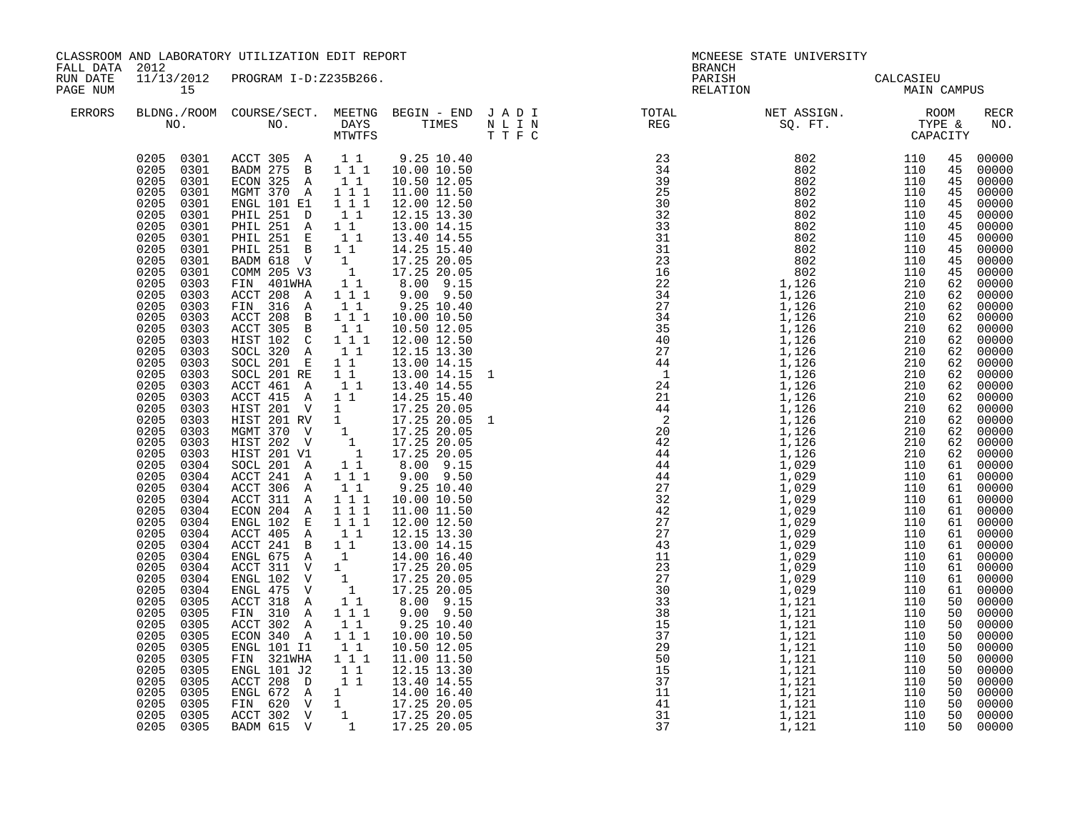| FALL DATA 2012       |                                                                                                                                                                                                                                                                                                                                                                                                                                                                                                                                                                                                                                                                                                                                                                                                     | CLASSROOM AND LABORATORY UTILIZATION EDIT REPORT                                                                                                                                                                                                                                                                                                                                                                                                                                                                                                                                                                                                                                                                                                                                                                                                                                                                                                                                                                                                                                                                                                                                                                                                                                                                                                                                     |                                          |                                                                                                                                                                                                                                                                                                                                                                                                                                                                                                        | <b>BRANCH</b>                                                                                                                                                                                                                                                                                                                                                                                                                                                  | MCNEESE STATE UNIVERSITY                 |  |                                                                                                                                                                                                                                                                                                                                                                                                                                                                                                                                                                                                                                                                                                                                                                                                                                                                                     |
|----------------------|-----------------------------------------------------------------------------------------------------------------------------------------------------------------------------------------------------------------------------------------------------------------------------------------------------------------------------------------------------------------------------------------------------------------------------------------------------------------------------------------------------------------------------------------------------------------------------------------------------------------------------------------------------------------------------------------------------------------------------------------------------------------------------------------------------|--------------------------------------------------------------------------------------------------------------------------------------------------------------------------------------------------------------------------------------------------------------------------------------------------------------------------------------------------------------------------------------------------------------------------------------------------------------------------------------------------------------------------------------------------------------------------------------------------------------------------------------------------------------------------------------------------------------------------------------------------------------------------------------------------------------------------------------------------------------------------------------------------------------------------------------------------------------------------------------------------------------------------------------------------------------------------------------------------------------------------------------------------------------------------------------------------------------------------------------------------------------------------------------------------------------------------------------------------------------------------------------|------------------------------------------|--------------------------------------------------------------------------------------------------------------------------------------------------------------------------------------------------------------------------------------------------------------------------------------------------------------------------------------------------------------------------------------------------------------------------------------------------------------------------------------------------------|----------------------------------------------------------------------------------------------------------------------------------------------------------------------------------------------------------------------------------------------------------------------------------------------------------------------------------------------------------------------------------------------------------------------------------------------------------------|------------------------------------------|--|-------------------------------------------------------------------------------------------------------------------------------------------------------------------------------------------------------------------------------------------------------------------------------------------------------------------------------------------------------------------------------------------------------------------------------------------------------------------------------------------------------------------------------------------------------------------------------------------------------------------------------------------------------------------------------------------------------------------------------------------------------------------------------------------------------------------------------------------------------------------------------------|
| RUN DATE<br>PAGE NUM | 15                                                                                                                                                                                                                                                                                                                                                                                                                                                                                                                                                                                                                                                                                                                                                                                                  | 11/13/2012 PROGRAM I-D:Z235B266.                                                                                                                                                                                                                                                                                                                                                                                                                                                                                                                                                                                                                                                                                                                                                                                                                                                                                                                                                                                                                                                                                                                                                                                                                                                                                                                                                     |                                          |                                                                                                                                                                                                                                                                                                                                                                                                                                                                                                        |                                                                                                                                                                                                                                                                                                                                                                                                                                                                | PARISH CALCASIEU<br>RELATION MAIN CAMPUS |  |                                                                                                                                                                                                                                                                                                                                                                                                                                                                                                                                                                                                                                                                                                                                                                                                                                                                                     |
| <b>ERRORS</b>        |                                                                                                                                                                                                                                                                                                                                                                                                                                                                                                                                                                                                                                                                                                                                                                                                     |                                                                                                                                                                                                                                                                                                                                                                                                                                                                                                                                                                                                                                                                                                                                                                                                                                                                                                                                                                                                                                                                                                                                                                                                                                                                                                                                                                                      |                                          |                                                                                                                                                                                                                                                                                                                                                                                                                                                                                                        | $\begin{tabular}{lllllllllllllllllllll} \textsc{BLDNG.} \textsc{(ROM COURSE/SECT.}\textsc{MEETNG} & \textsc{BEGIN} & - & \textsc{END} & J & A & D & I & & & \textsc{TOTAL} & & & \textsc{NET ASSIGN.} & & & \textsc{ROM} \\ \textsc{NO.} & \textsc{NO.} & \textsc{DAYS} & \textsc{TIMES} & \textsc{N} & L & I & N & & \textsc{REG} & & \textsc{SQ. FT.} & & \textsc{TPFE & & \textsc{CAPACITY}} \\ & & & & & & & \textsc{TWTFS} & & & \textsc{T} & \textsc{F}$ |                                          |  | RECR<br>NO.                                                                                                                                                                                                                                                                                                                                                                                                                                                                                                                                                                                                                                                                                                                                                                                                                                                                         |
|                      | 0205<br>0301<br>0205<br>0301<br>0205<br>0301<br>0205<br>0301<br>0205<br>0301<br>0205<br>0301<br>0205<br>0301<br>0205<br>0301<br>0205<br>0301<br>0205<br>0303<br>0205<br>0303<br>0205 0303<br>0205<br>0303<br>0205<br>0303<br>0205<br>0303<br>0205<br>0303<br>0205<br>0303<br>0205<br>0303<br>0205<br>0303<br>0205<br>0303<br>0205<br>0303<br>0205<br>0303<br>0205<br>0303<br>0205<br>0303<br>0205 0303<br>0205<br>0304<br>0205<br>0304<br>0205<br>0304<br>0205<br>0304<br>0205<br>0304<br>0205<br>0304<br>0205<br>0304<br>0205<br>0304<br>0205<br>0304<br>0205<br>0304<br>0205<br>0304<br>0205<br>0304<br>0205<br>0305<br>0205<br>0305<br>0205<br>0305<br>0205<br>0305<br>0205<br>0305<br>0205<br>0305<br>0205<br>0305<br>0205<br>0305<br>0205<br>0305<br>0205<br>0305<br>0205<br>0305<br>0205 0305 | $\begin{array}{cccccccc} 0.205 & 0.301 & \text{A}\text{CCT} & 305 & \text{A} & 1 & 9.25 & 10.40 \\ 0.205 & 0.301 & \text{B}\text{ADM} & 275 & \text{B} & 1 & 1 & 10.00 & 10.50 \end{array}$<br>ECON 325 A<br>MGMT 370 A 1 1 1<br>ENGL 101 E1 111<br>PHIL 251 D<br>PHIL 251 A 1 1<br>PHIL 251 E 11<br>PHIL 251 B 11<br>BADM 618 V 1 17.25 20.05<br>COMM 205 V3 1 17.25 20.05<br>FIN 401WHA 11 8.00 9.15<br>ACCT 208 A 1 1 1<br>FIN 316 A<br>ACCT 208 B 1 1 1<br>ACCT 305 B 1 1<br>HIST 102  C 111<br>SOCL 320 A 11<br>SOCL 201 E 11<br>SOCL 201 RE 1 1<br>ACCT 461 A<br>ACCT 415 A 1 1<br>ACCT 415 A 1 1 14.25 15.40<br>HIST 201 RV 1 17.25 20.05 1<br>MGMT 370 V 1 17.25 20.05 1<br>HIST 202 V 1 17.25 20.05<br>HIST 202 V 1 17.25 20.05<br>SOCL 201 A 11 8.00 9.15<br>ACCT 241 A 111 9.00 9.50<br>ACCT 241 A 111 9.00 9.50<br>$ACCT$ 306 A $1$ $1$<br>ACCT 311 A 1 1 1<br>ECON 204 A 111<br>ENGL 102 E 111<br>ACCT 405 A 11<br>ACCI 491 B 11 12.00 14.15<br>ENGL 675 A 1 14.00 16.40<br>ACCT 311 V 1 17.25 20.05<br>ENGL 102 V 1 17.25 20.05<br>ENGL 475 V 1 17.25 20.05<br>ENGL 475 V 1 17.25 20.05<br>ACCT 318 A<br>FIN 310 A 1 1 1<br>ACCT 302 A 1 1<br>ECON 340 A 1 1 1<br>ENGL 101 I1 1 1<br>FIN 321WHA 111<br>ENGL 101 J2 11<br>ACCT 208 D 1 1<br>ENGL 672 A 1<br>ENGL 672 A 1 14.00 16.40<br>FIN 620 V 1 17.25 20.05<br>ACCT 302 V 1 17.25 20.05<br>BADM 615 V 1 17.25 20.05 | 11<br>11<br>$1\quad1$<br>11<br>$1\quad1$ | 9.25 10.40<br>10.50 12.05<br>11.00 11.50<br>12.00 12.50<br>12.15 13.30<br>13.00 14.15<br>13.40 14.55<br>14.25 15.40<br>$9.00$ $9.50$<br>$9.25$ 10.40<br>10.00 10.50<br>10.50 12.05<br>$12.00 \ \overline{12.50}$<br>12.15 13.30<br>13.00 14.15<br>13.00 14.15 1<br>13.40 14.55<br>14.25 15.40<br>$9.25$ $10.40$<br>10.00 10.50<br>11.00 11.50<br>12.00 12.50<br>12.15 13.30<br>$8.00$ $9.15$<br>$9.00$ $9.50$<br>9.25 10.40<br>10.00 10.50<br>10.50 12.05<br>11.00 11.50<br>12.15 13.30<br>13.40 14.55 | $\begin{smallmatrix} 0.11 & 0.11 & 0.11 & 0.11 & 0.11 & 0.11 & 0.11 & 0.11 & 0.11 & 0.11 & 0.11 & 0.11 & 0.11 & 0.11 & 0.11 & 0.11 & 0.11 & 0.11 & 0.11 & 0.11 & 0.11 & 0.11 & 0.11 & 0.11 & 0.11 & 0.11 & 0.11 & 0.11 & 0.11 & 0.11 & 0.11 & 0.11 & 0.11 & 0.11 & 0.11 & 0.1$                                                                                                                                                                                 |                                          |  | 00000<br>00000<br>00000<br>00000<br>00000<br>00000<br>00000<br>45 00000<br>45 00000<br>00000<br>45 00000<br>62 00000<br>$62$ 00000<br>62 00000<br>62 00000<br>62 00000<br>62 00000<br>62 00000<br>62 00000<br>62 00000<br>62 00000<br>$62$ 00000<br>62 00000<br>62 00000<br>62 00000<br>$62$ 00000<br>$62$ 00000<br>62 00000<br>$\begin{bmatrix} 61 & 00000 & 61 & 00000 & 61 & 00000 & 61 & 00000 & 61 & 00000 & 61 & 00000 & 61 & 00000 & 61 & 00000 & 61 & 00000 & 61 & 00000 & 61 & 00000 & 61 & 00000 & 61 & 00000 & 61 & 00000 & 61 & 00000 & 61 & 00000 & 61 & 00000 & 61 & 00000 & 61 & 00000 & 61 & $<br>61 00000<br>61 00000<br>61 00000<br>61 00000<br>61 00000<br>61 00000<br>$61$ 00000<br>61 00000<br>00000<br>00000<br>$00000$<br>00000<br>00000<br>$\begin{bmatrix} 50 & 00000 \\ 50 & 00000 \\ 50 & 00000 \end{bmatrix}$<br>00000<br>00000<br>50 00000<br>50 00000 |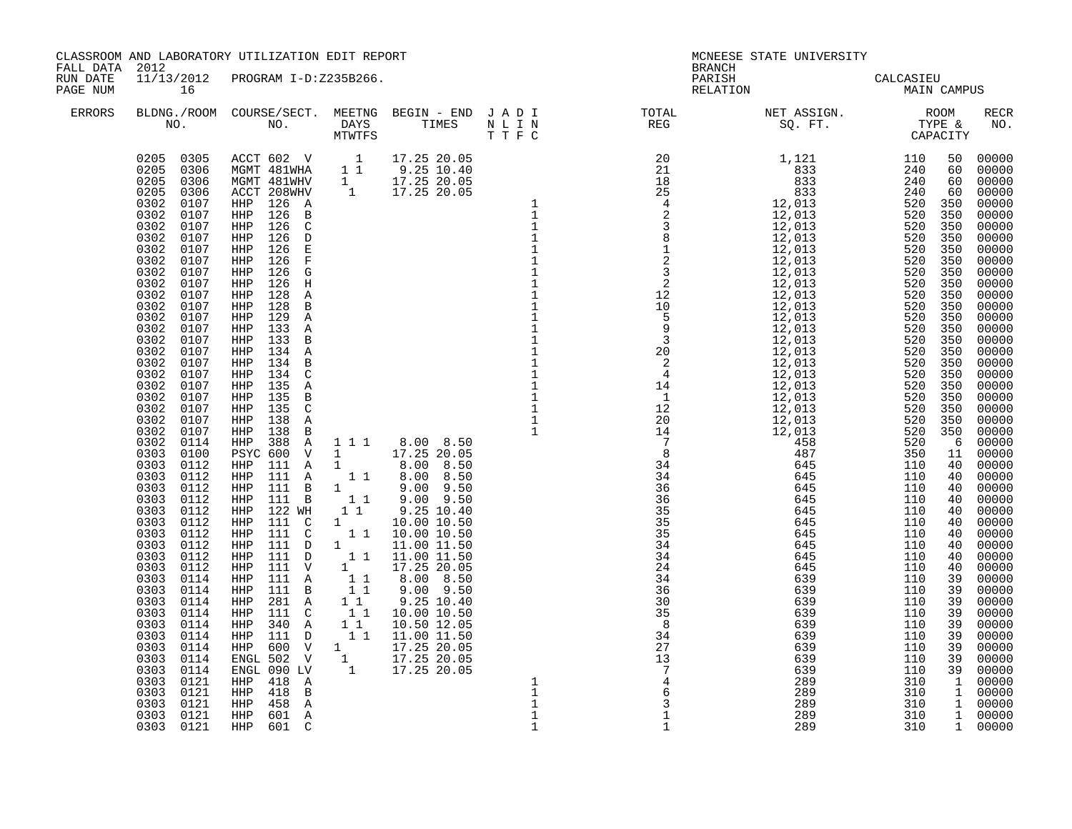| FALL DATA 2012       |                                           | CLASSROOM AND LABORATORY UTILIZATION EDIT REPORT |  |                                             | <b>BRANCH</b>                                                                                                                      | MCNEESE STATE UNIVERSITY                             |                       |                                                                                                                                                                                                                                                                                                                                                                                                                                                                                 |
|----------------------|-------------------------------------------|--------------------------------------------------|--|---------------------------------------------|------------------------------------------------------------------------------------------------------------------------------------|------------------------------------------------------|-----------------------|---------------------------------------------------------------------------------------------------------------------------------------------------------------------------------------------------------------------------------------------------------------------------------------------------------------------------------------------------------------------------------------------------------------------------------------------------------------------------------|
| RUN DATE<br>PAGE NUM | 16                                        | 11/13/2012 PROGRAM I-D:Z235B266.                 |  |                                             |                                                                                                                                    | PARISH<br>RELATION CALCASIEU<br>RELATION MAIN CAMPUS |                       |                                                                                                                                                                                                                                                                                                                                                                                                                                                                                 |
| ERRORS               |                                           |                                                  |  |                                             | BLDNG./ROOM COURSE/SECT. MEETNG BEGIN – END JADI TOTAL NET ASSIGN. NET ASSIGN. ROOM ROOM NO. DAYS TIMES NLIN REG REG SQ.FT. TYPE & |                                                      |                       | <b>RECR</b><br>NO.                                                                                                                                                                                                                                                                                                                                                                                                                                                              |
|                      | 0303<br>0121<br>0303<br>0121<br>0303 0121 | HHP<br>458<br>Α<br>HHP<br>601 A<br>HHP<br>601 C  |  | $\mathbf 1$<br>$\mathbf{1}$<br>$\mathbf{1}$ | $\overline{3}$<br>$\overline{1}$<br>$\mathbf{1}$                                                                                   | 289<br>289<br>289                                    | 310<br>$310$<br>$310$ | 00000<br>00000<br>00000<br>00000<br>00000<br>00000<br>00000<br>00000<br>00000<br>00000<br>00000<br>00000<br>00000<br>00000<br>00000<br>00000<br>00000<br>00000<br>00000<br>00000<br>00000<br>00000<br>00000<br>00000<br>00000<br>00000<br>00000<br>00000<br>00000<br>00000<br>00000<br>00000<br>00000<br>00000<br>00000<br>00000<br>00000<br>00000<br>00000<br>00000<br>00000<br>00000<br>00000<br>00000<br>00000<br>00000<br>00000<br>1 00000<br>1 00000<br>1 00000<br>1 00000 |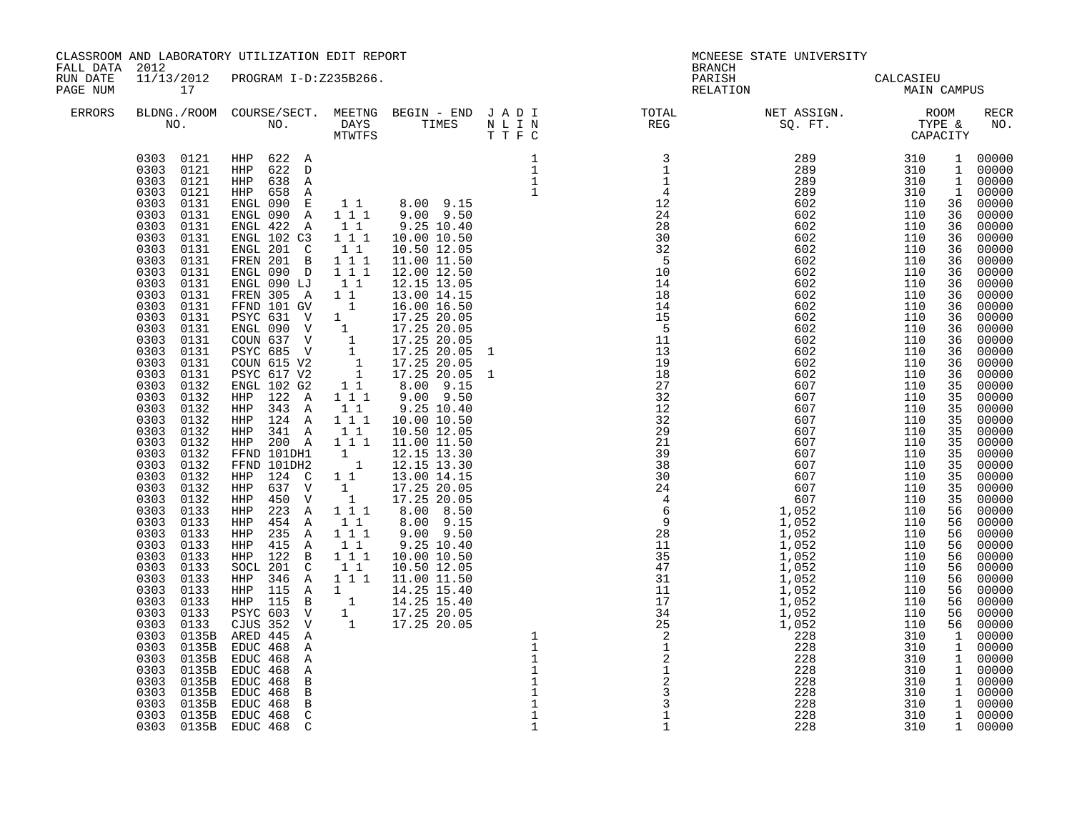| FALL DATA 2012       |                                                                                                                                                                                                                                                                                                                                                                                                                                                                                                                                                                                                                                                                                                                                                                                                          | CLASSROOM AND LABORATORY UTILIZATION EDIT REPORT                                                                                                                                                                                                                                                                                                                                                                                                                                                                                                                                                                                                                                                                                                                                                                                                                                                                                                        |                                                                                                                                                                                                                                                                                       |                                                                                                                                                                                                                                                                                                            |                             |                                                                                       | MCNEESE STATE UNIVERSITY                                                                                                                                                                                                                                                                                                                                                                                                                                                                                                                                                                                        |                                                                                                                                                                                                                                                                                                        |                                                                                                                                                                                  |                                                                                                                                                                                                                                                                                                                                                                                                                                                           |
|----------------------|----------------------------------------------------------------------------------------------------------------------------------------------------------------------------------------------------------------------------------------------------------------------------------------------------------------------------------------------------------------------------------------------------------------------------------------------------------------------------------------------------------------------------------------------------------------------------------------------------------------------------------------------------------------------------------------------------------------------------------------------------------------------------------------------------------|---------------------------------------------------------------------------------------------------------------------------------------------------------------------------------------------------------------------------------------------------------------------------------------------------------------------------------------------------------------------------------------------------------------------------------------------------------------------------------------------------------------------------------------------------------------------------------------------------------------------------------------------------------------------------------------------------------------------------------------------------------------------------------------------------------------------------------------------------------------------------------------------------------------------------------------------------------|---------------------------------------------------------------------------------------------------------------------------------------------------------------------------------------------------------------------------------------------------------------------------------------|------------------------------------------------------------------------------------------------------------------------------------------------------------------------------------------------------------------------------------------------------------------------------------------------------------|-----------------------------|---------------------------------------------------------------------------------------|-----------------------------------------------------------------------------------------------------------------------------------------------------------------------------------------------------------------------------------------------------------------------------------------------------------------------------------------------------------------------------------------------------------------------------------------------------------------------------------------------------------------------------------------------------------------------------------------------------------------|--------------------------------------------------------------------------------------------------------------------------------------------------------------------------------------------------------------------------------------------------------------------------------------------------------|----------------------------------------------------------------------------------------------------------------------------------------------------------------------------------|-----------------------------------------------------------------------------------------------------------------------------------------------------------------------------------------------------------------------------------------------------------------------------------------------------------------------------------------------------------------------------------------------------------------------------------------------------------|
| RUN DATE<br>PAGE NUM | 17                                                                                                                                                                                                                                                                                                                                                                                                                                                                                                                                                                                                                                                                                                                                                                                                       | 11/13/2012 PROGRAM I-D:Z235B266.                                                                                                                                                                                                                                                                                                                                                                                                                                                                                                                                                                                                                                                                                                                                                                                                                                                                                                                        |                                                                                                                                                                                                                                                                                       |                                                                                                                                                                                                                                                                                                            |                             | <b>BRANCH</b>                                                                         | PARISH CALCASIEU<br>RELATION MAIN CAMPUS                                                                                                                                                                                                                                                                                                                                                                                                                                                                                                                                                                        |                                                                                                                                                                                                                                                                                                        |                                                                                                                                                                                  |                                                                                                                                                                                                                                                                                                                                                                                                                                                           |
| <b>ERRORS</b>        |                                                                                                                                                                                                                                                                                                                                                                                                                                                                                                                                                                                                                                                                                                                                                                                                          |                                                                                                                                                                                                                                                                                                                                                                                                                                                                                                                                                                                                                                                                                                                                                                                                                                                                                                                                                         |                                                                                                                                                                                                                                                                                       |                                                                                                                                                                                                                                                                                                            |                             |                                                                                       |                                                                                                                                                                                                                                                                                                                                                                                                                                                                                                                                                                                                                 |                                                                                                                                                                                                                                                                                                        |                                                                                                                                                                                  | RECR<br>NO.                                                                                                                                                                                                                                                                                                                                                                                                                                               |
|                      | 0303 0121<br>0303 0121<br>0303 0121<br>0303<br>0131<br>0303<br>0131<br>0303<br>0131<br>0303<br>0131<br>0303<br>0131<br>0303<br>0131<br>0303<br>0131<br>0303<br>0131<br>0303<br>0131<br>0303<br>0131<br>0303<br>0131<br>0303<br>0131<br>0303<br>0131<br>0303<br>0131<br>0303<br>0131<br>0303<br>0131<br>0303<br>0132<br>0303<br>0132<br>0303<br>0132<br>0303<br>0132<br>0303<br>0132<br>0303<br>0132<br>0303<br>0132<br>0303<br>0132<br>0303<br>0132<br>0303<br>0132<br>0303<br>0132<br>0303<br>0133<br>0303 0133<br>0303<br>0133<br>0303<br>0133<br>0303<br>0133<br>0303<br>0133<br>0303<br>0133<br>0303<br>0133<br>0303<br>0133<br>0303<br>0133<br>0303<br>0133<br>0303<br>0135B<br>0303<br>0135B<br>0303<br>0135B<br>0303<br>0135B<br>0303<br>0135B<br>0303<br>0135B<br>0303<br>0135B<br>0303<br>0135B | 0303 0121 HHP 622 A<br>HHP 622 D<br>HHP 638 A<br>HHP 658 A<br>ENGL 090 E<br>ENGL 090 A<br>ENGL 422 A<br>ENGL 102 C3<br>ENGL 201 C<br>FREN 201 B<br>ENGL 090 D<br>ENGL 090 LJ<br>FREN 305 A<br>FFND 101 GV<br>PSYC 631 V<br>ENGL 090 V<br>COUN 637 V<br>1 17.25 20.05<br>PSYC 685 V<br>1 17.25 20.05<br>COUN 615 V2<br>1 17.25 20.05<br>PSYC 617 V2<br>1 17.25 20.05<br>ENGL 102 G2<br>$HHP$ 122 A<br>343 A<br>HHP<br>HHP 124 A 111<br>HHP 341 A<br>HHP 200 A<br>FFND 101DH1<br>FFND 101DH2<br>HHP 124 C<br>637 V<br>HHP<br>HHP<br>450 V<br>223 A<br>HHP<br>454 A<br>HHP<br>HHP 235 A<br>HHP<br>415 A<br>HHP 122 B<br>SOCL 201 C<br>HHP 346 A<br>115 A 1<br>HHP<br>HHP 115 B 1 14.25 15.40<br>PSYC 603 V 1 17.25 20.05<br>CJUS 352 V 1 17.25 20.05<br>ARED 445 A<br>EDUC 468 A<br>EDUC 468<br>Α<br>EDUC 468<br>Α<br>EDUC 468<br>$\, {\bf B}$<br>EDUC 468<br>$\, {\bf B}$<br>EDUC 468<br>$\, {\bf B}$<br>$\mathsf C$<br>EDUC 468<br>0303 0135B EDUC 468 C | $\begin{smallmatrix}1&1\\1&1&1\end{smallmatrix}$<br>$1\quad1$<br>$1\quad1$<br>$1^{\degree}1^{\degree}1$<br>$\begin{bmatrix} 1 \\ 1 \end{bmatrix}$<br>$1\quad1$<br>$\mathbf{1}$<br>$\overline{\phantom{a}}$ 1<br>$1 1 1$<br>$1\quad1$<br>1 1 1<br>$1\quad1$<br>111<br>$1\quad1$<br>111 | 17.25 20.05 1<br>8.00 9.15<br>9.00 9.50<br>9.25 10.40<br>10.00 10.50<br>10.50 12.05<br>11.00 11.50<br>12.15 13.30<br>12.15 13.30<br>13.00 14.15<br>17.25 20.05<br>17.25 20.05<br>$8.00$ $8.50$<br>$8.00$ $9.15$<br>$9.00$ $9.50$<br>9.25 10.40<br>10.00 10.50<br>10.50 12.05<br>11.00 11.50<br>14.25 15.40 | $\mathbf{1}$<br>$\mathbf 1$ | $\frac{1}{2}$<br>$\frac{1}{2}$<br>$\frac{2}{3}$<br>$\frac{3}{3}$<br>$\mathbf{1}$<br>1 | $\begin{array}{cccc} 289 & 310 & 1 & 00000 \ 289 & 310 & 1 & 00000 \ 289 & 310 & 1 & 00000 \ 289 & 310 & 1 & 00000 \ 602 & 110 & 36 & 00000 \ 602 & 110 & 36 & 00000 \ 602 & 110 & 36 & 00000 \ 602 & 110 & 36 & 00000 \ 602 & 110 & 36 & 00000 \ 602 & 110 & 36 & 00000 \ 602 & 1$<br>602<br>602<br>602<br>602<br>602<br>602<br>602<br>602<br>602<br>602<br>602<br>607<br>607<br>607<br>607<br>607<br>607<br>607<br>607<br>607<br>607<br>607<br>1,052<br>1,052<br>1,052<br>1,052<br>1,052<br>1,052<br>1,052<br>1,052<br>1,052<br>1,052<br>1,052<br>228<br>228<br>228<br>228<br>228<br>228<br>228<br>228<br>228 | 110<br>110<br>110<br>110<br>110<br>110<br>110<br>110<br>110<br>110<br>110<br>110<br>110<br>110<br>110<br>110<br>110<br>110<br>110<br>110<br>110<br>110<br>110<br>110<br>110<br>110<br>110<br>110<br>110<br>110<br>110<br>110<br>110<br>310<br>310<br>310<br>310<br>310<br>310<br>310<br>$310$<br>$310$ | 36<br>36<br>36<br>36<br>36<br>36<br>36<br>36<br>36<br>36<br>36<br>35<br>35<br>35<br>35<br>35<br>35<br>35<br>35<br>35<br>35<br>35<br>56<br>56<br>56<br>56<br>56<br>56<br>56<br>56 | 00000<br>00000<br>00000<br>00000<br>00000<br>00000<br>00000<br>00000<br>00000<br>00000<br>00000<br>00000<br>00000<br>00000<br>00000<br>00000<br>00000<br>00000<br>00000<br>00000<br>00000<br>$00000$<br>$00000$<br>00000<br>00000<br>00000<br>56 00000<br>00000<br>00000<br>00000<br>00000<br>56 00000<br>56 00000<br>1 00000<br>1 00000<br>1 00000<br>1 00000<br>$\begin{array}{cc} 1 & 00000 \\ 1 & 00000 \end{array}$<br>1 00000<br>1 00000<br>1 00000 |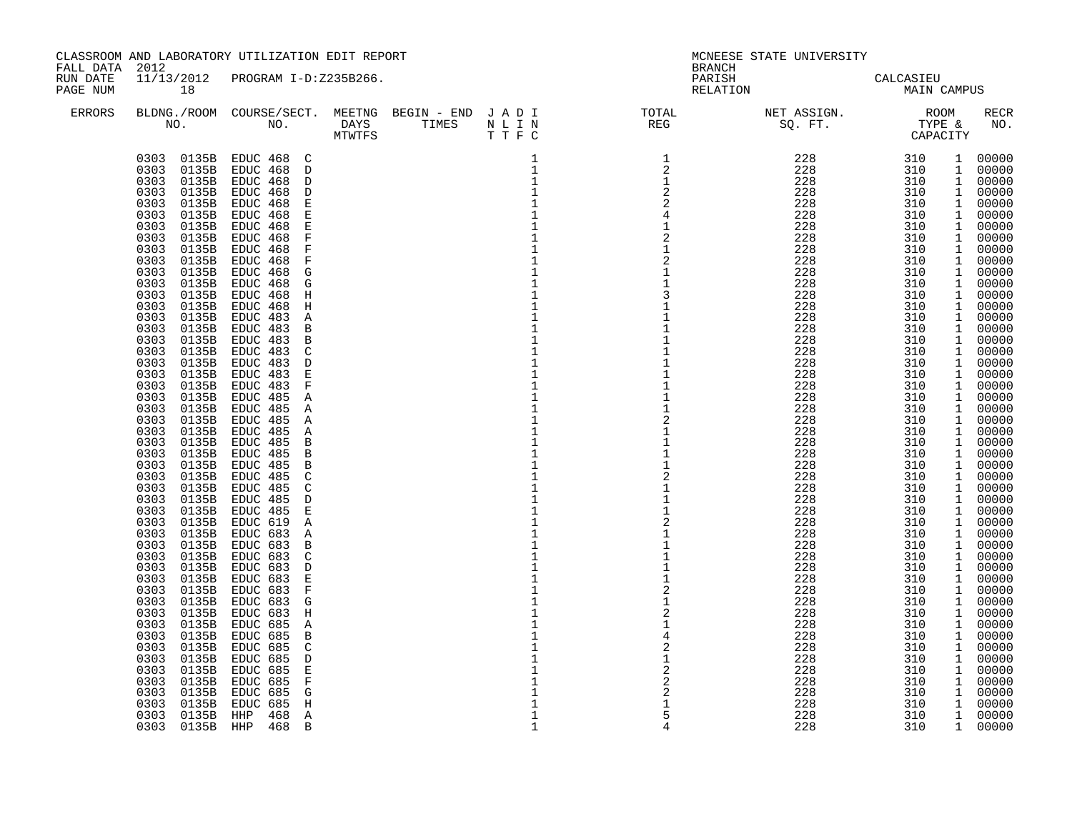| FALL DATA 2012       |                                                                                                                                                                                                                                                                                                                                                                                                                                                                                                                                                                                                                                                                                                                                                                                                                                              | CLASSROOM AND LABORATORY UTILIZATION EDIT REPORT                                                                                                                                                                                                                                                                                                                                                                                                                                                                                                                                                                                                                                                                                                                                                                                                                                                                                                                                                                                                                                                                         |  |                                                                                                                                                                                                                                                                                                                                                                                                                                                                                                                                                                                                                                                            | BRANCH                                                                                                                                                                                                                                                                                                                                                                                                                                          | MCNEESE STATE UNIVERSITY                                                                                                                                                                                                                                                                                                                                                                                                       |                                                                                                                                                                                                                                                                                                                  |                                                                                                                                                                                                                                                                                                                                                                                                                                                                                                                                                         |
|----------------------|----------------------------------------------------------------------------------------------------------------------------------------------------------------------------------------------------------------------------------------------------------------------------------------------------------------------------------------------------------------------------------------------------------------------------------------------------------------------------------------------------------------------------------------------------------------------------------------------------------------------------------------------------------------------------------------------------------------------------------------------------------------------------------------------------------------------------------------------|--------------------------------------------------------------------------------------------------------------------------------------------------------------------------------------------------------------------------------------------------------------------------------------------------------------------------------------------------------------------------------------------------------------------------------------------------------------------------------------------------------------------------------------------------------------------------------------------------------------------------------------------------------------------------------------------------------------------------------------------------------------------------------------------------------------------------------------------------------------------------------------------------------------------------------------------------------------------------------------------------------------------------------------------------------------------------------------------------------------------------|--|------------------------------------------------------------------------------------------------------------------------------------------------------------------------------------------------------------------------------------------------------------------------------------------------------------------------------------------------------------------------------------------------------------------------------------------------------------------------------------------------------------------------------------------------------------------------------------------------------------------------------------------------------------|-------------------------------------------------------------------------------------------------------------------------------------------------------------------------------------------------------------------------------------------------------------------------------------------------------------------------------------------------------------------------------------------------------------------------------------------------|--------------------------------------------------------------------------------------------------------------------------------------------------------------------------------------------------------------------------------------------------------------------------------------------------------------------------------------------------------------------------------------------------------------------------------|------------------------------------------------------------------------------------------------------------------------------------------------------------------------------------------------------------------------------------------------------------------------------------------------------------------|---------------------------------------------------------------------------------------------------------------------------------------------------------------------------------------------------------------------------------------------------------------------------------------------------------------------------------------------------------------------------------------------------------------------------------------------------------------------------------------------------------------------------------------------------------|
| RUN DATE<br>PAGE NUM | 18                                                                                                                                                                                                                                                                                                                                                                                                                                                                                                                                                                                                                                                                                                                                                                                                                                           | 11/13/2012 PROGRAM I-D:Z235B266.                                                                                                                                                                                                                                                                                                                                                                                                                                                                                                                                                                                                                                                                                                                                                                                                                                                                                                                                                                                                                                                                                         |  |                                                                                                                                                                                                                                                                                                                                                                                                                                                                                                                                                                                                                                                            | PARISH<br>RELATION                                                                                                                                                                                                                                                                                                                                                                                                                              | CALCASIEU<br>MAIN CAMPUS                                                                                                                                                                                                                                                                                                                                                                                                       |                                                                                                                                                                                                                                                                                                                  |                                                                                                                                                                                                                                                                                                                                                                                                                                                                                                                                                         |
| ERRORS               |                                                                                                                                                                                                                                                                                                                                                                                                                                                                                                                                                                                                                                                                                                                                                                                                                                              |                                                                                                                                                                                                                                                                                                                                                                                                                                                                                                                                                                                                                                                                                                                                                                                                                                                                                                                                                                                                                                                                                                                          |  |                                                                                                                                                                                                                                                                                                                                                                                                                                                                                                                                                                                                                                                            | $\begin{tabular}{lllllllllllllllllllll} \textsc{BLONG.} \textsc{F100M.} & \textsc{COURSE/SECT.} & \textsc{MEETNG.} & \textsc{BEGIN - END.} & \textsc{J A D I} & \textsc{DTQTAL} & \textsc{NET ASSIGN.} & \textsc{ROOM} \\ \textsc{NO.} & \textsc{NO.} & \textsc{DAYS} & \textsc{TIMES} & \textsc{N L I N} & \textsc{REG} & \textsc{SEG} & \textsc{ST.} & \textsc{STPE & \& \\ \textsc{MO.} & \textsc{NO.} & \textsc{MTWTFS} & \textsc{T T F C}$ |                                                                                                                                                                                                                                                                                                                                                                                                                                |                                                                                                                                                                                                                                                                                                                  | RECR<br>NO.                                                                                                                                                                                                                                                                                                                                                                                                                                                                                                                                             |
|                      | 0135B<br>0303<br>0303<br>0135B<br>0303<br>0135B<br>0303<br>0135B<br>0303<br>0135B<br>0303<br>0135B<br>0303<br>0135B<br>0303<br>0135B<br>0303<br>0135B<br>0303<br>0135B<br>0303<br>0135B<br>0303<br>0135B<br>0303<br>0135B<br>0303<br>0135B<br>0303<br>0135B<br>0303<br>0135B<br>0303<br>0135B<br>0303<br>0135B<br>0303<br>0135B<br>0303<br>0135B<br>0303<br>0135B<br>0303<br>0135B<br>0303<br>0135B<br>0303<br>0135B<br>0303<br>0135B<br>0303<br>0135B<br>0303<br>0135B<br>0303<br>0135B<br>0303<br>0135B<br>0303<br>0135B<br>0303<br>0135B<br>0303<br>0135B<br>0303<br>0135B<br>0303<br>0135B<br>0303<br>0135B<br>0303<br>0135B<br>0303<br>0135B<br>0303<br>0135B<br>0303<br>0135B<br>0303<br>0135B<br>0303<br>0135B<br>0135B<br>0303<br>0303<br>0135B<br>0303<br>0135B<br>0303<br>0135B<br>0303<br>0135B<br>0303<br>0135B<br>0303<br>0135B | 0303 0135B EDUC 468 C<br>EDUC 468 D<br>EDUC 468 D<br>EDUC 468<br>D<br>EDUC 468<br>$\mathbf E$<br>EDUC 468<br>$\mathbf E$<br>EDUC 468<br>$\mathbf E$<br>$\mathbf F$<br>EDUC 468<br>$\mathbf F$<br>EDUC 468<br>EDUC 468<br>$\mathbf F$<br>EDUC 468<br>G<br>EDUC 468<br>G<br>EDUC 468<br>H<br>EDUC 468<br>H<br>EDUC 483<br>Α<br>EDUC 483<br>B<br>EDUC 483<br>$\mathbf B$<br>$\mathsf{C}$<br>EDUC 483<br>EDUC 483<br>$\mathbb D$<br>EDUC 483<br>$\mathbf E$<br>EDUC 483<br>$\rm F$<br>EDUC 485<br>Α<br>EDUC 485<br>Α<br>EDUC 485<br>Α<br>EDUC 485<br>Α<br>EDUC 485<br>$\mathbf B$<br>EDUC 485<br>$\mathbf B$<br>EDUC 485<br>$\mathbf B$<br>EDUC 485<br>C<br>EDUC 485<br>$\mathsf{C}$<br>EDUC 485<br>$\mathbb D$<br>EDUC 485<br>$\mathbf E$<br>EDUC 619<br>Α<br>EDUC 683<br>Α<br>EDUC 683<br>$\mathbf B$<br>EDUC 683<br>C<br>EDUC 683<br>D<br>$\mathbf E$<br>EDUC 683<br>EDUC 683<br>$\mathbf F$<br>EDUC 683<br>G<br>EDUC 683<br>H<br>EDUC 685<br>Α<br>EDUC 685<br>$\mathbf B$<br>EDUC 685<br>C<br>EDUC 685<br>$\mathbb D$<br>EDUC 685<br>$\mathbf E$<br>EDUC 685<br>$\mathbf F$<br>EDUC 685<br>G<br>EDUC 685<br>$\, {\rm H}$ |  | 1<br>$\mathbf{1}$<br>$\mathbf{1}$<br>$\mathbf{1}$<br>$\mathbf 1$<br>$\mathbf 1$<br>$\mathbf 1$<br>$\mathbf 1$<br>$\mathbf{1}$<br>$\mathbf{1}$<br>$\mathbf{1}$<br>$\mathbf{1}$<br>$\mathbf{1}$<br>$\mathbf{1}$<br>$\mathbf{1}$<br>$\mathbf 1$<br>$\mathbf{1}$<br>$\mathbf{1}$<br>$\mathbf 1$<br>$1\,$<br>$\mathbf{1}$<br>$\mathbf{1}$<br>$\mathbf 1$<br>$\mathbf{1}$<br>$1\,$<br>$\mathbf{1}$<br>$\mathbf 1$<br>$\mathbf 1$<br>$\mathbf{1}$<br>$\mathbf{1}$<br>$1\,$<br>$\mathbf{1}$<br>$\mathbf{1}$<br>$\mathbf{1}$<br>$\mathbf{1}$<br>$\mathbf{1}$<br>$1\,$<br>$\mathbf{1}$<br>$1\,$<br>$\mathbf{1}$<br>$\mathbf{1}$<br>$\mathbf{1}$<br>$\mathbf{1}$<br>1 | $\overline{1}$<br>$\overline{2}$<br>1<br>$\sqrt{2}$<br>$\sqrt{2}$<br>$\overline{2}$<br>1<br>$\begin{array}{c} 2 \\ 1 \\ 1 \end{array}$<br>3<br>$\mathbf{1}$<br>$\mathbf{1}$<br>$\begin{array}{c}\n2 \\ 1 \\ 1\n\end{array}$<br>$\overline{a}$<br>$\mathbf{1}$<br>$\mathbf{1}$<br>$\overline{\mathbf{c}}$<br>$\mathbf{1}$<br>$\begin{array}{c}\n1 \\ 2 \\ 2 \\ 2\n\end{array}$                                                                   | $\begin{array}{cc} 228 & 310 \\ 228 & 310 \\ 228 & 310 \\ 228 & 310 \\ 228 & 310 \\ 228 & 310 \end{array}$<br>228<br>228<br>228<br>228<br>228<br>228<br>228<br>228<br>228<br>228<br>228<br>228<br>228<br>228<br>228<br>228<br>228<br>228<br>228<br>228<br>228<br>228<br>228<br>228<br>228<br>228<br>228<br>228<br>228<br>228<br>228<br>228<br>228<br>228<br>228<br>228<br>228<br>228<br>228<br>228<br>228<br>228<br>228<br>228 | 310<br>310<br>310<br>310<br>310<br>310<br>310<br>310<br>310<br>310<br>310<br>310<br>310<br>310<br>310<br>310<br>310<br>310<br>310<br>310<br>310<br>310<br>310<br>310<br>310<br>310<br>310<br>310<br>310<br>310<br>310<br>310<br>310<br>310<br>310<br>310<br>310<br>310<br>310<br>310<br>310<br>310<br>310<br>310 | 1 00000<br>1 00000<br>1 00000<br>1 00000<br>1 00000<br>1 00000<br>1 00000<br>1 00000<br>1 00000<br>1 00000<br>1 00000<br>1 00000<br>1 00000<br>1 00000<br>1 00000<br>1 00000<br>1 00000<br>1 00000<br>1 00000<br>1 00000<br>1 00000<br>1 00000<br>1 00000<br>1 00000<br>1 00000<br>1 00000<br>1 00000<br>1 00000<br>1 00000<br>1 00000<br>1 00000<br>1 00000<br>1 00000<br>1 00000<br>1 00000<br>1 00000<br>1 00000<br>1 00000<br>1 00000<br>1 00000<br>1 00000<br>1 00000<br>1 00000<br>1 00000<br>1 00000<br>1 00000<br>1 00000<br>1 00000<br>1 00000 |
|                      | 0303<br>0135B<br>0303 0135B                                                                                                                                                                                                                                                                                                                                                                                                                                                                                                                                                                                                                                                                                                                                                                                                                  | HHP<br>Α<br>468<br>HHP 468 B                                                                                                                                                                                                                                                                                                                                                                                                                                                                                                                                                                                                                                                                                                                                                                                                                                                                                                                                                                                                                                                                                             |  | $\mathbf 1$<br>$\mathbf{1}$                                                                                                                                                                                                                                                                                                                                                                                                                                                                                                                                                                                                                                | 5<br>4                                                                                                                                                                                                                                                                                                                                                                                                                                          | 228<br>228                                                                                                                                                                                                                                                                                                                                                                                                                     | 310<br>310                                                                                                                                                                                                                                                                                                       | 1 00000<br>1 00000                                                                                                                                                                                                                                                                                                                                                                                                                                                                                                                                      |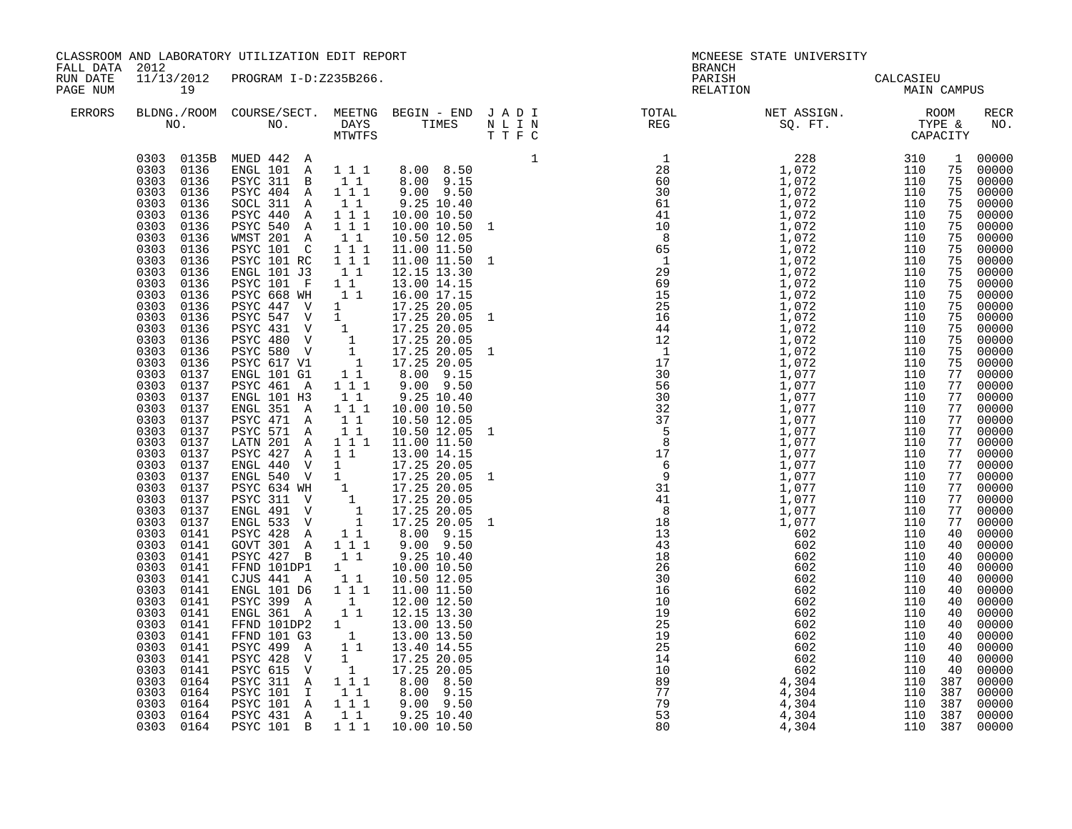| CLASSROOM AND LABORATORY UTILIZATION EDIT REPORT<br>FALL DATA 2012<br>11/13/2012<br>PROGRAM I-D:Z235B266.<br>RUN DATE |                                                                                                                                                                                                                                                                                                                                                                                                                                                                                                                                                                                                                                                                                                                                          |                       |  | <b>BRANCH</b> | MCNEESE STATE UNIVERSITY                                                                                                                                                                                                                                                                                                                                                                                                                                                                                                                 |                     |             |  |
|-----------------------------------------------------------------------------------------------------------------------|------------------------------------------------------------------------------------------------------------------------------------------------------------------------------------------------------------------------------------------------------------------------------------------------------------------------------------------------------------------------------------------------------------------------------------------------------------------------------------------------------------------------------------------------------------------------------------------------------------------------------------------------------------------------------------------------------------------------------------------|-----------------------|--|---------------|------------------------------------------------------------------------------------------------------------------------------------------------------------------------------------------------------------------------------------------------------------------------------------------------------------------------------------------------------------------------------------------------------------------------------------------------------------------------------------------------------------------------------------------|---------------------|-------------|--|
| PAGE NUM                                                                                                              | 19                                                                                                                                                                                                                                                                                                                                                                                                                                                                                                                                                                                                                                                                                                                                       |                       |  |               | PARISH<br>RELATION                                                                                                                                                                                                                                                                                                                                                                                                                                                                                                                       | CALCASIEU<br>MAIN C | MAIN CAMPUS |  |
| <b>ERRORS</b>                                                                                                         |                                                                                                                                                                                                                                                                                                                                                                                                                                                                                                                                                                                                                                                                                                                                          |                       |  |               | $\begin{tabular}{lllllllllllllllllllll} \textsc{BLONG.} \textsc{F100M.} & \textsc{COURSE/SECT.} & \textsc{METING.} & \textsc{BEGIN - END.} & \textsc{J A D I} & \textsc{DTATM E} & \textsc{NEG} & \textsc{NET ASIGN.} & \textsc{ROOM} \\ \textsc{NO.} & \textsc{NO.} & \textsc{DAYS} & \textsc{TIMES} & \textsc{N L I N} & \textsc{REG} & \textsc{SQ. FT.} & \textsc{CTP} & \textsc{CAPACITY} \\ \textsc{MTVTFS} & \textsc{T T F C} &$                                                                                                   |                     |             |  |
|                                                                                                                       | 0303 0136<br>0303 0136<br>0303 0136<br>0303 0136<br>0303 0136<br>0303 0136<br>0303 0136<br>0303 0136<br>0303 0136<br>0303<br>0136<br>0303<br>0136<br>0303<br>0136<br>0303<br>0136<br>0303<br>0136<br>0303<br>0136<br>0303<br>0136<br>0303 0136<br>0303 0136<br>0303 0137<br>0303 0137<br>0303 0137<br>0303 0137<br>0303 0137<br>0303<br>0137<br>0303 0137<br>0303 0137<br>0303<br>0137<br>0303<br>0137<br>0303<br>0137<br>0303 0137<br>0303 0137<br>0303 0137<br>0303<br>0141<br>0303 0141<br>0303 0141<br>0303 0141<br>0303<br>0141<br>0303<br>0141<br>0303<br>0141<br>0303<br>0141<br>0303<br>0141<br>0303<br>0141<br>0303<br>0141<br>0303<br>0141<br>0303<br>0141<br>0303<br>0164<br>0303 0164<br>0303 0164<br>0303 0164<br>0303 0164 | 0303 0135B MUED 442 A |  |               | $\begin{small} \textbf{0.93}\begin{smallmatrix} \textbf{0.94}\begin{smallmatrix} \textbf{0.95}\begin{smallmatrix} \textbf{0.95}\begin{smallmatrix} \textbf{0.95}\begin{smallmatrix} \textbf{0.95}\begin{smallmatrix} \textbf{0.95}\begin{smallmatrix} \textbf{0.95}\begin{smallmatrix} \textbf{0.95}\begin{smallmatrix} \textbf{0.95}\begin{smallmatrix} \textbf{0.95}\begin{smallmatrix} \textbf{0.95}\begin{smallmatrix} \textbf{0.95}\begin{smallmatrix} \textbf{0.95}\begin{smallmatrix} \textbf{0.95}\begin{smallmatrix} \textbf{0$ |                     |             |  |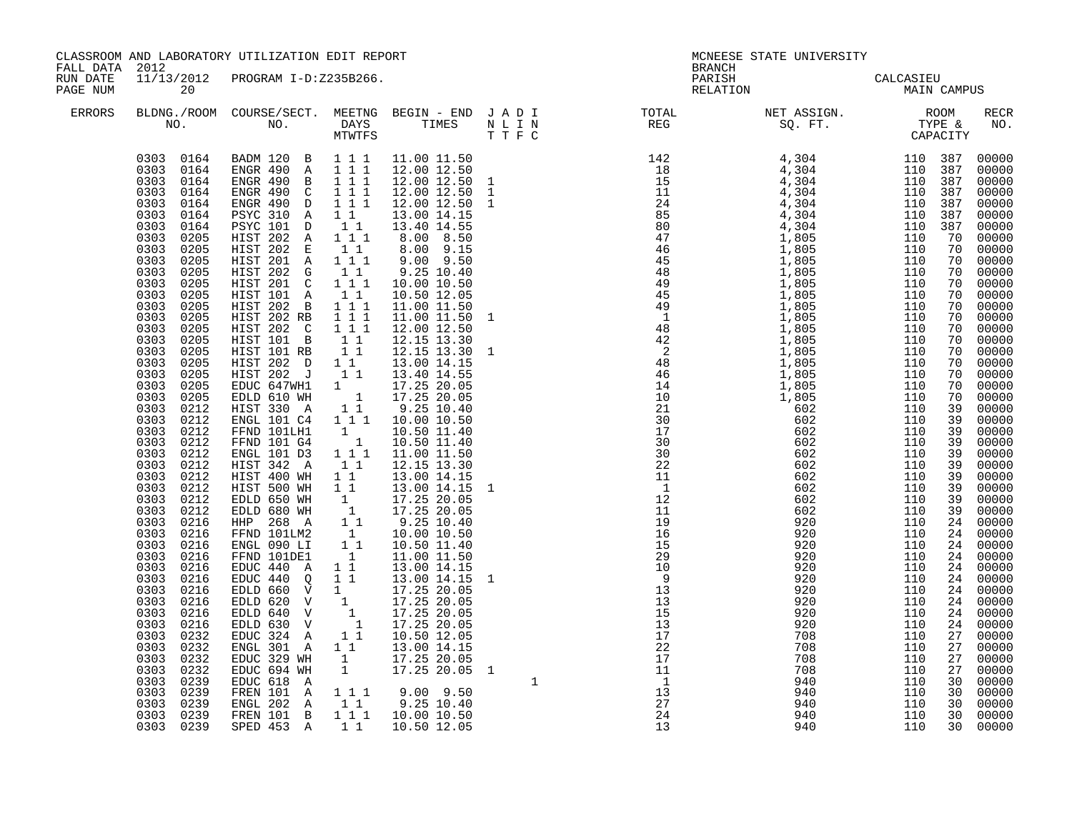| FALL DATA 2012       |                                                                                                                                                                                                                                                                                                                                                                                                                                                                                                                                                                                                                                                                                                                                                                                                            | CLASSROOM AND LABORATORY UTILIZATION EDIT REPORT                                                                                                                                                                                                                                                                                                                                                                                                                                                                                                                                                                                                                                                                                                                                                                                                                                                                                                         |                                                                  |                              | <b>BRANCH</b> | MCNEESE STATE UNIVERSITY                                                                                                                                                                                                                                                                                                                                                                                                                       |  |                                                                                                                                                                                                                                                                                                                                                                                                                                                                                                                                                                                                                                                                     |
|----------------------|------------------------------------------------------------------------------------------------------------------------------------------------------------------------------------------------------------------------------------------------------------------------------------------------------------------------------------------------------------------------------------------------------------------------------------------------------------------------------------------------------------------------------------------------------------------------------------------------------------------------------------------------------------------------------------------------------------------------------------------------------------------------------------------------------------|----------------------------------------------------------------------------------------------------------------------------------------------------------------------------------------------------------------------------------------------------------------------------------------------------------------------------------------------------------------------------------------------------------------------------------------------------------------------------------------------------------------------------------------------------------------------------------------------------------------------------------------------------------------------------------------------------------------------------------------------------------------------------------------------------------------------------------------------------------------------------------------------------------------------------------------------------------|------------------------------------------------------------------|------------------------------|---------------|------------------------------------------------------------------------------------------------------------------------------------------------------------------------------------------------------------------------------------------------------------------------------------------------------------------------------------------------------------------------------------------------------------------------------------------------|--|---------------------------------------------------------------------------------------------------------------------------------------------------------------------------------------------------------------------------------------------------------------------------------------------------------------------------------------------------------------------------------------------------------------------------------------------------------------------------------------------------------------------------------------------------------------------------------------------------------------------------------------------------------------------|
| RUN DATE<br>PAGE NUM | 11/13/2012<br>20                                                                                                                                                                                                                                                                                                                                                                                                                                                                                                                                                                                                                                                                                                                                                                                           | PROGRAM I-D:Z235B266.                                                                                                                                                                                                                                                                                                                                                                                                                                                                                                                                                                                                                                                                                                                                                                                                                                                                                                                                    |                                                                  |                              | PARISH        | CALCASIEU<br>MAIN CAMPUS<br>RELATION                                                                                                                                                                                                                                                                                                                                                                                                           |  |                                                                                                                                                                                                                                                                                                                                                                                                                                                                                                                                                                                                                                                                     |
| <b>ERRORS</b>        |                                                                                                                                                                                                                                                                                                                                                                                                                                                                                                                                                                                                                                                                                                                                                                                                            |                                                                                                                                                                                                                                                                                                                                                                                                                                                                                                                                                                                                                                                                                                                                                                                                                                                                                                                                                          |                                                                  |                              |               | $\begin{tabular}{lllllllllllllllllllll} \textsc{BLONG.} \textsc{F100M.} & \textsc{COURSE/SECT.} & \textsc{METNG.} & \textsc{BEGIN - END} & \textsc{J A D I} & \textsc{DTAT} & \textsc{NTGTL} & \textsc{NET ASSIGN.} & \textsc{ROOM} \\ \textsc{NO.} & \textsc{NO.} & \textsc{DAYS} & \textsc{TIMES} & \textsc{N L I N} & \textsc{REG} & \textsc{SEG.} & \textsc{ST.} & \textsc{CTPE & \& \\ \textsc{MO.} & \textsc{NO.} & \textsc{MTWTFS} & \$ |  | RECR<br>NO.                                                                                                                                                                                                                                                                                                                                                                                                                                                                                                                                                                                                                                                         |
|                      | 0303 0164<br>0303 0164<br>0303<br>0164<br>0303<br>0164<br>0303<br>0164<br>0303<br>0164<br>0303<br>0205<br>0303<br>0205<br>0303<br>0205<br>0303<br>0205<br>0303<br>0205<br>0303<br>0205<br>0303<br>0205<br>0303<br>0205<br>0303<br>0205<br>0303<br>0205<br>0303<br>0205<br>0303<br>0205<br>0303<br>0205<br>0303<br>0205<br>0303<br>0205<br>0303 0212<br>0303 0212<br>0303<br>0212<br>0303<br>0212<br>0212<br>0303<br>0303<br>0212<br>0303<br>0212<br>0303<br>0212<br>0303<br>0212<br>0303<br>0212<br>0303<br>0216<br>0303<br>0216<br>0303<br>0216<br>0303<br>0216<br>0303<br>0216<br>0303<br>0216<br>0303<br>0216<br>0303<br>0216<br>0303<br>0216<br>0303<br>0216<br>0303<br>0232<br>0303<br>0232<br>0303<br>0232<br>0303<br>0232<br>0303<br>0239<br>0303<br>0239<br>0303<br>0239<br>0303 0239<br>0303 0239 | 0303 0164 BADM 120 B 1 1 1<br>ENGR 490 A 111<br>ENGR 490 B 111<br>ENGR 490 C 1 1 1<br>PSYC 310 A 1 1<br>PSYC 101 D 1 1<br>HIST 202 A 111<br>HIST 202 E 1 1<br>HIST 201 A 111<br>HIST 202 G 11<br>HIST 201 C 111<br>HIST 101 A 11<br>HIST 202 B 111<br>HIST 202 RB 1 1 1<br>HIST 202 C 1 1 1<br>HIST 101 B 1 1<br>HIST 101 RB 1 1<br>HIST 202 D 1 1<br>HIST 202 J 11<br>EDUC 647WH1 1<br>EDLD 610 WH 1<br>HIST 330 A 11<br>ENGL 101 C4 1 1 1 10.00 10.50<br>FFND 101LH1 1<br>FFND 101 G4 1<br>ENGL 101 D3 1 1 1<br>HIST 342 A<br>HIST 400 WH<br>HIST 500 WH<br>EDLD 650 WH<br>EDLD 680 WH<br>HHP 268 A<br>FFND 101LM2<br>ENGL 090 LI<br>FFND 101DE1<br>FFND<br>EDUC 440<br>EDUC 440<br>EDLD 660 V<br>EDLD 620 V<br>TOLD 640 V<br>TOLD 640 V<br>TOLD 640 V<br>1<br>1<br>EDUC 324 A<br>ENGL 301 A<br>EDUC 329 WH<br>EDUC 694 WH<br>EDUC 618 A<br>FREN 101 A 1 1 1<br>ENGL 202 A 11 9.25 10.40<br>FREN 101 B 1 1 1 10.00 10.50<br>SPED 453 A 1 1 10.50 12.05 | $1\quad1$<br>11<br>$1\quad1$<br>11<br>$1\quad1$<br>$\frac{1}{1}$ | 13.00 14.15 1<br>17.25 20.05 |               | $\begin{smallmatrix} \mathbf{1} & \mathbf{1} & \mathbf{1} & \mathbf{1} & \mathbf{1} & \mathbf{1} & \mathbf{1} & \mathbf{1} & \mathbf{1} & \mathbf{1} & \mathbf{1} & \mathbf{1} & \mathbf{1} & \mathbf{1} & \mathbf{1} & \mathbf{1} & \mathbf{1} & \mathbf{1} & \mathbf{1} & \mathbf{1} & \mathbf{1} & \mathbf{1} & \mathbf{1} & \mathbf{1} & \mathbf{1} & \mathbf{1} & \mathbf{1} & \mathbf{1} & \mathbf{1} & \mathbf{1} & \mathbf{$           |  | 00000<br>00000<br>00000<br>00000<br>00000<br>00000<br>00000<br>$00000$<br>$00000$<br>00000<br>$00000$<br>$00000$<br>$\frac{70}{70}$ 00000<br>70 00000<br>00000<br>70 00000<br>00000<br>00000<br>00000<br>$\begin{array}{r} 70 & 00000 \\ 70 & 00000 \\ 70 & 00000 \\ \end{array}$<br>00000<br>00000<br>$00000$<br>$00000$<br>$00000$<br>00000<br>00000<br>$00000$<br>00000<br>00000<br>24 00000<br>24 00000<br>24 00000<br>00000<br>24 00000<br>$\begin{bmatrix} 24 & 00000 \\ 24 & 00000 \end{bmatrix}$<br>00000<br>24 00000<br>24 00000<br>$\frac{21}{27}$ 00000<br>27 00000<br>00000<br>00000<br>$\frac{27}{30}$ 00000<br>30 00000<br>00000<br>00000<br>30 00000 |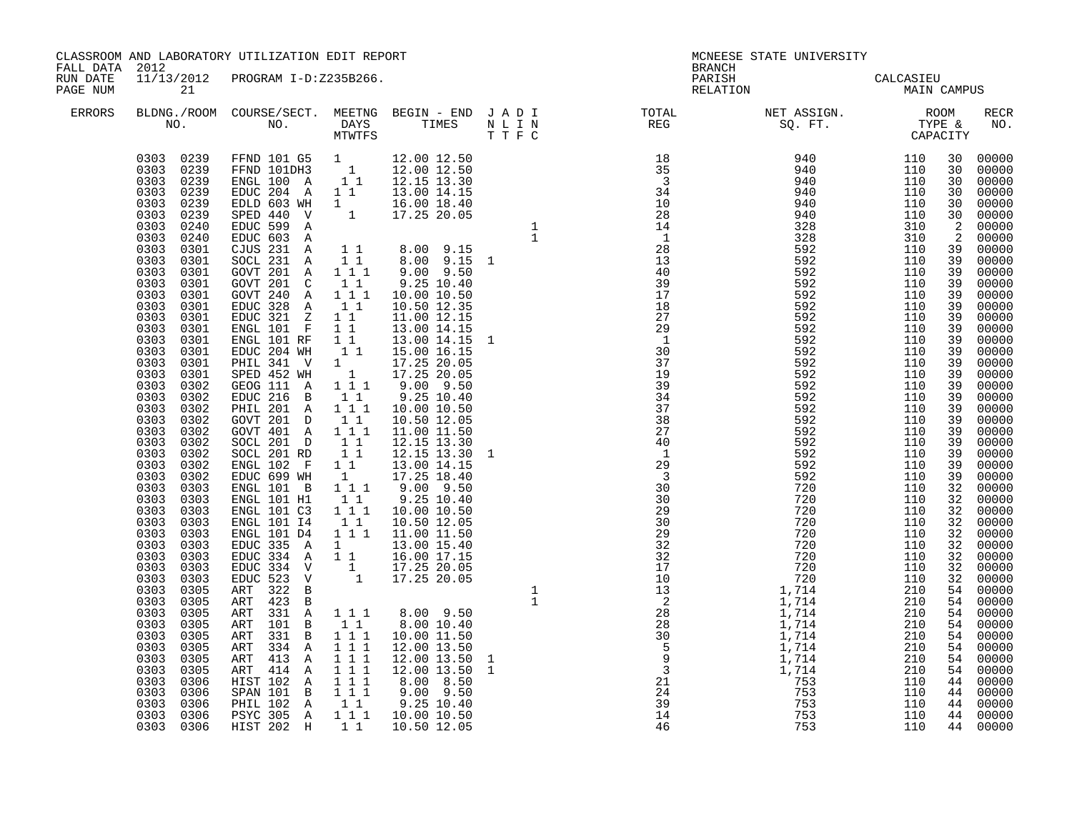|                                        |                                                                                                                                                                                                                                                                                                                                                                                                                                                                                                                                                                                                                                                                                                                                                                                                                  | CLASSROOM AND LABORATORY UTILIZATION EDIT REPORT                                                                                                                                                                                                                                                                                                                                                                                                                                                                                                                                                                                                                                                   |                |                                                                                                                                         |                                                                                                                                                                                                                                                                                                                                                                                                                                                | MCNEESE STATE UNIVERSITY                                                                                                                                                                                                                                                                            |                                                          |                                                                                                                                                         |
|----------------------------------------|------------------------------------------------------------------------------------------------------------------------------------------------------------------------------------------------------------------------------------------------------------------------------------------------------------------------------------------------------------------------------------------------------------------------------------------------------------------------------------------------------------------------------------------------------------------------------------------------------------------------------------------------------------------------------------------------------------------------------------------------------------------------------------------------------------------|----------------------------------------------------------------------------------------------------------------------------------------------------------------------------------------------------------------------------------------------------------------------------------------------------------------------------------------------------------------------------------------------------------------------------------------------------------------------------------------------------------------------------------------------------------------------------------------------------------------------------------------------------------------------------------------------------|----------------|-----------------------------------------------------------------------------------------------------------------------------------------|------------------------------------------------------------------------------------------------------------------------------------------------------------------------------------------------------------------------------------------------------------------------------------------------------------------------------------------------------------------------------------------------------------------------------------------------|-----------------------------------------------------------------------------------------------------------------------------------------------------------------------------------------------------------------------------------------------------------------------------------------------------|----------------------------------------------------------|---------------------------------------------------------------------------------------------------------------------------------------------------------|
| FALL DATA 2012<br>RUN DATE<br>PAGE NUM | 21                                                                                                                                                                                                                                                                                                                                                                                                                                                                                                                                                                                                                                                                                                                                                                                                               | 11/13/2012 PROGRAM I-D:Z235B266.                                                                                                                                                                                                                                                                                                                                                                                                                                                                                                                                                                                                                                                                   |                |                                                                                                                                         | <b>BRANCH</b><br>PARISH<br>RELATION                                                                                                                                                                                                                                                                                                                                                                                                            | CALCASIEU<br>MAIN CAMPUS                                                                                                                                                                                                                                                                            |                                                          |                                                                                                                                                         |
| <b>ERRORS</b>                          |                                                                                                                                                                                                                                                                                                                                                                                                                                                                                                                                                                                                                                                                                                                                                                                                                  |                                                                                                                                                                                                                                                                                                                                                                                                                                                                                                                                                                                                                                                                                                    |                |                                                                                                                                         | $\begin{tabular}{lllllllllllllllllllll} \textsc{BLONG.} \textsc{F100M.} & \textsc{COURSE/SECT.} & \textsc{METNG.} & \textsc{BEGIN - END} & \textsc{J A D I} & \textsc{DTAT} & \textsc{NTGTL} & \textsc{NET ASSIGN.} & \textsc{ROOM} \\ \textsc{NO.} & \textsc{NO.} & \textsc{DAYS} & \textsc{TIMES} & \textsc{N L I N} & \textsc{REG} & \textsc{SEG.} & \textsc{ST.} & \textsc{CTPE & \& \\ \textsc{MO.} & \textsc{NO.} & \textsc{MTWTFS} & \$ |                                                                                                                                                                                                                                                                                                     |                                                          | <b>RECR</b><br>NO.                                                                                                                                      |
|                                        | 0303 0239<br>0303 0239<br>0303<br>0239<br>0303<br>0239<br>0303<br>0239<br>0303<br>0239<br>0303<br>0240<br>0303<br>0240<br>0303 0301<br>0303 0301<br>0303<br>0301<br>0303<br>0301<br>0303<br>0301<br>0303<br>0301<br>0303<br>0301<br>0303<br>0301<br>0303<br>0301<br>0303<br>0301<br>0303<br>0301<br>0303<br>0301<br>0303<br>0302<br>0303<br>0302<br>0303<br>0302<br>0303<br>0302<br>0303<br>0302<br>0303<br>0302<br>0303<br>0302<br>0303<br>0302<br>0303<br>0302<br>0303<br>0303<br>0303<br>0303<br>0303<br>0303<br>0303<br>0303<br>0303<br>0303<br>0303<br>0303<br>0303<br>0303<br>0303<br>0303<br>0303<br>0303<br>0303<br>0305<br>0303<br>0305<br>0303<br>0305<br>0303<br>0305<br>0303<br>0305<br>0303<br>0305<br>0303<br>0305<br>0303<br>0305<br>0303<br>0306<br>0303<br>0306<br>0303<br>0306<br>0303<br>0306 | EDUC 204 WH<br>PHIL 341 V 1 17.25 20.05<br>SPED 452 WH 1 17.25 20.05<br>GEOG 111 A 111 9.00 9.50<br>EDUC 216 B 1 1<br>PHIL 201 A 111<br>GOVT 201 D 1 1<br>GOVT 401 A 111<br>SOCL 201 D 1 1<br>SOCL 201 RD 1 1<br>ENGL 102 F 1 1 13.00 14.15<br>EDUC 699 WH 1 17.25 18.40<br>ENGL 101 B 1 1 1<br>ENGL 101 H1 1 1<br>ENGL 101 C3 1 1 1<br>ENGL 101 14<br>ENGL 101 D4<br>EDUC 335 A<br>EDUC 334 A 1 1 16.00 17.15<br>EDUC 334 V<br>EDUC 523 V<br>ART 322 B<br>ART 423 B<br>ART 331 A 111<br>ART 101 B 11<br>ART 331 B 111<br>ART 334 A 1 1 1<br>ART 413 A 111<br>ART 414 A 1 1 1<br>HIST 102 A 1 1 1<br>SPAN 101 B 1 1 1<br>PHIL 102 A 1 1<br>PSYC 305 A 1 1 1 10.00 10.50<br>0303 0306 HIST 202 H 11 | $1\quad1$<br>1 | 1 1 15.00 16.15<br>1 1 1 11.00 11.50<br>$\overline{1}$ $\overline{17.25}$ $\overline{20.05}$<br>1 $\overline{17.25}$ $\overline{20.05}$ | $27$<br>$29$<br>$1$<br>$30$<br>$37$<br>$19$<br>$39$                                                                                                                                                                                                                                                                                                                                                                                            | $\begin{array}{cccc} 940 & & 110 \ 940 & & 110 \ 940 & & 110 \ 940 & & 110 \ 940 & & 110 \ 940 & & 110 \ 940 & & 110 \ 328 & & 310 \ 328 & & 310 \ 592 & & 110 \ 592 & & 110 \ 592 & & 110 \ 592 & & 110 \ 592 & & 110 \ 592 & & 110 \ 592 & & 110 \ 592 & & 110 \ 592 & & 110 \ 592 & & 110 \ 592$ | 30<br>$\overline{a}$<br>39<br>39<br>39<br>39<br>39<br>39 | 30 00000<br>30 00000<br>30 00000<br>00000<br>30 00000<br>30 00000<br>00000<br>2 00000<br>39 00000<br>00000<br>00000<br>00000<br>00000<br>00000<br>00000 |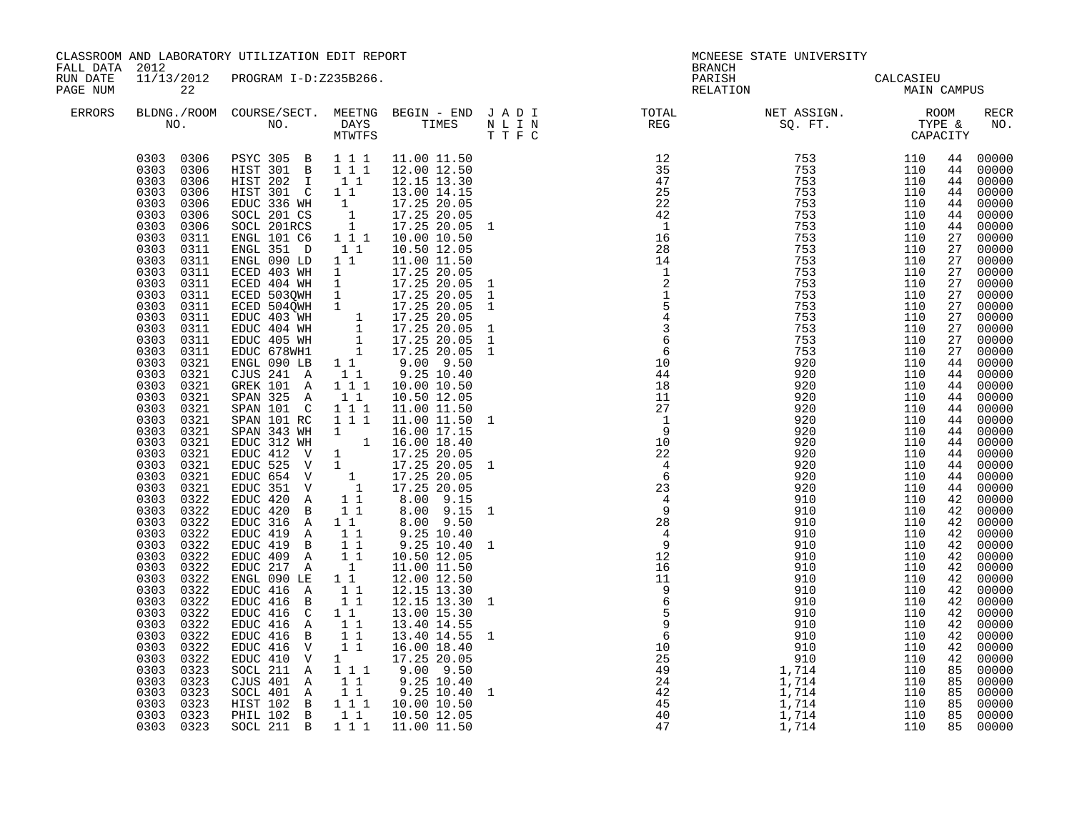| FALL DATA 2012       |                                                                                                                                                                                                                                                                                                                                                                                                                                                                                                                                                                                                                                                                                                                                                                                       | CLASSROOM AND LABORATORY UTILIZATION EDIT REPORT                                                                                                                                                                                                                                                                                                                                                                                                                                                                                                                                                                                                                                                                                                                                                                                                                                                                                                                                                                                                                                                                                                                                                                                                |                                                                                                                                                                                                                     |                                                                                                                                                                                                                                                                                                                                                                                                                                                                               |                                                                                                                                    | <b>BRANCH</b>                                                                                                                                                                                                                                                                                                                                                                                                                                  | MCNEESE STATE UNIVERSITY                                                                                                                                                                                                                                                                                                                                                                                                                                                                |                                                                                                |                                                                                                                                                                            |                                                                                                                                                                                                                                                                                                                                                                                                                                                                                                                                                                                                 |
|----------------------|---------------------------------------------------------------------------------------------------------------------------------------------------------------------------------------------------------------------------------------------------------------------------------------------------------------------------------------------------------------------------------------------------------------------------------------------------------------------------------------------------------------------------------------------------------------------------------------------------------------------------------------------------------------------------------------------------------------------------------------------------------------------------------------|-------------------------------------------------------------------------------------------------------------------------------------------------------------------------------------------------------------------------------------------------------------------------------------------------------------------------------------------------------------------------------------------------------------------------------------------------------------------------------------------------------------------------------------------------------------------------------------------------------------------------------------------------------------------------------------------------------------------------------------------------------------------------------------------------------------------------------------------------------------------------------------------------------------------------------------------------------------------------------------------------------------------------------------------------------------------------------------------------------------------------------------------------------------------------------------------------------------------------------------------------|---------------------------------------------------------------------------------------------------------------------------------------------------------------------------------------------------------------------|-------------------------------------------------------------------------------------------------------------------------------------------------------------------------------------------------------------------------------------------------------------------------------------------------------------------------------------------------------------------------------------------------------------------------------------------------------------------------------|------------------------------------------------------------------------------------------------------------------------------------|------------------------------------------------------------------------------------------------------------------------------------------------------------------------------------------------------------------------------------------------------------------------------------------------------------------------------------------------------------------------------------------------------------------------------------------------|-----------------------------------------------------------------------------------------------------------------------------------------------------------------------------------------------------------------------------------------------------------------------------------------------------------------------------------------------------------------------------------------------------------------------------------------------------------------------------------------|------------------------------------------------------------------------------------------------|----------------------------------------------------------------------------------------------------------------------------------------------------------------------------|-------------------------------------------------------------------------------------------------------------------------------------------------------------------------------------------------------------------------------------------------------------------------------------------------------------------------------------------------------------------------------------------------------------------------------------------------------------------------------------------------------------------------------------------------------------------------------------------------|
| RUN DATE<br>PAGE NUM | 22                                                                                                                                                                                                                                                                                                                                                                                                                                                                                                                                                                                                                                                                                                                                                                                    | 11/13/2012 PROGRAM I-D:Z235B266.                                                                                                                                                                                                                                                                                                                                                                                                                                                                                                                                                                                                                                                                                                                                                                                                                                                                                                                                                                                                                                                                                                                                                                                                                |                                                                                                                                                                                                                     |                                                                                                                                                                                                                                                                                                                                                                                                                                                                               |                                                                                                                                    | PARISH<br>RELATION                                                                                                                                                                                                                                                                                                                                                                                                                             | CALCASIEU<br>MAIN CAMPUS                                                                                                                                                                                                                                                                                                                                                                                                                                                                |                                                                                                |                                                                                                                                                                            |                                                                                                                                                                                                                                                                                                                                                                                                                                                                                                                                                                                                 |
| <b>ERRORS</b>        |                                                                                                                                                                                                                                                                                                                                                                                                                                                                                                                                                                                                                                                                                                                                                                                       |                                                                                                                                                                                                                                                                                                                                                                                                                                                                                                                                                                                                                                                                                                                                                                                                                                                                                                                                                                                                                                                                                                                                                                                                                                                 |                                                                                                                                                                                                                     |                                                                                                                                                                                                                                                                                                                                                                                                                                                                               |                                                                                                                                    | $\begin{tabular}{lllllllllllllllllllll} \textsc{BLONG.} \textsc{F100M.} & \textsc{COURSE/SECT.} & \textsc{METNG.} & \textsc{BEGIN - END} & \textsc{J A D I} & \textsc{DTAT} & \textsc{NTGTL} & \textsc{NET ASSIGN.} & \textsc{ROOM} \\ \textsc{NO.} & \textsc{NO.} & \textsc{DAYS} & \textsc{TIMES} & \textsc{N L I N} & \textsc{REG} & \textsc{SEG.} & \textsc{ST.} & \textsc{CTPE & \& \\ \textsc{MO.} & \textsc{NO.} & \textsc{MTWTFS} & \$ |                                                                                                                                                                                                                                                                                                                                                                                                                                                                                         |                                                                                                |                                                                                                                                                                            | RECR<br>NO.                                                                                                                                                                                                                                                                                                                                                                                                                                                                                                                                                                                     |
|                      | 0303 0306<br>0303<br>0306<br>0303<br>0306<br>0303<br>0306<br>0303<br>0306<br>0303<br>0306<br>0303<br>0311<br>0303 0311<br>0303 0311<br>0303 0311<br>0303<br>0311<br>0303 0311<br>0303 0311<br>0303<br>0311<br>0303<br>0311<br>0303<br>0311<br>0303<br>0311<br>0303<br>0321<br>0303<br>0321<br>0303<br>0321<br>0303<br>0321<br>0303<br>0321<br>0303<br>0321<br>0303<br>0321<br>0303<br>0321<br>0303 0321<br>0303 0321<br>0303<br>0321<br>0303 0321<br>0303 0322<br>0303<br>0322<br>0303<br>0322<br>0303<br>0322<br>0303<br>0322<br>0303<br>0322<br>0303<br>0322<br>0303<br>0322<br>0303<br>0322<br>0303<br>0322<br>0303<br>0322<br>0303<br>0322<br>0303<br>0322<br>0303<br>0322<br>0303<br>0322<br>0303<br>0323<br>0303<br>0323<br>0303<br>0323<br>0303 0323<br>0303 0323<br>0303 0323 | 0303 0306 PSYC 305 B 111<br>HIST 301 B 111<br>HIST 202 I 11<br>HIST 301 C 11<br>EDUC 336 WH 1 17.25 20.05<br>SOCL 201 CS 1 17.25 20.05<br>SOCL 201 CS 1 17.25 20.05<br>SOCL 201 CS 1 17.25 20.05 1<br>ENGL 101 C6 1 1 1 10.00 10.50<br>ENGL 351 D 11<br>ENGL 090 LD 1 1<br>ENGL 090 LD 1 1 11.00 11.50<br>ECED 403 WH 1 17.25 20.05<br>ECED 503QWH 1 17.25 20.05<br>ECED 503QWH 1 17.25 20.05<br>ECED 504QWH 1 17.25 20.05<br>EDUC 403 WH 1 17.25 20.05<br>EDUC 404 WH 1 17.25 20.05<br>EDUC 405 WH 1 17.25 20.05<br>EDUC<br>$ENGL$ 090 LB $11$<br>CJUS 241 A<br>GREK 101 A 1 1 1<br>SPAN 325 A<br>SPAN 101 C 1 1 1<br>SPAN 101 RC 1 1 1<br>SPAN 101 RC 1 1 1 11.00 11.50<br>SPAN 343 WH 1 16.00 17.15<br>EDUC 312 WH 1 16.00 18.40<br>EDUC 412 V 1 17.25 20.05<br>EDUC 525 V 1 17.25 20.05<br>EDUC 654 V 1 17.25 20.05<br>EDUC 351 V 1 17.25 20.05<br>EDUC 351 V 1 17.25 20.05<br>EDUC 42<br>EDUC 420 B<br>EDUC 316 A 1 1<br>EDUC 419 A<br>EDUC 419 B<br>EDUC 409 A<br>$EDUC$ 217 A<br>ENGL 090 LE<br>EDUC 416 A<br>EDUC 416 B<br>EDUC 416 C<br>EDUC 416 A<br>EDUC 416 B<br>EDUC 416 V<br>EDUC 410 V<br>SOCL 211 A<br>CJUS 401 A<br>SOCL 401 A 11 9.25 10.40<br>HIST 102 B 1 1 1 10.00 10.50<br>PHIL 102 B 1 1<br>SOCL 211 B 1 1 1 11.00 11.50 | 11<br>11<br>$1\quad1$<br>$1\quad1$<br>$\begin{array}{c} \begin{array}{c} 1 \\ 1 \\ 1 \end{array}\\ 1 \end{array}$<br>$1\quad1$<br>11<br>11<br>11<br>11<br>11<br>$\overline{1}$ $\overline{1}$<br>1<br>$1 1 1$<br>11 | 11.00 11.50<br>12.00 12.50<br>12.15 13.30<br>13.00 14.15<br>10.50 12.05<br>11.00 11.50<br>$9.00$ $9.50$<br>$9.25$ 10.40<br>10.00 10.50<br>10.50 12.05<br>11.00 11.50<br>11.00 11.50 1<br>$8.00$ $9.15$<br>$8.00$ $9.50$<br>9.25 10.40<br>$9.25$ 10.40<br>10.50 12.05<br>11.00 11.50<br>12.00 12.50<br>12.15 13.30<br>12.15 13.30<br>13.00 15.30<br>13.40 14.55<br>13.40 14.55 1<br>16.00 18.40<br>17.25 20.05<br>$9.00$ $9.50$<br>$9.25$ 10.40<br>$9.25$ 10.40<br>10.50 12.05 | $\mathbf{1}$<br>$\mathbf{1}$<br>$\frac{1}{1}$<br>$\mathbf{1}$<br>1<br>$\mathbf{1}$<br>$\mathbf{1}$<br>$\mathbf{1}$<br>$\mathbf{1}$ | $\begin{array}{r} 14 \\ 1 \\ 2 \\ 1 \\ 5 \\ 4 \\ 3 \\ 6 \\ 6 \\ 9 \\ 10 \\ \end{array}$<br>10<br>44<br>18<br>11<br>27<br>$\frac{1}{1}$<br>9<br>10<br>22<br>$\begin{array}{c} 4 \\ 6 \end{array}$<br>$2\frac{1}{4}$<br>$\frac{4}{9}$<br>28.<br>$\begin{array}{c} 28 \\ 4 \\ 9 \\ 12 \\ 16 \\ 11 \end{array}$<br>$\begin{array}{r} 16 \\ 11 \\ 9 \\ 6 \\ 5 \\ 9 \\ 6 \\ 10 \\ 25 \\ 49 \\ 24 \\ 42 \\ 42 \\ 43 \\ 47 \\ \end{array}$             | 992. Franchi (110)<br>753 110<br>753 1110<br>753 1110<br>753 1110<br>753 1110<br>753 1110<br>753 1110<br>753 1110<br>753 1110<br>753 1110<br>753 1110<br>753 1110<br>753 1110<br>753 1110<br>753 1110<br>753 1110<br>753 1110<br>753 1110<br>753 1110<br>753 1110<br>753<br>910<br>910<br>910<br>$\begin{array}{r} 910 \\ 910 \\ 910 \\ 910 \\ 910 \\ 1,714 \\ 1,714 \\ 1,714 \\ 1,714 \\ 1,714 \\ 1,714 \\ 1,714 \\ 1,714 \\ 1,714 \\ 1,714 \\ 1,714 \\ 1,714 \\ \end{array}$<br>1,714 | 110<br>110<br>110<br>110<br>110<br>110<br>110<br>110<br>110<br>110<br>110<br>110<br>110<br>110 | 44<br>44<br>44<br>44<br>27<br>27<br>27<br>27<br>27<br>27<br>27<br>27<br>27<br>44<br>44<br>44<br>42<br>42<br>42<br>42<br>42<br>42<br>42<br>42<br>42<br>42<br>42<br>42<br>42 | 44 00000<br>00000<br>44 00000<br>00000<br>00000<br>00000<br>44 00000<br>00000<br>00000<br>00000<br>$00000$<br>$00000$<br>$\frac{27}{27}$ 00000<br>27 00000<br>00000<br>00000<br>00000<br>00000<br>00000<br>44 00000<br>44 00000<br>00000<br>00000<br>44 00000<br>44 00000<br>44 00000<br>44 00000<br>44 00000<br>$\begin{matrix}44 & 00000 \\ 44 & 00000\end{matrix}$<br>00000<br>00000<br>42 00000<br>4200000<br>00000<br>00000<br>00000<br>00000<br>00000<br>00000<br>00000<br>00000<br>00000<br>00000<br>00000<br>85 00000<br>85 00000<br>$85$ 00000<br>$85$ 00000<br>$85$ 00000<br>85 00000 |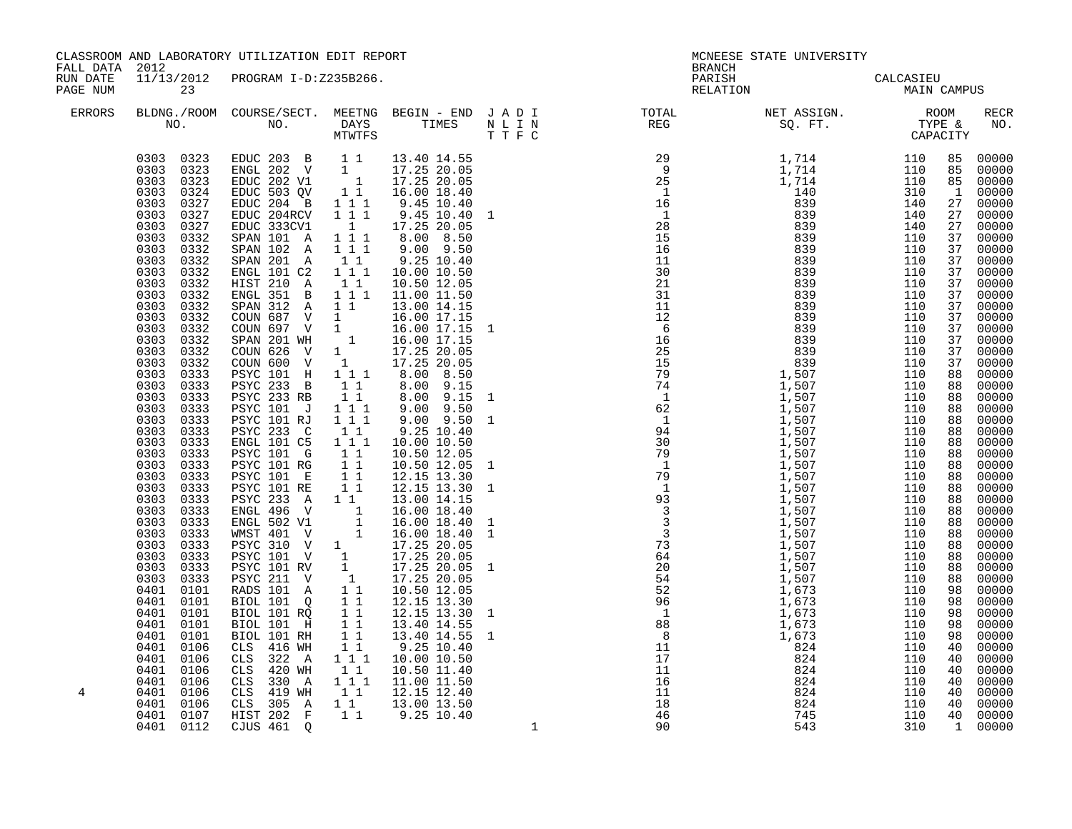| FALL DATA 2012       |                                                                                                                                                                                                                                                                                                                                                                                                                                                                                                                                                                                                                                                                                                            | CLASSROOM AND LABORATORY UTILIZATION EDIT REPORT                                                                                                                                                                                                                                                                                                                                                                                                                                                                                                                                                                                                                                                                                                                                                                                                                                                                                                                                                                                                                                                                                                                                                                                                                                                                                                                                                               |                                                                                                                                                                                |                                                                                                                                                                                                                                                                                                                                                                                                                                                              | MCNEESE STATE UNIVERSITY<br><b>BRANCH</b> |                                                                                                                                                                                                                                                                                                                                                                                                                                       |                          |     |  |             |
|----------------------|------------------------------------------------------------------------------------------------------------------------------------------------------------------------------------------------------------------------------------------------------------------------------------------------------------------------------------------------------------------------------------------------------------------------------------------------------------------------------------------------------------------------------------------------------------------------------------------------------------------------------------------------------------------------------------------------------------|----------------------------------------------------------------------------------------------------------------------------------------------------------------------------------------------------------------------------------------------------------------------------------------------------------------------------------------------------------------------------------------------------------------------------------------------------------------------------------------------------------------------------------------------------------------------------------------------------------------------------------------------------------------------------------------------------------------------------------------------------------------------------------------------------------------------------------------------------------------------------------------------------------------------------------------------------------------------------------------------------------------------------------------------------------------------------------------------------------------------------------------------------------------------------------------------------------------------------------------------------------------------------------------------------------------------------------------------------------------------------------------------------------------|--------------------------------------------------------------------------------------------------------------------------------------------------------------------------------|--------------------------------------------------------------------------------------------------------------------------------------------------------------------------------------------------------------------------------------------------------------------------------------------------------------------------------------------------------------------------------------------------------------------------------------------------------------|-------------------------------------------|---------------------------------------------------------------------------------------------------------------------------------------------------------------------------------------------------------------------------------------------------------------------------------------------------------------------------------------------------------------------------------------------------------------------------------------|--------------------------|-----|--|-------------|
| RUN DATE<br>PAGE NUM | 23                                                                                                                                                                                                                                                                                                                                                                                                                                                                                                                                                                                                                                                                                                         | 11/13/2012 PROGRAM I-D:Z235B266.                                                                                                                                                                                                                                                                                                                                                                                                                                                                                                                                                                                                                                                                                                                                                                                                                                                                                                                                                                                                                                                                                                                                                                                                                                                                                                                                                                               |                                                                                                                                                                                |                                                                                                                                                                                                                                                                                                                                                                                                                                                              |                                           | PARISH<br>RELATION                                                                                                                                                                                                                                                                                                                                                                                                                    | CALCASIEU<br>MAIN CAMPUS |     |  |             |
| ERRORS               |                                                                                                                                                                                                                                                                                                                                                                                                                                                                                                                                                                                                                                                                                                            |                                                                                                                                                                                                                                                                                                                                                                                                                                                                                                                                                                                                                                                                                                                                                                                                                                                                                                                                                                                                                                                                                                                                                                                                                                                                                                                                                                                                                |                                                                                                                                                                                | T T F C                                                                                                                                                                                                                                                                                                                                                                                                                                                      |                                           | BLDNG./ROOM COURSE/SECT. MEETNG BEGIN – END JADI TOTAL NET ASSIGN. NET ASSIGN. ROOM NO. DAYS TIMES NLIN REG SQ.FT. TYPE &                                                                                                                                                                                                                                                                                                             |                          |     |  | RECR<br>NO. |
| 4                    | 0303<br>0327<br>0303<br>0327<br>0303<br>0327<br>0303<br>0332<br>0303<br>0332<br>0303<br>0332<br>0303<br>0332<br>0303<br>0332<br>0303 0332<br>0303 0332<br>0303 0332<br>0303<br>0332<br>0303<br>0332<br>0303<br>0332<br>0303<br>0332<br>0303<br>0333<br>0303<br>0333<br>0303<br>0333<br>0303<br>0333<br>0303<br>0333<br>0303<br>0333<br>0303<br>0333<br>0303<br>0333<br>0303<br>0333<br>0303<br>0333<br>0303 0333<br>0303 0333<br>0303 0333<br>0303<br>0333<br>0303<br>0333<br>0303<br>0333<br>0303<br>0333<br>0303<br>0333<br>0303<br>0333<br>0401<br>0101<br>0401<br>0101<br>0401<br>0101<br>0401<br>0101<br>0401<br>0101<br>0401<br>0106<br>0401<br>0106<br>0401<br>0106<br>0401<br>0106<br>0401<br>0106 | $\begin{array}{cccccc} 0303 & 0323 & \text{EDUC} & 203 & \text{B} & 1 & 1 & 13.40 & 14.55 \\ 0303 & 0323 & \text{ENGL} & 202 & \text{V} & 1 & 17.25 & 20.05 \\ 0303 & 0323 & \text{EDUC} & 202 & \text{V1} & 1 & 17.25 & 20.05 \\ 0303 & 0324 & \text{EDUC} & 503 & \text{QV} & 1 & 1 & 16.00 & 18.40 \\ \end{array}$<br>EDUC 204 B 1 1 1<br>EDUC 204RCV<br>EDUC 333CV1<br>SPAN 101 A 111<br>SPAN 102 A 1 1 1<br>SPAN 201 A<br>ENGL 101 C2 1 1 1<br>HIST 210 A<br>ENGL 351 B 111 11.00 11.50<br>SPAN 312 A 11<br>COUN 687 V 1<br>COUN 687 V 1 16.00 17.15<br>SPAN 201 WH 1 16.00 17.15<br>COUN 626 V 1 17.25 20.05<br>COUN 600 V 1 17.25 20.05<br>PSYC 101 H 111 8.00 8.515<br><b>PSYC 233 B</b><br>PSYC 233 RB<br>PSYC 101 J 111<br>PSYC 101 RJ 1 1 1<br>PSYC 233 C 11<br>ENGL 101 C5 1 1 1<br>PSYC 101 G 1 1<br>PSYC 101 RG 1 1<br>PSYC 101 E 1 1<br>PSYC 101 RG<br>PSYC 101 E<br>PSYC 101 RE 1 1<br>PSYC 233 A 1 1<br>PSYC 233 A 1 1 13.00 14.15<br>ENGL 496 V 1 1 16.00 18.40 1<br>ENGL 502 V1 1 16.00 18.40 1<br>WMST 401 V 1 17.25 20.05<br>PSYC 310 V 1 17.25 20.05<br>PSYC 101 RV 1 17.25 20.05<br>PSYC 211 V 1 17.25 20.05<br>RADS 101 A 1 1 10.50 12.05<br>PL<br>BIOL 101 Q<br>$BIOL$ 101 $R\overline{Q}$<br>BIOL 101 H<br>BIOL 101 RH<br>CLS 416 WH<br>CLS 322 A<br>CLS 420 WH<br>CLS 330 A 1 1 1 11.00 11.50<br>CLS 310 WH 1 1 12.15 12.40<br>CLS 305 A 1 1 13.00 13.50<br>HIST 202 F 1 9.25 10.40 | $1 1 1$<br>1<br>$1\quad1$<br>$\overline{1}$ 1<br>11<br>$\overline{1}$ $\overline{1}$<br>$\begin{array}{c} 1\\ 1\\ 1\\ 1 \end{array}$<br>11<br>11<br>11<br>$1 1 1$<br>$1\quad1$ | 9.45 10.40<br>9.45 10.40<br>17.25 20.05<br>8.00 8.50<br>9.00 9.50<br>9.25 10.40<br>10.00 10.50<br>10.50 12.05<br>13.00 14.15<br>16.00 17.15<br>16.00 17.15 1<br>$8.00$ $9.15$<br>$8.00$ $9.15$<br>$9.00$ $9.50$<br>$9.00$ $9.50$<br>9.25 10.40<br>10.00 10.50<br>10.50 12.05<br>10.50 12.05<br>12.15 13.30<br>$12.15$ $13.30$ 1<br>$13.00$ $14.15$<br>12.15 13.30<br>12.15 13.30<br>13.40 14.55<br>13.40 14.55 1<br>9.25 10.40<br>10.00 10.50<br>10.50 11.40 |                                           | $\begin{smallmatrix} \textbf{R}^{\text{H}} & \textbf{R}^{\text{H}} & \textbf{R}^{\text{H}} & \textbf{R}^{\text{H}} \\ \textbf{R}^{\text{H}} & \textbf{R}^{\text{H}} & \textbf{R}^{\text{H}} \\ \textbf{R}^{\text{H}} & \textbf{R}^{\text{H}} & \textbf{R}^{\text{H}} \\ \textbf{R}^{\text{H}} & \textbf{R}^{\text{H}} & \textbf{R}^{\text{H}} \\ \textbf{R}^{\text{H}} & \textbf{R}^{\text{H}} & \textbf{R}^{\text{H}} \\ \textbf{R}$ |                          |     |  |             |
|                      | 0401 0106<br>0401 0107<br>0401 0112                                                                                                                                                                                                                                                                                                                                                                                                                                                                                                                                                                                                                                                                        | CJUS 461 Q                                                                                                                                                                                                                                                                                                                                                                                                                                                                                                                                                                                                                                                                                                                                                                                                                                                                                                                                                                                                                                                                                                                                                                                                                                                                                                                                                                                                     |                                                                                                                                                                                |                                                                                                                                                                                                                                                                                                                                                                                                                                                              | $\mathbf{1}$                              | 90                                                                                                                                                                                                                                                                                                                                                                                                                                    | 543                      | 310 |  | 1 00000     |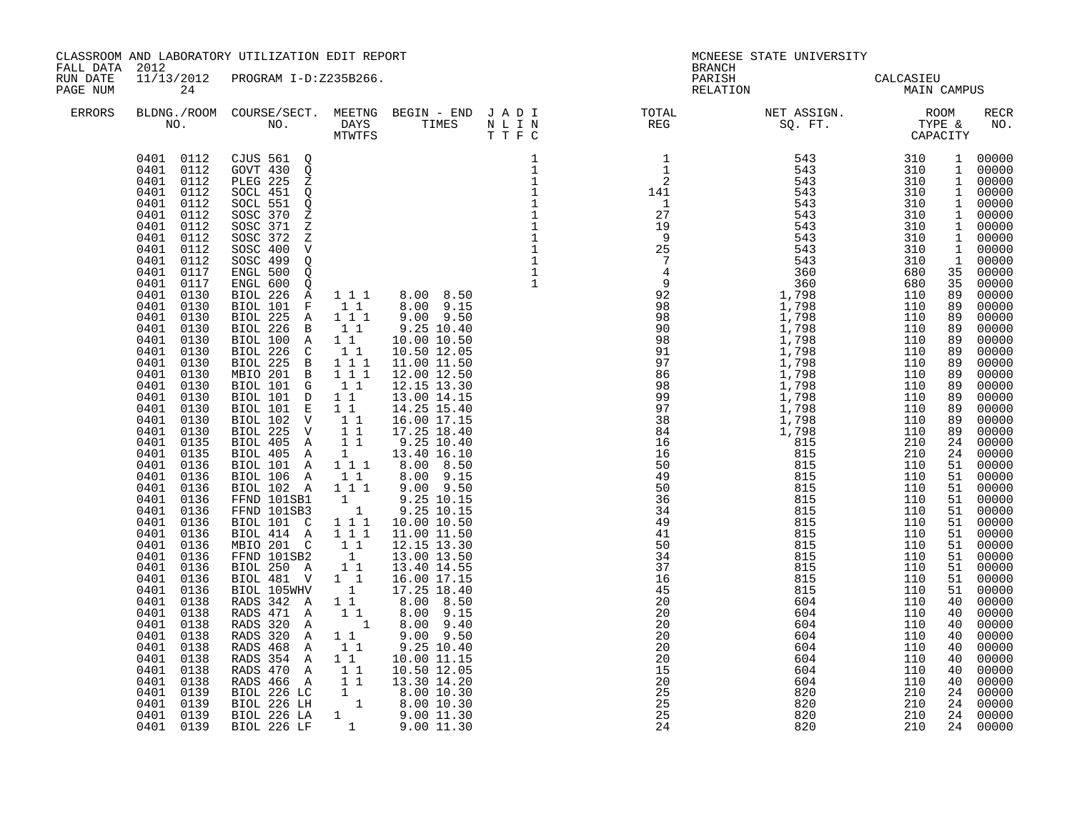| FALL DATA 2012       |                                                                                                                                                                                                                                                                                                                                                                                                                                                                                                                                                                                                                                                                                                                                                                                                            | CLASSROOM AND LABORATORY UTILIZATION EDIT REPORT                                                                                                                                                                                                                                                                                                                                                                                                                                                                                                                                                                                                                                                                                                                                                                                                                                     |                                                                                                                                                                                                                                                                                                                                  |                                                                                                                                                                                                                                                                                                                                                                                                                                                                                                                                       |                                                                             | MCNEESE STATE UNIVERSITY<br><b>BRANCH</b>                                                                                                                                                                                                                                                      |                                                                                                                                                                                                                                                                                                                                                                                                                                                                                                                                            |                                                                                                                                                                                                                                                                                                    |                                                                                                                                                                                                                |                                                                                                                                                                                                                                                                                                                                                                                                            |
|----------------------|------------------------------------------------------------------------------------------------------------------------------------------------------------------------------------------------------------------------------------------------------------------------------------------------------------------------------------------------------------------------------------------------------------------------------------------------------------------------------------------------------------------------------------------------------------------------------------------------------------------------------------------------------------------------------------------------------------------------------------------------------------------------------------------------------------|--------------------------------------------------------------------------------------------------------------------------------------------------------------------------------------------------------------------------------------------------------------------------------------------------------------------------------------------------------------------------------------------------------------------------------------------------------------------------------------------------------------------------------------------------------------------------------------------------------------------------------------------------------------------------------------------------------------------------------------------------------------------------------------------------------------------------------------------------------------------------------------|----------------------------------------------------------------------------------------------------------------------------------------------------------------------------------------------------------------------------------------------------------------------------------------------------------------------------------|---------------------------------------------------------------------------------------------------------------------------------------------------------------------------------------------------------------------------------------------------------------------------------------------------------------------------------------------------------------------------------------------------------------------------------------------------------------------------------------------------------------------------------------|-----------------------------------------------------------------------------|------------------------------------------------------------------------------------------------------------------------------------------------------------------------------------------------------------------------------------------------------------------------------------------------|--------------------------------------------------------------------------------------------------------------------------------------------------------------------------------------------------------------------------------------------------------------------------------------------------------------------------------------------------------------------------------------------------------------------------------------------------------------------------------------------------------------------------------------------|----------------------------------------------------------------------------------------------------------------------------------------------------------------------------------------------------------------------------------------------------------------------------------------------------|----------------------------------------------------------------------------------------------------------------------------------------------------------------------------------------------------------------|------------------------------------------------------------------------------------------------------------------------------------------------------------------------------------------------------------------------------------------------------------------------------------------------------------------------------------------------------------------------------------------------------------|
| RUN DATE<br>PAGE NUM | 24                                                                                                                                                                                                                                                                                                                                                                                                                                                                                                                                                                                                                                                                                                                                                                                                         | 11/13/2012 PROGRAM I-D:Z235B266.                                                                                                                                                                                                                                                                                                                                                                                                                                                                                                                                                                                                                                                                                                                                                                                                                                                     |                                                                                                                                                                                                                                                                                                                                  |                                                                                                                                                                                                                                                                                                                                                                                                                                                                                                                                       |                                                                             |                                                                                                                                                                                                                                                                                                | PARISH CALCASIEU<br>RELATION MAIN CAMPUS                                                                                                                                                                                                                                                                                                                                                                                                                                                                                                   |                                                                                                                                                                                                                                                                                                    |                                                                                                                                                                                                                |                                                                                                                                                                                                                                                                                                                                                                                                            |
| <b>ERRORS</b>        |                                                                                                                                                                                                                                                                                                                                                                                                                                                                                                                                                                                                                                                                                                                                                                                                            | NO. NO. DAYS TIMES NLIN<br>MTWTFS TTFC                                                                                                                                                                                                                                                                                                                                                                                                                                                                                                                                                                                                                                                                                                                                                                                                                                               |                                                                                                                                                                                                                                                                                                                                  |                                                                                                                                                                                                                                                                                                                                                                                                                                                                                                                                       |                                                                             |                                                                                                                                                                                                                                                                                                | BLDNG./ROOM COURSE/SECT. MEETNG BEGIN – END JADI TOTAL NET ASSIGN. NET ASSIGN. NO. NOOM DAYS TIMES NLIN REG SQ.FT. TYPE &                                                                                                                                                                                                                                                                                                                                                                                                                  |                                                                                                                                                                                                                                                                                                    |                                                                                                                                                                                                                | RECR<br>NO.                                                                                                                                                                                                                                                                                                                                                                                                |
|                      | 0401 0112<br>0401 0112<br>0401 0112<br>0401<br>0112<br>0112<br>0401<br>0401<br>0112<br>0112<br>0401<br>0401<br>0112<br>0401<br>0112<br>0401<br>0117<br>0401<br>0117<br>0401<br>0130<br>0401<br>0130<br>0401<br>0130<br>0401<br>0130<br>0401<br>0130<br>0401<br>0130<br>0401<br>0130<br>0401<br>0130<br>0401<br>0130<br>0401<br>0130<br>0401<br>0130<br>0401<br>0130<br>0401<br>0130<br>0401<br>0135<br>0401<br>0135<br>0401<br>0136<br>0401 0136<br>0401<br>0136<br>0401<br>0136<br>0401<br>0136<br>0401<br>0136<br>0401<br>0136<br>0136<br>0401<br>0401<br>0136<br>0401<br>0136<br>0401<br>0136<br>0401<br>0136<br>0401<br>0138<br>0401<br>0138<br>0401<br>0138<br>0401<br>0138<br>0401<br>0138<br>0401<br>0138<br>0401<br>0138<br>0401<br>0138<br>0401<br>0139<br>0401<br>0139<br>0401 0139<br>0401 0139 | 0401  0112  CJUS  561  Q<br>GOVT 430 Q<br>PLEG 225 Z<br>SOCL 451 Q<br>SOCL 551 Q<br>SOSC 370 Z<br>SOSC 371<br>$\rm{Z}$<br>SOSC 372<br>Ζ<br>SOSC 400<br>$\mathbf V$<br>SOSC 499<br>$\mathsf{Q}$<br>ENGL 500<br>Q<br>ENGL 600<br>Q<br>BIOL 226 A<br>BIOL 101 F<br>BIOL 225 A<br>BIOL 226 B<br>BIOL 100 A<br>BIOL 226 C<br>BIOL 225 B 111<br>MBIO 201 B 111<br>BIOL 101 G<br>BIOL 101 D<br>BIOL 101 E<br>BIOL 102 V<br>BIOL 225 V<br>BIOL 405 A<br>BIOL 405 A<br>BIOL 101 A 111<br>BIOL 106 A 1 1<br>BIOL 102 A 1 1 1<br>FFND 101SB1<br>FFND 101SB3<br>BIOL 101 C<br>BIOL 414 A<br>MBIO 201 C<br>FFND 101SB2<br>BIOL 250 A<br>BIOL 481 V<br>BIOL 105WHV<br>RADS 342 A<br>RADS 471 A<br>RADS 320 A<br>RADS 320 A<br>RADS 468 A<br>RADS 354 A<br>RADS 470 A<br>RADS 466 A<br>BIOL 226 LC 1 8.00 10.30<br>BIOL 226 LE 1 8.00 10.30<br>BIOL 226 LA 1 9.00 11.30<br>BIOL 226 LF 1 9.00 11.30 | $1\quad1$<br>1 1 1<br>$1\quad1$<br>11<br>11<br>11<br>1 1<br>11<br>11<br>11<br>$1\quad1$<br>1<br>$\begin{smallmatrix}1&&\\&1\end{smallmatrix}$<br>1 1 1<br>1 1 1<br>$\begin{smallmatrix}1&&1\\&1\\1&&\end{smallmatrix}$<br>11<br>$1\quad1$<br>$\overline{1}$<br>$1\quad1$<br>11<br>$\sim$ 1<br>$1\quad1$<br>11<br>1 1<br>11<br>11 | 1 1 1 8.00 8.50<br>8.00 9.15<br>9.00 9.50<br>$9.25\ 10.40$<br>10.00 10.50<br>10.50 12.05<br>11.00 11.50<br>12.00 12.50<br>12.15 13.30<br>13.00 14.15<br>14.25 15.40<br>16.00 17.15<br>17.25 18.40<br>$9.25$ $10.40$<br>13.40 16.10<br>8.00 8.50<br>8.00 9.15<br>$9.00$ $9.50$<br>9.25 10.15<br>9.25 10.15<br>10.00 10.50<br>11.00 11.50<br>12.15 13.30<br>13.00 13.50<br>13.40 14.55<br>16.00 17.15<br>17.25 18.40<br>8.00 8.50<br>8.00 9.15<br>8.00 9.40<br>$9.00$ $9.50$<br>9.25 10.40<br>10.00 11.15<br>10.50 12.05<br>13.30 14.20 | 1<br>$\mathbf{1}$<br>$\begin{smallmatrix}1\\1\\1\end{smallmatrix}$<br>$1\,$ | $\frac{1}{1}$<br>$\overline{\phantom{a}}$<br>$\begin{array}{c} 2 \\ 141 \\ 1 \end{array}$<br>$\overline{\phantom{a}}$<br>27<br>$\frac{1}{19}$<br>$\frac{49}{36}$<br>36<br>34<br>49<br>41<br>50<br>34<br>37<br>16<br>45<br>20<br>20<br>20<br>20<br>20<br>20<br>15<br>20<br>25<br>25<br>25<br>24 | $\begin{array}{cccc} 543 & 310 & 1 & 000000 \\ 543 & 310 & 1 & 000000 \\ 543 & 310 & 1 & 000000 \\ 543 & 310 & 1 & 000000 \\ 543 & 310 & 1 & 000000 \\ 543 & 310 & 1 & 000000 \\ 543 & 310 & 1 & 000000 \\ 543 & 310 & 1 & 000000 \\ 543 & 310 & 1 & 000000 \\ 543 & 310 & 1 & 000000 \\ 54$<br>$1,798$<br>$1,798$<br>$815$<br>$815$<br>$815$<br>$815$<br>$815$<br>$815$<br>$815$<br>$815$<br>$815$<br>$815$<br>815<br>815<br>815<br>815<br>815<br>815<br>604<br>604<br>604<br>604<br>604<br>604<br>604<br>604<br>820<br>820<br>820<br>820 | 310<br>680<br>680<br>110<br>110<br>110<br>110<br>110<br>110<br>110<br>110<br>110<br>110<br>110<br>110<br>110<br>210<br>210<br>110<br>110<br>110<br>110<br>110<br>110<br>110<br>110<br>110<br>110<br>110<br>110<br>110<br>110<br>110<br>110<br>110<br>110<br>110<br>110<br>210<br>210<br>210<br>210 | 89<br>89<br>89<br>89<br>89<br>89<br>89<br>89<br>89<br>89<br>89<br>89<br>89<br>24<br>51<br>51<br>51<br>51<br>51<br>51<br>51<br>51<br>51<br>51<br>51<br>51<br>40<br>40<br>40<br>40<br>40<br>40<br>40<br>40<br>24 | 1 00000<br>35 00000<br>35 00000<br>00000<br>00000<br>00000<br>00000<br>00000<br>00000<br>00000<br>00000<br>00000<br>00000<br>00000<br>00000<br>00000<br>24 00000<br>00000<br>00000<br>00000<br>00000<br>00000<br>00000<br>00000<br>00000<br>00000<br>00000<br>00000<br>00000<br>00000<br>00000<br>00000<br>00000<br>00000<br>00000<br>00000<br>00000<br>00000<br>24 00000<br>00000<br>24 00000<br>24 00000 |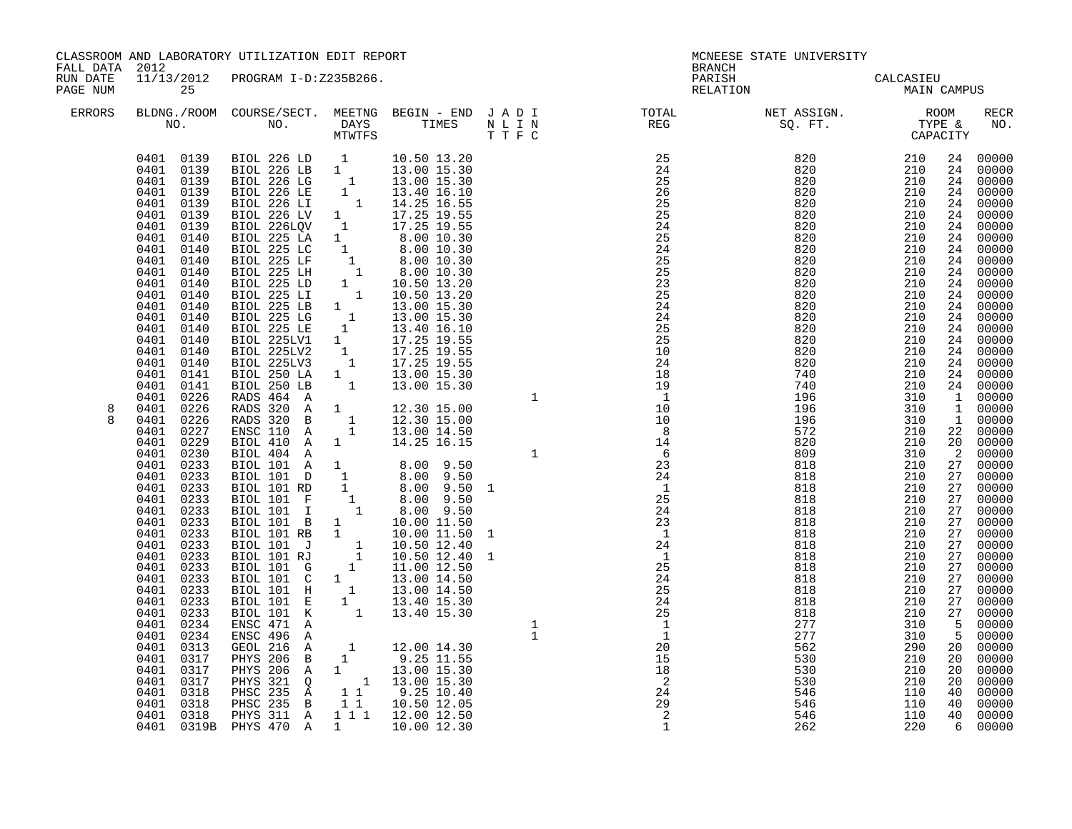| FALL DATA 2012       |                                                                                                                                                                                                                                                                                                                                                                                                                                        | CLASSROOM AND LABORATORY UTILIZATION EDIT REPORT                                                                                                                                                                                                                                                                                                                                                                                                                                                                                                          |                                                      |                                                                                                            | MCNEESE STATE UNIVERSITY<br><b>BRANCH</b> |                                                                                                                                                                                                                                                                                                                                                                                                                                          |                                                                                                                                                                                                                                                                                                                      |                                                                                                                                                                                                  |                                              |                                                                                                                                                                                                                                                                                                                                                         |
|----------------------|----------------------------------------------------------------------------------------------------------------------------------------------------------------------------------------------------------------------------------------------------------------------------------------------------------------------------------------------------------------------------------------------------------------------------------------|-----------------------------------------------------------------------------------------------------------------------------------------------------------------------------------------------------------------------------------------------------------------------------------------------------------------------------------------------------------------------------------------------------------------------------------------------------------------------------------------------------------------------------------------------------------|------------------------------------------------------|------------------------------------------------------------------------------------------------------------|-------------------------------------------|------------------------------------------------------------------------------------------------------------------------------------------------------------------------------------------------------------------------------------------------------------------------------------------------------------------------------------------------------------------------------------------------------------------------------------------|----------------------------------------------------------------------------------------------------------------------------------------------------------------------------------------------------------------------------------------------------------------------------------------------------------------------|--------------------------------------------------------------------------------------------------------------------------------------------------------------------------------------------------|----------------------------------------------|---------------------------------------------------------------------------------------------------------------------------------------------------------------------------------------------------------------------------------------------------------------------------------------------------------------------------------------------------------|
| RUN DATE<br>PAGE NUM | 25                                                                                                                                                                                                                                                                                                                                                                                                                                     | 11/13/2012 PROGRAM I-D:Z235B266.                                                                                                                                                                                                                                                                                                                                                                                                                                                                                                                          |                                                      |                                                                                                            |                                           | PARISH<br>RELATION                                                                                                                                                                                                                                                                                                                                                                                                                       | CALCASIEU<br>MAIN CAMPUS                                                                                                                                                                                                                                                                                             |                                                                                                                                                                                                  |                                              |                                                                                                                                                                                                                                                                                                                                                         |
| ERRORS               |                                                                                                                                                                                                                                                                                                                                                                                                                                        | NO. NO. DAYS TIMES NLIN<br>MTWTFS TTFC                                                                                                                                                                                                                                                                                                                                                                                                                                                                                                                    |                                                      |                                                                                                            |                                           | $\begin{tabular}{lllllllllllllllllllll} \textsc{BLONG.} \textsc{F100M.} & \textsc{CUIRSE/SECT.} & \textsc{METNG.} & \textsc{BEGIN - END.} & \textsc{J A D I} & \textsc{TOTAL} & \textsc{NET ASSIGN.} & \textsc{ROOM} \\ \textsc{NO.} & \textsc{NO.} & \textsc{DAYS} & \textsc{TIMES} & \textsc{N L I N} & \textsc{REG} & \textsc{SQ. FT.} & \textsc{STGN.} & \textsc{TPE & \textsc{GAPACITY}} \\ & \textsc{MTVTFS} & \textsc{T T F C} &$ |                                                                                                                                                                                                                                                                                                                      |                                                                                                                                                                                                  |                                              | RECR<br>NO.                                                                                                                                                                                                                                                                                                                                             |
| 8                    | 0401<br>0140<br>0401<br>0140<br>0401<br>0140<br>0401<br>0140<br>0401<br>0140<br>0401 0141<br>0401<br>0141<br>0401 0226<br>0401 0226                                                                                                                                                                                                                                                                                                    | $\begin{tabular}{cccc} 0401 & 0139 & BIOL 226 LD & 1 & 10.50 13.20 \\ 0401 & 0139 & BIOL 226 LB & 1 & 13.00 15.30 \\ 0401 & 0139 & BIOL 226 LG & 1 & 13.00 15.30 \\ 0401 & 0139 & BIOL 226 LE & 1 & 13.40 16.10 \\ 0401 & 0139 & BIOL 226 LE & 1 & 14.25 16.55 \\ 0401 & 0139 & BIOL 226 LV & 1 & 17$<br>BIOL 225 LG 1 13.00 15.30<br>BIOL 225 LG 1 13.00 15.30<br>BIOL 225 LE 1 13.40 16.10<br>BIOL 225LV1 1 17.25 19.55<br>BIOL 225LV2 1 17.25 19.55<br>BIOL 225LV3 1 17.25 19.55<br>BIOL 250 LA<br>BIOL 250 LB<br>RADS 464 A<br>RADS 320 A             | $\begin{smallmatrix} 1\\1\\1 \end{smallmatrix}$<br>1 | 13.00 15.30<br>13.00 15.30<br>12.30 15.00                                                                  | $\mathbf{1}$                              | 25<br>24<br>25<br>26<br>25<br>25<br>24<br>25<br>24<br>$\frac{25}{25}$<br>25<br>23<br>25<br>24<br>24<br>25<br>25<br>10<br>24<br>18                                                                                                                                                                                                                                                                                                        | $\begin{array}{r} 820 & 210 \ 820 & 210 \ 820 & 210 \ 820 & 210 \ 820 & 210 \ 820 & 210 \ 820 & 210 \ 820 & 210 \ 820 & 210 \ 820 & 210 \ 820 & 210 \ 820 & 210 \ 820 & 210 \ 820 & 210 \ 820 & 210 \ 820 & 210 \ 820 & 210 \ 820 & 210 \ 820 & 210 \ 820 & 210 \ 820 & 210 \ 82$<br>820<br>740<br>740<br>196<br>196 | 210<br>210<br>210<br>310<br>310                                                                                                                                                                  | 24                                           | 24 00000<br>00000<br>24 00000<br>24 00000<br>24 00000<br>24 00000<br>24 00000<br>24 00000<br>24 00000<br>24 00000<br>24 00000<br>24 00000<br>24 00000<br>24 00000<br>24 00000<br>24 00000<br>24 00000<br>24 00000<br>24 00000<br>24 00000<br>$\begin{bmatrix} 24 & 00000 \\ 1 & 00000 \end{bmatrix}$<br>1 00000                                         |
|                      | 0401 0226<br>0227<br>0401<br>0401<br>0229<br>0401<br>0230<br>0401<br>0233<br>0401<br>0233<br>0401<br>0233<br>0401<br>0233<br>0401<br>0233<br>0401<br>0233<br>0401<br>0233<br>0401<br>0233<br>0401<br>0233<br>0401 0233<br>0233<br>0401<br>0401<br>0233<br>0233<br>0401<br>0401<br>0233<br>0401<br>0234<br>0401<br>0234<br>0401<br>0313<br>0401<br>0317<br>0401<br>0317<br>0401<br>0317<br>0401<br>0318<br>0401<br>0318<br>0401<br>0318 | RADS 320 B<br>ENSC 110 A<br>BIOL 410 A 1<br>BIOL 410 A 1 14.25 16.15<br>BIOL 404 A<br>BIOL 101 A 1 8.00 9.50<br>BIOL 101 D 1 8.00 9.50<br>BIOL 101 RD 1 8.00 9.50 1<br>BIOL 101 F 1 8.00 9.50 1<br>BIOL 101 F 1 8.00 9.50<br>BIOL 101 E 1 10.00 11.50 1<br>BIOL 101 RJ 1 10.50 12.40<br>BIOL<br>ENSC 471 A<br>ENSC 496 A<br>GEOL 216 A<br>PHYS 206 B 1 9.25 11.55<br>PHYS 206 A 1 13.00 15.30<br>PHYS 321 Q 1 13.00 15.30<br>PHSC 235 A 1 9.25 10.40<br>PHSC 235 B 1.1 10.50 12.05<br>PHYS 311 A 1 1 1 12.00 12.50<br>0401 0319B PHYS 470 A 1 10.00 12.30 |                                                      | $\begin{array}{cccc} 1 & 12.30 & 15.00 \\ 1 & 13.00 & 14.50 \end{array}$<br>14.25 16.15<br>$1$ 12.00 14.30 | $\mathbf{1}$                              | $\begin{array}{c}\n1 \\ 10 \\ 10 \\ \end{array}$<br>$\begin{array}{c}\n 8 \\  14 \\  6\n \end{array}$<br>23<br>$\begin{array}{c} 24 \\ 24 \\ 1 \\ 25 \end{array}$                                                                                                                                                                                                                                                                        | 196<br>572<br>820<br>809<br>818<br>818<br>818<br>818<br>818<br>818<br>818<br>818<br>818<br>818<br>818<br>818<br>818<br>818<br>277<br>277<br>562<br>530<br>530<br>530<br>546<br>546<br>546<br>262                                                                                                                     | 310<br>210<br>210<br>310<br>210<br>210<br>210<br>210<br>210<br>210<br>210<br>210<br>210<br>210<br>210<br>210<br>210<br>210<br>310<br>310<br>290<br>210<br>210<br>210<br>110<br>110<br>110<br>220 | 27<br>27<br>27<br>20<br>20<br>20<br>40<br>40 | 1 00000<br>$\begin{bmatrix} 22 & 00000 \\ 20 & 00000 \\ 2 & 00000 \end{bmatrix}$<br>27 00000<br>27 00000<br>27 00000<br>27 00000<br>27 00000<br>27 00000<br>27 00000<br>00000<br>00000<br>27 00000<br>27 00000<br>27 00000<br>00000<br>27 00000<br>5 00000<br>5 00000<br>20 00000<br>00000<br>00000<br>$00000$<br>00000<br>00000<br>40 00000<br>6 00000 |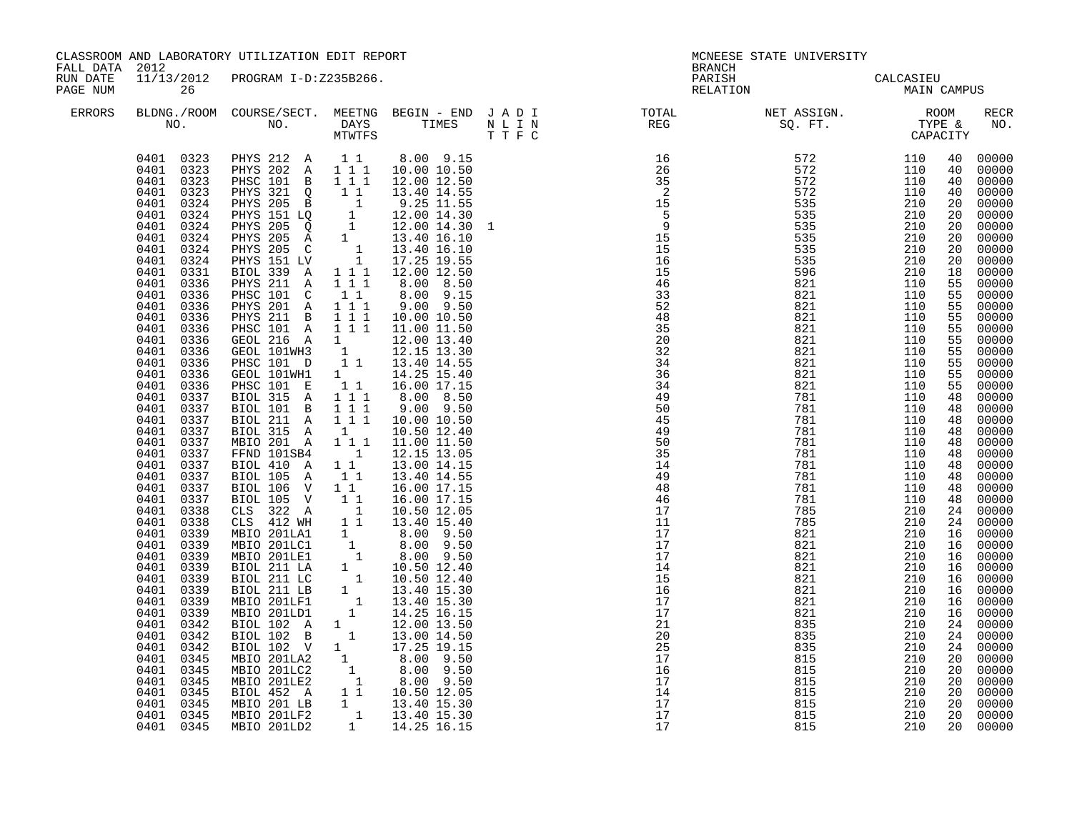| FALL DATA 2012       |                                                                                                                                                                                                                                                                                                                                                                                                                                                                                                                                                                                                                                                                                                                                                                     | CLASSROOM AND LABORATORY UTILIZATION EDIT REPORT                                                                                                                                                                                                                                                                                                                                                                                                                                                                                                                                                                                                                                                                                                                                                                                                                                                                                                                                                                                                                                                                                                                                                                                                                                                                       |                                                       |                                                                                                                                                                                                                                                                                                 |  | <b>BRANCH</b>                                                                                                                     | MCNEESE STATE UNIVERSITY                                                                                                                                                                                                                                                                                                                                                                          |                                                                                  |    |                                                                                                                                                                                                                                                                                                                                                                                                                                                                                                                                                                                   |
|----------------------|---------------------------------------------------------------------------------------------------------------------------------------------------------------------------------------------------------------------------------------------------------------------------------------------------------------------------------------------------------------------------------------------------------------------------------------------------------------------------------------------------------------------------------------------------------------------------------------------------------------------------------------------------------------------------------------------------------------------------------------------------------------------|------------------------------------------------------------------------------------------------------------------------------------------------------------------------------------------------------------------------------------------------------------------------------------------------------------------------------------------------------------------------------------------------------------------------------------------------------------------------------------------------------------------------------------------------------------------------------------------------------------------------------------------------------------------------------------------------------------------------------------------------------------------------------------------------------------------------------------------------------------------------------------------------------------------------------------------------------------------------------------------------------------------------------------------------------------------------------------------------------------------------------------------------------------------------------------------------------------------------------------------------------------------------------------------------------------------------|-------------------------------------------------------|-------------------------------------------------------------------------------------------------------------------------------------------------------------------------------------------------------------------------------------------------------------------------------------------------|--|-----------------------------------------------------------------------------------------------------------------------------------|---------------------------------------------------------------------------------------------------------------------------------------------------------------------------------------------------------------------------------------------------------------------------------------------------------------------------------------------------------------------------------------------------|----------------------------------------------------------------------------------|----|-----------------------------------------------------------------------------------------------------------------------------------------------------------------------------------------------------------------------------------------------------------------------------------------------------------------------------------------------------------------------------------------------------------------------------------------------------------------------------------------------------------------------------------------------------------------------------------|
| RUN DATE<br>PAGE NUM | 26                                                                                                                                                                                                                                                                                                                                                                                                                                                                                                                                                                                                                                                                                                                                                                  | 11/13/2012 PROGRAM I-D:Z235B266.                                                                                                                                                                                                                                                                                                                                                                                                                                                                                                                                                                                                                                                                                                                                                                                                                                                                                                                                                                                                                                                                                                                                                                                                                                                                                       |                                                       |                                                                                                                                                                                                                                                                                                 |  | PARISH<br>RELATION                                                                                                                | CALCASIEU<br>MAIN CAMPUS                                                                                                                                                                                                                                                                                                                                                                          |                                                                                  |    |                                                                                                                                                                                                                                                                                                                                                                                                                                                                                                                                                                                   |
| ERRORS               |                                                                                                                                                                                                                                                                                                                                                                                                                                                                                                                                                                                                                                                                                                                                                                     |                                                                                                                                                                                                                                                                                                                                                                                                                                                                                                                                                                                                                                                                                                                                                                                                                                                                                                                                                                                                                                                                                                                                                                                                                                                                                                                        |                                                       | MTWTFS T T F C                                                                                                                                                                                                                                                                                  |  | BLDNG./ROOM COURSE/SECT. MEETNG BEGIN – END JADI TOTAL NET ASSIGN. NET ASSIGN. NO. ROOM COURSE REG REG REG REG REG SQ. FT. TYPE & |                                                                                                                                                                                                                                                                                                                                                                                                   |                                                                                  |    | <b>RECR</b><br>NO.                                                                                                                                                                                                                                                                                                                                                                                                                                                                                                                                                                |
|                      | 0401 0323<br>0401 0323<br>0401 0323<br>0401 0324<br>0401<br>0324<br>0401<br>0324<br>0401<br>0324<br>0401<br>0324<br>0401<br>0324<br>0401<br>0331<br>0401<br>0336<br>0401<br>0336<br>0401 0336<br>0401 0336<br>0401<br>0336<br>0401 0336<br>0401 0336<br>0401 0336<br>0401<br>0336<br>0401<br>0336<br>0401 0337<br>0401<br>0337<br>0401<br>0337<br>0401<br>0337<br>0401<br>0337<br>0401<br>0337<br>0401 0337<br>0401<br>0337<br>0401 0337<br>0401 0337<br>0401 0338<br>0401 0338<br>0401 0339<br>0401<br>0339<br>0401<br>0339<br>0401<br>0339<br>0401<br>0339<br>0401<br>0339<br>0401<br>0339<br>0401<br>0339<br>0401<br>0342<br>0401<br>0342<br>0401<br>0342<br>0401<br>0345<br>0401<br>0345<br>0401<br>0345<br>0401<br>0345<br>0401 0345<br>0401 0345<br>0401 0345 | 0401 0323 PHYS 212 A 11<br>PHYS 202 A 111<br>PHSC 101 B 111<br>PHSC 101 B 1 1 13.40 14.55<br>PHYS 205 B 1 9.25 11.55<br>PHYS 205 B 1 9.25 11.55<br>PHYS 205 B 1 12.00 14.30<br>PHYS 205 Q 1 12.00 14.30 1<br>PHYS 205 Q 1 13.40 16.10<br>PHYS 205 C 1 13.40 16.10<br>PHYS 205 C 1 13.40 16.10<br>PHYS 151 LV<br>BIOL 339 A 1 1 1 12.00 12.50<br>PHYS 211 A<br>PHSC 101 C<br>PHYS 201 A 111<br>PHYS 211 B 111<br>PHSC 101 A 1 1 1 11.00 11.50<br>GEOL 216 A 1 12.00 13.40<br>GEOL 101WH3 1 12.15 13.30<br>PHSC 101 D 1 1 13.40 14.55<br>GEOL 101WH1<br>PHSC 101 E<br>BIOL 315 A 111<br>BIOL 101 B 111<br>BIOL 211 A 1 1 1<br>BIOL 315 A 1<br>MBIO 201 A 1 1 1<br>FFND 101SB4<br>BIOL 410 A<br>BIOL 105 A<br>BIOL 106 V 1 1<br>BIOL 105 V 1 1<br>BIOL 105 V 1 1 16.00 17.15<br>CLS 322 A 1 10.50 12.05<br>CLS 412 WH 1 1 3.40 15.40<br>MBIO 201LC1 1 8.00 9.50<br>MBIO 201LC1 1 8.00 9.50<br>MBIO 201LE1 1 8.00 9.50<br>BIOL 211 LA 1 10.50 12.40<br>BIOL 211 LC 1 10.50 12.40<br>BIOL 211 LC 1 13.40 1<br>BIOL 102 A 1 12.00 13.50<br>BIOL 102 B 1 13.00 14.50<br>BIOL 102<br>BIOL 102<br>MBIO 201LA2<br>MBIO 201LA2<br>1<br>8.00 9.50<br>MBIO 201LE2<br>1 8.00 9.50<br>MBIO 201LE2<br>1 10.50 12.05<br>MBIO 201LE2<br>MBIO 201LE2<br>1 13.40 15.30<br>MBIO 201LE2<br>1 13.40 15.30<br>MBIO 201LE2<br>1 13.40 15.30<br> | 111<br>$1\quad1$<br>$\overline{1}$<br>$1\quad1$<br>11 | 8.00 9.15<br>10.00 10.50<br>12.00 12.50<br>8.00 8.50<br>8.00 9.15<br>$9.00$ $9.50$<br>10.00 10.50<br>1   14.25   15.40<br>1 1 16.00 17.15<br>8.00 8.50<br>$9.00$ $9.50$<br>10.00 10.50<br>10.50 12.40<br>11.00 11.50<br>12.15 13.05<br>13.00 14.15<br>13.40 14.55<br>16.00 17.15<br>16.00 17.15 |  |                                                                                                                                   | $\begin{array}{cccc} \text{S1} & \text{S1} & \text{LPE} & \text{CAPACITY} \\ \text{CAPACTY} & \text{CAPACITY} \\ 572 & 110 & 40 \\ 5772 & 110 & 40 \\ 732 & 110 & 40 \\ 5335 & 210 & 20 \\ 5335 & 210 & 20 \\ 5335 & 210 & 20 \\ 5335 & 210 & 20 \\ 5335 & 210 & 20 \\ 5335 & 210 & 20 \\ 5335 & 210 & 20 \\ 5335 & 210 & 20 \\ 5$<br>835<br>835<br>815<br>815<br>815<br>815<br>815<br>815<br>815 | 210<br>210<br>210<br>210<br>210<br>210<br>210<br>210<br>210<br>210<br>210<br>210 | 20 | 00000<br>00000<br>00000<br>40 00000<br>00000<br>00000<br>20 00000<br>20 00000<br>20 00000<br>00000<br>00000<br>00000<br>55 00000<br>00000<br>00000<br>00000<br>55 00000<br>00000<br>55 00000<br>00000<br>55 00000<br>00000<br>00000<br>00000<br>00000<br>48 00000<br>00000<br>48 00000<br>48 00000<br>48 00000<br>00000<br>24 00000<br>24 00000<br>16 00000<br>16 00000<br>16 00000<br>16 00000<br>16 00000<br>16 00000<br>16 00000<br>16 00000<br>24 00000<br>24 00000<br>24 00000<br>20 00000<br>$\frac{20}{20}$ 00000<br>20 00000<br>00000<br>20 00000<br>20 00000<br>20 00000 |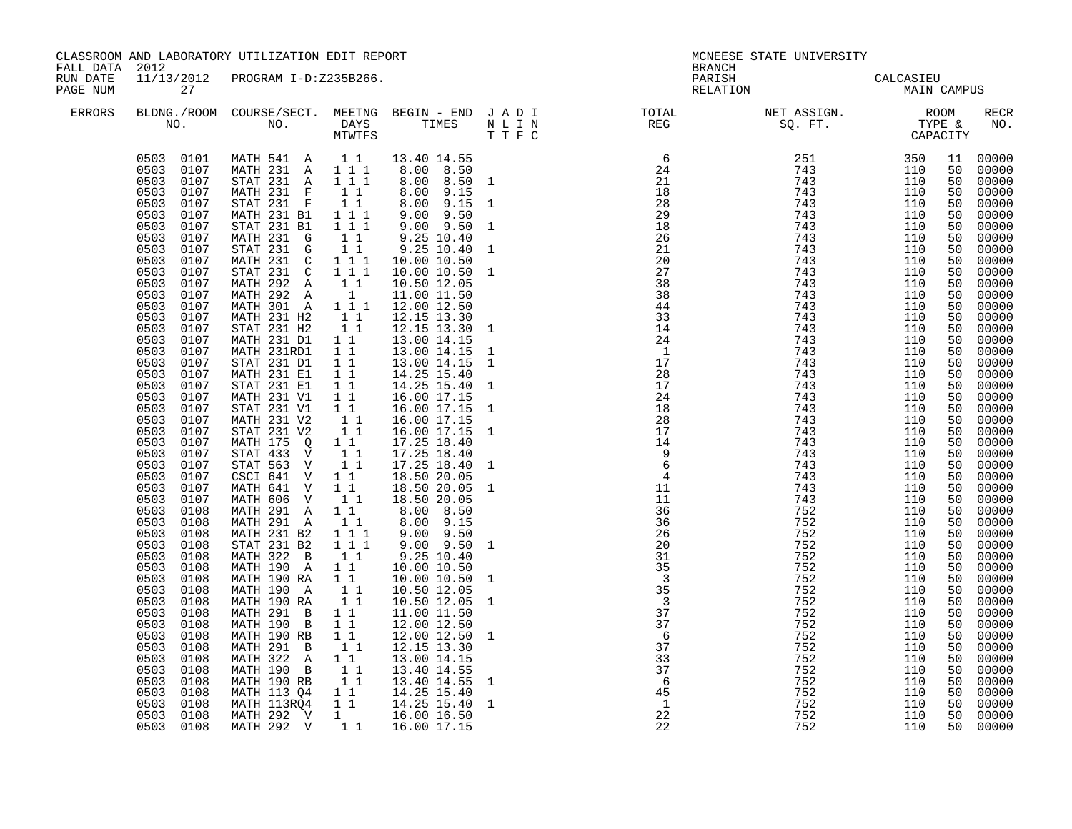| FALL DATA 2012       |                                                                                                                                                                                                                                                                                                                                                                                                                                                                                                                                                                                                                                                                                                                                                                          | CLASSROOM AND LABORATORY UTILIZATION EDIT REPORT                                                                                                                                                                                                                                                                                                                                                                                                                                                                                                                                                                                                                                                                                                                                                                                                                                                                                                |                                                                                                                                                                                                                                                                                                                             |                                                                                                                                                                                                                                                                                                                                                                                                                                                                                                                                                                                                                                                                                                                                | MCNEESE STATE UNIVERSITY<br><b>BRANCH</b>                                    |                                                                                                                                                                                                                                                                                                                                                                                                                                                  |                                                                                                                                                                                                                                                                                                                                                                                                                                          |                          |                      |                                             |
|----------------------|--------------------------------------------------------------------------------------------------------------------------------------------------------------------------------------------------------------------------------------------------------------------------------------------------------------------------------------------------------------------------------------------------------------------------------------------------------------------------------------------------------------------------------------------------------------------------------------------------------------------------------------------------------------------------------------------------------------------------------------------------------------------------|-------------------------------------------------------------------------------------------------------------------------------------------------------------------------------------------------------------------------------------------------------------------------------------------------------------------------------------------------------------------------------------------------------------------------------------------------------------------------------------------------------------------------------------------------------------------------------------------------------------------------------------------------------------------------------------------------------------------------------------------------------------------------------------------------------------------------------------------------------------------------------------------------------------------------------------------------|-----------------------------------------------------------------------------------------------------------------------------------------------------------------------------------------------------------------------------------------------------------------------------------------------------------------------------|--------------------------------------------------------------------------------------------------------------------------------------------------------------------------------------------------------------------------------------------------------------------------------------------------------------------------------------------------------------------------------------------------------------------------------------------------------------------------------------------------------------------------------------------------------------------------------------------------------------------------------------------------------------------------------------------------------------------------------|------------------------------------------------------------------------------|--------------------------------------------------------------------------------------------------------------------------------------------------------------------------------------------------------------------------------------------------------------------------------------------------------------------------------------------------------------------------------------------------------------------------------------------------|------------------------------------------------------------------------------------------------------------------------------------------------------------------------------------------------------------------------------------------------------------------------------------------------------------------------------------------------------------------------------------------------------------------------------------------|--------------------------|----------------------|---------------------------------------------|
| RUN DATE<br>PAGE NUM | 27                                                                                                                                                                                                                                                                                                                                                                                                                                                                                                                                                                                                                                                                                                                                                                       | 11/13/2012 PROGRAM I-D:Z235B266.                                                                                                                                                                                                                                                                                                                                                                                                                                                                                                                                                                                                                                                                                                                                                                                                                                                                                                                |                                                                                                                                                                                                                                                                                                                             |                                                                                                                                                                                                                                                                                                                                                                                                                                                                                                                                                                                                                                                                                                                                |                                                                              | PARISH<br>RELATION                                                                                                                                                                                                                                                                                                                                                                                                                               | CALCASIEU<br>MAIN CAMPUS                                                                                                                                                                                                                                                                                                                                                                                                                 |                          |                      |                                             |
| <b>ERRORS</b>        |                                                                                                                                                                                                                                                                                                                                                                                                                                                                                                                                                                                                                                                                                                                                                                          |                                                                                                                                                                                                                                                                                                                                                                                                                                                                                                                                                                                                                                                                                                                                                                                                                                                                                                                                                 |                                                                                                                                                                                                                                                                                                                             |                                                                                                                                                                                                                                                                                                                                                                                                                                                                                                                                                                                                                                                                                                                                |                                                                              | $\begin{tabular}{lllllllllllllllllllll} \textsc{BLONG.} \textsc{F100M.} & \textsc{COURSE/SECT.} & \textsc{METING.} & \textsc{BEGIN - END.} & \textsc{J A D I} & \textsc{DTAT} & \textsc{NT10TAL} & \textsc{NET ASSIGN.} & \textsc{ROOM} \\ \textsc{NO.} & \textsc{NO.} & \textsc{DAYS} & \textsc{TIMES} & \textsc{N L I N} & \textsc{REG} & \textsc{SG. FT.} & \textsc{STP} & \textsc{CAPACITY} \\ & \textsc{MTVTFS} & \textsc{T T F C} & & & &$ |                                                                                                                                                                                                                                                                                                                                                                                                                                          |                          |                      | RECR<br>NO.                                 |
|                      | 0503 0107<br>0503 0107<br>0503<br>0107<br>0503<br>0107<br>0503<br>0107<br>0503<br>0107<br>0503<br>0107<br>0503 0107<br>0503 0107<br>0503 0107<br>0503<br>0107<br>0503 0107<br>0503 0107<br>0503 0107<br>0503<br>0107<br>0503 0107<br>0503 0107<br>0503<br>0107<br>0503<br>0107<br>0503<br>0107<br>0503<br>0107<br>0503<br>0107<br>0503<br>0107<br>0503<br>0107<br>0503<br>0107<br>0503<br>0107<br>0503<br>0107<br>0503<br>0107<br>0503<br>0107<br>0503<br>0107<br>0503 0108<br>0503<br>0108<br>0503 0108<br>0503<br>0108<br>0503<br>0108<br>0503<br>0108<br>0503<br>0108<br>0503<br>0108<br>0503<br>0108<br>0503<br>0108<br>0503<br>0108<br>0503<br>0108<br>0503<br>0108<br>0503<br>0108<br>0503<br>0108<br>0503<br>0108<br>0503<br>0108<br>0503<br>0108<br>0503<br>0108 | 0503 0101 MATH 541 A 11 13.40 14.55<br>MATH 231 A 111<br>STAT 231 A 111<br>MATH 231 F 11<br>STAT 231 F<br>MATH 231 B1<br>STAT 231 B1<br>MATH 231 G<br>$STAT$ 231 G $1$ 1<br>MATH 231 C 1 1 1<br>STAT 231 C 1 1 1<br>MATH 292 A 1 1<br>MATH 292 A 1<br>MATH 301 A 1 1 1<br>MATH 231 H2 1 1<br>STAT 231 H2 1 1<br>MATH 231 D1 1 1<br>MATH 231RD1 1 1<br>STAT 231 D1 1<br>MATH 231 E1 11<br>$STAT$ 231 $E1$<br>MATH 231 V1<br>STAT 231 V1<br>MATH 231 V2<br>STAT 231 V2<br>MATH 175 Q<br>STAT 433 $\tilde{V}$<br>STAT 563 V<br>CSCI 641 V 11<br>MATH 641 V 11<br>MATH 606 V<br>MATH 291 A 11<br>MATH 291 A 1 1<br>MATH 231 B2 1 1 1<br>STAT 231 B2 1 1 1<br>MATH 322 B<br>MATH 190 A<br>MATH 190 RA<br>MATH 190 A<br>MATH 190 RA<br>MATH 291 B<br>MATH 190 B<br>MATH 190 RB<br>MATH 291 B<br>MATH 322 A 1 1<br>MATH 190 B 1 1<br>MATH 190 B 1 1<br>MATH 190 RB 1 1<br>MATH 113 Q4 1 1 14.25 15.40<br>MATH 113 Q4 1 1 14.25 15.40 1<br>MATH 292 V 1 | $1\quad1$<br>$1 1 1$<br>$1 1 1$<br>11<br>$\overline{1}$ $\overline{1}$<br>$1\quad1$<br>$\begin{smallmatrix}1&&1\\&1\\1&&1\end{smallmatrix}$<br>11<br>$1\quad1$<br>$1\overline{1}$<br>11<br>11<br>$1\quad1$<br>$1\quad1$<br>$\begin{smallmatrix}1&1\1&1\end{smallmatrix}$<br>$1\quad1$<br>11<br>$1\quad1$<br>$1\quad1$<br>11 | 8.00 8.50<br>8.00 8.50 1<br>$8.00$ $9.15$<br>8.00 9.15<br>$9.00$ $9.50$<br>9.00 9.50<br>9.25 10.40<br>9.25 10.40<br>10.00 10.50<br>10.00 10.50<br>10.50 12.05<br>11.00 11.50<br>12.00 12.50<br>12.15 13.30<br>12.15 13.30<br>13.00 14.15<br>13.00 14.15<br>13.00 14.15<br>14.25 15.40<br>14.25 15.40<br>16.00 17.15<br>16.00 17.15<br>16.00 17.15<br>16.00 17.15 1<br>17.25 18.40<br>17.25 18.40<br>17.25 18.40 1<br>18.50 20.05<br>18.50 20.05 1<br>18.50 20.05<br>8.00 8.50<br>8.00 9.15<br>$9.00$ $9.50$<br>$9.00$ $9.50$<br>9.25 10.40<br>10.00 10.50<br>10.00 10.50<br>10.50 12.05<br>10.50 12.05<br>11.00 11.50<br>12.00 12.50<br>12.00 12.50<br>12.15 13.30<br>13.00 14.15<br>13.40 14.55<br>13.40 14.55<br>16.00 16.50 | $\mathbf{1}$<br>$\mathbf{1}$<br>$\mathbf{1}$<br>$\mathbf{1}$<br><sup>1</sup> | $6\overline{6}$<br>$\begin{array}{c} 6 \\ 24 \\ 21 \end{array}$<br>36<br>26<br>20<br>31<br>$\frac{5}{35}$<br>$\begin{array}{c} 3 \\ 3 \\ 35 \end{array}$<br>$\overline{\textbf{3}}$<br>37<br>$\frac{37}{5}$<br>$6^{\circ}$<br>37<br>$\overline{33}$<br>$\overline{37}$<br>$6\overline{6}$<br>$\begin{array}{c} 45 \\ 1 \end{array}$<br>22                                                                                                        | $\begin{array}{cccc} \text{SC. FT.} & \text{TPF.} & \text{CAPRE A} & \text{NO.} \\ \text{CAPRCLTT} & \text{CO.} & \text{O.} & \text{O.} & \text{O.} & \text{O.} \\ \text{TPF.} & \text{CAPRCLTT} & \text{NO.} & \text{O.} & \text{O.} & \text{O.} & \text{O.} \\ \text{TPF.} & \text{P143} & \text{110} & \text{50} & \text{O.} & \text{O.} & \text{O.} & \text{O.} \\ \text{TPF.} & \text{P144} & \text{11$<br>752<br>752<br>752<br>752 | 110<br>110<br>110<br>110 | 50<br>50<br>50<br>50 | $00000$<br>00000<br>00000<br>00000<br>00000 |
|                      |                                                                                                                                                                                                                                                                                                                                                                                                                                                                                                                                                                                                                                                                                                                                                                          | 0503 0108 MATH 292 V 1 1 16.00 17.15                                                                                                                                                                                                                                                                                                                                                                                                                                                                                                                                                                                                                                                                                                                                                                                                                                                                                                            |                                                                                                                                                                                                                                                                                                                             |                                                                                                                                                                                                                                                                                                                                                                                                                                                                                                                                                                                                                                                                                                                                |                                                                              | 22                                                                                                                                                                                                                                                                                                                                                                                                                                               | 752                                                                                                                                                                                                                                                                                                                                                                                                                                      | 110                      | 50                   | 00000                                       |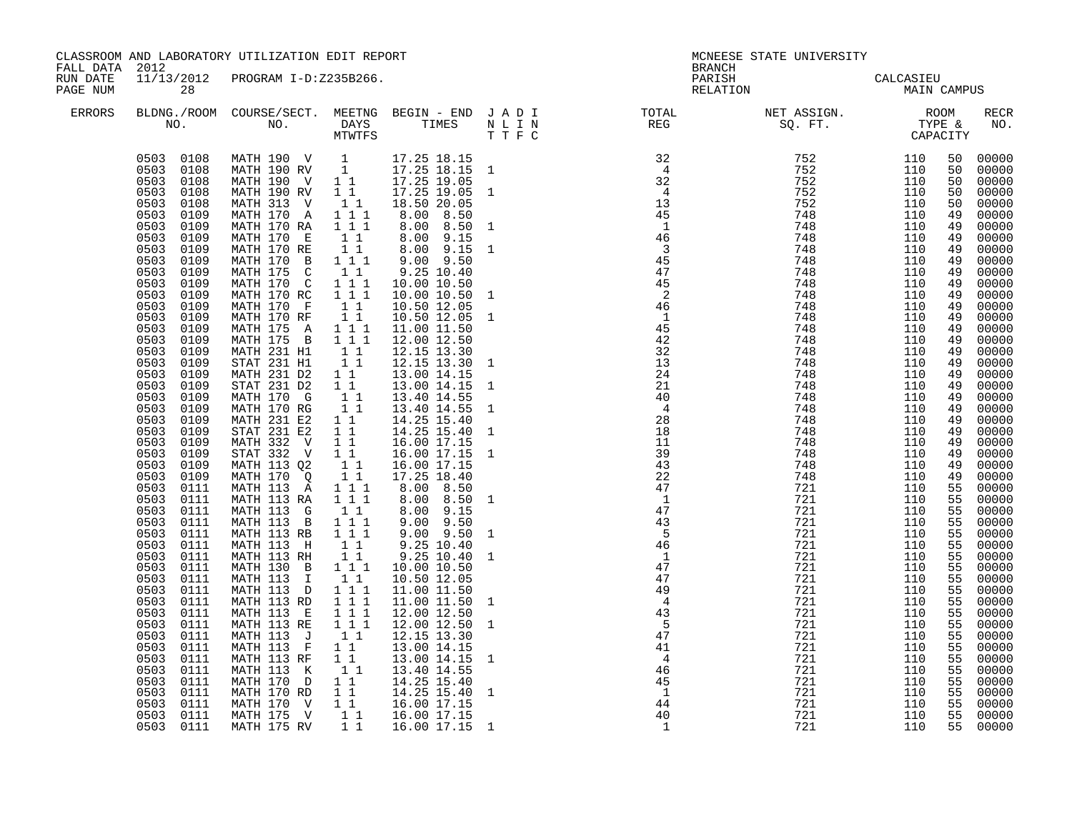| FALL DATA 2012       |                                                                                                                                                                                                                                                                                                                                                                                                                                                                                                                                                                                                                                                                                                                                                                          | CLASSROOM AND LABORATORY UTILIZATION EDIT REPORT                                                                                                                                                                                                                                                                                                                                                                                                                                                                                                                                                                                                                                                                                                                                                                                                                                                                                                                            |                                                                                                                                                                                                                                                                       |                                                                                                                                                                                                                                                                                                                                                                                                                                                                                                                                                                                                                                                                                                         | MCNEESE STATE UNIVERSITY<br><b>BRANCH</b>                                                                                                                                                          |                                                                                                                                                                                                                                                                                                                                                                                                                                                                                                                                                                                                                                                                                                           |                          |                                               |                                                                                                                                                                                                                                                                                              |                                                                                                                                                                                                                                                                                                                                                                                                                                                                      |
|----------------------|--------------------------------------------------------------------------------------------------------------------------------------------------------------------------------------------------------------------------------------------------------------------------------------------------------------------------------------------------------------------------------------------------------------------------------------------------------------------------------------------------------------------------------------------------------------------------------------------------------------------------------------------------------------------------------------------------------------------------------------------------------------------------|-----------------------------------------------------------------------------------------------------------------------------------------------------------------------------------------------------------------------------------------------------------------------------------------------------------------------------------------------------------------------------------------------------------------------------------------------------------------------------------------------------------------------------------------------------------------------------------------------------------------------------------------------------------------------------------------------------------------------------------------------------------------------------------------------------------------------------------------------------------------------------------------------------------------------------------------------------------------------------|-----------------------------------------------------------------------------------------------------------------------------------------------------------------------------------------------------------------------------------------------------------------------|---------------------------------------------------------------------------------------------------------------------------------------------------------------------------------------------------------------------------------------------------------------------------------------------------------------------------------------------------------------------------------------------------------------------------------------------------------------------------------------------------------------------------------------------------------------------------------------------------------------------------------------------------------------------------------------------------------|----------------------------------------------------------------------------------------------------------------------------------------------------------------------------------------------------|-----------------------------------------------------------------------------------------------------------------------------------------------------------------------------------------------------------------------------------------------------------------------------------------------------------------------------------------------------------------------------------------------------------------------------------------------------------------------------------------------------------------------------------------------------------------------------------------------------------------------------------------------------------------------------------------------------------|--------------------------|-----------------------------------------------|----------------------------------------------------------------------------------------------------------------------------------------------------------------------------------------------------------------------------------------------------------------------------------------------|----------------------------------------------------------------------------------------------------------------------------------------------------------------------------------------------------------------------------------------------------------------------------------------------------------------------------------------------------------------------------------------------------------------------------------------------------------------------|
| RUN DATE<br>PAGE NUM | 28                                                                                                                                                                                                                                                                                                                                                                                                                                                                                                                                                                                                                                                                                                                                                                       | 11/13/2012 PROGRAM I-D:Z235B266.                                                                                                                                                                                                                                                                                                                                                                                                                                                                                                                                                                                                                                                                                                                                                                                                                                                                                                                                            |                                                                                                                                                                                                                                                                       |                                                                                                                                                                                                                                                                                                                                                                                                                                                                                                                                                                                                                                                                                                         |                                                                                                                                                                                                    | PARISH<br>RELATION                                                                                                                                                                                                                                                                                                                                                                                                                                                                                                                                                                                                                                                                                        | CALCASIEU<br>MAIN CAMPUS |                                               |                                                                                                                                                                                                                                                                                              |                                                                                                                                                                                                                                                                                                                                                                                                                                                                      |
| <b>ERRORS</b>        |                                                                                                                                                                                                                                                                                                                                                                                                                                                                                                                                                                                                                                                                                                                                                                          |                                                                                                                                                                                                                                                                                                                                                                                                                                                                                                                                                                                                                                                                                                                                                                                                                                                                                                                                                                             |                                                                                                                                                                                                                                                                       |                                                                                                                                                                                                                                                                                                                                                                                                                                                                                                                                                                                                                                                                                                         |                                                                                                                                                                                                    | $\begin{tabular}{lllllllllllllllllllll} \textsc{BLONG.} \textsc{F100M.} & \textsc{COURSE/SECT.} & \textsc{METNG.} & \textsc{BEGIN - END.} & \textsc{J A D I} & \textsc{DTATM E} & \textsc{NET ASSIGN.} & \textsc{ROOM} \\ \textsc{NO.} & \textsc{NO.} & \textsc{DAYS} & \textsc{TIMES} & \textsc{N L I N} & \textsc{REG} & \textsc{SEG} & \textsc{ST.} & \textsc{STF.} & \textsc{CTPACITY} \\ & \textsc{MTVTFS} & \textsc{T T F C} & \textsc{$                                                                                                                                                                                                                                                            |                          |                                               |                                                                                                                                                                                                                                                                                              | RECR<br>NO.                                                                                                                                                                                                                                                                                                                                                                                                                                                          |
|                      | 0503 0108<br>0503 0108<br>0503 0108<br>0503<br>0108<br>0503<br>0108<br>0503<br>0109<br>0503<br>0109<br>0503<br>0109<br>0503<br>0109<br>0503<br>0109<br>0503 0109<br>0503<br>0109<br>0503 0109<br>0503 0109<br>0503 0109<br>0503<br>0109<br>0503 0109<br>0503<br>0109<br>0503<br>0109<br>0503<br>0109<br>0503<br>0109<br>0503<br>0109<br>0503<br>0109<br>0503<br>0109<br>0503<br>0109<br>0503<br>0109<br>0503<br>0109<br>0503<br>0109<br>0503<br>0109<br>0503<br>0111<br>0503 0111<br>0503 0111<br>0503<br>0111<br>0503 0111<br>0503 0111<br>0503<br>0111<br>0503<br>0111<br>0503<br>0111<br>0503<br>0111<br>0503<br>0111<br>0503<br>0111<br>0503<br>0111<br>0503<br>0111<br>0503<br>0111<br>0503<br>0111<br>0503<br>0111<br>0503<br>0111<br>0503<br>0111<br>0503<br>0111 | MATH 190 V 1 17.25 18.15<br>MATH 190 RV 1 17.25 18.15 1<br>MATH 190 V 1 1 17.25 19.05<br>MATH 190 RV<br>MATH 313 V<br>MATH 170 A 1 1 1<br>MATH 170 RA 1 1 1<br>MATH 170 E<br>MATH 170 RE<br>MATH 170 B 1 1 1<br>MATH 175 C 1 1<br>MATH 175 C 1 1 1<br>MATH 170 RC 1 1 1<br>MATH 170 F 1 1<br>MATH 170 RF 1 1<br>MATH 175 A 1 1 1<br>MATH 175 B 1 1 1<br>MATH 1<br>MATH 231 H <sub>1</sub><br>STAT 231 H1 1<br>MATH 231 D2 1 1<br>STAT 231 D2 1 1<br>MATH 170 G 1 1<br>MATH 170 G 1 1<br>MATH 170 RG 1 1<br>MATH 231 E2<br>STAT 231 E2<br>MATH 332 V<br>STAT 332 V<br>MATH 113 Q2<br>MATH 113 Q2<br>MATH 170 Q<br>MATH 113 A 1 1 1<br>MATH 113 RA 1 1 1<br>MATH 113 G<br>MATH 113 B 1 1 1<br>MATH 113 RB 1 1 1<br>MATH 113 H<br>MATH 113 RH 11<br>MATH 130 B 111<br>MATH 113 I<br>MATH 113 D 1 1 1<br>MATH 113 RD<br>MATH 113 E<br>MATH 113 RE<br>$MATH$ 113 $J$<br>MATH 113 F 1 1<br>MATH 113 RF 1 1<br>MATH 113 K 1<br>MATH 170 D 1 1<br>MATH 170 RD 1 1<br>MATH 170 V 1 1 | 11<br>11<br>$\begin{array}{rr} & 1 & 1 \\ & 1 & 1 \end{array}$<br>11<br>$1\quad1$<br>$1\quad1$<br>$1\quad1$<br>$\begin{bmatrix} 1 & 1 \\ 1 & 1 \end{bmatrix}$<br>11<br>$1\quad1$<br>11<br>$\begin{array}{cccc} 1 & 1 & 1 \\ 1 & 1 & 1 \\ 1 & 1 & 1 \end{array}$<br>11 | 17.25 19.05 1<br>18.50 20.05<br>8.00 8.50<br>8.00 8.50<br>8.00 9.15<br>8.00 9.15<br>$9.00$ $9.50$<br>9.25 10.40<br>10.00 10.50<br>10.00 10.50<br>10.50 12.05<br>10.50 12.05<br>11.00 11.50<br>12.00 12.50<br>12.15 13.30<br>12.15 13.30<br>13.00 14.15<br>13.00 14.15<br>13.40 14.55<br>13.40 14.55<br>14.25 15.40<br>14.25 15.40 1<br>16.00 17.15<br>16.00 17.15<br>16.00 17.15<br>17.25 18.40<br>8.00 8.50<br>8.00 8.50<br>8.00 9.15<br>$9.00$ $9.50$<br>$9.00$ $9.50$<br>9.25 10.40<br>9.25 10.40<br>10.00 10.50<br>10.50 12.05<br>11.00 11.50<br>11.00 11.50<br>12.00 12.50<br>12.00 12.50<br>12.15 13.30<br>13.00 14.15<br>13.00 14.15<br>13.40 14.55<br>14.25 15.40<br>14.25 15.40<br>16.00 17.15 | $\mathbf{1}$<br>$\overline{1}$<br>$\mathbf{1}$<br>1<br>$\mathbf{1}$<br>$\mathbf{1}$<br>$\mathbf{1}$<br>1<br>1<br>$\mathbf{1}$<br>$\mathbf{1}$<br>$\mathbf{1}$<br>$\mathbf{1}$<br>$\mathbf{1}$<br>1 | $\begin{array}{r} \texttt{a} \\ \texttt{b} \\ \texttt{c} \\ \texttt{d} \\ \texttt{d} \\ \texttt{e} \\ \texttt{f} \\ \texttt{f} \\ \texttt{f} \\ \texttt{f} \\ \texttt{f} \\ \texttt{f} \\ \texttt{f} \\ \texttt{f} \\ \texttt{f} \\ \texttt{f} \\ \texttt{f} \\ \texttt{f} \\ \texttt{f} \\ \texttt{f} \\ \texttt{f} \\ \texttt{f} \\ \texttt{f} \\ \texttt{f} \\ \texttt{f} \\ \texttt{f} \\ \texttt{f} \\ \texttt{f} \\ \texttt{f} \\ \texttt{f} \\ \texttt$<br>47<br>$\overline{1}$<br>47<br>43<br>$\overline{5}$<br>46<br>$\overline{1}$<br>$4\overline{7}$<br>47<br>49<br>$4\overline{3}$<br>$\overline{5}$<br>47<br>$\overline{41}$<br>$\overline{4}$<br>46<br>45<br>$\overline{\phantom{0}}$<br>44 |                          | 110<br>110<br>110<br>110<br>110<br>110<br>110 | 50<br>50<br>50<br>50<br>49<br>49<br>49<br>49<br>49<br>49<br>49<br>49<br>49<br>49<br>49<br>49<br>49<br>49<br>49<br>49<br>49<br>49<br>49<br>49<br>49<br>49<br>49<br>49<br>55<br>55<br>55<br>55<br>55<br>55<br>55<br>55<br>55<br>55<br>55<br>55<br>55<br>55<br>55<br>55<br>55<br>55<br>55<br>55 | 50 00000<br>00000<br>00000<br>00000<br>00000<br>00000<br>00000<br>00000<br>00000<br>00000<br>00000<br>00000<br>00000<br>00000<br>00000<br>00000<br>00000<br>00000<br>00000<br>00000<br>00000<br>00000<br>00000<br>00000<br>00000<br>00000<br>00000<br>00000<br>00000<br>00000<br>00000<br>00000<br>$00000$<br>$00000$<br>00000<br>$00000$<br>$00000$<br>00000<br>00000<br>00000<br>00000<br>00000<br>00000<br>00000<br>00000<br>$00000$<br>$00000$<br>00000<br>00000 |
|                      | 0503<br>0111                                                                                                                                                                                                                                                                                                                                                                                                                                                                                                                                                                                                                                                                                                                                                             | MATH 175 V<br>0503 0111 MATH 175 RV 1 1 16.00 17.15 1                                                                                                                                                                                                                                                                                                                                                                                                                                                                                                                                                                                                                                                                                                                                                                                                                                                                                                                       | 11                                                                                                                                                                                                                                                                    | 16.00 17.15                                                                                                                                                                                                                                                                                                                                                                                                                                                                                                                                                                                                                                                                                             |                                                                                                                                                                                                    | 40<br>$\overline{\phantom{0}}$                                                                                                                                                                                                                                                                                                                                                                                                                                                                                                                                                                                                                                                                            | 721<br>721               | 110<br>110                                    | 55<br>55                                                                                                                                                                                                                                                                                     | 00000<br>00000                                                                                                                                                                                                                                                                                                                                                                                                                                                       |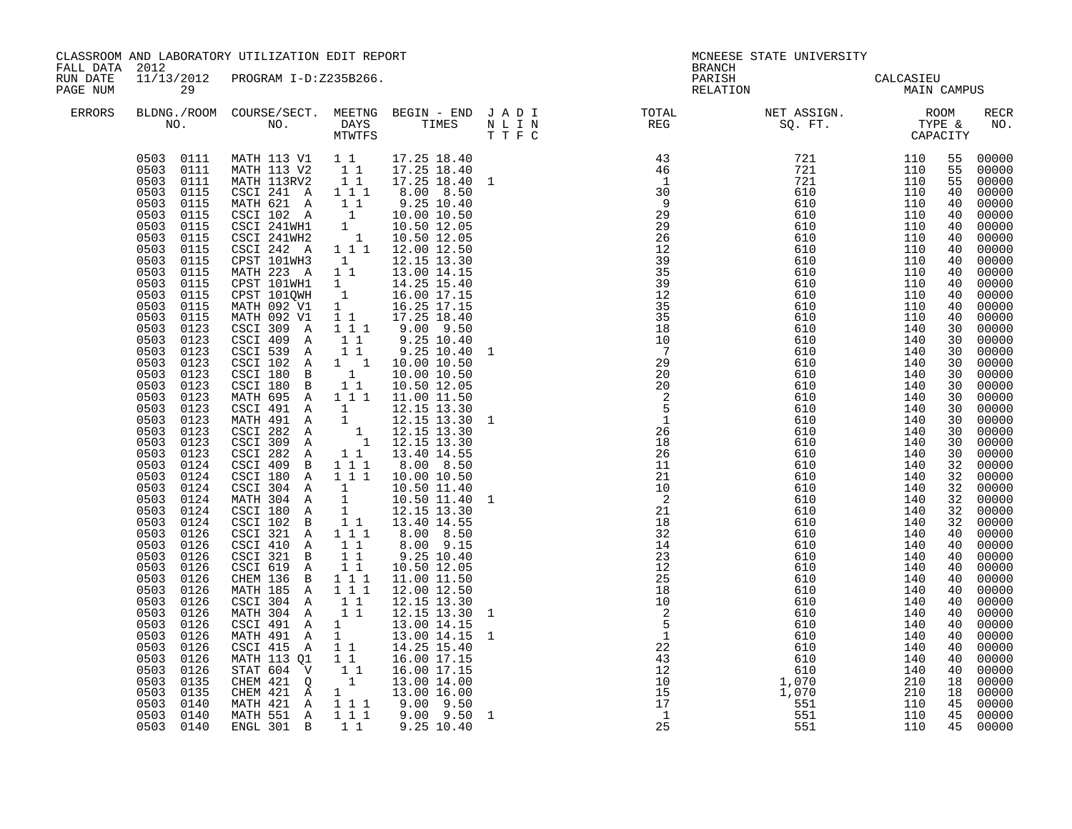| FALL DATA 2012       |                                                                                                                                                                                                                                                                                                                                                                                                                                                                                                                                                                                                                                                                                                                                                                        | CLASSROOM AND LABORATORY UTILIZATION EDIT REPORT                                                                                                                                                                                                                                                                                                                                                                                                                                                                                                                                                                                                                                                                                                                                                                                                                                                                                                                                                                                                                                                                                                                                                                                                                        |                                                                     |                                                                                                                                                                                                                                                                                                                                                                                                                                                    | <b>BRANCH</b>                                                                                                                                                                                                                                                                                                                                                                                                                                     | MCNEESE STATE UNIVERSITY                 |  |             |
|----------------------|------------------------------------------------------------------------------------------------------------------------------------------------------------------------------------------------------------------------------------------------------------------------------------------------------------------------------------------------------------------------------------------------------------------------------------------------------------------------------------------------------------------------------------------------------------------------------------------------------------------------------------------------------------------------------------------------------------------------------------------------------------------------|-------------------------------------------------------------------------------------------------------------------------------------------------------------------------------------------------------------------------------------------------------------------------------------------------------------------------------------------------------------------------------------------------------------------------------------------------------------------------------------------------------------------------------------------------------------------------------------------------------------------------------------------------------------------------------------------------------------------------------------------------------------------------------------------------------------------------------------------------------------------------------------------------------------------------------------------------------------------------------------------------------------------------------------------------------------------------------------------------------------------------------------------------------------------------------------------------------------------------------------------------------------------------|---------------------------------------------------------------------|----------------------------------------------------------------------------------------------------------------------------------------------------------------------------------------------------------------------------------------------------------------------------------------------------------------------------------------------------------------------------------------------------------------------------------------------------|---------------------------------------------------------------------------------------------------------------------------------------------------------------------------------------------------------------------------------------------------------------------------------------------------------------------------------------------------------------------------------------------------------------------------------------------------|------------------------------------------|--|-------------|
| RUN DATE<br>PAGE NUM | 29                                                                                                                                                                                                                                                                                                                                                                                                                                                                                                                                                                                                                                                                                                                                                                     | 11/13/2012 PROGRAM I-D:Z235B266.                                                                                                                                                                                                                                                                                                                                                                                                                                                                                                                                                                                                                                                                                                                                                                                                                                                                                                                                                                                                                                                                                                                                                                                                                                        |                                                                     |                                                                                                                                                                                                                                                                                                                                                                                                                                                    |                                                                                                                                                                                                                                                                                                                                                                                                                                                   | PARISH CALCASIEU<br>RELATION MAIN CAMPUS |  |             |
| <b>ERRORS</b>        |                                                                                                                                                                                                                                                                                                                                                                                                                                                                                                                                                                                                                                                                                                                                                                        |                                                                                                                                                                                                                                                                                                                                                                                                                                                                                                                                                                                                                                                                                                                                                                                                                                                                                                                                                                                                                                                                                                                                                                                                                                                                         |                                                                     |                                                                                                                                                                                                                                                                                                                                                                                                                                                    | $\begin{tabular}{lllllllllllllllllllll} \textsc{BLONG.} \textsc{ROOM} & \textsc{CUIRSE/SECT.} & \textsc{METING} & \textsc{BEGIN} & - & \textsc{END} & \textsc{J} & \textsc{A} & \textsc{D} & \textsc{I} & & & \textsc{TOTAL} & & \textsc{NET} & \textsc{ASSIGN.} & & \textsc{ROOM} \\ \textsc{NO.} & \textsc{NO.} & \textsc{DAYS} & \textsc{TIMES} & \textsc{N} & \textsc{L} & \textsc{I} & \textsc{NEG} & & \textsc{SEG} & & \textsc{ST.} & & \$ |                                          |  | RECR<br>NO. |
|                      | 0503 0111<br>0503 0111<br>0503<br>0115<br>0503<br>0115<br>0503<br>0115<br>0503<br>0115<br>0503<br>0115<br>0503<br>0115<br>0503<br>0115<br>0503<br>0115<br>0503<br>0115<br>0503 0115<br>0503 0115<br>0503 0115<br>0503<br>0123<br>0503 0123<br>0503 0123<br>0503<br>0123<br>0503<br>0123<br>0503<br>0123<br>0503<br>0123<br>0503<br>0123<br>0503<br>0123<br>0503<br>0123<br>0503 0123<br>0503 0123<br>0503 0124<br>0503<br>0124<br>0503 0124<br>0503 0124<br>0503 0124<br>0503<br>0124<br>0503 0126<br>0503 0126<br>0503<br>0126<br>0503<br>0126<br>0503<br>0126<br>0503<br>0126<br>0503<br>0126<br>0503<br>0126<br>0503<br>0126<br>0503<br>0126<br>0503<br>0126<br>0503<br>0126<br>0503<br>0126<br>0503<br>0135<br>0503<br>0135<br>0503 0140<br>0503 0140<br>0503 0140 | 0503 0111 MATH 113 V1 1 1 17.25 18.40<br>MATH 113 V2 1 1 17.25 18.40<br>MATH 113RV2 1 1 17.25 18.40<br>CSCI 241 A 111<br>NATH 621 A 1 1 9.25 10.40<br>CSCI 102 A 1 10.00 10.50<br>CSCI 241WH1 1 10.50 12.05<br>CSCI 241WH2 1 10.50 12.05<br>CSCI 242 A 1 1 12.00 12.50<br>CPST 101WH3 1 12.15 13.30<br>MATH 223 A 1 1 13.00 14.15<br>PET 101WH1 1 14.25 15.40<br>CPST 101QWH 1 16.00 17.15<br>MATH 092 V1 1 16.25 17.15<br>MATH 092 V1 1 17.25 18.40<br>CSCI 309 A 1,11 9.00 9.50<br>CSCI 409 A<br>CSCI 539 A<br>CSCI 102 A 1 1 10.00 10.50<br>CSCI 180 B 1 10.00 10.50<br>CSCI 180 B 1 1 10.50 12.05<br>MATH 695 A 1 1 1 11.00 11.50<br>CSCI 491 A 1 12.15 13.30<br>MATH 491 A 1 12.15 13.30 1<br>CSCI 282 A 1 12.15 13.30<br>CSCI 309 A 1 12.15 13.30<br>CSCI 282 A 1 1<br>CSCI 409 B 1 1 1<br>CSCI 180 A 1 1 1<br>CSCI 304 A 1<br>MATH 304 A 1<br>CSCI 180 A 1<br>CSCI 102 B 1 1<br>$CSCI$ 102 B<br>CSCI 321 A 111<br>CSCI 410 A 11<br>CSCI 321 B 11<br>CSCI 619 A 11<br>CHEM 136 B 1 1 1<br>MATH 185 A 1 1 1<br>CSCI 304 A 11<br>MATH 304 A<br>CSCI 491 A 1<br>MATH 491 A 1<br>CSCI 415 A<br>MATH 113 Q1<br>STAT 604 V<br>CHEM 421 Q 1 13.00 14.00<br>CHEM 421 A 1 13.00 16.00<br>MATH 421 A 1 11 9.00 9.50<br>MATH 551 A 111 9.00 9.50<br>ENGL 301 B 11 9.25 10.40 | $1\quad1$<br>11<br>$\overline{1}$ $\overline{1}$<br>$1\quad1$<br>11 | 17.25 18.40 1<br>8.00 8.50<br>$9.25$ $10.40$<br>$9.25$ 10.40<br>13.40 14.55<br>8.00 8.50<br>10.00 10.50<br>10.50 11.40<br>10.50 11.40<br>12.15 13.30<br>13.40 14.55<br>8.00 8.50<br>$8.00$ $9.15$<br>9.25 10.40<br>10.50 12.05<br>11.00 11.50<br>12.00 12.50<br>12.15 13.30<br>$12.15$ $13.30$<br>13.00 14.15<br>$\begin{array}{cccc} 1 & 13.00 & 14.15 & 1 \\ 1 & 1 & 14.25 & 15.40 \end{array}$<br>16.00 17.15<br>16.00 17.15<br>$9.00$ $9.50$ 1 | $\begin{array}{c} 2 \\ 2 \\ 5 \\ 1 \end{array}$<br>$\begin{array}{r} 5 \\ 1 \\ 22 \\ 43 \\ 12 \\ 10 \\ 15 \\ 17 \\ 1 \end{array}$                                                                                                                                                                                                                                                                                                                 |                                          |  |             |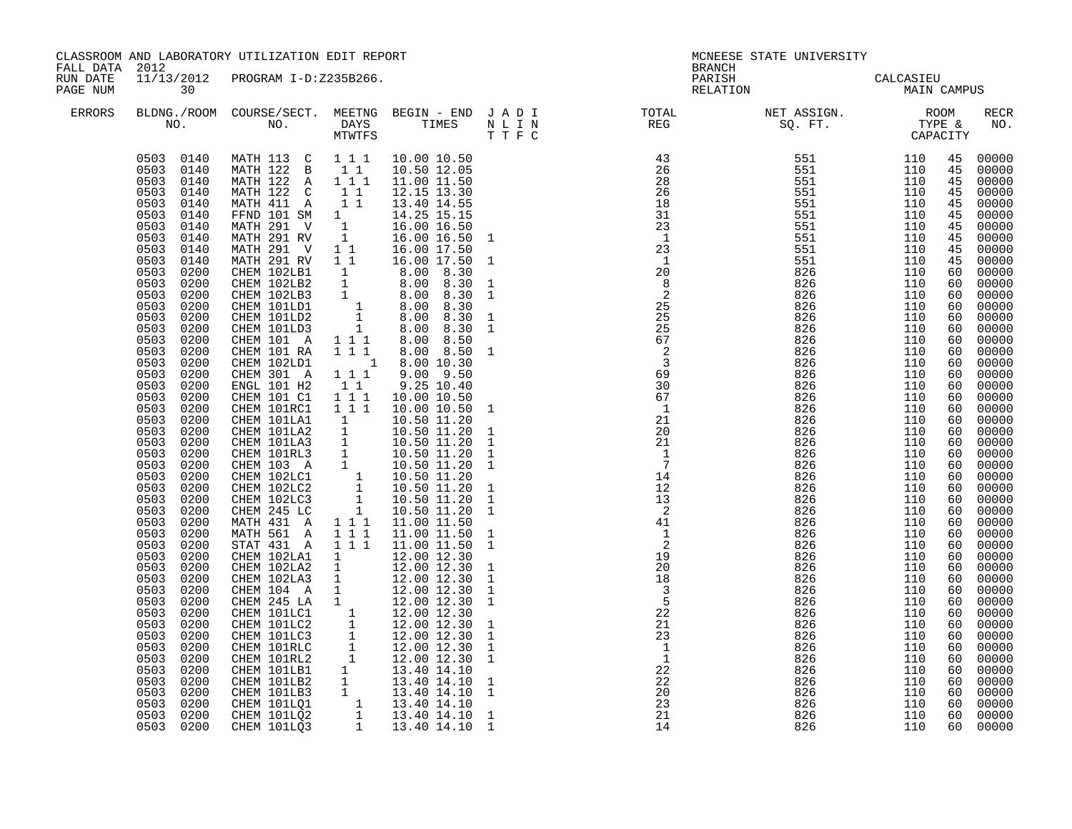| FALL DATA 2012       |                                                                                                                                                                                                                                                                                                                                                                                                                                                                                                                                                                                                                                                                                                                                                                                                                     | CLASSROOM AND LABORATORY UTILIZATION EDIT REPORT                                                                                                                                                                                                                                                                                                                                                                                                                                                                                                                                                                                                                                                                                                      |                                     |                                                                                                                                                                                |                                                                                                                                                                                                                                                                                                                                             |                                                                                                                                                                                                                                                                                                                                                                                                                                                | MCNEESE STATE UNIVERSITY<br><b>BRANCH</b> |     |    |                                                                                                                                                                                                                                                                                                                                                                                                                                                                                               |
|----------------------|---------------------------------------------------------------------------------------------------------------------------------------------------------------------------------------------------------------------------------------------------------------------------------------------------------------------------------------------------------------------------------------------------------------------------------------------------------------------------------------------------------------------------------------------------------------------------------------------------------------------------------------------------------------------------------------------------------------------------------------------------------------------------------------------------------------------|-------------------------------------------------------------------------------------------------------------------------------------------------------------------------------------------------------------------------------------------------------------------------------------------------------------------------------------------------------------------------------------------------------------------------------------------------------------------------------------------------------------------------------------------------------------------------------------------------------------------------------------------------------------------------------------------------------------------------------------------------------|-------------------------------------|--------------------------------------------------------------------------------------------------------------------------------------------------------------------------------|---------------------------------------------------------------------------------------------------------------------------------------------------------------------------------------------------------------------------------------------------------------------------------------------------------------------------------------------|------------------------------------------------------------------------------------------------------------------------------------------------------------------------------------------------------------------------------------------------------------------------------------------------------------------------------------------------------------------------------------------------------------------------------------------------|-------------------------------------------|-----|----|-----------------------------------------------------------------------------------------------------------------------------------------------------------------------------------------------------------------------------------------------------------------------------------------------------------------------------------------------------------------------------------------------------------------------------------------------------------------------------------------------|
| RUN DATE<br>PAGE NUM | 30                                                                                                                                                                                                                                                                                                                                                                                                                                                                                                                                                                                                                                                                                                                                                                                                                  | 11/13/2012 PROGRAM I-D:Z235B266.                                                                                                                                                                                                                                                                                                                                                                                                                                                                                                                                                                                                                                                                                                                      |                                     |                                                                                                                                                                                |                                                                                                                                                                                                                                                                                                                                             | PARISH<br>RELATION                                                                                                                                                                                                                                                                                                                                                                                                                             | CALCASIEU<br>MAIN CAMPUS                  |     |    |                                                                                                                                                                                                                                                                                                                                                                                                                                                                                               |
| ERRORS               |                                                                                                                                                                                                                                                                                                                                                                                                                                                                                                                                                                                                                                                                                                                                                                                                                     |                                                                                                                                                                                                                                                                                                                                                                                                                                                                                                                                                                                                                                                                                                                                                       |                                     |                                                                                                                                                                                |                                                                                                                                                                                                                                                                                                                                             | $\begin{tabular}{lllllllllllllllllllll} \textsc{BLONG.} \textsc{F100M.} & \textsc{COURSE/SECT.} & \textsc{METNG.} & \textsc{BEGIN - END} & \textsc{J A D I} & \textsc{DTAT} & \textsc{NTGTL} & \textsc{NET ASSIGN.} & \textsc{ROOM} \\ \textsc{NO.} & \textsc{NO.} & \textsc{DAYS} & \textsc{TIMES} & \textsc{N L I N} & \textsc{REG} & \textsc{SEG.} & \textsc{ST.} & \textsc{CTPE & \& \\ \textsc{MO.} & \textsc{NO.} & \textsc{MTWTFS} & \$ |                                           |     |    | RECR<br>NO.                                                                                                                                                                                                                                                                                                                                                                                                                                                                                   |
|                      | 0503 0140<br>0503 0140<br>0503 0140<br>0503<br>0140<br>0503<br>0140<br>0503<br>0140<br>0503<br>0140<br>0503<br>0140<br>0503<br>0140<br>0503<br>0140<br>0503<br>0200<br>0503<br>0200<br>0503<br>0200<br>0503<br>0200<br>0503<br>0200<br>0503<br>0200<br>0503<br>0200<br>0503<br>0200<br>0503<br>0200<br>0503<br>0200<br>0503<br>0200<br>0503<br>0200<br>0503<br>0200<br>0503<br>0200<br>0503<br>0200<br>0503<br>0503<br>0200<br>0200<br>0503<br>0200<br>0503<br>0200<br>0503<br>0200<br>0503<br>0200<br>0503<br>0200<br>0503<br>0200<br>0503<br>0200<br>0503<br>0200<br>0503<br>0200<br>0503<br>0200<br>0503<br>0200<br>0503<br>0200<br>0503<br>0200<br>0503<br>0200<br>0503<br>0200<br>0503<br>0200<br>0503<br>0200<br>0503<br>0200<br>0503<br>0200<br>0503<br>0200<br>0503<br>0200<br>0503<br>0200<br>0503<br>0200 | MATH 113 C 1 1 1 10.00 10.50<br>MATH 122 B 1 1<br>MATH 122 A 1 1 1<br>MATH 122 C 1 1<br>CHEM 101 A<br>CHEM 101 RA<br>CHEM 102LD1<br>CHEM 301 A<br>ENGL 101 H2<br>CHEM 101 C1 1 1 1<br>CHEM 101RC1   1   1   1<br>CHEM 101RC1 1 1 1 10.00 10.50<br>CHEM 101LA1 1 10.50 11.20<br>CHEM 101LA3 1 10.50 11.20<br>CHEM 101LA3 1 10.50 11.20<br>CHEM 101RL3 1 10.50 11.20<br>CHEM 103 A 1 10.50 11.20<br>CHEM 102LC1 1 10.50 11.20<br>CHEM 102LC2 1 10.50 11.20<br>CHE<br>MATH 431 A 111<br>MATH 561 A 111<br>MATH 561 A 1 1 1 11.00 11.50<br>STAT 431 A 1 1 1 11.00 11.50<br>CHEM 102LA1 1 12.00 12.30<br>CHEM 102LA2 1 12.00 12.30<br>CHEM 104 A 1 12.00 12.30<br>CHEM 104 A 1 12.00 12.30<br>CHEM 245 LA 1 12.00 12.30<br>CHEM 101LC1 1 12.00 12.30<br>CH | $1 1 1$<br>$1 1 1$<br>$1 1 1$<br>11 | 10.50 12.05<br>11.00 11.50<br>12.15 13.30<br>8.00 8.50<br>8.00 8.50<br>1 8.00 10.30<br>9.00 9.50<br>9.25 10.40<br>10.00 10.50<br>10.00 10.50<br>11.00 11.50<br>$11.00$ $11.50$ | $\mathbf{1}$<br>$\mathbf{1}$<br>$\mathbf{1}$<br>$\mathbf{1}$<br>$\mathbf{1}$<br>$\mathbf{1}$<br>$\mathbf{1}$<br>$\,$ 1 $\,$<br><sup>1</sup><br>$\mathbf{1}$<br>$\mathbf{1}$<br>$\mathbf{1}$<br>$\mathbf{1}$<br>$\mathbf{1}$<br>$\mathbf{1}$<br>$\mathbf{1}$<br>$\mathbf{1}$<br>$\,1\,$<br>1<br>$\mathbf{1}$<br>$\mathbf{1}$<br>$\mathbf{1}$ | $\begin{array}{cccc} \text{R.ER} & \text{STPE} & \text{SQ}, & \text{FT}: & \text{TSPE A} \\ \text{SQ}, & \text{ST}= & \text{CCPATE} & \text{S} \\ \text{SQ}, & \text{SST}: & 110 & 458 \\ \text{S511} & 1110 & 458 \\ \text{S512} & 1110 & 458 \\ \text{S513} & 1110 & 458 \\ \text{S514} & 1110 & 458 \\ \text{S515} & 1110 & 458 \\ \text{S515} & 1110 & 458 \\ \text{S51$<br>21                                                             | 826                                       | 110 | 60 | 00000<br>00000<br>45 00000<br>00000<br>00000<br>00000<br>00000<br>00000<br>00000<br>00000<br>$00000$<br>$00000$<br>60 00000<br>00000<br>00000<br>00000<br>00000<br>00000<br>00000<br>00000<br>00000<br>00000<br>00000<br>00000<br>$00000$<br>00000<br>00000<br>00000<br>00000<br>$00000$<br>00000<br>00000<br>00000<br>00000<br>00000<br>00000<br>00000<br>00000<br>00000<br>00000<br>00000<br>$00000$<br>00000<br>00000<br>$60 00000$<br>$60 00000$<br>$60 00000$<br>00000<br>00000<br>00000 |
|                      | 0503 0200                                                                                                                                                                                                                                                                                                                                                                                                                                                                                                                                                                                                                                                                                                                                                                                                           |                                                                                                                                                                                                                                                                                                                                                                                                                                                                                                                                                                                                                                                                                                                                                       |                                     |                                                                                                                                                                                | $\overline{1}$                                                                                                                                                                                                                                                                                                                              | 14                                                                                                                                                                                                                                                                                                                                                                                                                                             | 826                                       | 110 |    | 60 00000                                                                                                                                                                                                                                                                                                                                                                                                                                                                                      |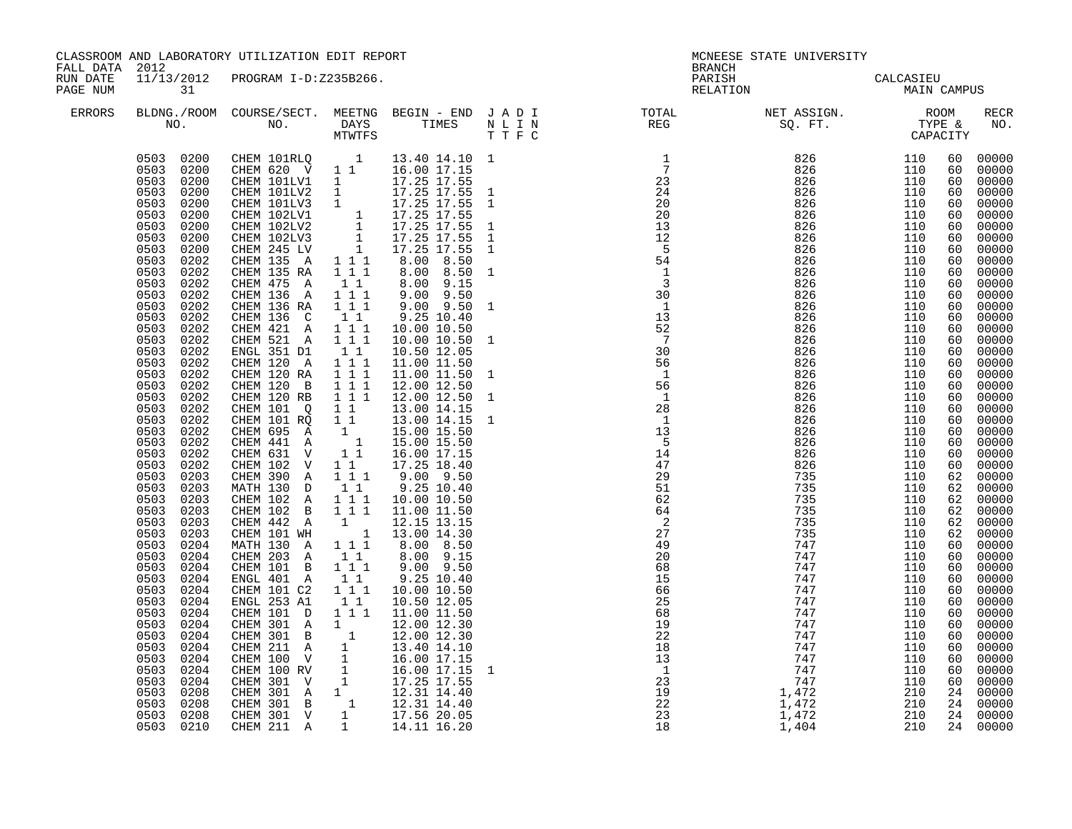CLASSROOM AND LABORATORY UTILIZATION EDIT REPORT **And the CLASS CONFLOON CONFLUENCE STATE** UNIVERSITY FALL DATA 2012 SEANCH RUN DATE  $11/13/2012$  PROGRAM I-ERRORS BLDNG./ROOM COURSE/SECTRIC BEGING BEGING BEGINS A METHOD SECT. A BEGIN BEGIN BEGIN A DUMINOL REFRECRIT

| FALL DAIA<br>RUN DATE<br>PAGE NUM | ZUIZ<br>11/13/2012<br>31                                                                                                                                                                                                                                                                                                                                                                                                                                                                                                                                                                                                                                                                                                                            | PROGRAM I-D:Z235B266.                                                                                                                                                                                                                                                                                                                                                                                                                                                                                                                                                                                                                                                                                                                                                                                                                                            |                                                                                                                                                                                                                                                                                                                                                     |                                                                                                                                                                                                                                                                                                                                                                                                                                                                                                                                                                                                                        |                                                                                                                                                                                                                                                                                                                                                                                                                                      | BRANCH<br>PARISH CALCASIEU<br>RELATION MAIN CAMPUS                                                                                                                                                                                                                               |                                                                                                                                                                                                                                                                                                                                                                                                                            |  |  |  |
|-----------------------------------|-----------------------------------------------------------------------------------------------------------------------------------------------------------------------------------------------------------------------------------------------------------------------------------------------------------------------------------------------------------------------------------------------------------------------------------------------------------------------------------------------------------------------------------------------------------------------------------------------------------------------------------------------------------------------------------------------------------------------------------------------------|------------------------------------------------------------------------------------------------------------------------------------------------------------------------------------------------------------------------------------------------------------------------------------------------------------------------------------------------------------------------------------------------------------------------------------------------------------------------------------------------------------------------------------------------------------------------------------------------------------------------------------------------------------------------------------------------------------------------------------------------------------------------------------------------------------------------------------------------------------------|-----------------------------------------------------------------------------------------------------------------------------------------------------------------------------------------------------------------------------------------------------------------------------------------------------------------------------------------------------|------------------------------------------------------------------------------------------------------------------------------------------------------------------------------------------------------------------------------------------------------------------------------------------------------------------------------------------------------------------------------------------------------------------------------------------------------------------------------------------------------------------------------------------------------------------------------------------------------------------------|--------------------------------------------------------------------------------------------------------------------------------------------------------------------------------------------------------------------------------------------------------------------------------------------------------------------------------------------------------------------------------------------------------------------------------------|----------------------------------------------------------------------------------------------------------------------------------------------------------------------------------------------------------------------------------------------------------------------------------|----------------------------------------------------------------------------------------------------------------------------------------------------------------------------------------------------------------------------------------------------------------------------------------------------------------------------------------------------------------------------------------------------------------------------|--|--|--|
| <b>ERRORS</b>                     |                                                                                                                                                                                                                                                                                                                                                                                                                                                                                                                                                                                                                                                                                                                                                     |                                                                                                                                                                                                                                                                                                                                                                                                                                                                                                                                                                                                                                                                                                                                                                                                                                                                  |                                                                                                                                                                                                                                                                                                                                                     |                                                                                                                                                                                                                                                                                                                                                                                                                                                                                                                                                                                                                        |                                                                                                                                                                                                                                                                                                                                                                                                                                      |                                                                                                                                                                                                                                                                                  | <b>RECR</b><br>NO.                                                                                                                                                                                                                                                                                                                                                                                                         |  |  |  |
|                                   | 0503 0200<br>0503 0200<br>0503 0200<br>0503<br>0200<br>0503<br>0200<br>0503<br>0200<br>0503<br>0200<br>0503<br>0200<br>0503<br>0200<br>0503<br>0202<br>0503<br>0202<br>0503<br>0202<br>0503<br>0202<br>0503<br>0202<br>0503<br>0202<br>0503<br>0202<br>0503<br>0202<br>0503<br>0202<br>0503<br>0202<br>0503<br>0202<br>0503<br>0202<br>0503<br>0202<br>0503<br>0202<br>0503<br>0202<br>0503<br>0202<br>0503<br>0202<br>0503<br>0202<br>0503<br>0202<br>0503<br>0203<br>0503<br>0203<br>0503<br>0203<br>0503<br>0203<br>0503<br>0203<br>0503<br>0203<br>0503<br>0204<br>0503<br>0204<br>0503<br>0204<br>0503<br>0204<br>0503<br>0204<br>0503<br>0204<br>0503<br>0204<br>0503<br>0204<br>0204<br>0503<br>0503<br>0204<br>0503<br>0204<br>0503<br>0204 | CHEM 101RLQ 1<br>CHEM 620 V 1 1<br>CHEM 101LV1 1 16.00 17.15<br>CHEM 101LV1 1 17.25 17.55<br>CHEM 101LV2 1 17.25 17.55 1<br>CHEM 102LV1 1 17.25 17.55 1<br>CHEM 102LV1 1 17.25 17.55<br>CHEM 102LV2 1 17.25 17.55 1<br>CHEM 245 LV 1 17.25 17.55 1<br>CHEM 245 LV 1 17.25 17.55<br>CHEM 135 A 1 1 1<br>CHEM 135 RA<br>CHEM 475 A 1 1<br>CHEM 136 A<br>CHEM 136 RA<br>CHEM 136 C<br>CHEM 421 A 1 1 1<br>CHEM 521 A 1 1 1<br>ENGL 351 D1<br>CHEM 120 A 1 1 1<br>CHEM 120 RA 1 1 1<br>CHEM 120 B<br>CHEM 120 RB<br>CHEM 101 Q<br>CHEM 101 RQ<br>CHEM 695 A 1<br>CHEM 441 A 1<br>CHEM 631 V<br>CHEM 102 V<br>CHEM 390 A<br>MATH 130 D 1 1<br>CHEM 102 A 1 1 1<br>CHEM 102 B 1 1 1<br>CHEM 442 A 1<br>CHEM 101 WH 1<br>MATH 130 A 1 1 1<br>CHEM 203 A 1 1<br>CHEM 101 B 111<br>ENGL 401 A<br>CHEM 101 C2<br>ENGL 253 A1<br>CHEM 101 D<br>CHEM 301 A 1<br>CHEM 301 B 1 | 1 1 1<br>$\begin{array}{rrrr} & 1 & 1 & 1 \\ & 1 & 1 & 1 \end{array}$<br>$1\quad1$<br>$1\quad1$<br>$\begin{array}{cccc}\n1 & 1 & 1 \\ 1 & 1 & 1 \\ 1 & 1 & 1 \\ 1 & 1 & \\ 1 & 1\n\end{array}$<br>$1\quad1$<br>$\begin{array}{rrrr} & 1 & 1 \\ & 1 & 1 & 1 \end{array}$<br>$1\quad1$<br>$1^{\degree}1^{\degree}1$<br>$1\quad1$<br>$1\quad 1\quad 1$ | 13.40 14.10 1<br>16.00 17.15<br>8.00 8.50<br>8.00 8.50 1<br>8.00 9.15<br>9.00 9.50<br>$9.00$ $9.50$ 1<br>9.25 10.40<br>10.00 10.50<br>10.00 10.50 1<br>10.50 12.05<br>11.00 11.50<br>11.00 11.50 1<br>$12.00$ $12.50$<br>$12.00$ $12.50$ $1$<br>13.00 14.15<br>13.00 14.15<br>13.00 14.15 1<br>15.00 15.50<br>15.00 15.50<br>16.00 17.15<br>17.25 18.40<br>$9.00$ $9.50$<br>9.25 10.40<br>10.00 10.50<br>11.00 11.50<br>12.15 13.15<br>13.00 14.30<br>8.00 8.50<br>8.00 9.15<br>$9.00$ $9.50$<br>9.25 10.40<br>10.00 10.50<br>10.50 12.05<br>11.00 11.50<br>12.00 12.30<br>12.00 12.30<br>16.00 17.15<br>16.00 17.15 1 | $\begin{tabular}{l c c c} \hline \texttt{D} & \texttt{TP} & \texttt{MSE} & \texttt{MSE} & \texttt{MSE} \\ \hline \texttt{D} & \texttt{TP} & \texttt{NP} & \texttt{TP} \\ \hline \texttt{I} & \texttt{R} & \texttt{SQ} & \texttt{SQ} & \texttt{SQ} & \texttt{I} & \texttt{I} & \texttt{I} \\ \hline \texttt{I} & \texttt{R} & \texttt{SQ} & \texttt{SQ} & \texttt{I} & \texttt{I} & \texttt{I} & \texttt{I} \\ \hline \texttt{I} & \$ | 60<br>60<br>60<br>60<br>60<br>60<br>60<br>60<br>60<br>60<br>60<br>60<br>60<br>60<br>60<br>60<br>60<br>60<br>60<br>60<br>60<br>60<br>60<br>60<br>60<br>60<br>60<br>60<br>62<br>62<br>62<br>62<br>62<br>62<br>60<br>60<br>60<br>60<br>60<br>60<br>60<br>60<br>60<br>60<br>60<br>60 | 00000<br>00000<br>00000<br>00000<br>00000<br>00000<br>00000<br>00000<br>00000<br>00000<br>00000<br>00000<br>00000<br>00000<br>00000<br>00000<br>00000<br>00000<br>00000<br>00000<br>00000<br>00000<br>00000<br>00000<br>00000<br>00000<br>00000<br>00000<br>00000<br>00000<br>00000<br>00000<br>00000<br>00000<br>00000<br>00000<br>00000<br>00000<br>00000<br>00000<br>00000<br>00000<br>00000<br>00000<br>00000<br>00000 |  |  |  |
|                                   | 0503<br>0204<br>0503<br>0208<br>0503<br>0208<br>0208<br>0503<br>0503 0210                                                                                                                                                                                                                                                                                                                                                                                                                                                                                                                                                                                                                                                                           | CHEM 301 B 1 12.00 12.30<br>CHEM 211 A 1 13.40 14.10<br>CHEM 100 V 1 16.00 17.15<br>CHEM 301 V 1 17.25 17.55<br>CHEM 301 A 1 12.31 14.40<br>CHEM 301 B 1 12.31 14.40<br>CHEM 301 B 1 12.31 14.40<br>CHEM 301 V 1 17.56 20.05<br>CHEM 211 A                                                                                                                                                                                                                                                                                                                                                                                                                                                                                                                                                                                                                       | $\overline{1}$                                                                                                                                                                                                                                                                                                                                      | 14.11 16.20                                                                                                                                                                                                                                                                                                                                                                                                                                                                                                                                                                                                            |                                                                                                                                                                                                                                                                                                                                                                                                                                      | 60<br>24<br>24<br>210                                                                                                                                                                                                                                                            | 00000<br>00000<br>00000<br>24<br>00000<br>24 00000                                                                                                                                                                                                                                                                                                                                                                         |  |  |  |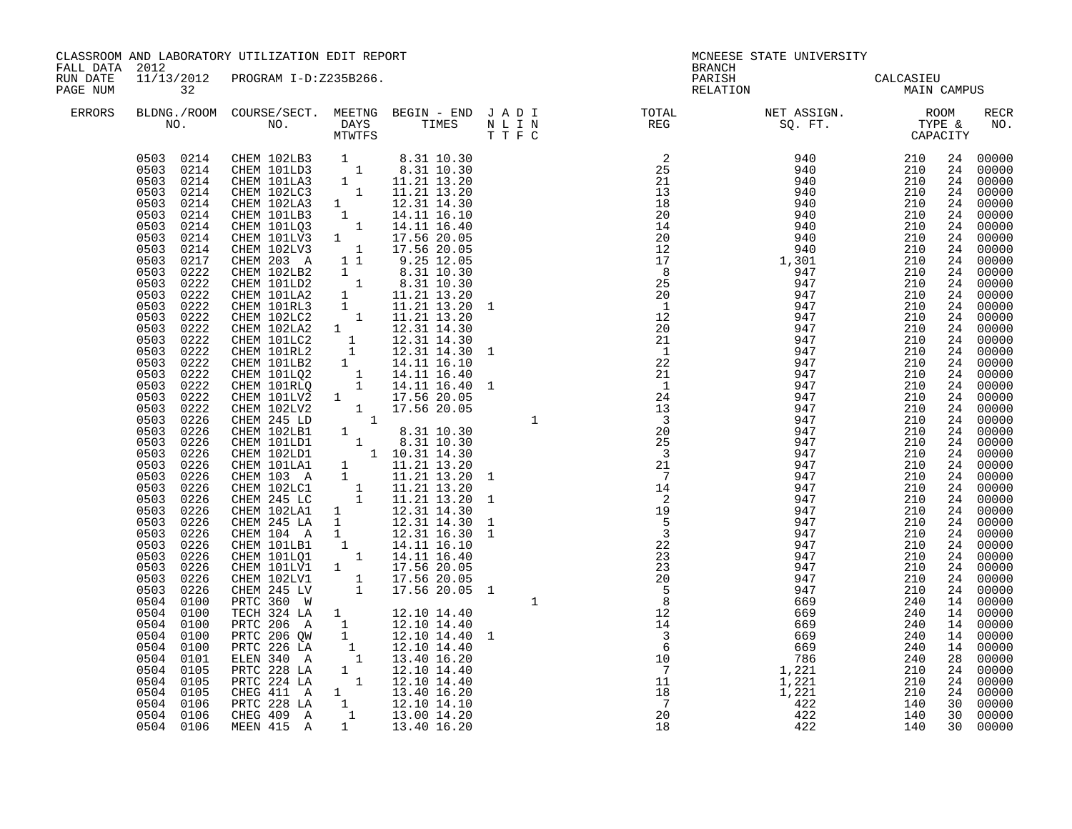| FALL DATA 2012       |                                                                                                                                                                                                                                                                                                                                                                                                                                                                                                                                                                                                                                                                                                                                                                          | CLASSROOM AND LABORATORY UTILIZATION EDIT REPORT                                                                                                                                                                                                                                                                                                                                                                                                                                                                                                                                                                                                                                                                                                                                                                                                                                                                                                                                                                                                                                                                 |                                                                                                                                                                                                                                                                                                                                                       |                                                                                           | MCNEESE STATE UNIVERSITY<br><b>BRANCH</b>                                                                                                                                 |                                                                                                                                                                                                                                                                                                                                                                                                                                                                                                                                     |                                                                                                                                                        |  |                                                                                                                                                                                                                                                                                                                                                                                                                                                                                                                                                                                                                                                                                                                         |
|----------------------|--------------------------------------------------------------------------------------------------------------------------------------------------------------------------------------------------------------------------------------------------------------------------------------------------------------------------------------------------------------------------------------------------------------------------------------------------------------------------------------------------------------------------------------------------------------------------------------------------------------------------------------------------------------------------------------------------------------------------------------------------------------------------|------------------------------------------------------------------------------------------------------------------------------------------------------------------------------------------------------------------------------------------------------------------------------------------------------------------------------------------------------------------------------------------------------------------------------------------------------------------------------------------------------------------------------------------------------------------------------------------------------------------------------------------------------------------------------------------------------------------------------------------------------------------------------------------------------------------------------------------------------------------------------------------------------------------------------------------------------------------------------------------------------------------------------------------------------------------------------------------------------------------|-------------------------------------------------------------------------------------------------------------------------------------------------------------------------------------------------------------------------------------------------------------------------------------------------------------------------------------------------------|-------------------------------------------------------------------------------------------|---------------------------------------------------------------------------------------------------------------------------------------------------------------------------|-------------------------------------------------------------------------------------------------------------------------------------------------------------------------------------------------------------------------------------------------------------------------------------------------------------------------------------------------------------------------------------------------------------------------------------------------------------------------------------------------------------------------------------|--------------------------------------------------------------------------------------------------------------------------------------------------------|--|-------------------------------------------------------------------------------------------------------------------------------------------------------------------------------------------------------------------------------------------------------------------------------------------------------------------------------------------------------------------------------------------------------------------------------------------------------------------------------------------------------------------------------------------------------------------------------------------------------------------------------------------------------------------------------------------------------------------------|
| RUN DATE<br>PAGE NUM | 32                                                                                                                                                                                                                                                                                                                                                                                                                                                                                                                                                                                                                                                                                                                                                                       | 11/13/2012 PROGRAM I-D:Z235B266.                                                                                                                                                                                                                                                                                                                                                                                                                                                                                                                                                                                                                                                                                                                                                                                                                                                                                                                                                                                                                                                                                 |                                                                                                                                                                                                                                                                                                                                                       |                                                                                           |                                                                                                                                                                           | PARISH<br>PARISH CALCASIEU<br>RELATION MAIN CAMPUS                                                                                                                                                                                                                                                                                                                                                                                                                                                                                  |                                                                                                                                                        |  |                                                                                                                                                                                                                                                                                                                                                                                                                                                                                                                                                                                                                                                                                                                         |
| ERRORS               |                                                                                                                                                                                                                                                                                                                                                                                                                                                                                                                                                                                                                                                                                                                                                                          |                                                                                                                                                                                                                                                                                                                                                                                                                                                                                                                                                                                                                                                                                                                                                                                                                                                                                                                                                                                                                                                                                                                  |                                                                                                                                                                                                                                                                                                                                                       |                                                                                           |                                                                                                                                                                           |                                                                                                                                                                                                                                                                                                                                                                                                                                                                                                                                     |                                                                                                                                                        |  | RECR<br>NO.                                                                                                                                                                                                                                                                                                                                                                                                                                                                                                                                                                                                                                                                                                             |
|                      | 0503 0214<br>0503<br>0214<br>0503<br>0214<br>0503<br>0214<br>0503<br>0214<br>0503<br>0214<br>0503<br>0214<br>0503<br>0217<br>0503<br>0222<br>0503<br>0222<br>0503<br>0222<br>0503<br>0222<br>0503<br>0222<br>0503<br>0222<br>0503<br>0222<br>0503 0222<br>0503 0222<br>0503 0222<br>0503<br>0222<br>0503 0222<br>0503<br>0222<br>0503<br>0226<br>0503<br>0226<br>0503<br>0226<br>0503<br>0226<br>0503<br>0226<br>0503<br>0226<br>0503<br>0226<br>0503<br>0226<br>0503<br>0226<br>0503<br>0226<br>0503<br>0226<br>0503<br>0226<br>0503<br>0226<br>0503<br>0226<br>0503<br>0226<br>0503<br>0226<br>0504<br>0100<br>0504<br>0100<br>0504<br>0100<br>0504 0100<br>0504 0100<br>0504 0101<br>0504<br>0105<br>0504 0105<br>0504<br>0105<br>0504 0106<br>0504 0106<br>0504 0106 | 0503 0214 CHEM 102LB3 1 8.31 10.30<br>0503 0214 CHEM 101LD3 1 8.31 10.30<br>CHEM 101LA3 1 1.21 13.20<br>CHEM 101LA3 1 11.21 13.20<br>CHEM 102LC3 1 11.21 13.20<br>CHEM 102LA3<br>CHEM 101LB3<br>CHEM 101LQ3<br>CHEM 101LV3<br>CHEM 102LV3<br>CHEM 203 A<br>CHEM 102LB2 1 1.21 13.20<br>CHEM 102LB2 1 8.31 10.30<br>CHEM 101LB2 1 8.31 10.30<br>CHEM 101LB2 1 8.31 10.30<br>CHEM 101LB2 1 11.21 13.20<br>CHEM 101RL3 1 11.21 13.20<br>CHEM 102LG2 1 12.31 14.30<br>CHEM 102LG2 1 12.31 14.30<br>CHEM 101LB<br>CHEM 102LC1 1 11.21 13.20<br>CHEM 245 LC 1 11.21 13.20<br>CHEM 245 LC<br>CHEM 102LA1 1 12.31 14.30<br>CHEM 245 LA 1 12.31 14.30<br>CHEM 245 LA 1 12.31 14.30<br>CHEM 104 A 1 14.11 16.10<br>CHEM 101LQ1 1 14.11 16.40<br>CHEM 101LQ1 1 14.11 16.40<br>CHEM 101LV1 1 17.56 20.05<br>CHEM 102LV1<br>CHEM 245 LV<br>PRTC 360 W<br>TECH 324 LA 1 12.10 14.40<br>PRTC 206 A 1 12.10 14.40<br>PRTC 206 QW 1<br>PRTC 226 LA 1<br>ELEN 340 A 1<br>PRTC 228 LA 1 12.10 14.40<br>PRTC 224 LA 1 12.10 14.40<br>CHEG 411 A 1 13.40 16.20<br>PRTC 228 LA 1 12.10 14.10<br>CHEG 409 A 1 13.00 14.20<br>MEEN 415 A | $\begin{array}{cccc} 1 & 1.21 & 1.32 \\ 1 & 1.231 & 14.30 \\ 1 & 14.11 & 16.40 \\ 1 & 17.56 & 20.05 \\ 1 & 17.56 & 20.05 \\ 1 & 9.25 & 12.05 \\ 1 & 9.21 & 20.05 \\ \end{array}$<br>$\begin{matrix} - & & & 17.56 & 20.05 \\ 1 & & 17.56 & 20.05 \\ 1 & & 17.56 & 20.05 \end{matrix}$<br>12.10 14.40 1<br>12.10 14.40<br>13.40 16.20<br>1 13.40 16.20 | $\mathbf{1}$<br>$\begin{array}{c} 6 \\ 10 \\ 7 \\ 11 \\ 18 \\ 7 \\ 2 \\ 2 \\ \end{array}$ | 14<br>$\overline{\phantom{0}}^2$<br>19<br>$\frac{-2}{5}$<br>$\frac{22}{23}$<br>$\frac{23}{20}$<br>$rac{20}{5}$<br>12<br>$\begin{array}{r} 14 \\ 14 \\ 3 \\ 6 \end{array}$ | $\begin{array}{cccc} 2 & 9 & 40 & 210\\ 25 & 940 & 210\\ 21 & 940 & 210\\ 21 & 940 & 210\\ 18 & 940 & 210\\ 19 & 440 & 210\\ 210 & 210 & 210\\ 21 & 940 & 210\\ 210 & 210 & 210\\ 21 & 9440 & 210\\ 210 & 210 & 210\\ 21 & 9447 & 210\\ 21 & 9447 & 210\\ 21 & 9447 & 210\\ 21 & 9447$<br>947<br>947<br>947<br>947<br>947<br>947<br>947<br>947<br>947<br>947<br>669<br>669<br>669<br>669<br>669<br>$\begin{array}{r} 0 & 0 \\ 7 & 8 & 6 \\ 1 & 2 & 2 \\ 1 & 2 & 2 \\ 1 & 2 & 2 \\ 4 & 2 & 2 \\ 4 & 2 & 2 \end{array}$<br>422<br>422 | 210<br>210<br>210<br>210<br>210<br>210<br>210<br>210<br>210<br>210<br>240<br>240<br>240<br>240<br>240<br>240<br>210<br>210<br>210<br>140<br>140<br>140 |  | 24 00000<br>24 00000<br>24 00000<br>24 00000<br>24 00000<br>24 00000<br>24 00000<br>24 00000<br>24 00000<br>24 00000<br>24 00000<br>24 00000<br>24 00000<br>24 00000<br>24 00000<br>24 00000<br>24 00000<br>24 00000<br>24 00000<br>24 00000<br>$\begin{bmatrix} 24 & 00000 \\ 24 & 00000 \end{bmatrix}$<br>24 00000<br>24 00000<br>$\begin{bmatrix} 24 & 00000 \\ 24 & 00000 \\ 24 & 00000 \end{bmatrix}$<br>24 00000<br>24 00000<br>24 00000<br>24 00000<br>24 00000<br>24 00000<br>24 00000<br>24 00000<br>24 00000<br>24 00000<br>24 00000<br>24 00000<br>14 00000<br>14 00000<br>14 00000<br>14 00000<br>14 00000<br>28 00000<br>$\frac{24}{24}$ 00000<br>24 00000<br>24 00000<br>30 00000<br>30 00000<br>30 00000 |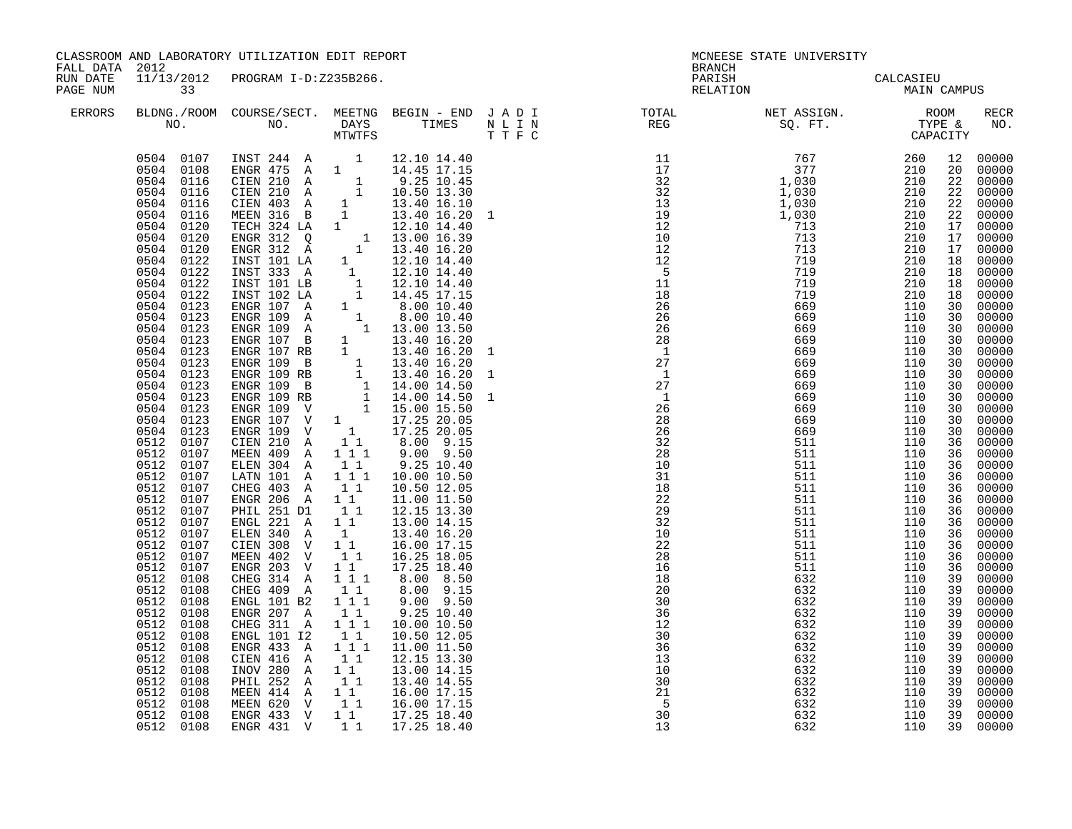|          | CLASSROOM AND LABORATORY UTILIZATION EDIT REPORT<br>FALL DATA 2012<br>RUN DATE<br>11/13/2012 PROGRAM I-D:Z235B266.                                                                                                                                                                                                                                                                                                                                                                                                                                                                                                                                                                                       |                                                                                                                                                                                                                                                                                                                                                                                                                                                                                                                                                                                                                                                                                                                                                                                                                                                                                                        |                                                                                                                                                                          |                                                                                                                                                                                                                                                                                                                                                                              |  | MCNEESE STATE UNIVERSITY<br><b>BRANCH</b><br>PARISH                                                                                                                                                                                                                                                                                                                                                                                |                          |     |    |             |  |
|----------|----------------------------------------------------------------------------------------------------------------------------------------------------------------------------------------------------------------------------------------------------------------------------------------------------------------------------------------------------------------------------------------------------------------------------------------------------------------------------------------------------------------------------------------------------------------------------------------------------------------------------------------------------------------------------------------------------------|--------------------------------------------------------------------------------------------------------------------------------------------------------------------------------------------------------------------------------------------------------------------------------------------------------------------------------------------------------------------------------------------------------------------------------------------------------------------------------------------------------------------------------------------------------------------------------------------------------------------------------------------------------------------------------------------------------------------------------------------------------------------------------------------------------------------------------------------------------------------------------------------------------|--------------------------------------------------------------------------------------------------------------------------------------------------------------------------|------------------------------------------------------------------------------------------------------------------------------------------------------------------------------------------------------------------------------------------------------------------------------------------------------------------------------------------------------------------------------|--|------------------------------------------------------------------------------------------------------------------------------------------------------------------------------------------------------------------------------------------------------------------------------------------------------------------------------------------------------------------------------------------------------------------------------------|--------------------------|-----|----|-------------|--|
| PAGE NUM | 33                                                                                                                                                                                                                                                                                                                                                                                                                                                                                                                                                                                                                                                                                                       |                                                                                                                                                                                                                                                                                                                                                                                                                                                                                                                                                                                                                                                                                                                                                                                                                                                                                                        |                                                                                                                                                                          |                                                                                                                                                                                                                                                                                                                                                                              |  | RELATION                                                                                                                                                                                                                                                                                                                                                                                                                           | CALCASIEU<br>MAIN CAMPUS |     |    |             |  |
| ERRORS   |                                                                                                                                                                                                                                                                                                                                                                                                                                                                                                                                                                                                                                                                                                          |                                                                                                                                                                                                                                                                                                                                                                                                                                                                                                                                                                                                                                                                                                                                                                                                                                                                                                        |                                                                                                                                                                          |                                                                                                                                                                                                                                                                                                                                                                              |  | BLDNG./ROOM COURSE/SECT. MEETNG BEGIN – END JADI TOTAL NET ASSIGN. NET ASSIGN. ROOM NO. DAYS TIMES NLIN REG SQ.FT. TYPE &                                                                                                                                                                                                                                                                                                          |                          |     |    | RECR<br>NO. |  |
|          | 0504 0108<br>0504 0116<br>0504 0116<br>0504 0116<br>0504<br>0116<br>0504<br>0120<br>0504<br>0120<br>0504<br>0120<br>0504<br>0122<br>0504<br>0122<br>0504<br>0122<br>0504 0122<br>0504 0123<br>0504 0123<br>0504 0123<br>0504 0123<br>0504 0123<br>0504 0123<br>0504<br>0123<br>0504 0123<br>0504 0123<br>0504 0123<br>0504<br>0123<br>0504<br>0123<br>0512 0107<br>0512 0107<br>0512 0107<br>0512 0107<br>0512 0107<br>0512 0107<br>0512 0107<br>0512 0107<br>0512 0107<br>0512 0107<br>0512 0107<br>0512<br>0107<br>0512 0108<br>0512 0108<br>0512<br>0108<br>0512<br>0108<br>0512<br>0108<br>0512<br>0108<br>0512<br>0108<br>0512<br>0108<br>0512<br>0108<br>0512<br>0108<br>0512<br>0108<br>0512 0108 | 0504 0107 INST 244 A 1<br>$ENGR$ 475 A 1<br>ENGR 475 A 1 14.45 17.15<br>CIEN 210 A 1 9.25 10.45<br>CIEN 403 A 1 13.40 16.10<br>MEEN 316 B 1 13.40 16.20<br>TECH 324 LA 1 12.10 14.40<br>ENGR 312 Q 1 13.00 16.39<br>ENGR 312 Q 1 13.00 16.39<br>ENGR 312 Q 1 13.00 16.39<br>ENGR 312 A 1 1<br>ENGR 312 A 1 13.40 16.20<br>INST 101 LA 1 12.10 14.40<br>INST 101 LA 1 12.10 14.40<br>INST 101 LB 1 12.10 14.40<br>INST 102 LA 1 14.45<br>INST 102 LA 1 14.40<br>INST 102 LA 1 14.40<br>ENGR 107 A 1 8.00 10.40<br>ENGR 109 A 1 13.40 16.20<br>E<br>ELEN 304 A<br>LATN 101 A<br>CHEG 403 A<br>CHEG 403 A 11<br>ENGR 206 A 11<br>PHIL 251 D1<br>ENGL 221 A<br>ELEN 340 A 1<br>CIEN 308 V 11<br>MEEN 402 V<br>ENGR 203 V<br>CHEG 314 A<br>CHEG 409 A<br>ENGL 101 B2<br>ENGR 207 A<br>CHEG 311 A<br>ENGL 101 12<br>ENGR 433 A<br>CIEN 416 A<br>INOV 280 A<br>PHIL 252 A<br>MEEN 414 A 1 1<br>MEEN 620 V 1 1 | 11<br>$1 1 1$<br>11<br>$1\quad1$<br>$1\quad1$<br>$1 1 1$<br>$\begin{bmatrix} 1 \\ 1 \end{bmatrix}$<br>1 1 1<br>$1\quad1$<br>111<br>11<br>1 1 1<br>$1\quad1$<br>1 1<br>11 | 12.10 14.40<br>14.45 17.15<br>$9.25$ $10.40$<br>10.00 10.50<br>10.50 12.05<br>11.00 11.50<br>12.15 13.30<br>13.00 14.15<br>13.40 16.20<br>16.00 17.15<br>1 1 16.25 18.05<br>17.25 18.40<br>8.00 8.50<br>8.00 9.15<br>$9.00$ $9.50$<br>$9.25$ $10.40$<br>10.00 10.50<br>10.50 12.05<br>11.00 11.50<br>12.15 13.30<br>13.00 14.15<br>13.40 14.55<br>16.00 17.15<br>16.00 17.15 |  | $\begin{smallmatrix} \text{R} & \text{R} & \text{R} & \text{R} & \text{R} & \text{R} & \text{R} & \text{R} & \text{R} & \text{R} \\ \text{R} & \text{R} & \text{R} & \text{R} & \text{R} & \text{R} & \text{R} \\ \text{R} & \text{R} & \text{R} & \text{R} & \text{R} & \text{R} & \text{R} \\ \text{R} & \text{R} & \text{R} & \text{R} & \text{R} & \text{R} & \text{R} \\ \text{R} & \text{R} & \text{R} & \text{R} & \text{R$ |                          |     |    |             |  |
|          | 0512 0108<br>0512 0108                                                                                                                                                                                                                                                                                                                                                                                                                                                                                                                                                                                                                                                                                   | ENGR 433 V 11<br>ENGR 431 V 11 17.25 18.40                                                                                                                                                                                                                                                                                                                                                                                                                                                                                                                                                                                                                                                                                                                                                                                                                                                             |                                                                                                                                                                          | 17.25 18.40                                                                                                                                                                                                                                                                                                                                                                  |  | 13                                                                                                                                                                                                                                                                                                                                                                                                                                 | 632                      | 110 | 39 | 00000       |  |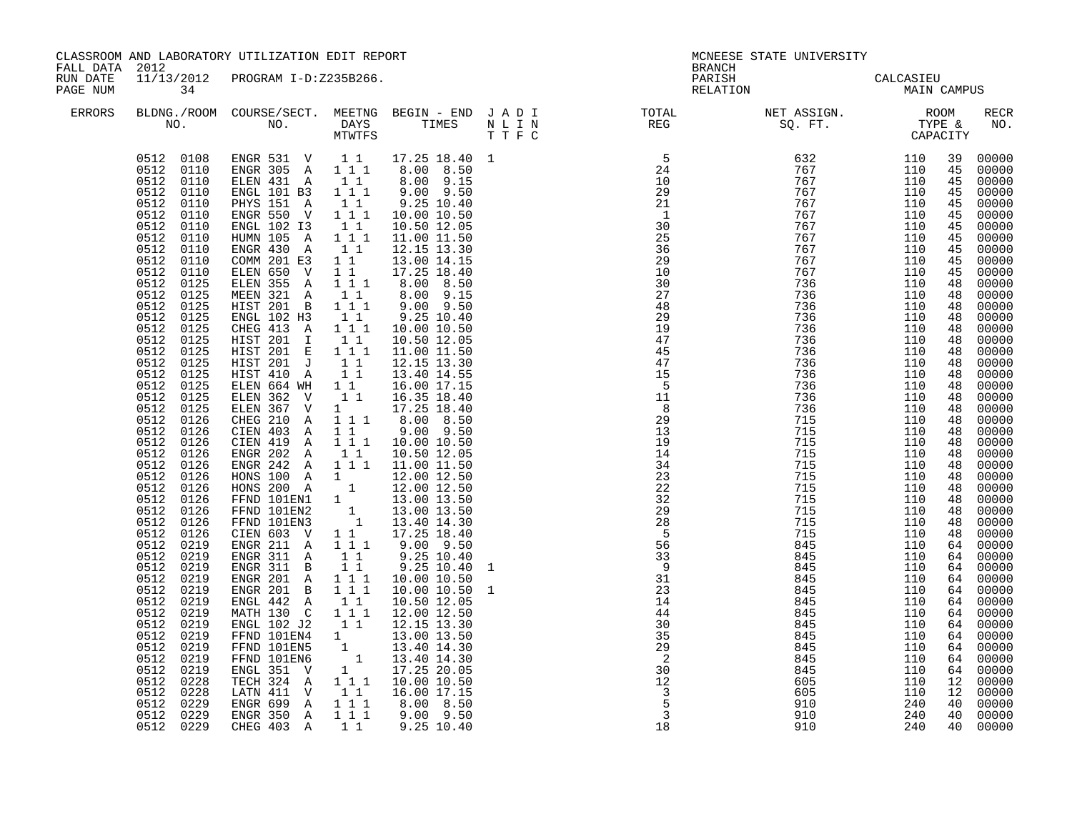| CLASSROOM AND LABORATORY UTILIZATION EDIT REPORT<br>MCNEESE STATE UNIVERSITY<br>FALL DATA 2012<br><b>BRANCH</b>                                                                                                                                                                                                                                                                                                                                                                                                                                                                                                                                                                                                                                                                                                                                                                                                                                                                                                                                                                                                                                                                                                                                                                                                                                                                                                                                                                                                                                                                                                                                                                                                                                                                                                                                                                                                                                                                                                                                                                                                                                                                                                                                                                                                                                                                                                                                                                                                                                                                                                                                                                                                                                                                                                                                                                                                                                                                                                                                                                                                                                                                                                                                                                                                                                     |                                                                                                                                                                                                                                                          |                                                                                                                                                                                                                                                                                                                                                                                                                                                                                                                                                                                                                                                                                                                                                                                                                                                                          |             |
|-----------------------------------------------------------------------------------------------------------------------------------------------------------------------------------------------------------------------------------------------------------------------------------------------------------------------------------------------------------------------------------------------------------------------------------------------------------------------------------------------------------------------------------------------------------------------------------------------------------------------------------------------------------------------------------------------------------------------------------------------------------------------------------------------------------------------------------------------------------------------------------------------------------------------------------------------------------------------------------------------------------------------------------------------------------------------------------------------------------------------------------------------------------------------------------------------------------------------------------------------------------------------------------------------------------------------------------------------------------------------------------------------------------------------------------------------------------------------------------------------------------------------------------------------------------------------------------------------------------------------------------------------------------------------------------------------------------------------------------------------------------------------------------------------------------------------------------------------------------------------------------------------------------------------------------------------------------------------------------------------------------------------------------------------------------------------------------------------------------------------------------------------------------------------------------------------------------------------------------------------------------------------------------------------------------------------------------------------------------------------------------------------------------------------------------------------------------------------------------------------------------------------------------------------------------------------------------------------------------------------------------------------------------------------------------------------------------------------------------------------------------------------------------------------------------------------------------------------------------------------------------------------------------------------------------------------------------------------------------------------------------------------------------------------------------------------------------------------------------------------------------------------------------------------------------------------------------------------------------------------------------------------------------------------------------------------------------------------------|----------------------------------------------------------------------------------------------------------------------------------------------------------------------------------------------------------------------------------------------------------|--------------------------------------------------------------------------------------------------------------------------------------------------------------------------------------------------------------------------------------------------------------------------------------------------------------------------------------------------------------------------------------------------------------------------------------------------------------------------------------------------------------------------------------------------------------------------------------------------------------------------------------------------------------------------------------------------------------------------------------------------------------------------------------------------------------------------------------------------------------------------|-------------|
| PARISH<br>RUN DATE<br>11/13/2012<br>PROGRAM I-D:Z235B266.<br>34<br>RELATION<br>PAGE NUM                                                                                                                                                                                                                                                                                                                                                                                                                                                                                                                                                                                                                                                                                                                                                                                                                                                                                                                                                                                                                                                                                                                                                                                                                                                                                                                                                                                                                                                                                                                                                                                                                                                                                                                                                                                                                                                                                                                                                                                                                                                                                                                                                                                                                                                                                                                                                                                                                                                                                                                                                                                                                                                                                                                                                                                                                                                                                                                                                                                                                                                                                                                                                                                                                                                             | CALCASIEU<br>MAIN CAMPUS                                                                                                                                                                                                                                 |                                                                                                                                                                                                                                                                                                                                                                                                                                                                                                                                                                                                                                                                                                                                                                                                                                                                          |             |
| BLDNG./ROOM COURSE/SECT. MEETNG BEGIN - END JADI TOTAL NET ASSIGN. NET ASSIGN. ROOM ROOM NO. DAYS TIMES NLIN REG SQ.FT. TYPE &<br><b>ERRORS</b>                                                                                                                                                                                                                                                                                                                                                                                                                                                                                                                                                                                                                                                                                                                                                                                                                                                                                                                                                                                                                                                                                                                                                                                                                                                                                                                                                                                                                                                                                                                                                                                                                                                                                                                                                                                                                                                                                                                                                                                                                                                                                                                                                                                                                                                                                                                                                                                                                                                                                                                                                                                                                                                                                                                                                                                                                                                                                                                                                                                                                                                                                                                                                                                                     |                                                                                                                                                                                                                                                          |                                                                                                                                                                                                                                                                                                                                                                                                                                                                                                                                                                                                                                                                                                                                                                                                                                                                          | RECR<br>NO. |
| $\begin{matrix} \text{SQ. FT.} & \text{CAPAC:} \\ \text{SQ. FT.} & \text{CAPAC:} \\ \text{P1 110} & 767 & 110 \\ 767 & 110 \\ 10 & 767 & 110 \\ 10 & 767 & 110 \\ 10 & 767 & 110 \\ 10 & 767 & 110 \\ 256 & 767 & 110 \\ 256 & 767 & 110 \\ 256 & 767 & 110 \\ 256 & 767 & 110 \\ 256 & 110 \\ 256 & 110 \\ 256 & 110 \\$<br>$\begin{array}{cccccccc} 0512 & 0108 & \text{ENGR} & 531 & \text{V} & 1 & 1 & 17.25 & 18.40 & 1 \\ 0512 & 0110 & \text{ENGR} & 305 & \text{A} & 1 & 1 & 8.00 & 8.50 \end{array}$<br>$8.00$ $9.15$<br>$9.00$ $9.50$<br>ELEN 431 A<br>$1\quad1$<br>0512 0110<br>ENGL 101 B3 1 1 1<br>0512 0110<br>0512 0110<br>-> 151 A - 11<br>ENGR 550 V 111<br>ENGL 102 I3 11<br>HUMN 105 -<br>$9.25$ $10.40$<br>0512 0110<br>10.00 10.50<br>0512 0110<br>10.50 12.05<br>HUMN 105 A 1 1 1<br>11.00 11.50<br>0512 0110<br>ENGR 430 A<br>0512 0110<br>11<br>12.15 13.30<br>0512 0110<br>COMM 201 E3<br>1 1 1 13.00 14.15<br>ELEN 650 V<br>ELEN 355 A<br>$17.25$ 18.40<br>8.00 8.50<br>0512 0110<br>0512 0125<br>$\begin{smallmatrix}1&1\\1&1&1\end{smallmatrix}$<br>MEEN 321 A<br>$8.00$ $9.15$<br>$9.00$ $9.50$<br>0512 0125<br>0512 0125<br>MEEN 321 A 11<br>HIST 201 B 111<br>0512 0125<br>0512 0125<br>ENGL 102 H3<br>CHEG 413 A<br>$\begin{smallmatrix}1&1\\1&1&1\end{smallmatrix}$<br>$9.25$ $10.40$<br>10.00 10.50<br>HIST 201 I<br>10.50 12.05<br>0512 0125<br>11<br>HIST 201 E 111<br>0512 0125<br>11.00 11.50<br>12.15 13.30<br>0512 0125<br>HIST 201 J 11<br>HIST 410 A<br>$1\quad1$<br>0512 0125<br>13.40 14.55<br>16.00 17.15<br>ELEN 664 WH<br>0512 0125<br>$1\quad1$<br>0512 0125<br>ELEN 362 V<br>$1\quad1$<br>16.35 18.40<br>$\overline{11}$<br>ELEN 367 V<br>0512 0125<br>1 17.25 18.40<br>CHEG 210 A<br>1 1 1 8.00 8.50<br>0512 0126<br>0512 0126<br>CIEN 403 A<br>9.00 9.50<br>$1\quad1$<br>CIEN 419 A 1 1 1<br>ENGR 202 A 1 1<br>0512 0126<br>0512 0126<br>10.00 10.50<br>10.50 12.05<br>ENGR 242 A 1 1 1.00 11.50<br>HONS 100 A 1 12.00 12.50<br>0512 0126<br>0512<br>0126<br>HONS 200 A 1 12.00 12.50<br>FFND 101EN1 1 13.00 13.50<br>FFND 101EN2 1 13.00 13.50<br>FFND 101EN3 1 13.40 14.30<br>0512 0126<br>0512 0126<br>0512 0126<br>0512<br>0126<br>CIEN 603 V 1 1<br>17.25 18.40<br>0512<br>$\overline{5}$<br>0126<br>ENGR 211 A 111<br>0512 0219<br>$9.00$ $9.50$<br>$9.25$ 10.40<br>$9.25$ 10.40<br>$\begin{array}{c} 56 \\ 33 \\ 9 \end{array}$<br>0512 0219<br>ENGR 311 A 11<br>0512 0219<br>ENGR 311 B<br>11<br>1<br>31<br>0512 0219<br>ENGR 201 A 111<br>10.00 10.50<br>ENGR 201 B 1 1 1<br>0512 0219<br>10.00 10.50<br>23<br>$\mathbf{1}$<br>ENGL 442 A 1 1<br>0512 0219<br>14<br>10.50 12.05<br>MATH 130 C 1 1 1<br>ENGL 102 J2 1 1<br>0512 0219<br>12.00 12.50<br>44<br>0512<br>0219<br>30<br>12.15 13.30<br>FFND 101EN4 1 1 13.00 13.50<br>FFND 101EN5 1 13.40 14.30<br>FFND 101EN6 1 13.40 14.30<br>ENGL 351 V 1 17.25 20.05<br>0512 0219<br>0512 0219<br>35<br>29<br>$\overline{\phantom{0}}^2$<br>0512 0219<br>0219<br>$3\bar{0}$<br>0512<br>$1^{\circ}1$ 1 $1^{\circ}0.00$ 10.50<br>TECH 324 A<br>$\overline{12}$<br>0512<br>0228<br>LATN 411 V 11<br>ENGR 699 A 111<br>ENGR 350 A 111<br>CHEG 403 A 11<br>0512 0228<br>16.00 17.15<br>$\begin{array}{c} 3 \\ 5 \end{array}$<br>0512<br>8.00 8.50<br>0229<br>$9.00$ $9.50$<br>0512 0229<br>$\overline{3}$<br>0512 0229<br>$9.25$ $10.40$<br>18 | 715<br>110<br>845<br>110<br>845<br>110<br>845<br>110<br>845<br>110<br>845<br>110<br>845<br>110<br>845<br>110<br>845<br>110<br>845<br>110<br>845<br>110<br>845<br>110<br>845<br>110<br>605<br>110<br>605<br>110<br>240<br>910<br>240<br>910<br>240<br>910 | 00000<br>39<br>00000<br>45<br>45<br>00000<br>00000<br>45<br>00000<br>45<br>00000<br>45<br>00000<br>45<br>$00000$<br>$00000$<br>45<br>45<br>00000<br>45<br>$00000$<br>$00000$<br>45<br>48<br>$\frac{18}{48}$ 00000<br>48 00000<br>48 00000<br>00000<br>48<br>00000<br>48<br>00000<br>48<br>00000<br>48<br>00000<br>48<br>$00000$<br>00000<br>48<br>48<br>00000<br>48<br>00000<br>48<br>$\begin{array}{r} 48 & 00000 \\ 48 & 00000 \\ 48 & 00000 \\ 48 & 00000 \end{array}$<br>$\begin{array}{c} 48 & 00000 \\ 48 & 00000 \end{array}$<br>$\frac{48}{48}$ 00000<br>48 00000<br>00000<br>48<br>48 00000<br>48 00000<br>64 00000<br>00000<br>64<br>64 00000<br>64 00000<br>64 00000<br>64 00000<br>64 00000<br>64 00000<br>$64$ 00000<br>64 00000<br>64 00000<br>64 00000<br>$\begin{bmatrix} 12 & 00000 \\ 12 & 00000 \end{bmatrix}$<br>00000<br>40<br>40 00000<br>40 00000 |             |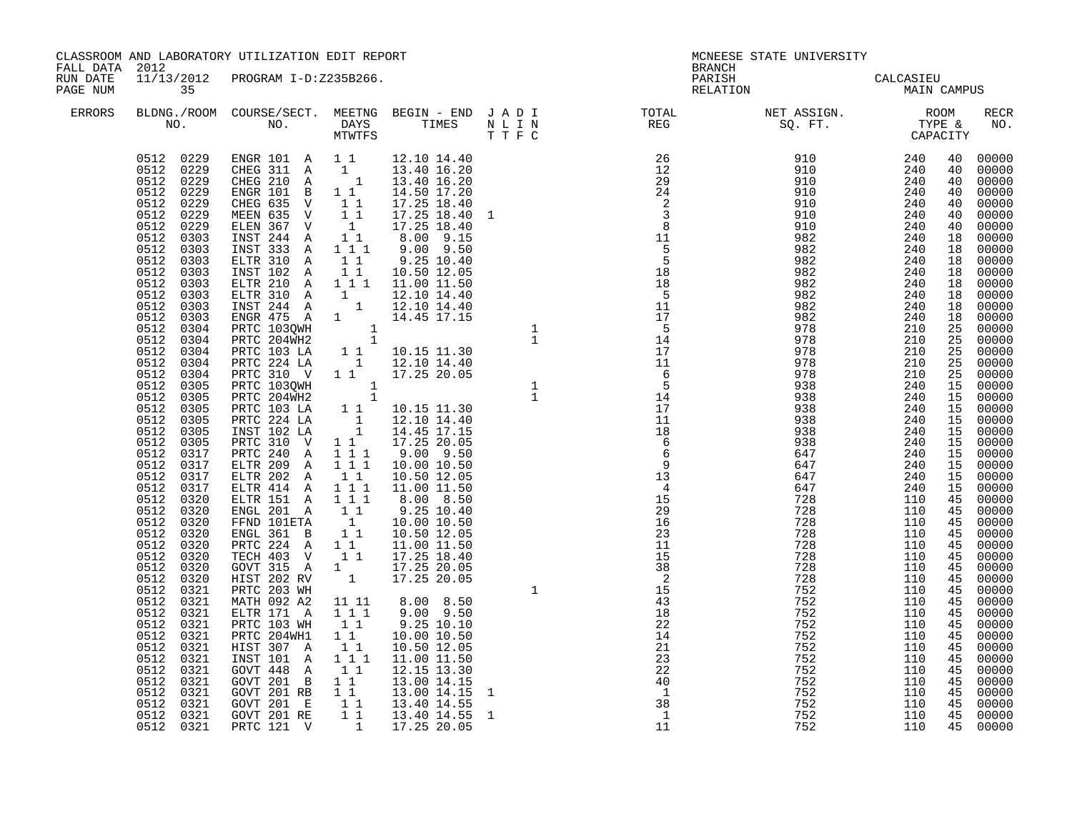| FALL DATA 2012       |                                                                                                                                                                                                                                                                                                                                                                                                                                                                                                                                                                                                                                                             | CLASSROOM AND LABORATORY UTILIZATION EDIT REPORT                                                                    |  |  |  |  | MCNEESE STATE UNIVERSITY<br><b>BRANCH</b> |                   |  |                                  |  |
|----------------------|-------------------------------------------------------------------------------------------------------------------------------------------------------------------------------------------------------------------------------------------------------------------------------------------------------------------------------------------------------------------------------------------------------------------------------------------------------------------------------------------------------------------------------------------------------------------------------------------------------------------------------------------------------------|---------------------------------------------------------------------------------------------------------------------|--|--|--|--|-------------------------------------------|-------------------|--|----------------------------------|--|
| RUN DATE<br>PAGE NUM | 35                                                                                                                                                                                                                                                                                                                                                                                                                                                                                                                                                                                                                                                          | 11/13/2012 PROGRAM I-D:Z235B266.                                                                                    |  |  |  |  | PARISH CALCASIEU<br>RELATION MAIN CAMPUS  |                   |  |                                  |  |
| ERRORS               |                                                                                                                                                                                                                                                                                                                                                                                                                                                                                                                                                                                                                                                             |                                                                                                                     |  |  |  |  |                                           |                   |  | RECR<br>NO.                      |  |
|                      | 0512 0229<br>0512 0229<br>0512 0229<br>0512 0229<br>0512 0229<br>0512 0229<br>0512 0229<br>0512 0303<br>0512 0303<br>0512 0303<br>0512 0303<br>0512 0303<br>0512 0303<br>0512 0303<br>0512 0303<br>0512<br>0304<br>0512 0304<br>0512 0304<br>0512 0304<br>0512<br>0304<br>0512<br>0305<br>0512 0305<br>0512 0305<br>0512 0305<br>0512 0305<br>0512 0305<br>0512 0317<br>0512 0317<br>0512 0317<br>0512 0317<br>0512 0320<br>0512 0320<br>0512 0320<br>0512 0320<br>0512 0320<br>0512 0320<br>0512<br>0320<br>0512<br>0320<br>0512 0321<br>0512 0321<br>0512 0321<br>0512 0321<br>0512 0321<br>0512 0321<br>0512 0321<br>0512 0321<br>0512 0321<br>0512 0321 | 0512 0321 GOVT 201 RB 1 1 13.00 14.15<br>0512 0321 GOVT 201 E 1 1 13.40 14.55<br>0512 0321 PRTC 121 V 1 17.25 20.05 |  |  |  |  | 752<br>752<br>752                         | 110<br>110<br>110 |  | 45 00000<br>45 00000<br>45 00000 |  |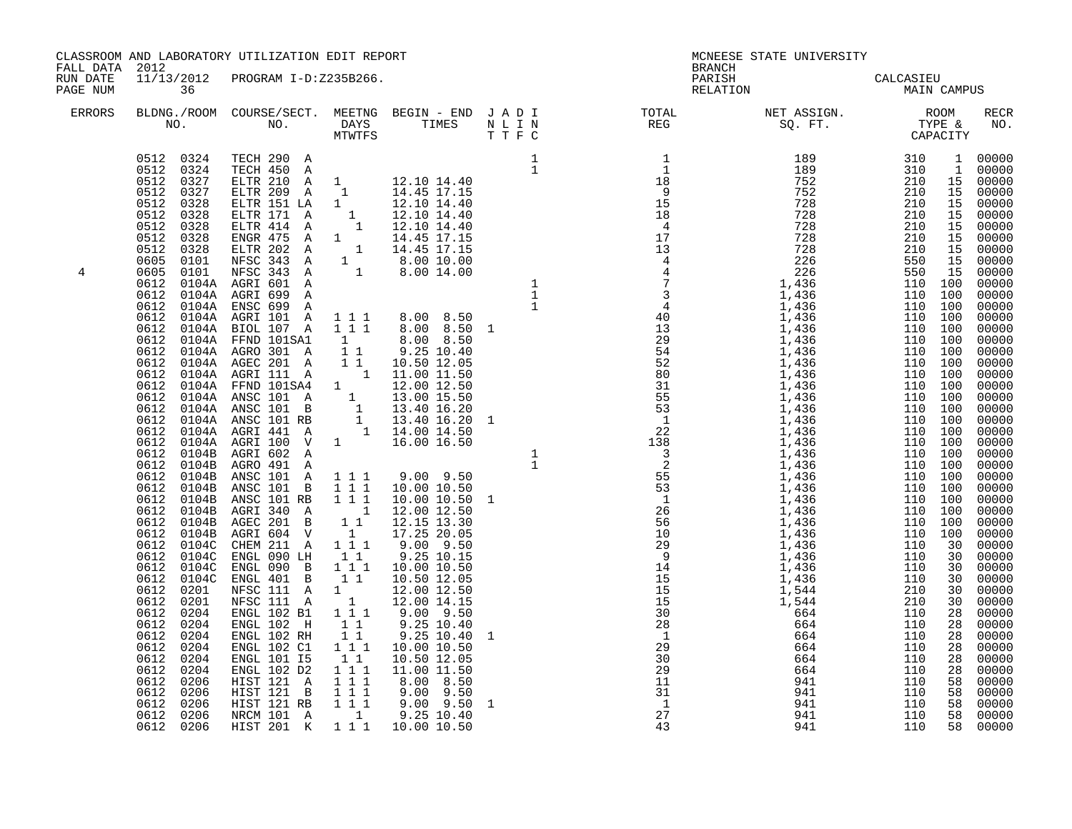| FALL DATA 2012       |           | CLASSROOM AND LABORATORY UTILIZATION EDIT REPORT                                                                                                                                                                                                                                                                                          |  |  |              | MCNEESE STATE UNIVERSITY<br><b>BRANCH</b> |                                                                                                                                                                                                                                                                                                                                                                                                                                                      |  |                                                                   |
|----------------------|-----------|-------------------------------------------------------------------------------------------------------------------------------------------------------------------------------------------------------------------------------------------------------------------------------------------------------------------------------------------|--|--|--------------|-------------------------------------------|------------------------------------------------------------------------------------------------------------------------------------------------------------------------------------------------------------------------------------------------------------------------------------------------------------------------------------------------------------------------------------------------------------------------------------------------------|--|-------------------------------------------------------------------|
| RUN DATE<br>PAGE NUM | 36        | 11/13/2012 PROGRAM I-D:Z235B266.                                                                                                                                                                                                                                                                                                          |  |  |              |                                           | PARISH CALCASIEU<br>RELATION MAIN CAMPUS                                                                                                                                                                                                                                                                                                                                                                                                             |  |                                                                   |
| ERRORS               |           | NO. NO. DAYS TIMES N L I N T T F C                                                                                                                                                                                                                                                                                                        |  |  |              |                                           | $\begin{tabular}{lllllllllllllllllllll} \textsc{BLONG.} \textsc{ROOM.} & \textsc{CUIRSE/SECT.} & \textsc{METNG.} & \textsc{BEGIN - END.} & \textsc{J A D I} & \textsc{DTQTAL} & \textsc{NET ASSIGN.} & \textsc{ROOM} \\ \textsc{NO.} & \textsc{NO.} & \textsc{DAYS} & \textsc{TIMES} & \textsc{N L I N} & \textsc{REG} & \textsc{SQ. FT.} & \textsc{TTPE & \textsc{CAPACITY}} \\ & \textsc{MTVTFS} & \textsc{T T F C} & \textsc{STST-SU} & \textsc{$ |  | RECR<br>NO.                                                       |
| 4                    | 0612 0206 | ENGL 102 KH 1 1 9.25 10.40<br>ENGL 102 C1 1 1 1 10.00 10.50<br>ENGL 101 15 1 1 11.00 11.50<br>ENGL 102 D2 1 1 1 1.00 11.50<br>HIST 121 A 1 1 1 9.00 9.50<br>HIST 121 B 1 1 1 9.00 9.50<br>HIST 121 RB 1 1 1 9.00 9.50<br>HIST 121 RB 1 1 1 9<br>NRCM 101 A<br>0612 0206 NRCM 101 A 1 9.25 10.40<br>0612 0206 HIST 201 K 1 1 1 10.00 10.50 |  |  | $\mathbf{1}$ | $\overline{1}$<br>27<br>43                |                                                                                                                                                                                                                                                                                                                                                                                                                                                      |  | 00000<br>58 00000<br>58 00000<br>58 00000<br>58 00000<br>58 00000 |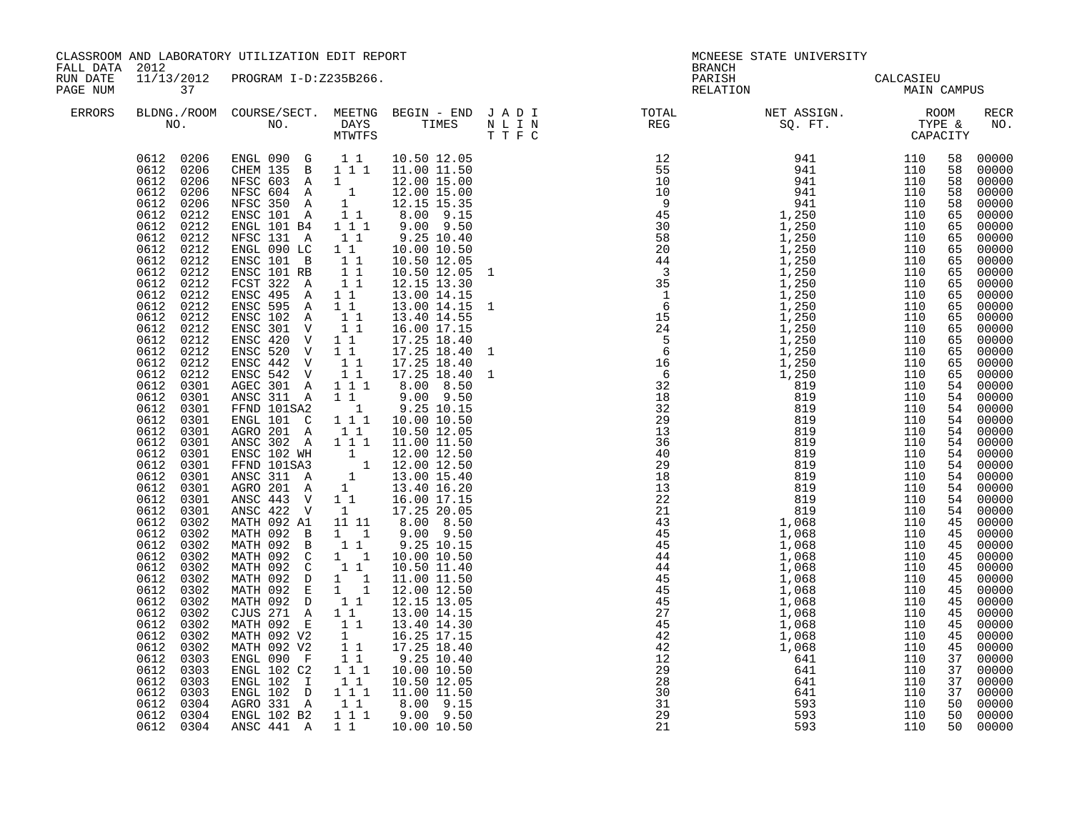| FALL DATA 2012<br>RUN DATE<br>11/13/2012 PROGRAM I-D:Z235B266.<br>PARISH CALCASIEU<br>RELATION MAIN CAMPUS<br>PAGE NUM<br>37<br>$\begin{tabular}{lllllllllllllllllllll} \textsc{BLDNG.} \textsc{(ROM COURSE/SECT.}\textsc{MEETNG} & \textsc{BEGIN} & - & \textsc{END} & J & A & D & I & & & \textsc{TOTAL} & & & \textsc{NET ASSIGN.} & & & \textsc{ROM} \\ \textsc{NO.} & \textsc{NO.} & \textsc{DAYS} & \textsc{TIMES} & \textsc{N} & L & I & N & & \textsc{REG} & & \textsc{SQ. FT.} & & \textsc{TPFE & & \textsc{CAPACITY}} \\ & & & & & & & \textsc{TWTFS} & & & \textsc{T} & \textsc{F}$<br>ERRORS<br>$\begin{array}{cccccccc} 0612 & 0206 & \text{ENGL} & 090 & \text{G} & 1 & 1 & 10.50 & 12.05 \\ 0612 & 0206 & \text{CHEM} & 135 & \text{B} & 1 & 1 & 11.00 & 11.50 \end{array}$<br>10.50 12.05<br>0612 0206<br>NFSC 603 A 1<br>NFSC 604 A 1 12.00 15.00<br>NFSC 350 A 1 12.15 15.35<br>ENSC 101 A 1 1 8.00 9.15<br>THE 101 B4 1 1 1 9.00 9.50<br>0612 0206<br>0612 0206<br>0612<br>0212<br>0612<br>0212<br>NFSC 131 A<br>9.25 10.40<br>0612<br>$1\quad1$<br>0212<br>0612 0212<br>ENGL 090 LC 1 1<br>10.00 10.50<br>ENSC 101 B 1 1<br>ENSC 101 RB 1 1<br>FCST 322 A 1 1<br>0612 0212<br>10.50 12.05<br>0612<br>0212<br>10.50 12.05 1<br>0612<br>0212<br>12.15 13.30<br>0612 0212<br>ENSC 495 A 11<br>13.00 14.15<br>0612 0212<br>13.00 14.15 1<br>ENSC 595 A 11<br>0612 0212<br>ENSC 102 A 1 1<br>ENSC 301 V 1 1<br>13.40 14.55<br>0612 0212<br>16.00 17.15<br>ENSC 420 V 11<br>0612 0212<br>17.25 18.40<br>ENSC 520 V 1 1<br>0612 0212<br>17.25 18.40<br>0612 0212<br>ENSC 442 V<br>11<br>17.25 18.40<br>ENSC 542 V<br>0612<br>0212<br>$1\quad1$<br>17.25 18.40<br>0612 0301<br>AGEC 301 A 111 8.00 8.50<br>ANSC 311 A 11 9.00 9.50<br>0612 0301<br>0612 0301<br>FFND 101SA2 1<br>ENGL 101 C 111<br>$9.25$ $10.15$<br>$10.00$ $10.50$<br>0612 0301<br>AGRO 201 A<br>10.50 12.05<br>0612<br>0301<br>$1\quad1$<br>0612 0301<br>ANSC 302 A 1 1 1 11.00 11.50<br>ENSC 102 WH 1 12.00 12.50<br>FFND 101SA3 1 12.00 12.50<br>ANSC 311 A 1 13.00 15.40<br>0612 0301<br>0612 0301<br>0612 0301<br>AGRO 201 A 1 13.40 16.20<br>ANSC 443 V 11 16.00 17.15<br>0612 0301<br>0612 0301<br>ANSC 422 V<br>0612 0301<br>17.25 20.05<br>$\mathbf{1}$<br>MATH 092 A1<br>0612<br>0302<br>11 11<br>8.00 8.50<br>MATH 092 B 1 1<br>MATH 092 B 1 1<br>0612 0302<br>$9.00$ $9.50$<br>0612 0302<br>9.25 10.15<br>MATH 092 C<br>MATH 092 C<br>0612 0302<br>$\begin{smallmatrix}1&&1\\&1&1\end{smallmatrix}$<br>10.00 10.50<br>0612<br>0302<br>10.50 11.40<br>MATH 092 D 1 1 11.00 11.50<br>MATH 092 E 1 1 12.00 12.50<br>0612 0302<br>0612 0302<br>MATH 092 D 1 1<br>0612<br>0302<br>12.15 13.05<br>CJUS $271$ A 1 1<br>13.00 14.15<br>0612<br>0302<br>MATH 092 E 11<br>MATH 092 V2 1<br>MATH 092 V2 11<br>13.40 14.30<br>0612<br>0302<br>0612<br>0302<br>16.25 17.15 | CLASSROOM AND LABORATORY UTILIZATION EDIT REPORT |            |  |             |  | MCNEESE STATE UNIVERSITY<br><b>BRANCH</b> |  |  |  |             |  |
|---------------------------------------------------------------------------------------------------------------------------------------------------------------------------------------------------------------------------------------------------------------------------------------------------------------------------------------------------------------------------------------------------------------------------------------------------------------------------------------------------------------------------------------------------------------------------------------------------------------------------------------------------------------------------------------------------------------------------------------------------------------------------------------------------------------------------------------------------------------------------------------------------------------------------------------------------------------------------------------------------------------------------------------------------------------------------------------------------------------------------------------------------------------------------------------------------------------------------------------------------------------------------------------------------------------------------------------------------------------------------------------------------------------------------------------------------------------------------------------------------------------------------------------------------------------------------------------------------------------------------------------------------------------------------------------------------------------------------------------------------------------------------------------------------------------------------------------------------------------------------------------------------------------------------------------------------------------------------------------------------------------------------------------------------------------------------------------------------------------------------------------------------------------------------------------------------------------------------------------------------------------------------------------------------------------------------------------------------------------------------------------------------------------------------------------------------------------------------------------------------------------------------------------------------------------------------------------------------------------------------------------------------------------------------------------------------------------------------------------------------------------------------------------------------------------------------------------------------------|--------------------------------------------------|------------|--|-------------|--|-------------------------------------------|--|--|--|-------------|--|
|                                                                                                                                                                                                                                                                                                                                                                                                                                                                                                                                                                                                                                                                                                                                                                                                                                                                                                                                                                                                                                                                                                                                                                                                                                                                                                                                                                                                                                                                                                                                                                                                                                                                                                                                                                                                                                                                                                                                                                                                                                                                                                                                                                                                                                                                                                                                                                                                                                                                                                                                                                                                                                                                                                                                                                                                                                                         |                                                  |            |  |             |  |                                           |  |  |  |             |  |
|                                                                                                                                                                                                                                                                                                                                                                                                                                                                                                                                                                                                                                                                                                                                                                                                                                                                                                                                                                                                                                                                                                                                                                                                                                                                                                                                                                                                                                                                                                                                                                                                                                                                                                                                                                                                                                                                                                                                                                                                                                                                                                                                                                                                                                                                                                                                                                                                                                                                                                                                                                                                                                                                                                                                                                                                                                                         |                                                  |            |  |             |  |                                           |  |  |  | RECR<br>NO. |  |
| $1\quad1$<br>9.25 10.40<br>0612<br>0303<br>ENGL 102 C2<br>111<br>0612<br>0303<br>10.00 10.50<br>0612 0303<br>ENGL 102 T 11 10.50 12.05<br>ENGL 102 D 1 1 1 11.00 11.50<br>AGRO 331 A 11 8.00 9.15<br>0612 0303<br>0612 0304<br>ENGL 102 B2 1 1 1 9.00 9.50<br>0612 0304<br>50 00000<br>0612 0304<br>ANSC 441 A 1 1 10.00 10.50<br>21<br>593<br>110                                                                                                                                                                                                                                                                                                                                                                                                                                                                                                                                                                                                                                                                                                                                                                                                                                                                                                                                                                                                                                                                                                                                                                                                                                                                                                                                                                                                                                                                                                                                                                                                                                                                                                                                                                                                                                                                                                                                                                                                                                                                                                                                                                                                                                                                                                                                                                                                                                                                                                      | 0612<br>0302                                     | ENGL 090 F |  | 17.25 18.40 |  |                                           |  |  |  |             |  |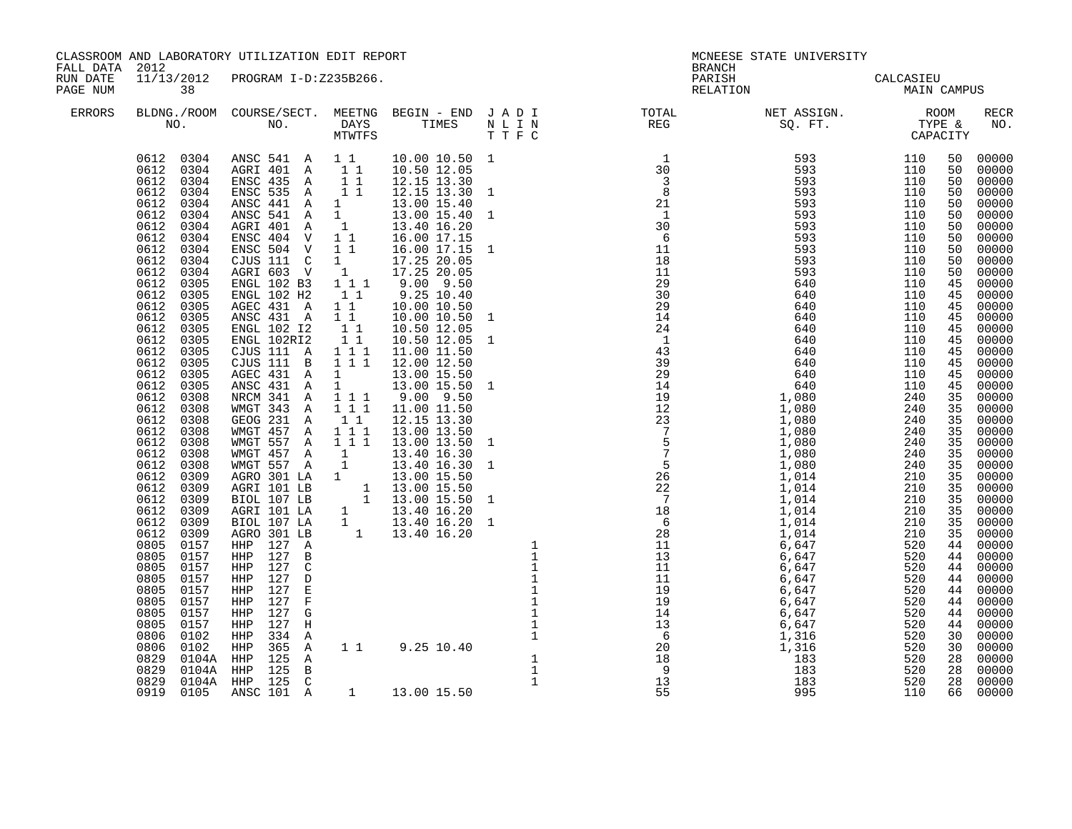| FALL DATA 2012       |                                                                                                                                                                                                                                                                                                                                                                                                                                                                                                                                                                                                                                                                           | CLASSROOM AND LABORATORY UTILIZATION EDIT REPORT                                                                                                                                                                                                                                                                                                                                                                                                                                                                                                                                                                                                                                                                                                                                                                                                                                                                                                                                                     |                                                                                                                                                                                                                                                                                                                                                                                                                                                                                                                                                         | <b>BRANCH</b> | MCNEESE STATE UNIVERSITY            |             |                                                                                                                                                                                                                                                    |                                                                                                                                                                                                                                                                                                                                                                               |
|----------------------|---------------------------------------------------------------------------------------------------------------------------------------------------------------------------------------------------------------------------------------------------------------------------------------------------------------------------------------------------------------------------------------------------------------------------------------------------------------------------------------------------------------------------------------------------------------------------------------------------------------------------------------------------------------------------|------------------------------------------------------------------------------------------------------------------------------------------------------------------------------------------------------------------------------------------------------------------------------------------------------------------------------------------------------------------------------------------------------------------------------------------------------------------------------------------------------------------------------------------------------------------------------------------------------------------------------------------------------------------------------------------------------------------------------------------------------------------------------------------------------------------------------------------------------------------------------------------------------------------------------------------------------------------------------------------------------|---------------------------------------------------------------------------------------------------------------------------------------------------------------------------------------------------------------------------------------------------------------------------------------------------------------------------------------------------------------------------------------------------------------------------------------------------------------------------------------------------------------------------------------------------------|---------------|-------------------------------------|-------------|----------------------------------------------------------------------------------------------------------------------------------------------------------------------------------------------------------------------------------------------------|-------------------------------------------------------------------------------------------------------------------------------------------------------------------------------------------------------------------------------------------------------------------------------------------------------------------------------------------------------------------------------|
| RUN DATE<br>PAGE NUM | 38                                                                                                                                                                                                                                                                                                                                                                                                                                                                                                                                                                                                                                                                        | 11/13/2012 PROGRAM I-D:Z235B266.                                                                                                                                                                                                                                                                                                                                                                                                                                                                                                                                                                                                                                                                                                                                                                                                                                                                                                                                                                     |                                                                                                                                                                                                                                                                                                                                                                                                                                                                                                                                                         |               | PARISH CALCASIEU<br>RELATION MAIN C | MAIN CAMPUS |                                                                                                                                                                                                                                                    |                                                                                                                                                                                                                                                                                                                                                                               |
| ERRORS               |                                                                                                                                                                                                                                                                                                                                                                                                                                                                                                                                                                                                                                                                           |                                                                                                                                                                                                                                                                                                                                                                                                                                                                                                                                                                                                                                                                                                                                                                                                                                                                                                                                                                                                      |                                                                                                                                                                                                                                                                                                                                                                                                                                                                                                                                                         |               |                                     |             |                                                                                                                                                                                                                                                    | <b>RECR</b><br>NO.                                                                                                                                                                                                                                                                                                                                                            |
|                      | 0612 0304<br>0612<br>0304<br>0612<br>0304<br>0304<br>0612<br>0612<br>0304<br>0612<br>0304<br>0612<br>0304<br>0612<br>0304<br>0612<br>0304<br>0304<br>0612<br>0612<br>0304<br>0612<br>0305<br>0612<br>0305<br>0612<br>0305<br>0612<br>0305<br>0305<br>0612<br>0612<br>0305<br>0612<br>0305<br>0612<br>0305<br>0612<br>0305<br>0612<br>0305<br>0612<br>0308<br>0612<br>0308<br>0612<br>0308<br>0612<br>0308<br>0612<br>0308<br>0612<br>0308<br>0612<br>0308<br>0612<br>0309<br>0612<br>0309<br>0612<br>0309<br>0612<br>0309<br>0612<br>0309<br>0612<br>0309<br>0805<br>0157<br>0805<br>0157<br>0805<br>0157<br>0805<br>0157<br>0157<br>0805<br>0805<br>0157<br>0805<br>0157 | ANSC 541 A 11<br>AGRI 401 A<br>$1\quad1$<br>ENSC 435 A<br>11<br>ENSC 535 A<br>$1\quad1$<br>ANSC 441 A<br>1<br>ANSC 541 A<br>1<br>AGRI 401 A<br>1<br>ENSC 404 V<br>$1\quad1$<br>ENSC 504 V<br>$1\quad1$<br>CJUS 111 C<br>1<br>AGRI 603 V<br>1<br>ENGL 102 B3<br>$1 1 1$<br>11<br>ENGL 102 H2<br>AGEC 431 A<br>11<br>ANSC 431 A<br>$1\quad1$<br>ENGL 102 12<br>11<br>11<br>ENGL 102RI2<br>CJUS 111 A<br>1 1 1<br>CJUS 111 B<br>111<br>1<br>AGEC 431 A<br>$1 \quad \blacksquare$<br>ANSC 431 A<br>NRCM 341 A 111<br>WMGT 343 A<br>1 1 1<br>GEOG 231 A<br>$1\quad1$<br>WMGT 457 A<br>1 1 1<br>111<br>WMGT 557 A<br>WMGT 457 A<br>$\mathbf{1}$<br>WMGT 557 A<br>$\overline{1}$<br>AGRO 301 LA 1<br>AGRI 101 LB<br>BIOL 107 LB<br>1<br>AGRI 101 LA<br>$\mathbf{1}$<br>BIOL 107 LA<br>$\overline{1}$<br>AGRO 301 LB<br>HHP 127 A<br>HHP<br>127<br>B<br>127<br>$\mathsf{C}$<br>HHP<br>127<br><b>HHP</b><br>$\mathbb D$<br>$\mathbf E$<br>127<br>HHP<br>$\overline{\mathrm{F}}$<br>HHP<br>127<br>HHP 127<br>G | 10.00 10.50 1<br>10.50 12.05<br>12.15 13.30<br>12.15 13.30 1<br>13.00 15.40<br>13.00 15.40 1<br>13.40 16.20<br>16.00 17.15<br>16.00 17.15 1<br>17.25 20.05<br>17.25 20.05<br>$9.00$ $9.50$<br>9.25 10.40<br>10.00 10.50<br>10.00 10.50 1<br>10.50 12.05<br>10.50 12.05 1<br>11.00 11.50<br>12.00 12.50<br>13.00 15.50<br>13.00 15.50 1<br>$9.00$ $9.50$<br>11.00 11.50<br>12.15 13.30<br>13.00 13.50<br>13.00 13.50 1<br>13.40 16.30<br>13.40 16.30 1<br>13.00 15.50<br>1 13.00 15.50<br>1 13.00 15.50 1<br>13.40 16.20<br>13.40 16.20 1<br>13.40 16.20 |               |                                     |             | 50<br>50<br>50<br>50<br>50<br>50<br>50<br>50<br>50<br>50<br>50<br>45<br>45<br>45<br>45<br>45<br>45<br>45<br>45<br>45<br>45<br>35<br>35<br>35<br>35<br>35<br>35<br>35<br>35<br>35<br>35<br>35<br>35<br>35<br>44<br>44<br>44<br>44<br>44<br>44<br>44 | 00000<br>00000<br>00000<br>00000<br>00000<br>00000<br>00000<br>00000<br>00000<br>00000<br>00000<br>00000<br>00000<br>00000<br>00000<br>00000<br>00000<br>00000<br>00000<br>00000<br>00000<br>00000<br>00000<br>00000<br>00000<br>00000<br>00000<br>00000<br>00000<br>00000<br>00000<br>00000<br>00000<br>00000<br>00000<br>00000<br>00000<br>00000<br>00000<br>00000<br>00000 |

0805 0157 HHP 127 H 1 13 6,647 520 44 00000 0806 0102 HHP 334 A 1 6 1 , 316 520 30 00000 0806 0102 HHP 365 A 1 1 9.25 10.40 1,316 520 30 00000

0919 0105 ANSC 101 A 1 13.00 15.50 55 995 110 66 00000

0829 0104A HHP 125 A 1 1 18 18 183 520 28 00000 0829 0104A HHP 125 B 1 9 183 520 28 00000 0829 0104A HHP 125 C 1 13 183 520 28 00000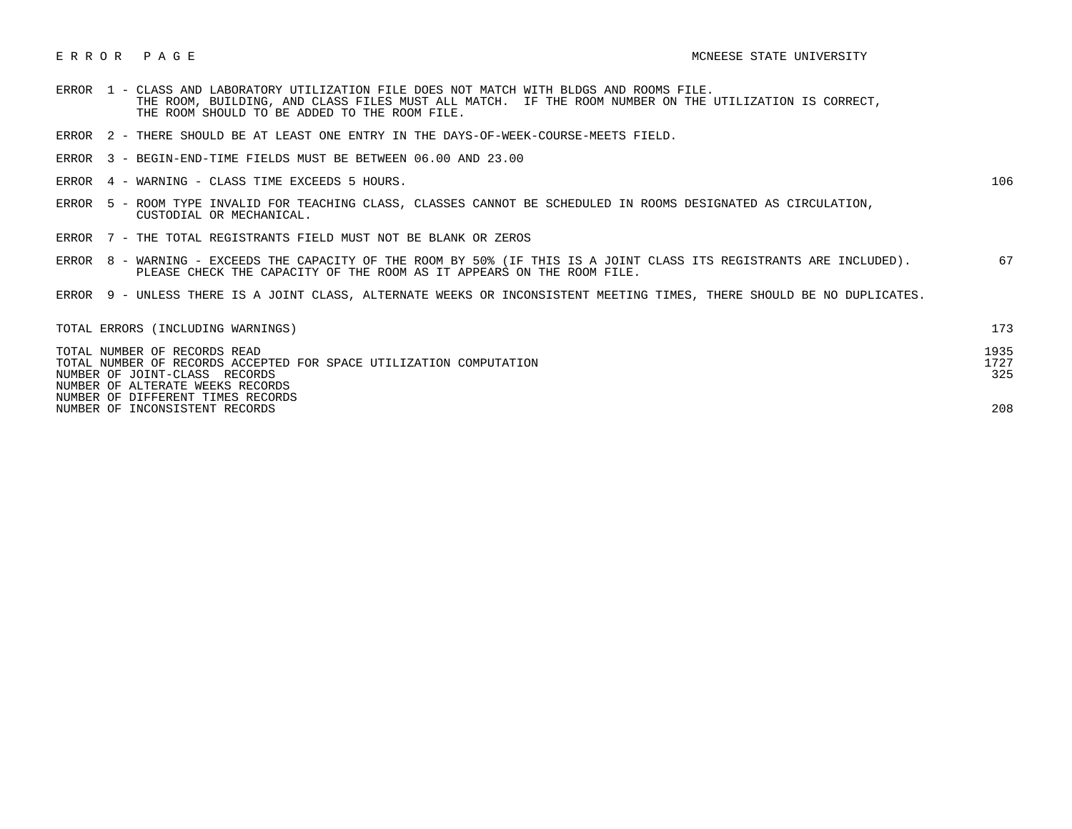- ERROR 1 CLASS AND LABORATORY UTILIZATION FILE DOES NOT MATCH WITH BLDGS AND ROOMS FILE. THE ROOM, BUILDING, AND CLASS FILES MUST ALL MATCH. IF THE ROOM NUMBER ON THE UTILIZATION IS CORRECT, THE ROOM SHOULD TO BE ADDED TO THE ROOM FILE.
- ERROR 2 THERE SHOULD BE AT LEAST ONE ENTRY IN THE DAYS-OF-WEEK-COURSE-MEETS FIELD.
- ERROR 3 BEGIN-END-TIME FIELDS MUST BE BETWEEN 06.00 AND 23.00
- ERROR 4 WARNING CLASS TIME EXCEEDS 5 HOURS. 106

- ERROR 5 ROOM TYPE INVALID FOR TEACHING CLASS, CLASSES CANNOT BE SCHEDULED IN ROOMS DESIGNATED AS CIRCULATION, CUSTODIAL OR MECHANICAL.
- ERROR 7 THE TOTAL REGISTRANTS FIELD MUST NOT BE BLANK OR ZEROS
- ERROR 8 WARNING EXCEEDS THE CAPACITY OF THE ROOM BY 50% (IF THIS IS A JOINT CLASS ITS REGISTRANTS ARE INCLUDED). 67 PLEASE CHECK THE CAPACITY OF THE ROOM AS IT APPEARS ON THE ROOM FILE.
- ERROR 9 UNLESS THERE IS A JOINT CLASS, ALTERNATE WEEKS OR INCONSISTENT MEETING TIMES, THERE SHOULD BE NO DUPLICATES.

| TOTAL ERRORS (INCLUDING WARNINGS)                                  | 173  |
|--------------------------------------------------------------------|------|
| TOTAL NUMBER OF RECORDS READ                                       | 1935 |
| TOTAL NUMBER OF RECORDS ACCEPTED FOR SPACE UTILIZATION COMPUTATION | 1727 |
| NUMBER OF JOINT-CLASS RECORDS                                      | 325  |
| NUMBER OF ALTERATE WEEKS RECORDS                                   |      |
| NUMBER OF DIFFERENT TIMES RECORDS                                  |      |
| NUMBER OF INCONSISTENT RECORDS                                     | 208  |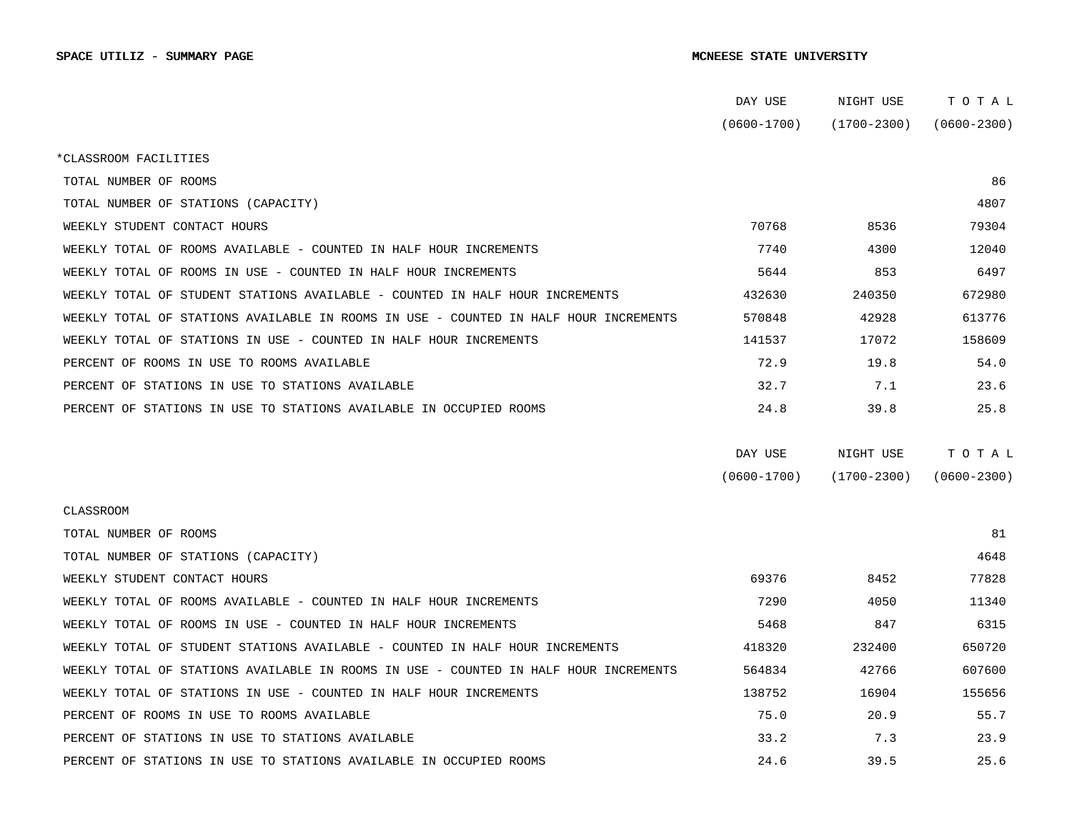|                                                                                      | DAY USE         | NIGHT USE       | TOTAL           |  |
|--------------------------------------------------------------------------------------|-----------------|-----------------|-----------------|--|
|                                                                                      | $(0600 - 1700)$ | (1700-2300)     | $(0600 - 2300)$ |  |
| *CLASSROOM FACILITIES                                                                |                 |                 |                 |  |
| TOTAL NUMBER OF ROOMS                                                                |                 |                 | 86              |  |
| TOTAL NUMBER OF STATIONS (CAPACITY)                                                  |                 |                 | 4807            |  |
| WEEKLY STUDENT CONTACT HOURS                                                         | 70768           | 8536            | 79304           |  |
| WEEKLY TOTAL OF ROOMS AVAILABLE - COUNTED IN HALF HOUR INCREMENTS                    | 7740            | 4300            | 12040           |  |
| WEEKLY TOTAL OF ROOMS IN USE - COUNTED IN HALF HOUR INCREMENTS                       | 5644            | 853             | 6497            |  |
| WEEKLY TOTAL OF STUDENT STATIONS AVAILABLE - COUNTED IN HALF HOUR INCREMENTS         | 432630          | 240350          | 672980          |  |
| WEEKLY TOTAL OF STATIONS AVAILABLE IN ROOMS IN USE - COUNTED IN HALF HOUR INCREMENTS | 570848          | 42928           | 613776          |  |
| WEEKLY TOTAL OF STATIONS IN USE - COUNTED IN HALF HOUR INCREMENTS                    | 141537          | 17072           | 158609          |  |
| PERCENT OF ROOMS IN USE TO ROOMS AVAILABLE                                           | 72.9            | 19.8            | 54.0            |  |
| PERCENT OF STATIONS IN USE TO STATIONS AVAILABLE                                     | 32.7            | 7.1             | 23.6            |  |
| PERCENT OF STATIONS IN USE TO STATIONS AVAILABLE IN OCCUPIED ROOMS                   | 24.8            | 39.8            | 25.8            |  |
|                                                                                      | DAY USE         | NIGHT USE       | TOTAL           |  |
|                                                                                      | $(0600 - 1700)$ | $(1700 - 2300)$ | $(0600 - 2300)$ |  |
| CLASSROOM                                                                            |                 |                 |                 |  |
| TOTAL NUMBER OF ROOMS                                                                |                 |                 | 81              |  |
| TOTAL NUMBER OF STATIONS (CAPACITY)                                                  |                 |                 | 4648            |  |
| WEEKLY STUDENT CONTACT HOURS                                                         | 69376           | 8452            | 77828           |  |
| WEEKLY TOTAL OF ROOMS AVAILABLE - COUNTED IN HALF HOUR INCREMENTS                    | 7290            | 4050            | 11340           |  |
| WEEKLY TOTAL OF ROOMS IN USE - COUNTED IN HALF HOUR INCREMENTS                       | 5468            | 847             | 6315            |  |
| WEEKLY TOTAL OF STUDENT STATIONS AVAILABLE - COUNTED IN HALF HOUR INCREMENTS         | 418320          | 232400          | 650720          |  |
| WEEKLY TOTAL OF STATIONS AVAILABLE IN ROOMS IN USE - COUNTED IN HALF HOUR INCREMENTS | 564834          | 42766           | 607600          |  |
| WEEKLY TOTAL OF STATIONS IN USE - COUNTED IN HALF HOUR INCREMENTS                    | 138752          | 16904           | 155656          |  |
| PERCENT OF ROOMS IN USE TO ROOMS AVAILABLE                                           | 75.0            | 20.9            | 55.7            |  |
| PERCENT OF STATIONS IN USE TO STATIONS AVAILABLE                                     | 33.2            | 7.3             | 23.9            |  |
| PERCENT OF STATIONS IN USE TO STATIONS AVAILABLE IN OCCUPIED ROOMS                   | 24.6            | 39.5            | 25.6            |  |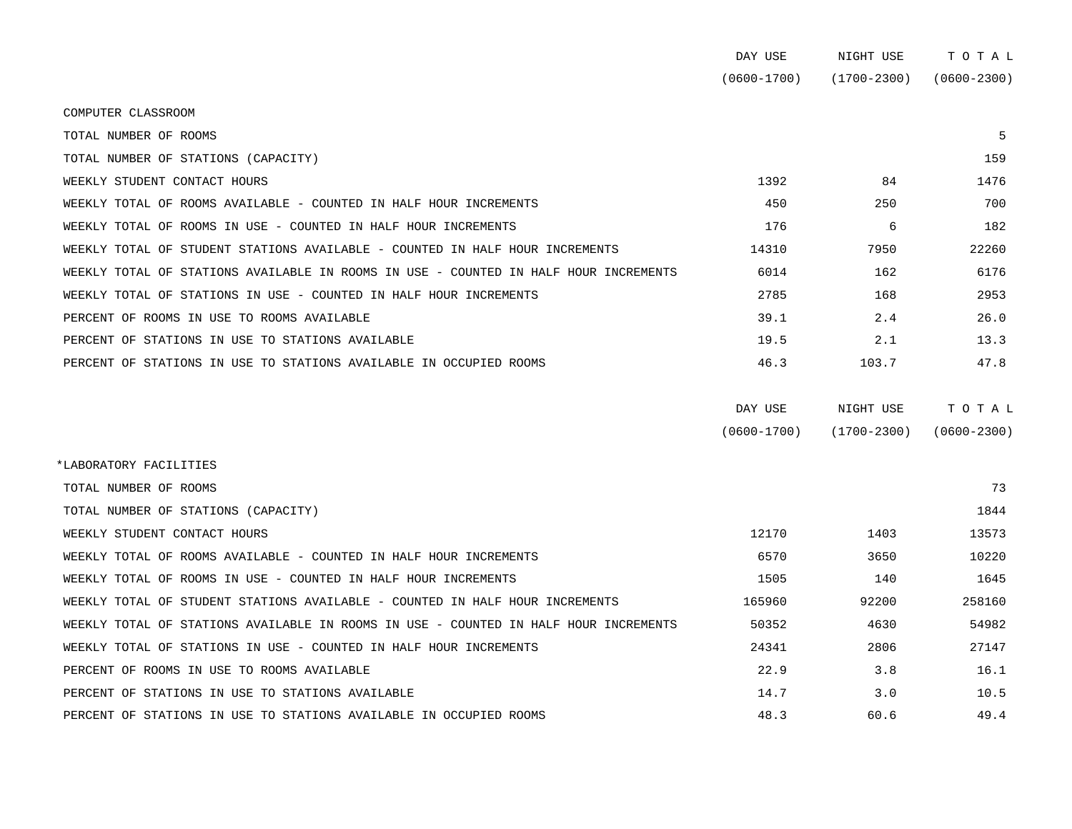|                                                                                      | DAY USE         | NIGHT USE       | TOTAL           |
|--------------------------------------------------------------------------------------|-----------------|-----------------|-----------------|
|                                                                                      | $(0600 - 1700)$ | (1700-2300)     | $(0600 - 2300)$ |
| COMPUTER CLASSROOM                                                                   |                 |                 |                 |
| TOTAL NUMBER OF ROOMS                                                                |                 |                 | 5               |
| TOTAL NUMBER OF STATIONS (CAPACITY)                                                  |                 |                 | 159             |
| WEEKLY STUDENT CONTACT HOURS                                                         | 1392            | 84              | 1476            |
| WEEKLY TOTAL OF ROOMS AVAILABLE - COUNTED IN HALF HOUR INCREMENTS                    | 450             | 250             | 700             |
| WEEKLY TOTAL OF ROOMS IN USE - COUNTED IN HALF HOUR INCREMENTS                       | 176             | 6               | 182             |
| WEEKLY TOTAL OF STUDENT STATIONS AVAILABLE - COUNTED IN HALF HOUR INCREMENTS         | 14310           | 7950            | 22260           |
| WEEKLY TOTAL OF STATIONS AVAILABLE IN ROOMS IN USE - COUNTED IN HALF HOUR INCREMENTS | 6014            | 162             | 6176            |
| WEEKLY TOTAL OF STATIONS IN USE - COUNTED IN HALF HOUR INCREMENTS                    | 2785            | 168             | 2953            |
| PERCENT OF ROOMS IN USE TO ROOMS AVAILABLE                                           | 39.1            | 2.4             | 26.0            |
| PERCENT OF STATIONS IN USE TO STATIONS AVAILABLE                                     | 19.5            | 2.1             | 13.3            |
| PERCENT OF STATIONS IN USE TO STATIONS AVAILABLE IN OCCUPIED ROOMS                   | 46.3            | 103.7           | 47.8            |
|                                                                                      | DAY USE         | NIGHT USE       | TOTAL           |
|                                                                                      | $(0600 - 1700)$ | $(1700 - 2300)$ | $(0600 - 2300)$ |
| *LABORATORY FACILITIES                                                               |                 |                 |                 |
| TOTAL NUMBER OF ROOMS                                                                |                 |                 | 73              |
| TOTAL NUMBER OF STATIONS (CAPACITY)                                                  |                 |                 | 1844            |
| WEEKLY STUDENT CONTACT HOURS                                                         | 12170           | 1403            | 13573           |
| WEEKLY TOTAL OF ROOMS AVAILABLE - COUNTED IN HALF HOUR INCREMENTS                    | 6570            | 3650            | 10220           |
| WEEKLY TOTAL OF ROOMS IN USE - COUNTED IN HALF HOUR INCREMENTS                       | 1505            | 140             | 1645            |
| WEEKLY TOTAL OF STUDENT STATIONS AVAILABLE - COUNTED IN HALF HOUR INCREMENTS         | 165960          | 92200           | 258160          |

WEEKLY TOTAL OF STATIONS AVAILABLE IN ROOMS IN USE - COUNTED IN HALF HOUR INCREMENTS 60352 4630 4630 54982 WEEKLY TOTAL OF STATIONS IN USE - COUNTED IN HALF HOUR INCREMENTS  $24341$  2806 27147 PERCENT OF ROOMS IN USE TO ROOMS AVAILABLE **16.1** 22.9 3.8 16.1 PERCENT OF STATIONS IN USE TO STATIONS AVAILABLE  $14.7$  3.0 10.5 PERCENT OF STATIONS IN USE TO STATIONS AVAILABLE IN OCCUPIED ROOMS 48.3 60.6 49.4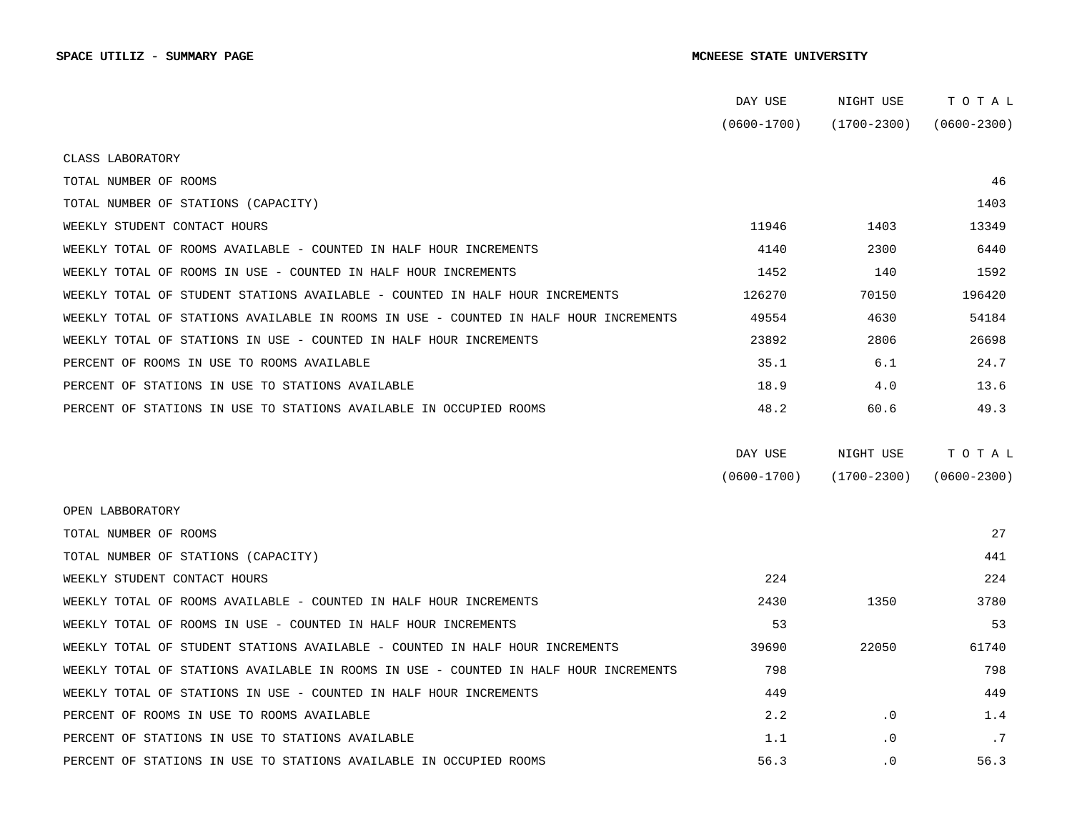|                                                                                      | DAY USE         | NIGHT USE       | TOTAL           |
|--------------------------------------------------------------------------------------|-----------------|-----------------|-----------------|
|                                                                                      | $(0600 - 1700)$ | $(1700 - 2300)$ | $(0600 - 2300)$ |
| CLASS LABORATORY                                                                     |                 |                 |                 |
| TOTAL NUMBER OF ROOMS                                                                |                 |                 | 46              |
| TOTAL NUMBER OF STATIONS (CAPACITY)                                                  |                 |                 | 1403            |
| WEEKLY STUDENT CONTACT HOURS                                                         | 11946           | 1403            | 13349           |
| WEEKLY TOTAL OF ROOMS AVAILABLE - COUNTED IN HALF HOUR INCREMENTS                    | 4140            | 2300            | 6440            |
| WEEKLY TOTAL OF ROOMS IN USE - COUNTED IN HALF HOUR INCREMENTS                       | 1452            | 140             | 1592            |
| WEEKLY TOTAL OF STUDENT STATIONS AVAILABLE - COUNTED IN HALF HOUR INCREMENTS         | 126270          | 70150           | 196420          |
| WEEKLY TOTAL OF STATIONS AVAILABLE IN ROOMS IN USE - COUNTED IN HALF HOUR INCREMENTS | 49554           | 4630            | 54184           |
| WEEKLY TOTAL OF STATIONS IN USE - COUNTED IN HALF HOUR INCREMENTS                    | 23892           | 2806            | 26698           |
|                                                                                      |                 |                 |                 |
| PERCENT OF ROOMS IN USE TO ROOMS AVAILABLE                                           | 35.1            | 6.1             | 24.7            |
| PERCENT OF STATIONS IN USE TO STATIONS AVAILABLE                                     | 18.9            | 4.0             | 13.6            |
| PERCENT OF STATIONS IN USE TO STATIONS AVAILABLE IN OCCUPIED ROOMS                   | 48.2            | 60.6            | 49.3            |
|                                                                                      |                 |                 |                 |
|                                                                                      | DAY USE         | NIGHT USE       | TOTAL           |
|                                                                                      | $(0600 - 1700)$ | $(1700 - 2300)$ | $(0600 - 2300)$ |
| OPEN LABBORATORY                                                                     |                 |                 |                 |
| TOTAL NUMBER OF ROOMS                                                                |                 |                 | 27              |
| TOTAL NUMBER OF STATIONS (CAPACITY)                                                  |                 |                 | 441             |
| WEEKLY STUDENT CONTACT HOURS                                                         | 224             |                 | 224             |
| WEEKLY TOTAL OF ROOMS AVAILABLE - COUNTED IN HALF HOUR INCREMENTS                    | 2430            | 1350            | 3780            |
| WEEKLY TOTAL OF ROOMS IN USE - COUNTED IN HALF HOUR INCREMENTS                       | 53              |                 | 53              |
| WEEKLY TOTAL OF STUDENT STATIONS AVAILABLE - COUNTED IN HALF HOUR INCREMENTS         | 39690           | 22050           | 61740           |
| WEEKLY TOTAL OF STATIONS AVAILABLE IN ROOMS IN USE - COUNTED IN HALF HOUR INCREMENTS | 798             |                 | 798             |
| WEEKLY TOTAL OF STATIONS IN USE - COUNTED IN HALF HOUR INCREMENTS                    | 449             |                 | 449             |
| PERCENT OF ROOMS IN USE TO ROOMS AVAILABLE                                           | 2.2             | $\cdot$ 0       | 1.4             |
| PERCENT OF STATIONS IN USE TO STATIONS AVAILABLE                                     | 1.1             | $\cdot$ 0       | .7              |
| PERCENT OF STATIONS IN USE TO STATIONS AVAILABLE IN OCCUPIED ROOMS                   | 56.3            | $\cdot$ 0       | 56.3            |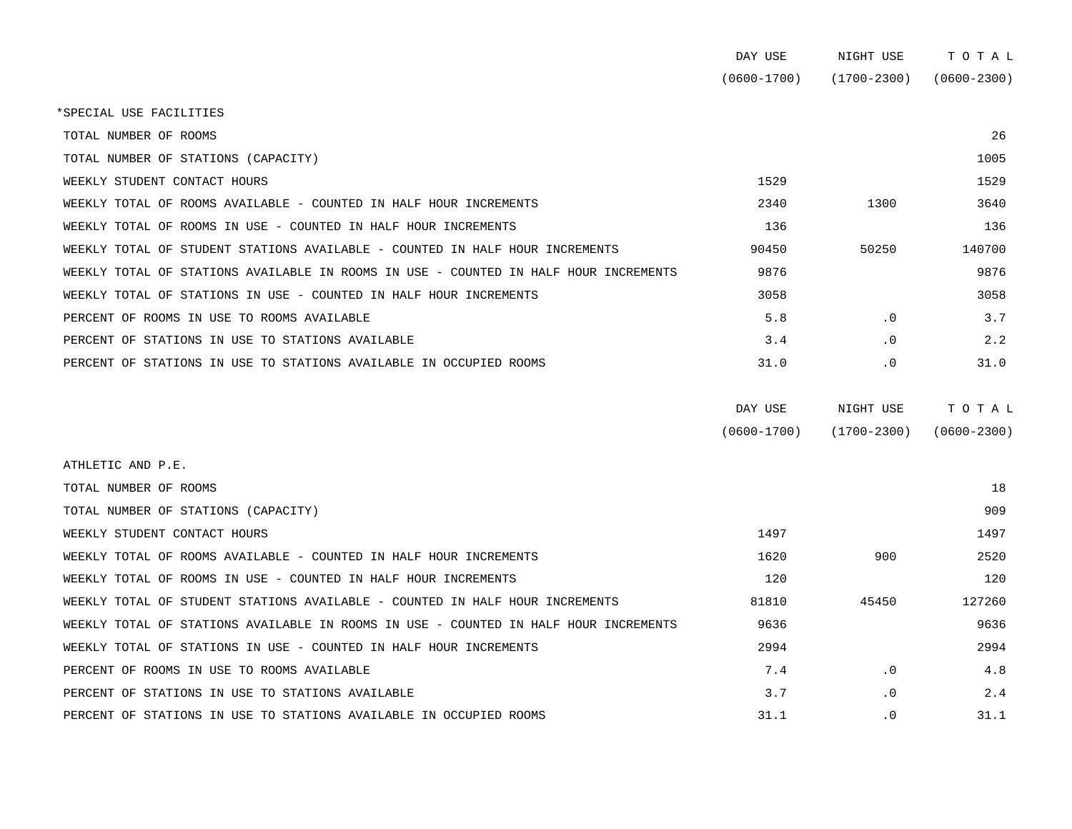| DAY USE     | NIGHT USE       | тотаг           |
|-------------|-----------------|-----------------|
| (0600-1700) | $(1700 - 2300)$ | $(0600 - 2300)$ |

\*SPECIAL USE FACILITIES

| TOTAL NUMBER OF ROOMS                                                                |       |           | 26     |
|--------------------------------------------------------------------------------------|-------|-----------|--------|
| TOTAL NUMBER OF STATIONS (CAPACITY)                                                  |       |           | 1005   |
| WEEKLY STUDENT CONTACT HOURS                                                         | 1529  |           | 1529   |
| WEEKLY TOTAL OF ROOMS AVAILABLE - COUNTED IN HALF HOUR INCREMENTS                    | 2340  | 1300      | 3640   |
| WEEKLY TOTAL OF ROOMS IN USE - COUNTED IN HALF HOUR INCREMENTS                       | 136   |           | 136    |
| WEEKLY TOTAL OF STUDENT STATIONS AVAILABLE - COUNTED IN HALF HOUR INCREMENTS         | 90450 | 50250     | 140700 |
| WEEKLY TOTAL OF STATIONS AVAILABLE IN ROOMS IN USE - COUNTED IN HALF HOUR INCREMENTS | 9876  |           | 9876   |
| WEEKLY TOTAL OF STATIONS IN USE - COUNTED IN HALF HOUR INCREMENTS                    | 3058  |           | 3058   |
| PERCENT OF ROOMS IN USE TO ROOMS AVAILABLE                                           | 5.8   | $\cdot$ 0 | 3.7    |
| PERCENT OF STATIONS IN USE TO STATIONS AVAILABLE                                     | 3.4   | $\cdot$ 0 | 2.2    |
| PERCENT OF STATIONS IN USE TO STATIONS AVAILABLE IN OCCUPIED ROOMS                   | 31.0  | $\cdot$ 0 | 31.0   |

| DAY USE         | NIGHT USE       | тотаь           |
|-----------------|-----------------|-----------------|
| $(0600 - 1700)$ | $(1700 - 2300)$ | $(0600 - 2300)$ |

| ATHLETIC AND P.E.                                                                    |       |           |        |
|--------------------------------------------------------------------------------------|-------|-----------|--------|
| TOTAL NUMBER OF ROOMS                                                                |       |           | 18     |
| TOTAL NUMBER OF STATIONS (CAPACITY)                                                  |       |           | 909    |
| WEEKLY STUDENT CONTACT HOURS                                                         | 1497  |           | 1497   |
| WEEKLY TOTAL OF ROOMS AVAILABLE - COUNTED IN HALF HOUR INCREMENTS                    | 1620  | 900       | 2520   |
| WEEKLY TOTAL OF ROOMS IN USE - COUNTED IN HALF HOUR INCREMENTS                       | 120   |           | 120    |
| WEEKLY TOTAL OF STUDENT STATIONS AVAILABLE - COUNTED IN HALF HOUR INCREMENTS         | 81810 | 45450     | 127260 |
| WEEKLY TOTAL OF STATIONS AVAILABLE IN ROOMS IN USE - COUNTED IN HALF HOUR INCREMENTS | 9636  |           | 9636   |
| WEEKLY TOTAL OF STATIONS IN USE - COUNTED IN HALF HOUR INCREMENTS                    | 2994  |           | 2994   |
| PERCENT OF ROOMS IN USE TO ROOMS AVAILABLE                                           | 7.4   | $\cdot$ 0 | 4.8    |
| PERCENT OF STATIONS IN USE TO STATIONS AVAILABLE                                     | 3.7   | $\cdot$ 0 | 2.4    |
| PERCENT OF STATIONS IN USE TO STATIONS AVAILABLE IN OCCUPIED ROOMS                   | 31.1  | $\cdot$ 0 | 31.1   |